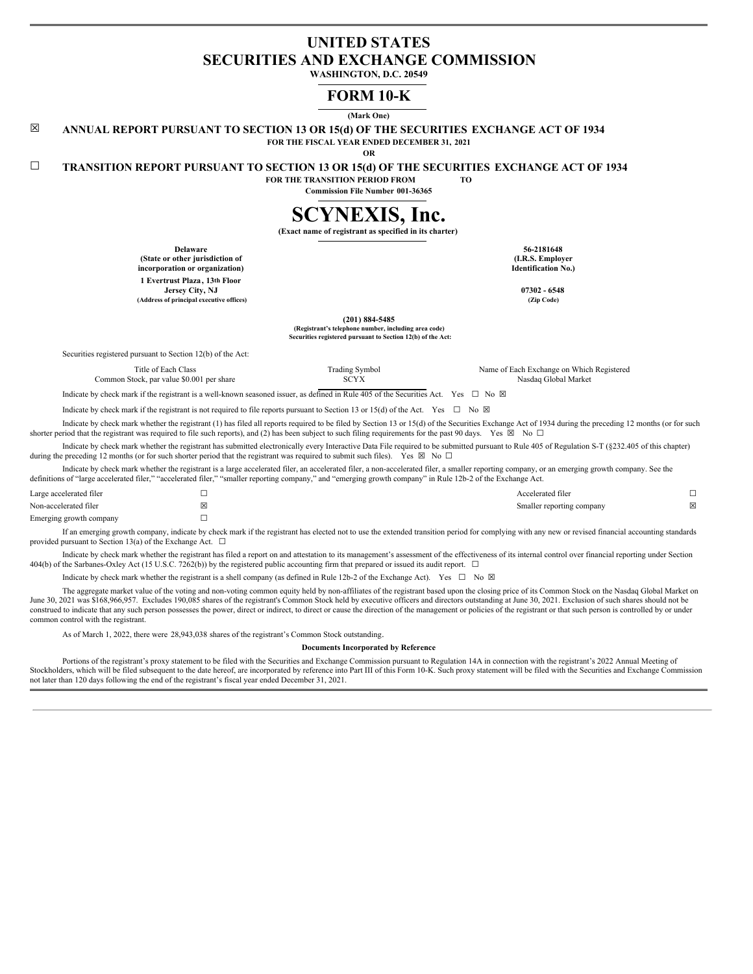# **UNITED STATES SECURITIES AND EXCHANGE COMMISSION**

**WASHINGTON, D.C. 20549**

## **FORM 10-K**

## **(Mark One)**

**FOR THE FISCAL YEAR ENDED DECEMBER 31, 2021 OR ☐ TRANSITION REPORT PURSUANT TO SECTION 13 OR 15(d) OF THE SECURITIES EXCHANGE ACT OF 1934 FOR THE TRANSITION PERIOD FROM TO Commission File Number 001-36365 SCYNEXIS, Inc. (Exact name of registrant as specified in its charter) Delaware 56-2181648 (State or other jurisdiction of incorporation or organization) (I.R.S. Employer Identification No.) 1 Evertrust Plaza, 13th Floor Jersey City, NJ 07302 - 6548 (Address of principal executive offices) (Zip Code) (201) 884-5485 (Registrant's telephone number, including area code) Securities registered pursuant to Section 12(b) of the Act:**

**☒ ANNUAL REPORT PURSUANT TO SECTION 13 OR 15(d) OF THE SECURITIES EXCHANGE ACT OF 1934**

Securities registered pursuant to Section 12(b) of the Act:

Indicate by check mark if the registrant is a well-known seasoned issuer, as defined in Rule 405 of the Securities Act. Yes  $\Box$  No  $\boxtimes$ 

Indicate by check mark if the registrant is not required to file reports pursuant to Section 13 or 15(d) of the Act. Yes  $\Box$  No  $\boxtimes$ 

Indicate by check mark whether the registrant (1) has filed all reports required to be filed by Section 13 or 15(d) of the Securities Exchange Act of 1934 during the preceding 12 months (or for such shorter period that th

Indicate by check mark whether the registrant has submitted electronically every Interactive Data File required to be submitted pursuant to Rule 405 of Regulation S-T (§232.405 of this chapter) during the preceding 12 months (or for such shorter period that the registrant was required to submit such files). Yes  $\boxtimes$  No  $\Box$ 

Indicate by check mark whether the registrant is a large accelerated filer, an accelerated filer, a smacelerated filer, a smaller reporting company, or an emerging growth company. See the definitions of "large accelerated

| Large accelerated filer |     | Accelerated filer         |   |
|-------------------------|-----|---------------------------|---|
| Non-accelerated filer   | IХI | Smaller reporting company | X |
| Emerging growth company |     |                           |   |

If an emerging growth company, indicate by check mark if the registrant has elected not to use the extended transition period for complying with any new or revised financial accounting standards provided pursuant to Section 13(a) of the Exchange Act.  $\Box$ 

Indicate by check mark whether the registrant has filed a report on and attestation to its management's assessment of the effectiveness of its internal control over financial reporting under Section 404(b) of the Sarbanes-Oxley Act (15 U.S.C. 7262(b)) by the registered public accounting firm that prepared or issued its audit report. ☐

Indicate by check mark whether the registrant is a shell company (as defined in Rule 12b-2 of the Exchange Act). Yes  $\Box$  No  $\boxtimes$ 

The aggregate market value of the voting and non-voting common equity held by non-affiliates of the registrant based upon the closing price of its Common Stock on the Nasdaq Global Market on June 30, 2021 was \$168,966,957. Excludes 190,085 shares of the registrant's Common Stock held by executive officers and directors outstanding at June 30, 2021. Exclusion of such shares should not be construed to indicate that any such person possesses the power, direct or indirect, to direct or cause the direction of the management or policies of the registrant or that such person is controlled by or under common control with the registrant.

As of March 1, 2022, there were 28,943,038 shares of the registrant's Common Stock outstanding.

#### **Documents Incorporated by Reference**

Portions of the registrant's proxy statement to be filed with the Securities and Exchange Commission pursuant to Regulation 14A in connection with the registrant's 2022 Annual Meeting of Stockholders, which will be filed subsequent to the date hereof, are incorporated by reference into Part III of this Form 10-K. Such proxy statement will be filed with the Securities and Exchange Commission not later than 120 days following the end of the registrant's fiscal year ended December 31, 2021.

Title of Each Class Trading Symbol Name of Each Exchange on Which Registered<br>
SCYX Name of Each Exchange on Which Registered<br>
Name of Each Exchange on Which Registered<br>
Name of Each Exchange on Which Registered Common Stock, par value \$0.001 per share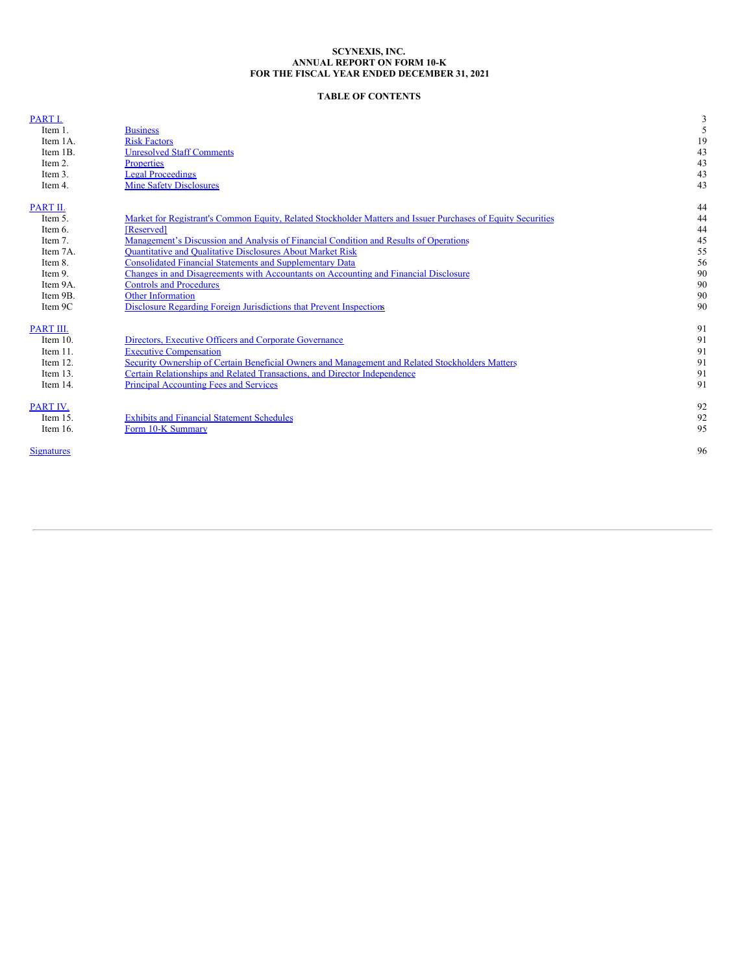### **SCYNEXIS, INC. ANNUAL REPORT ON FORM 10-K FOR THE FISCAL YEAR ENDED DECEMBER 31, 2021**

## **TABLE OF CONTENTS**

| PART I.           |                                                                                                              | 3  |
|-------------------|--------------------------------------------------------------------------------------------------------------|----|
| Item 1.           | <b>Business</b>                                                                                              | 5  |
| Item 1A.          | <b>Risk Factors</b>                                                                                          | 19 |
| Item 1B.          | <b>Unresolved Staff Comments</b>                                                                             | 43 |
| Item 2.           | <b>Properties</b>                                                                                            | 43 |
| Item 3.           | <b>Legal Proceedings</b>                                                                                     | 43 |
| Item 4.           | <b>Mine Safety Disclosures</b>                                                                               | 43 |
| PART II.          |                                                                                                              | 44 |
| Item 5.           | Market for Registrant's Common Equity, Related Stockholder Matters and Issuer Purchases of Equity Securities | 44 |
| Item 6.           | [Reserved]                                                                                                   | 44 |
| Item 7.           | Management's Discussion and Analysis of Financial Condition and Results of Operations                        | 45 |
| Item 7A.          | <b>Ouantitative and Oualitative Disclosures About Market Risk</b>                                            | 55 |
| Item 8.           | <b>Consolidated Financial Statements and Supplementary Data</b>                                              | 56 |
| Item 9.           | Changes in and Disagreements with Accountants on Accounting and Financial Disclosure                         | 90 |
| Item 9A.          | <b>Controls and Procedures</b>                                                                               | 90 |
| Item 9B.          | <b>Other Information</b>                                                                                     | 90 |
| Item 9C           | <b>Disclosure Regarding Foreign Jurisdictions that Prevent Inspections</b>                                   | 90 |
| PART III.         |                                                                                                              | 91 |
| Item $10$ .       | Directors, Executive Officers and Corporate Governance                                                       | 91 |
| Item 11.          | <b>Executive Compensation</b>                                                                                | 91 |
| Item 12.          | Security Ownership of Certain Beneficial Owners and Management and Related Stockholders Matters              | 91 |
| Item 13.          | Certain Relationships and Related Transactions, and Director Independence                                    | 91 |
| Item 14.          | <b>Principal Accounting Fees and Services</b>                                                                | 91 |
| PART IV.          |                                                                                                              | 92 |
| Item $15$ .       | <b>Exhibits and Financial Statement Schedules</b>                                                            | 92 |
| Item $16$ .       | Form 10-K Summary                                                                                            | 95 |
| <b>Signatures</b> |                                                                                                              | 96 |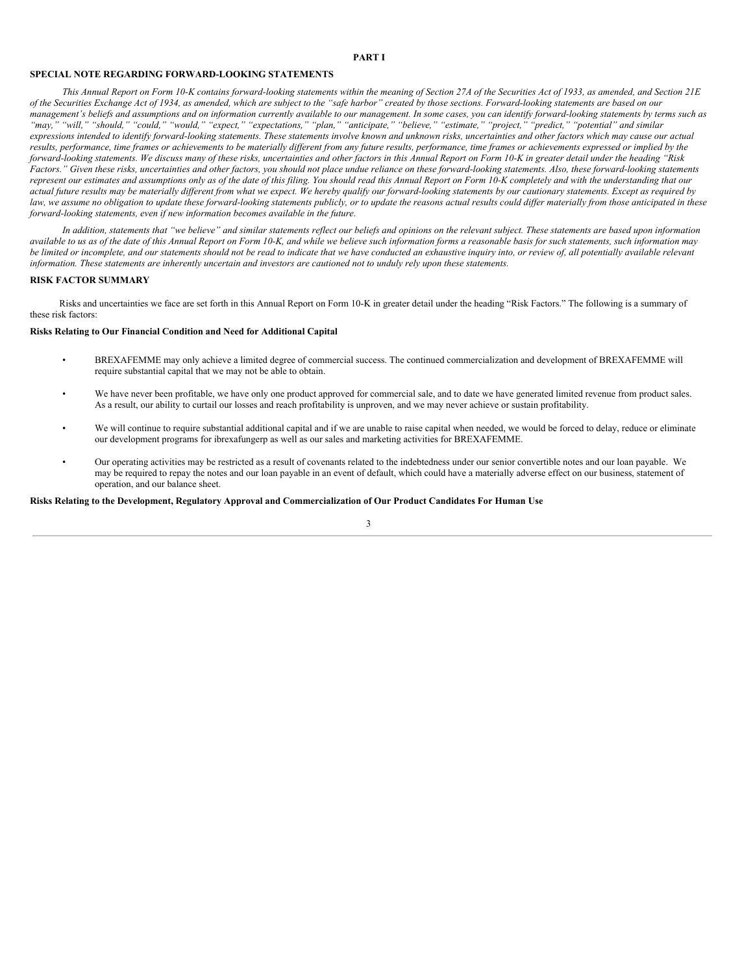#### **PART I**

## <span id="page-2-0"></span>**SPECIAL NOTE REGARDING FORWARD-LOOKING STATEMENTS**

This Annual Report on Form 10-K contains forward-looking statements within the meaning of Section 27A of the Securities Act of 1933, as amended, and Section 21E of the Securities Exchange Act of 1934, as amended, which are subject to the "safe harbor" created by those sections. Forward-looking statements are based on our management's beliefs and assumptions and on information currently available to our management. In some cases, you can identify forward-looking statements by terms such as "may," "will," "should," "could," "would," "expect," "expectations," "plan," "anticipate," "believe," "estimate," "project," "predict," "potential" and similar expressions intended to identify forward-looking statements. These statements involve known and unknown risks, uncertainties and other factors which may cause our actual results, performance, time frames or achievements to be materially different from any future results, performance, time frames or achievements expressed or implied by the forward-looking statements. We discuss many of these risks, uncertainties and other factors in this Annual Report on Form 10-K in greater detail under the heading "Risk Factors." Given these risks, uncertainties and other factors, you should not place undue reliance on these forward-looking statements. Also, these forward-looking statements represent our estimates and assumptions only as of the date of this filing. You should read this Annual Report on Form 10-K completely and with the understanding that our actual future results may be materially different from what we expect. We hereby qualify our forward-looking statements by our cautionary statements. Except as required by law, we assume no obligation to update these forward-looking statements publicly, or to update the reasons actual results could differ materially from those anticipated in these *forward-looking statements, even if new information becomes available in the future.*

In addition, statements that "we believe" and similar statements reflect our beliefs and opinions on the relevant subject. These statements are based upon information available to us as of the date of this Annual Report on Form 10-K, and while we believe such information forms a reasonable basis for such statements, such information may be limited or incomplete, and our statements should not be read to indicate that we have conducted an exhaustive inquiry into, or review of, all potentially available relevant information. These statements are inherently uncertain and investors are cautioned not to unduly rely upon these statements.

#### **RISK FACTOR SUMMARY**

Risks and uncertainties we face are set forth in this Annual Report on Form 10-K in greater detail under the heading "Risk Factors." The following is a summary of these risk factors:

## **Risks Relating to Our Financial Condition and Need for Additional Capital**

- BREXAFEMME may only achieve a limited degree of commercial success. The continued commercialization and development of BREXAFEMME will require substantial capital that we may not be able to obtain.
- We have never been profitable, we have only one product approved for commercial sale, and to date we have generated limited revenue from product sales. As a result, our ability to curtail our losses and reach profitability is unproven, and we may never achieve or sustain profitability.
- We will continue to require substantial additional capital and if we are unable to raise capital when needed, we would be forced to delay, reduce or eliminate our development programs for ibrexafungerp as well as our sales and marketing activities for BREXAFEMME.
- Our operating activities may be restricted as a result of covenants related to the indebtedness under our senior convertible notes and our loan payable. We may be required to repay the notes and our loan payable in an event of default, which could have a materially adverse effect on our business, statement of operation, and our balance sheet.

## Risks Relating to the Development, Regulatory Approval and Commercialization of Our Product Candidates For Human Use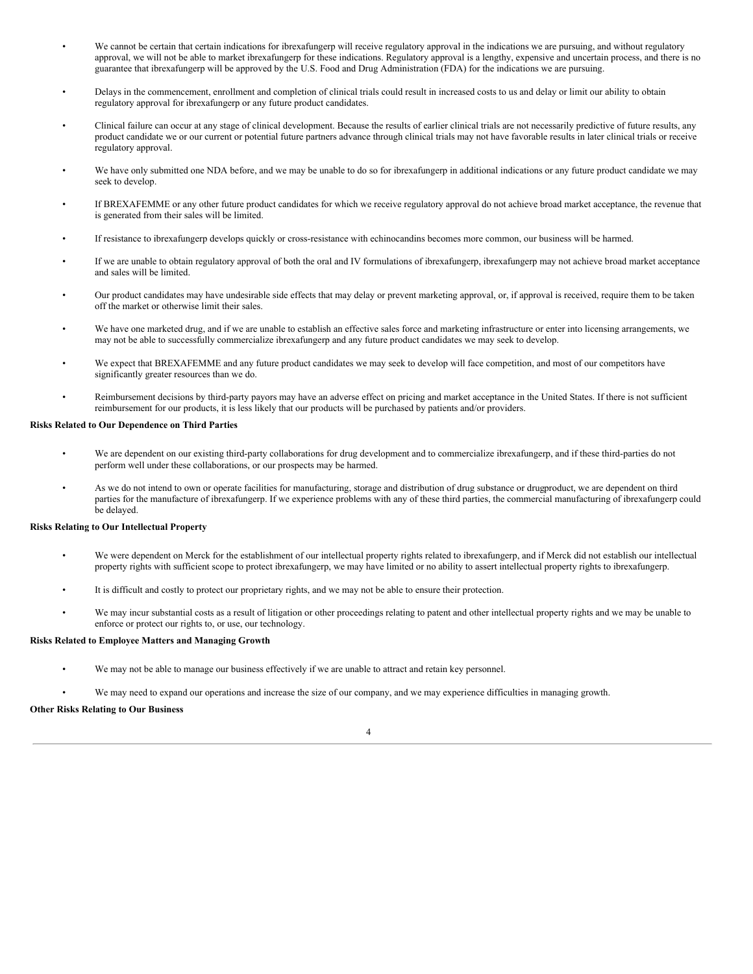- We cannot be certain that certain indications for ibrexafungerp will receive regulatory approval in the indications we are pursuing, and without regulatory approval, we will not be able to market ibrexafungerp for these indications. Regulatory approval is a lengthy, expensive and uncertain process, and there is no guarantee that ibrexafungerp will be approved by the U.S. Food and Drug Administration (FDA) for the indications we are pursuing.
- Delays in the commencement, enrollment and completion of clinical trials could result in increased costs to us and delay or limit our ability to obtain regulatory approval for ibrexafungerp or any future product candidates.
- Clinical failure can occur at any stage of clinical development. Because the results of earlier clinical trials are not necessarily predictive of future results, any product candidate we or our current or potential future partners advance through clinical trials may not have favorable results in later clinical trials or receive regulatory approval.
- We have only submitted one NDA before, and we may be unable to do so for ibrexafungerp in additional indications or any future product candidate we may seek to develop.
- If BREXAFEMME or any other future product candidates for which we receive regulatory approval do not achieve broad market acceptance, the revenue that is generated from their sales will be limited.
- If resistance to ibrexafungerp develops quickly or cross-resistance with echinocandins becomes more common, our business will be harmed.
- If we are unable to obtain regulatory approval of both the oral and IV formulations of ibrexafungerp, ibrexafungerp may not achieve broad market acceptance and sales will be limited.
- Our product candidates may have undesirable side effects that may delay or prevent marketing approval, or, if approval is received, require them to be taken off the market or otherwise limit their sales.
- We have one marketed drug, and if we are unable to establish an effective sales force and marketing infrastructure or enter into licensing arrangements, we may not be able to successfully commercialize ibrexafungerp and any future product candidates we may seek to develop.
- We expect that BREXAFEMME and any future product candidates we may seek to develop will face competition, and most of our competitors have significantly greater resources than we do.
- Reimbursement decisions by third-party payors may have an adverse effect on pricing and market acceptance in the United States. If there is not sufficient reimbursement for our products, it is less likely that our products will be purchased by patients and/or providers.

## **Risks Related to Our Dependence on Third Parties**

- We are dependent on our existing third-party collaborations for drug development and to commercialize ibrexafungerp, and if these third-parties do not perform well under these collaborations, or our prospects may be harmed.
- As we do not intend to own or operate facilities for manufacturing, storage and distribution of drug substance or drugproduct, we are dependent on third parties for the manufacture of ibrexafungerp. If we experience problems with any of these third parties, the commercial manufacturing of ibrexafungerp could be delayed.

## **Risks Relating to Our Intellectual Property**

- We were dependent on Merck for the establishment of our intellectual property rights related to ibrexafungerp, and if Merck did not establish our intellectual property rights with sufficient scope to protect ibrexafungerp, we may have limited or no ability to assert intellectual property rights to ibrexafungerp.
- It is difficult and costly to protect our proprietary rights, and we may not be able to ensure their protection.
- We may incur substantial costs as a result of litigation or other proceedings relating to patent and other intellectual property rights and we may be unable to enforce or protect our rights to, or use, our technology.

## **Risks Related to Employee Matters and Managing Growth**

- We may not be able to manage our business effectively if we are unable to attract and retain key personnel.
	- We may need to expand our operations and increase the size of our company, and we may experience difficulties in managing growth.

## **Other Risks Relating to Our Business**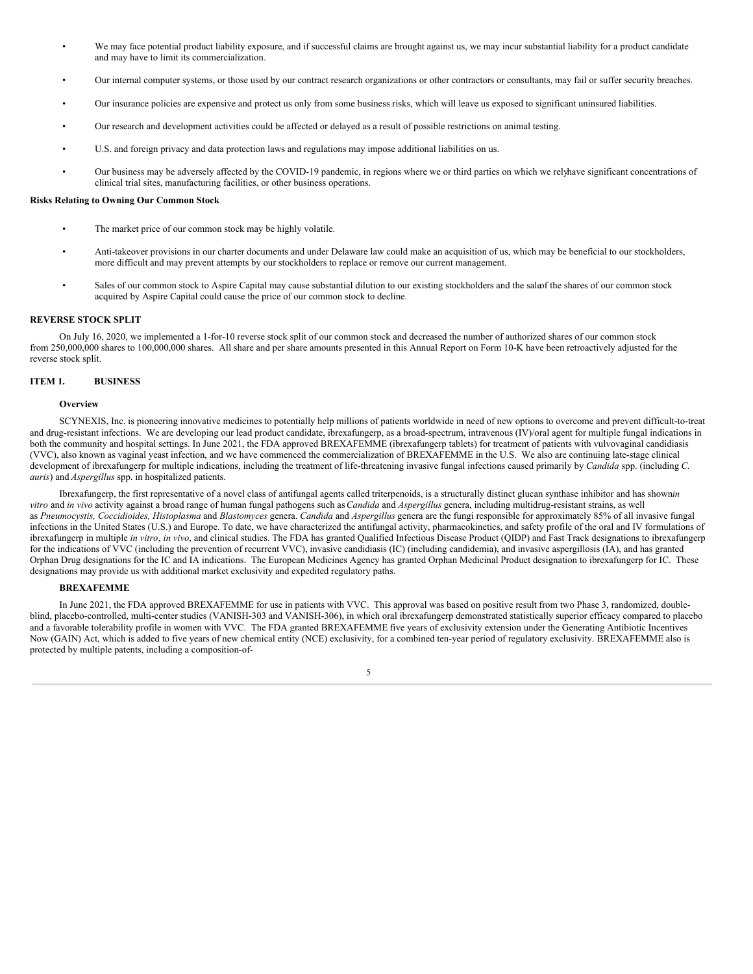- We may face potential product liability exposure, and if successful claims are brought against us, we may incur substantial liability for a product candidate and may have to limit its commercialization.
- Our internal computer systems, or those used by our contract research organizations or other contractors or consultants, may fail or suffer security breaches.
- Our insurance policies are expensive and protect us only from some business risks, which will leave us exposed to significant uninsured liabilities.
- Our research and development activities could be affected or delayed as a result of possible restrictions on animal testing.
- U.S. and foreign privacy and data protection laws and regulations may impose additional liabilities on us.
- Our business may be adversely affected by the COVID-19 pandemic, in regions where we or third parties on which we relyhave significant concentrations of clinical trial sites, manufacturing facilities, or other business operations.

#### **Risks Relating to Owning Our Common Stock**

- The market price of our common stock may be highly volatile.
- Anti-takeover provisions in our charter documents and under Delaware law could make an acquisition of us, which may be beneficial to our stockholders, more difficult and may prevent attempts by our stockholders to replace or remove our current management.
- Sales of our common stock to Aspire Capital may cause substantial dilution to our existing stockholders and the saleof the shares of our common stock acquired by Aspire Capital could cause the price of our common stock to decline.

## **REVERSE STOCK SPLIT**

On July 16, 2020, we implemented a 1-for-10 reverse stock split of our common stock and decreased the number of authorized shares of our common stock from 250,000,000 shares to 100,000,000 shares. All share and per share amounts presented in this Annual Report on Form 10-K have been retroactively adjusted for the reverse stock split.

### **ITEM 1. BUSINESS**

## <span id="page-4-0"></span>**Overview**

SCYNEXIS, Inc. is pioneering innovative medicines to potentially help millions of patients worldwide in need of new options to overcome and prevent difficult-to-treat and drug-resistant infections. We are developing our lead product candidate, ibrexafungerp, as a broad-spectrum, intravenous (IV)/oral agent for multiple fungal indications in both the community and hospital settings. In June 2021, the FDA approved BREXAFEMME (ibrexafungerp tablets) for treatment of patients with vulvovaginal candidiasis (VVC), also known as vaginal yeast infection, and we have commenced the commercialization of BREXAFEMME in the U.S. We also are continuing late-stage clinical development of ibrexafungerp for multiple indications, including the treatment of life-threatening invasive fungal infections caused primarily by *Candida* spp. (including *C. auris*) and *Aspergillus* spp. in hospitalized patients.

Ibrexafungerp, the first representative of a novel class of antifungal agents called triterpenoids, is a structurally distinct glucan synthase inhibitor and has shown*in vitro* and *in vivo* activity against a broad range of human fungal pathogens such as*Candida* and *Aspergillus* genera, including multidrug-resistant strains, as well as *Pneumocystis, Coccidioides, Histoplasma* and *Blastomyces* genera. *Candida* and *Aspergillus* genera are the fungi responsible for approximately 85% of all invasive fungal infections in the United States (U.S.) and Europe. To date, we have characterized the antifungal activity, pharmacokinetics, and safety profile of the oral and IV formulations of ibrexafungerp in multiple *in vitro*, *in vivo*, and clinical studies. The FDA has granted Qualified Infectious Disease Product (QIDP) and Fast Track designations to ibrexafungerp for the indications of VVC (including the prevention of recurrent VVC), invasive candidiasis (IC) (including candidemia), and invasive aspergillosis (IA), and has granted Orphan Drug designations for the IC and IA indications. The European Medicines Agency has granted Orphan Medicinal Product designation to ibrexafungerp for IC. These designations may provide us with additional market exclusivity and expedited regulatory paths.

#### **BREXAFEMME**

In June 2021, the FDA approved BREXAFEMME for use in patients with VVC. This approval was based on positive result from two Phase 3, randomized, doubleblind, placebo-controlled, multi-center studies (VANISH-303 and VANISH-306), in which oral ibrexafungerp demonstrated statistically superior efficacy compared to placebo and a favorable tolerability profile in women with VVC. The FDA granted BREXAFEMME five years of exclusivity extension under the Generating Antibiotic Incentives Now (GAIN) Act, which is added to five years of new chemical entity (NCE) exclusivity, for a combined ten-year period of regulatory exclusivity. BREXAFEMME also is protected by multiple patents, including a composition-of-

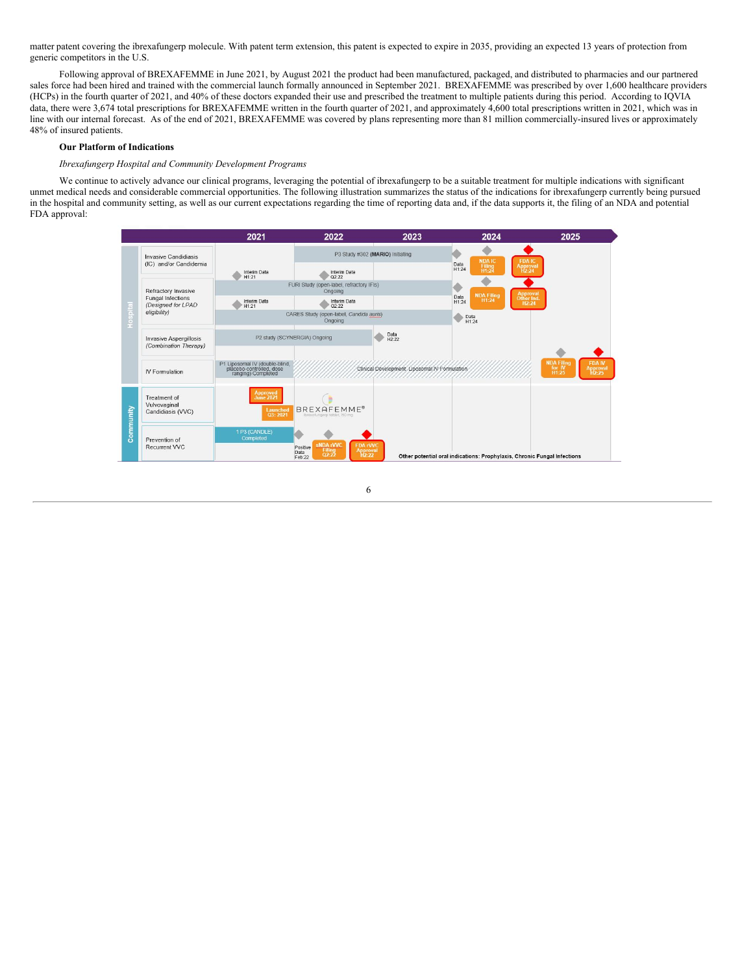matter patent covering the ibrexafungerp molecule. With patent term extension, this patent is expected to expire in 2035, providing an expected 13 years of protection from generic competitors in the U.S.

Following approval of BREXAFEMME in June 2021, by August 2021 the product had been manufactured, packaged, and distributed to pharmacies and our partnered sales force had been hired and trained with the commercial launch formally announced in September 2021. BREXAFEMME was prescribed by over 1,600 healthcare providers (HCPs) in the fourth quarter of 2021, and 40% of these doctors expanded their use and prescribed the treatment to multiple patients during this period. According to IQVIA data, there were 3,674 total prescriptions for BREXAFEMME written in the fourth quarter of 2021, and approximately 4,600 total prescriptions written in 2021, which was in line with our internal forecast. As of the end of 2021, BREXAFEMME was covered by plans representing more than 81 million commercially-insured lives or approximately 48% of insured patients.

## **Our Platform of Indications**

## *Ibrexafungerp Hospital and Community Development Programs*

We continue to actively advance our clinical programs, leveraging the potential of ibrexafungerp to be a suitable treatment for multiple indications with significant unmet medical needs and considerable commercial opportunities. The following illustration summarizes the status of the indications for ibrexafungerp currently being pursued in the hospital and community setting, as well as our current expectations regarding the time of reporting data and, if the data supports it, the filing of an NDA and potential FDA approval:

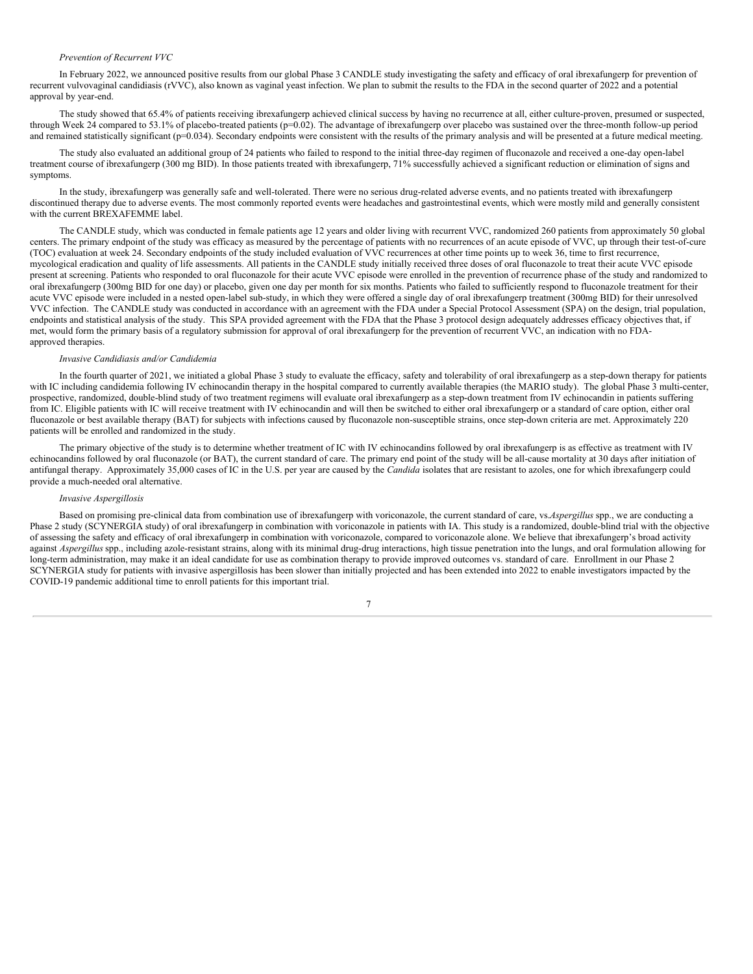#### *Prevention of Recurrent VVC*

In February 2022, we announced positive results from our global Phase 3 CANDLE study investigating the safety and efficacy of oral ibrexafungerp for prevention of recurrent vulvovaginal candidiasis (rVVC), also known as vaginal yeast infection. We plan to submit the results to the FDA in the second quarter of 2022 and a potential approval by year-end.

The study showed that 65.4% of patients receiving ibrexafungerp achieved clinical success by having no recurrence at all, either culture-proven, presumed or suspected, through Week 24 compared to 53.1% of placebo-treated patients (p=0.02). The advantage of ibrexafungerp over placebo was sustained over the three-month follow-up period and remained statistically significant (p=0.034). Secondary endpoints were consistent with the results of the primary analysis and will be presented at a future medical meeting.

The study also evaluated an additional group of 24 patients who failed to respond to the initial three-day regimen of fluconazole and received a one-day open-label treatment course of ibrexafungerp (300 mg BID). In those patients treated with ibrexafungerp, 71% successfully achieved a significant reduction or elimination of signs and symptoms.

In the study, ibrexafungerp was generally safe and well-tolerated. There were no serious drug-related adverse events, and no patients treated with ibrexafungerp discontinued therapy due to adverse events. The most commonly reported events were headaches and gastrointestinal events, which were mostly mild and generally consistent with the current BREXAFEMME label.

The CANDLE study, which was conducted in female patients age 12 years and older living with recurrent VVC, randomized 260 patients from approximately 50 global centers. The primary endpoint of the study was efficacy as measured by the percentage of patients with no recurrences of an acute episode of VVC, up through their test-of-cure (TOC) evaluation at week 24. Secondary endpoints of the study included evaluation of VVC recurrences at other time points up to week 36, time to first recurrence, mycological eradication and quality of life assessments. All patients in the CANDLE study initially received three doses of oral fluconazole to treat their acute VVC episode present at screening. Patients who responded to oral fluconazole for their acute VVC episode were enrolled in the prevention of recurrence phase of the study and randomized to oral ibrexafungerp (300mg BID for one day) or placebo, given one day per month for six months. Patients who failed to sufficiently respond to fluconazole treatment for their acute VVC episode were included in a nested open-label sub-study, in which they were offered a single day of oral ibrexafungerp treatment (300mg BID) for their unresolved VVC infection. The CANDLE study was conducted in accordance with an agreement with the FDA under a Special Protocol Assessment (SPA) on the design, trial population, endpoints and statistical analysis of the study. This SPA provided agreement with the FDA that the Phase 3 protocol design adequately addresses efficacy objectives that, if met, would form the primary basis of a regulatory submission for approval of oral ibrexafungerp for the prevention of recurrent VVC, an indication with no FDAapproved therapies.

#### *Invasive Candidiasis and/or Candidemia*

In the fourth quarter of 2021, we initiated a global Phase 3 study to evaluate the efficacy, safety and tolerability of oral ibrexafungerp as a step-down therapy for patients with IC including candidemia following IV echinocandin therapy in the hospital compared to currently available therapies (the MARIO study). The global Phase 3 multi-center, prospective, randomized, double-blind study of two treatment regimens will evaluate oral ibrexafungerp as a step-down treatment from IV echinocandin in patients suffering from IC. Eligible patients with IC will receive treatment with IV echinocandin and will then be switched to either oral ibrexafungerp or a standard of care option, either oral fluconazole or best available therapy (BAT) for subjects with infections caused by fluconazole non-susceptible strains, once step-down criteria are met. Approximately 220 patients will be enrolled and randomized in the study.

The primary objective of the study is to determine whether treatment of IC with IV echinocandins followed by oral ibrexafungerp is as effective as treatment with IV echinocandins followed by oral fluconazole (or BAT), the current standard of care. The primary end point of the study will be all-cause mortality at 30 days after initiation of antifungal therapy. Approximately 35,000 cases of IC in the U.S. per year are caused by the *Candida* isolates that are resistant to azoles, one for which ibrexafungerp could provide a much-needed oral alternative.

## *Invasive Aspergillosis*

Based on promising pre-clinical data from combination use of ibrexafungerp with voriconazole, the current standard of care, vs.*Aspergillus* spp., we are conducting a Phase 2 study (SCYNERGIA study) of oral ibrexafungerp in combination with voriconazole in patients with IA. This study is a randomized, double-blind trial with the objective of assessing the safety and efficacy of oral ibrexafungerp in combination with voriconazole, compared to voriconazole alone. We believe that ibrexafungerp's broad activity against *Aspergillus* spp., including azole-resistant strains, along with its minimal drug-drug interactions, high tissue penetration into the lungs, and oral formulation allowing for long-term administration, may make it an ideal candidate for use as combination therapy to provide improved outcomes vs. standard of care. Enrollment in our Phase 2 SCYNERGIA study for patients with invasive aspergillosis has been slower than initially projected and has been extended into 2022 to enable investigators impacted by the COVID-19 pandemic additional time to enroll patients for this important trial.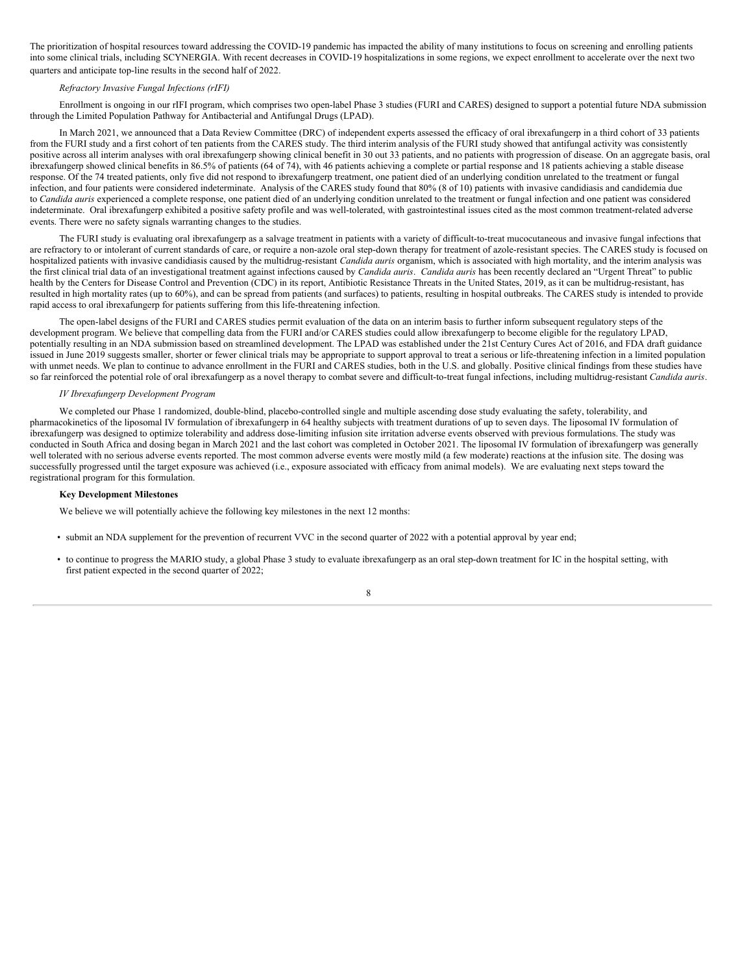The prioritization of hospital resources toward addressing the COVID-19 pandemic has impacted the ability of many institutions to focus on screening and enrolling patients into some clinical trials, including SCYNERGIA. With recent decreases in COVID-19 hospitalizations in some regions, we expect enrollment to accelerate over the next two quarters and anticipate top-line results in the second half of 2022.

## *Refractory Invasive Fungal Infections (rIFI)*

Enrollment is ongoing in our rIFI program, which comprises two open-label Phase 3 studies (FURI and CARES) designed to support a potential future NDA submission through the Limited Population Pathway for Antibacterial and Antifungal Drugs (LPAD).

In March 2021, we announced that a Data Review Committee (DRC) of independent experts assessed the efficacy of oral ibrexafungerp in a third cohort of 33 patients from the FURI study and a first cohort of ten patients from the CARES study. The third interim analysis of the FURI study showed that antifungal activity was consistently positive across all interim analyses with oral ibrexafungerp showing clinical benefit in 30 out 33 patients, and no patients with progression of disease. On an aggregate basis, oral ibrexafungerp showed clinical benefits in 86.5% of patients (64 of 74), with 46 patients achieving a complete or partial response and 18 patients achieving a stable disease response. Of the 74 treated patients, only five did not respond to ibrexafungerp treatment, one patient died of an underlying condition unrelated to the treatment or fungal infection, and four patients were considered indeterminate. Analysis of the CARES study found that 80% (8 of 10) patients with invasive candidiasis and candidemia due to *Candida auris* experienced a complete response, one patient died of an underlying condition unrelated to the treatment or fungal infection and one patient was considered indeterminate. Oral ibrexafungerp exhibited a positive safety profile and was well-tolerated, with gastrointestinal issues cited as the most common treatment-related adverse events. There were no safety signals warranting changes to the studies.

The FURI study is evaluating oral ibrexafungerp as a salvage treatment in patients with a variety of difficult-to-treat mucocutaneous and invasive fungal infections that are refractory to or intolerant of current standards of care, or require a non-azole oral step-down therapy for treatment of azole-resistant species. The CARES study is focused on hospitalized patients with invasive candidiasis caused by the multidrug-resistant *Candida auris* organism, which is associated with high mortality, and the interim analysis was the first clinical trial data of an investigational treatment against infections caused by *Candida auris*. *Candida auris* has been recently declared an "Urgent Threat" to public health by the Centers for Disease Control and Prevention (CDC) in its report, Antibiotic Resistance Threats in the United States, 2019, as it can be multidrug-resistant, has resulted in high mortality rates (up to 60%), and can be spread from patients (and surfaces) to patients, resulting in hospital outbreaks. The CARES study is intended to provide rapid access to oral ibrexafungerp for patients suffering from this life-threatening infection.

The open-label designs of the FURI and CARES studies permit evaluation of the data on an interim basis to further inform subsequent regulatory steps of the development program. We believe that compelling data from the FURI and/or CARES studies could allow ibrexafungerp to become eligible for the regulatory LPAD, potentially resulting in an NDA submission based on streamlined development. The LPAD was established under the 21st Century Cures Act of 2016, and FDA draft guidance issued in June 2019 suggests smaller, shorter or fewer clinical trials may be appropriate to support approval to treat a serious or life-threatening infection in a limited population with unmet needs. We plan to continue to advance enrollment in the FURI and CARES studies, both in the U.S. and globally. Positive clinical findings from these studies have so far reinforced the potential role of oral ibrexafungerp as a novel therapy to combat severe and difficult-to-treat fungal infections, including multidrug-resistant *Candida auris*.

#### *IV Ibrexafungerp Development Program*

We completed our Phase 1 randomized, double-blind, placebo-controlled single and multiple ascending dose study evaluating the safety, tolerability, and pharmacokinetics of the liposomal IV formulation of ibrexafungerp in 64 healthy subjects with treatment durations of up to seven days. The liposomal IV formulation of ibrexafungerp was designed to optimize tolerability and address dose-limiting infusion site irritation adverse events observed with previous formulations. The study was conducted in South Africa and dosing began in March 2021 and the last cohort was completed in October 2021. The liposomal IV formulation of ibrexafungerp was generally well tolerated with no serious adverse events reported. The most common adverse events were mostly mild (a few moderate) reactions at the infusion site. The dosing was successfully progressed until the target exposure was achieved (i.e., exposure associated with efficacy from animal models). We are evaluating next steps toward the registrational program for this formulation.

## **Key Development Milestones**

We believe we will potentially achieve the following key milestones in the next 12 months:

- submit an NDA supplement for the prevention of recurrent VVC in the second quarter of 2022 with a potential approval by year end;
- to continue to progress the MARIO study, a global Phase 3 study to evaluate ibrexafungerp as an oral step-down treatment for IC in the hospital setting, with first patient expected in the second quarter of 2022;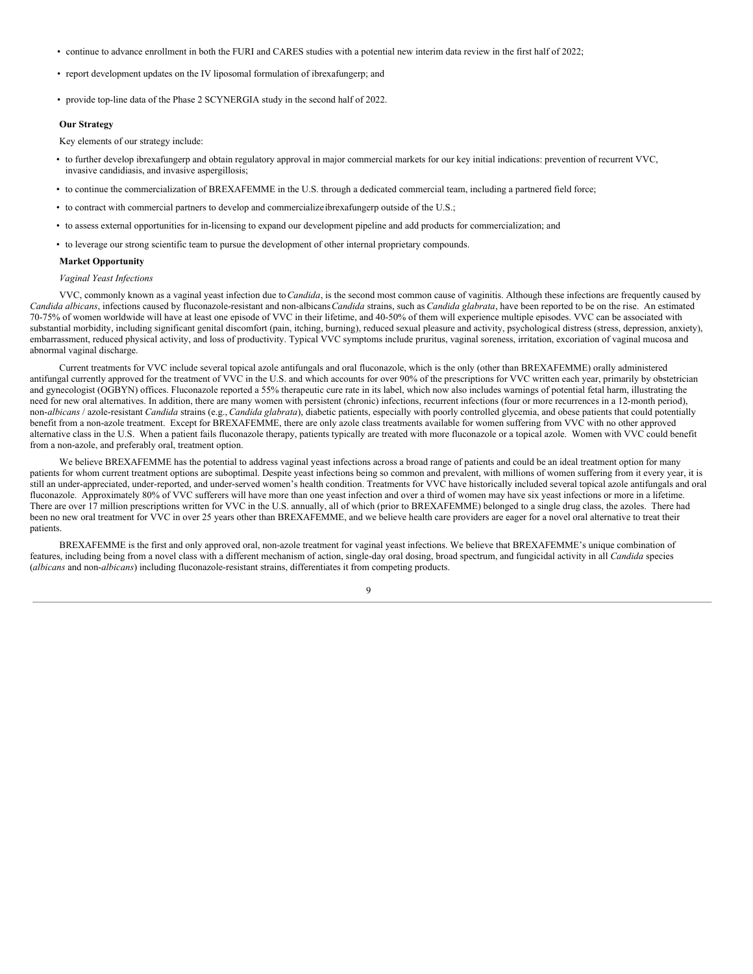- continue to advance enrollment in both the FURI and CARES studies with a potential new interim data review in the first half of 2022;
- report development updates on the IV liposomal formulation of ibrexafungerp; and
- provide top-line data of the Phase 2 SCYNERGIA study in the second half of 2022.

## **Our Strategy**

Key elements of our strategy include:

- to further develop ibrexafungerp and obtain regulatory approval in major commercial markets for our key initial indications: prevention of recurrent VVC, invasive candidiasis, and invasive aspergillosis;
- to continue the commercialization of BREXAFEMME in the U.S. through a dedicated commercial team, including a partnered field force;
- to contract with commercial partners to develop and commercializeibrexafungerp outside of the U.S.;
- to assess external opportunities for in-licensing to expand our development pipeline and add products for commercialization; and
- to leverage our strong scientific team to pursue the development of other internal proprietary compounds.

## **Market Opportunity**

*Vaginal Yeast Infections*

VVC, commonly known as a vaginal yeast infection due to*Candida*, is the second most common cause of vaginitis. Although these infections are frequently caused by *Candida albicans*, infections caused by fluconazole-resistant and non-albicans*Candida* strains, such as *Candida glabrata*, have been reported to be on the rise. An estimated 70-75% of women worldwide will have at least one episode of VVC in their lifetime, and 40-50% of them will experience multiple episodes. VVC can be associated with substantial morbidity, including significant genital discomfort (pain, itching, burning), reduced sexual pleasure and activity, psychological distress (stress, depression, anxiety), embarrassment, reduced physical activity, and loss of productivity. Typical VVC symptoms include pruritus, vaginal soreness, irritation, excoriation of vaginal mucosa and abnormal vaginal discharge.

Current treatments for VVC include several topical azole antifungals and oral fluconazole, which is the only (other than BREXAFEMME) orally administered antifungal currently approved for the treatment of VVC in the U.S. and which accounts for over 90% of the prescriptions for VVC written each year, primarily by obstetrician and gynecologist (OGBYN) offices. Fluconazole reported a 55% therapeutic cure rate in its label, which now also includes warnings of potential fetal harm, illustrating the need for new oral alternatives. In addition, there are many women with persistent (chronic) infections, recurrent infections (four or more recurrences in a 12-month period), non-*albicans* / azole-resistant *Candida* strains (e.g., *Candida glabrata*), diabetic patients, especially with poorly controlled glycemia, and obese patients that could potentially benefit from a non-azole treatment. Except for BREXAFEMME, there are only azole class treatments available for women suffering from VVC with no other approved alternative class in the U.S. When a patient fails fluconazole therapy, patients typically are treated with more fluconazole or a topical azole. Women with VVC could benefit from a non-azole, and preferably oral, treatment option.

We believe BREXAFEMME has the potential to address vaginal yeast infections across a broad range of patients and could be an ideal treatment option for many patients for whom current treatment options are suboptimal. Despite yeast infections being so common and prevalent, with millions of women suffering from it every year, it is still an under-appreciated, under-reported, and under-served women's health condition. Treatments for VVC have historically included several topical azole antifungals and oral fluconazole. Approximately 80% of VVC sufferers will have more than one yeast infection and over a third of women may have six yeast infections or more in a lifetime. There are over 17 million prescriptions written for VVC in the U.S. annually, all of which (prior to BREXAFEMME) belonged to a single drug class, the azoles. There had been no new oral treatment for VVC in over 25 years other than BREXAFEMME, and we believe health care providers are eager for a novel oral alternative to treat their patients.

BREXAFEMME is the first and only approved oral, non-azole treatment for vaginal yeast infections. We believe that BREXAFEMME's unique combination of features, including being from a novel class with a different mechanism of action, single-day oral dosing, broad spectrum, and fungicidal activity in all *Candida* species (*albicans* and non-*albicans*) including fluconazole-resistant strains, differentiates it from competing products.

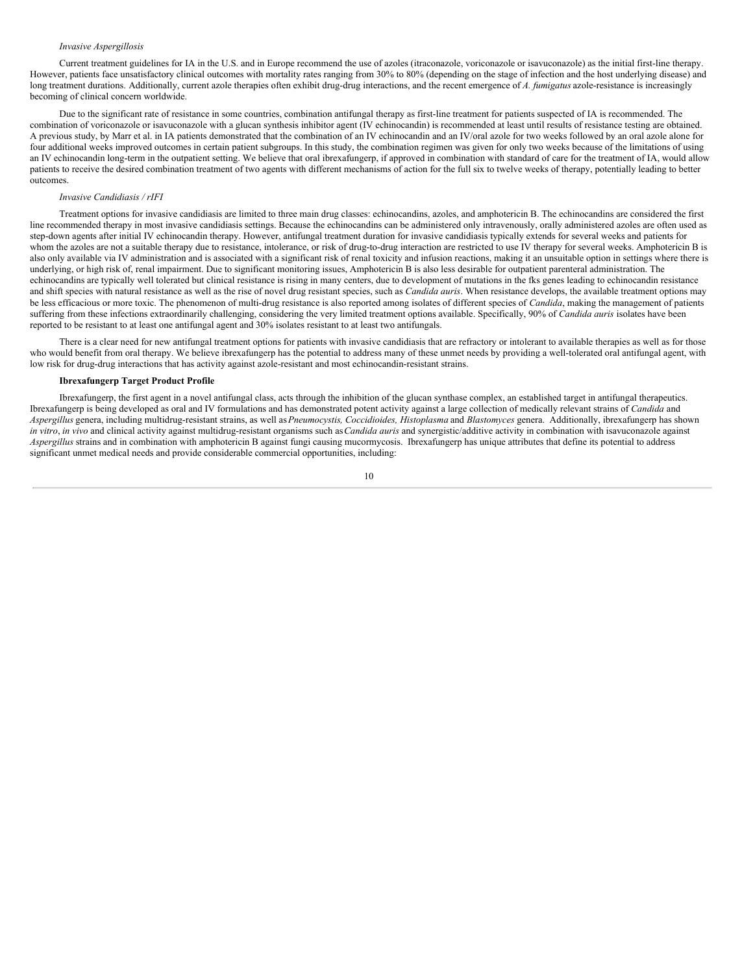## *Invasive Aspergillosis*

Current treatment guidelines for IA in the U.S. and in Europe recommend the use of azoles (itraconazole, voriconazole or isavuconazole) as the initial first-line therapy. However, patients face unsatisfactory clinical outcomes with mortality rates ranging from 30% to 80% (depending on the stage of infection and the host underlying disease) and long treatment durations. Additionally, current azole therapies often exhibit drug-drug interactions, and the recent emergence of *A. fumigatus* azole-resistance is increasingly becoming of clinical concern worldwide.

Due to the significant rate of resistance in some countries, combination antifungal therapy as first-line treatment for patients suspected of IA is recommended. The combination of voriconazole or isavuconazole with a glucan synthesis inhibitor agent (IV echinocandin) is recommended at least until results of resistance testing are obtained. A previous study, by Marr et al. in IA patients demonstrated that the combination of an IV echinocandin and an IV/oral azole for two weeks followed by an oral azole alone for four additional weeks improved outcomes in certain patient subgroups. In this study, the combination regimen was given for only two weeks because of the limitations of using an IV echinocandin long-term in the outpatient setting. We believe that oral ibrexafungerp, if approved in combination with standard of care for the treatment of IA, would allow patients to receive the desired combination treatment of two agents with different mechanisms of action for the full six to twelve weeks of therapy, potentially leading to better outcomes.

#### *Invasive Candidiasis / rIFI*

Treatment options for invasive candidiasis are limited to three main drug classes: echinocandins, azoles, and amphotericin B. The echinocandins are considered the first line recommended therapy in most invasive candidiasis settings. Because the echinocandins can be administered only intravenously, orally administered azoles are often used as step-down agents after initial IV echinocandin therapy. However, antifungal treatment duration for invasive candidiasis typically extends for several weeks and patients for whom the azoles are not a suitable therapy due to resistance, intolerance, or risk of drug-to-drug interaction are restricted to use IV therapy for several weeks. Amphotericin B is also only available via IV administration and is associated with a significant risk of renal toxicity and infusion reactions, making it an unsuitable option in settings where there is underlying, or high risk of, renal impairment. Due to significant monitoring issues, Amphotericin B is also less desirable for outpatient parenteral administration. The echinocandins are typically well tolerated but clinical resistance is rising in many centers, due to development of mutations in the fks genes leading to echinocandin resistance and shift species with natural resistance as well as the rise of novel drug resistant species, such as *Candida auris*. When resistance develops, the available treatment options may be less efficacious or more toxic. The phenomenon of multi-drug resistance is also reported among isolates of different species of *Candida*, making the management of patients suffering from these infections extraordinarily challenging, considering the very limited treatment options available. Specifically, 90% of *Candida auris* isolates have been reported to be resistant to at least one antifungal agent and 30% isolates resistant to at least two antifungals.

There is a clear need for new antifungal treatment options for patients with invasive candidiasis that are refractory or intolerant to available therapies as well as for those who would benefit from oral therapy. We believe ibrexafungerp has the potential to address many of these unmet needs by providing a well-tolerated oral antifungal agent, with low risk for drug-drug interactions that has activity against azole-resistant and most echinocandin-resistant strains.

## **Ibrexafungerp Target Product Profile**

Ibrexafungerp, the first agent in a novel antifungal class, acts through the inhibition of the glucan synthase complex, an established target in antifungal therapeutics. Ibrexafungerp is being developed as oral and IV formulations and has demonstrated potent activity against a large collection of medically relevant strains of *Candida* and *Aspergillus* genera, including multidrug-resistant strains, as well as*Pneumocystis, Coccidioides, Histoplasma* and *Blastomyces* genera. Additionally, ibrexafungerp has shown *in vitro*, *in vivo* and clinical activity against multidrug-resistant organisms such as*Candida auris* and synergistic/additive activity in combination with isavuconazole against *Aspergillus* strains and in combination with amphotericin B against fungi causing mucormycosis. Ibrexafungerp has unique attributes that define its potential to address significant unmet medical needs and provide considerable commercial opportunities, including: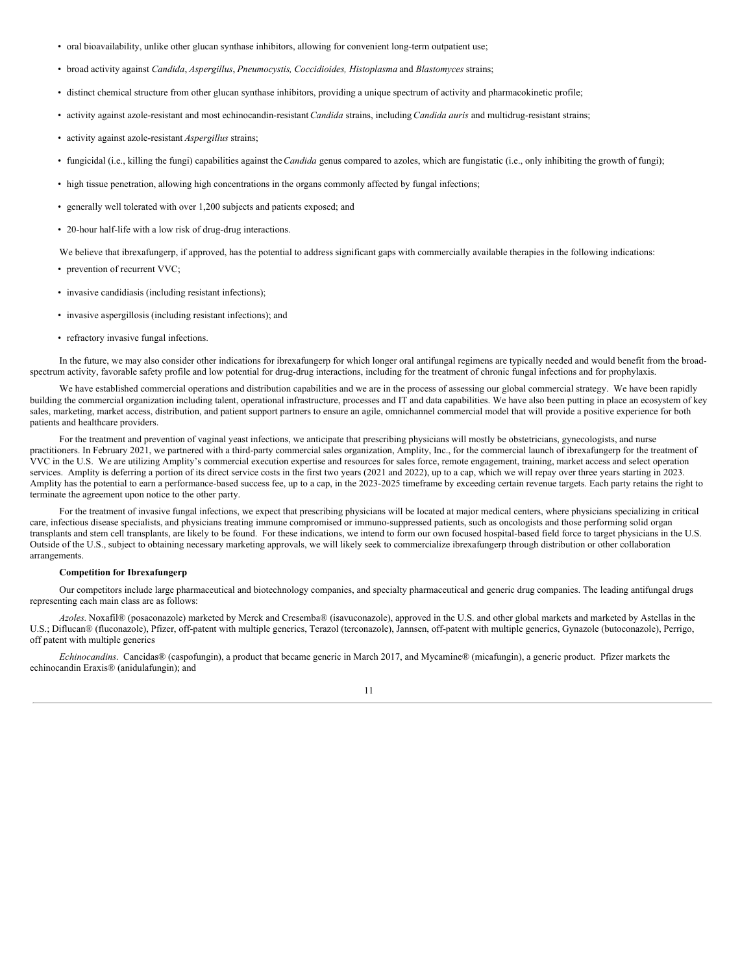- oral bioavailability, unlike other glucan synthase inhibitors, allowing for convenient long-term outpatient use;
- broad activity against *Candida*, *Aspergillus*, *Pneumocystis, Coccidioides, Histoplasma* and *Blastomyces* strains;
- distinct chemical structure from other glucan synthase inhibitors, providing a unique spectrum of activity and pharmacokinetic profile;
- activity against azole-resistant and most echinocandin-resistant*Candida* strains, including *Candida auris* and multidrug-resistant strains;
- activity against azole-resistant *Aspergillus* strains;
- fungicidal (i.e., killing the fungi) capabilities against the*Candida* genus compared to azoles, which are fungistatic (i.e., only inhibiting the growth of fungi);
- high tissue penetration, allowing high concentrations in the organs commonly affected by fungal infections;
- generally well tolerated with over 1,200 subjects and patients exposed; and
- 20-hour half-life with a low risk of drug-drug interactions.

We believe that ibrexafungerp, if approved, has the potential to address significant gaps with commercially available therapies in the following indications:

- prevention of recurrent VVC;
- invasive candidiasis (including resistant infections);
- invasive aspergillosis (including resistant infections); and
- refractory invasive fungal infections.

In the future, we may also consider other indications for ibrexafungerp for which longer oral antifungal regimens are typically needed and would benefit from the broadspectrum activity, favorable safety profile and low potential for drug-drug interactions, including for the treatment of chronic fungal infections and for prophylaxis.

We have established commercial operations and distribution capabilities and we are in the process of assessing our global commercial strategy. We have been rapidly building the commercial organization including talent, operational infrastructure, processes and IT and data capabilities. We have also been putting in place an ecosystem of key sales, marketing, market access, distribution, and patient support partners to ensure an agile, omnichannel commercial model that will provide a positive experience for both patients and healthcare providers.

For the treatment and prevention of vaginal yeast infections, we anticipate that prescribing physicians will mostly be obstetricians, gynecologists, and nurse practitioners. In February 2021, we partnered with a third-party commercial sales organization, Amplity, Inc., for the commercial launch of ibrexafungerp for the treatment of VVC in the U.S. We are utilizing Amplity's commercial execution expertise and resources for sales force, remote engagement, training, market access and select operation services. Amplity is deferring a portion of its direct service costs in the first two years (2021 and 2022), up to a cap, which we will repay over three years starting in 2023. Amplity has the potential to earn a performance-based success fee, up to a cap, in the 2023-2025 timeframe by exceeding certain revenue targets. Each party retains the right to terminate the agreement upon notice to the other party.

For the treatment of invasive fungal infections, we expect that prescribing physicians will be located at major medical centers, where physicians specializing in critical care, infectious disease specialists, and physicians treating immune compromised or immuno-suppressed patients, such as oncologists and those performing solid organ transplants and stem cell transplants, are likely to be found. For these indications, we intend to form our own focused hospital-based field force to target physicians in the U.S. Outside of the U.S., subject to obtaining necessary marketing approvals, we will likely seek to commercialize ibrexafungerp through distribution or other collaboration arrangements.

## **Competition for Ibrexafungerp**

Our competitors include large pharmaceutical and biotechnology companies, and specialty pharmaceutical and generic drug companies. The leading antifungal drugs representing each main class are as follows:

*Azoles.* Noxafil® (posaconazole) marketed by Merck and Cresemba® (isavuconazole), approved in the U.S. and other global markets and marketed by Astellas in the U.S.; Diflucan® (fluconazole), Pfizer, off-patent with multiple generics, Terazol (terconazole), Jannsen, off-patent with multiple generics, Gynazole (butoconazole), Perrigo, off patent with multiple generics

*Echinocandins*. Cancidas® (caspofungin), a product that became generic in March 2017, and Mycamine® (micafungin), a generic product. Pfizer markets the echinocandin Eraxis® (anidulafungin); and

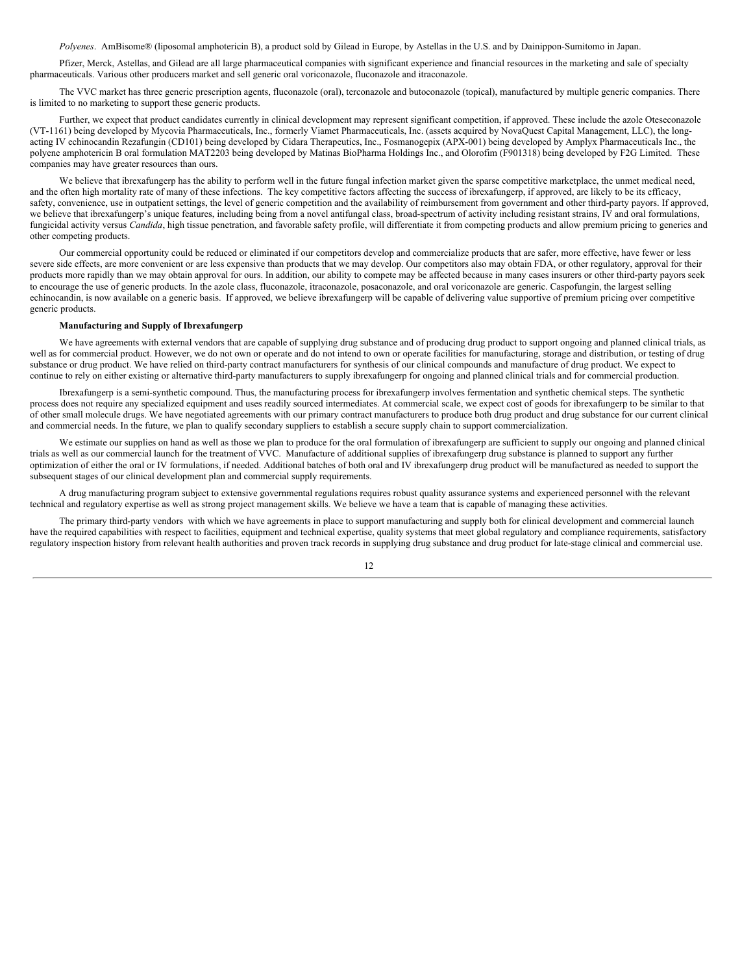*Polyenes*. AmBisome® (liposomal amphotericin B), a product sold by Gilead in Europe, by Astellas in the U.S. and by Dainippon-Sumitomo in Japan.

Pfizer, Merck, Astellas, and Gilead are all large pharmaceutical companies with significant experience and financial resources in the marketing and sale of specialty pharmaceuticals. Various other producers market and sell generic oral voriconazole, fluconazole and itraconazole.

The VVC market has three generic prescription agents, fluconazole (oral), terconazole and butoconazole (topical), manufactured by multiple generic companies. There is limited to no marketing to support these generic products.

Further, we expect that product candidates currently in clinical development may represent significant competition, if approved. These include the azole Oteseconazole (VT-1161) being developed by Mycovia Pharmaceuticals, Inc., formerly Viamet Pharmaceuticals, Inc. (assets acquired by NovaQuest Capital Management, LLC), the longacting IV echinocandin Rezafungin (CD101) being developed by Cidara Therapeutics, Inc., Fosmanogepix (APX-001) being developed by Amplyx Pharmaceuticals Inc., the polyene amphotericin B oral formulation MAT2203 being developed by Matinas BioPharma Holdings Inc., and Olorofim (F901318) being developed by F2G Limited. These companies may have greater resources than ours.

We believe that ibrexafungerp has the ability to perform well in the future fungal infection market given the sparse competitive marketplace, the unmet medical need, and the often high mortality rate of many of these infections. The key competitive factors affecting the success of ibrexafungerp, if approved, are likely to be its efficacy, safety, convenience, use in outpatient settings, the level of generic competition and the availability of reimbursement from government and other third-party payors. If approved, we believe that ibrexafungerp's unique features, including being from a novel antifungal class, broad-spectrum of activity including resistant strains, IV and oral formulations, fungicidal activity versus *Candida*, high tissue penetration, and favorable safety profile, will differentiate it from competing products and allow premium pricing to generics and other competing products.

Our commercial opportunity could be reduced or eliminated if our competitors develop and commercialize products that are safer, more effective, have fewer or less severe side effects, are more convenient or are less expensive than products that we may develop. Our competitors also may obtain FDA, or other regulatory, approval for their products more rapidly than we may obtain approval for ours. In addition, our ability to compete may be affected because in many cases insurers or other third-party payors seek to encourage the use of generic products. In the azole class, fluconazole, itraconazole, posaconazole, and oral voriconazole are generic. Caspofungin, the largest selling echinocandin, is now available on a generic basis. If approved, we believe ibrexafungerp will be capable of delivering value supportive of premium pricing over competitive generic products.

## **Manufacturing and Supply of Ibrexafungerp**

We have agreements with external vendors that are capable of supplying drug substance and of producing drug product to support ongoing and planned clinical trials, as well as for commercial product. However, we do not own or operate and do not intend to own or operate facilities for manufacturing, storage and distribution, or testing of drug substance or drug product. We have relied on third-party contract manufacturers for synthesis of our clinical compounds and manufacture of drug product. We expect to continue to rely on either existing or alternative third-party manufacturers to supply ibrexafungerp for ongoing and planned clinical trials and for commercial production.

Ibrexafungerp is a semi-synthetic compound. Thus, the manufacturing process for ibrexafungerp involves fermentation and synthetic chemical steps. The synthetic process does not require any specialized equipment and uses readily sourced intermediates. At commercial scale, we expect cost of goods for ibrexafungerp to be similar to that of other small molecule drugs. We have negotiated agreements with our primary contract manufacturers to produce both drug product and drug substance for our current clinical and commercial needs. In the future, we plan to qualify secondary suppliers to establish a secure supply chain to support commercialization.

We estimate our supplies on hand as well as those we plan to produce for the oral formulation of ibrexafungerp are sufficient to supply our ongoing and planned clinical trials as well as our commercial launch for the treatment of VVC. Manufacture of additional supplies of ibrexafungerp drug substance is planned to support any further optimization of either the oral or IV formulations, if needed. Additional batches of both oral and IV ibrexafungerp drug product will be manufactured as needed to support the subsequent stages of our clinical development plan and commercial supply requirements.

A drug manufacturing program subject to extensive governmental regulations requires robust quality assurance systems and experienced personnel with the relevant technical and regulatory expertise as well as strong project management skills. We believe we have a team that is capable of managing these activities.

The primary third-party vendors with which we have agreements in place to support manufacturing and supply both for clinical development and commercial launch have the required capabilities with respect to facilities, equipment and technical expertise, quality systems that meet global regulatory and compliance requirements, satisfactory regulatory inspection history from relevant health authorities and proven track records in supplying drug substance and drug product for late-stage clinical and commercial use.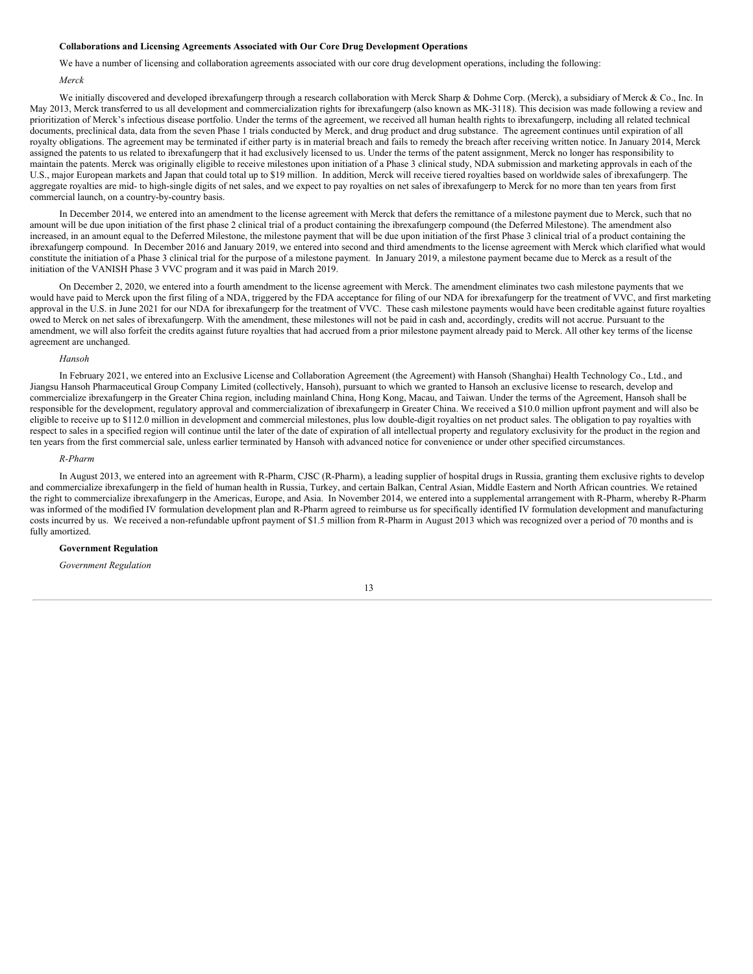## **Collaborations and Licensing Agreements Associated with Our Core Drug Development Operations**

We have a number of licensing and collaboration agreements associated with our core drug development operations, including the following:

#### *Merck*

We initially discovered and developed ibrexafungerp through a research collaboration with Merck Sharp & Dohme Corp. (Merck), a subsidiary of Merck & Co., Inc. In May 2013, Merck transferred to us all development and commercialization rights for ibrexafungerp (also known as MK-3118). This decision was made following a review and prioritization of Merck's infectious disease portfolio. Under the terms of the agreement, we received all human health rights to ibrexafungerp, including all related technical documents, preclinical data, data from the seven Phase 1 trials conducted by Merck, and drug product and drug substance. The agreement continues until expiration of all royalty obligations. The agreement may be terminated if either party is in material breach and fails to remedy the breach after receiving written notice. In January 2014, Merck assigned the patents to us related to ibrexafungerp that it had exclusively licensed to us. Under the terms of the patent assignment, Merck no longer has responsibility to maintain the patents. Merck was originally eligible to receive milestones upon initiation of a Phase 3 clinical study, NDA submission and marketing approvals in each of the U.S., major European markets and Japan that could total up to \$19 million. In addition, Merck will receive tiered royalties based on worldwide sales of ibrexafungerp. The aggregate royalties are mid- to high-single digits of net sales, and we expect to pay royalties on net sales of ibrexafungerp to Merck for no more than ten years from first commercial launch, on a country-by-country basis.

In December 2014, we entered into an amendment to the license agreement with Merck that defers the remittance of a milestone payment due to Merck, such that no amount will be due upon initiation of the first phase 2 clinical trial of a product containing the ibrexafungerp compound (the Deferred Milestone). The amendment also increased, in an amount equal to the Deferred Milestone, the milestone payment that will be due upon initiation of the first Phase 3 clinical trial of a product containing the ibrexafungerp compound. In December 2016 and January 2019, we entered into second and third amendments to the license agreement with Merck which clarified what would constitute the initiation of a Phase 3 clinical trial for the purpose of a milestone payment. In January 2019, a milestone payment became due to Merck as a result of the initiation of the VANISH Phase 3 VVC program and it was paid in March 2019.

On December 2, 2020, we entered into a fourth amendment to the license agreement with Merck. The amendment eliminates two cash milestone payments that we would have paid to Merck upon the first filing of a NDA, triggered by the FDA acceptance for filing of our NDA for ibrexafungerp for the treatment of VVC, and first marketing approval in the U.S. in June 2021 for our NDA for ibrexafungerp for the treatment of VVC. These cash milestone payments would have been creditable against future royalties owed to Merck on net sales of ibrexafungerp. With the amendment, these milestones will not be paid in cash and, accordingly, credits will not accrue. Pursuant to the amendment, we will also forfeit the credits against future royalties that had accrued from a prior milestone payment already paid to Merck. All other key terms of the license agreement are unchanged.

## *Hansoh*

In February 2021, we entered into an Exclusive License and Collaboration Agreement (the Agreement) with Hansoh (Shanghai) Health Technology Co., Ltd., and Jiangsu Hansoh Pharmaceutical Group Company Limited (collectively, Hansoh), pursuant to which we granted to Hansoh an exclusive license to research, develop and commercialize ibrexafungerp in the Greater China region, including mainland China, Hong Kong, Macau, and Taiwan. Under the terms of the Agreement, Hansoh shall be responsible for the development, regulatory approval and commercialization of ibrexafungerp in Greater China. We received a \$10.0 million upfront payment and will also be eligible to receive up to \$112.0 million in development and commercial milestones, plus low double-digit royalties on net product sales. The obligation to pay royalties with respect to sales in a specified region will continue until the later of the date of expiration of all intellectual property and regulatory exclusivity for the product in the region and ten years from the first commercial sale, unless earlier terminated by Hansoh with advanced notice for convenience or under other specified circumstances.

#### *R-Pharm*

In August 2013, we entered into an agreement with R-Pharm, CJSC (R-Pharm), a leading supplier of hospital drugs in Russia, granting them exclusive rights to develop and commercialize ibrexafungerp in the field of human health in Russia, Turkey, and certain Balkan, Central Asian, Middle Eastern and North African countries. We retained the right to commercialize ibrexafungerp in the Americas, Europe, and Asia. In November 2014, we entered into a supplemental arrangement with R-Pharm, whereby R-Pharm was informed of the modified IV formulation development plan and R-Pharm agreed to reimburse us for specifically identified IV formulation development and manufacturing costs incurred by us. We received a non-refundable upfront payment of \$1.5 million from R-Pharm in August 2013 which was recognized over a period of 70 months and is fully amortized.

## **Government Regulation**

*Government Regulation*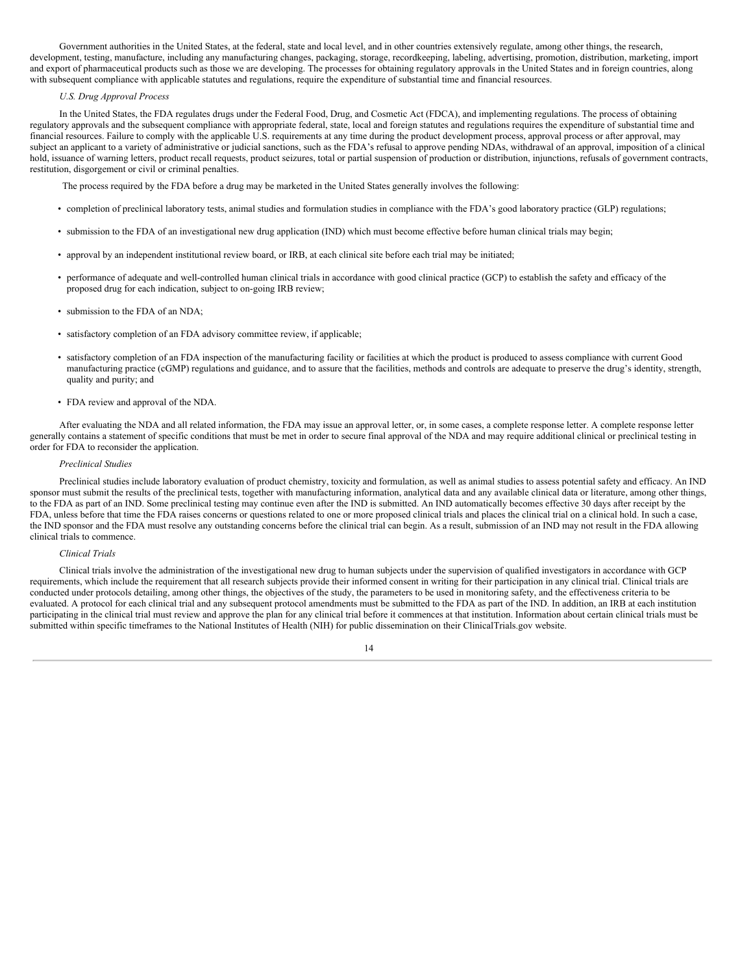Government authorities in the United States, at the federal, state and local level, and in other countries extensively regulate, among other things, the research, development, testing, manufacture, including any manufacturing changes, packaging, storage, recordkeeping, labeling, advertising, promotion, distribution, marketing, import and export of pharmaceutical products such as those we are developing. The processes for obtaining regulatory approvals in the United States and in foreign countries, along with subsequent compliance with applicable statutes and regulations, require the expenditure of substantial time and financial resources.

#### *U.S. Drug Approval Process*

In the United States, the FDA regulates drugs under the Federal Food, Drug, and Cosmetic Act (FDCA), and implementing regulations. The process of obtaining regulatory approvals and the subsequent compliance with appropriate federal, state, local and foreign statutes and regulations requires the expenditure of substantial time and financial resources. Failure to comply with the applicable U.S. requirements at any time during the product development process, approval process or after approval, may subject an applicant to a variety of administrative or judicial sanctions, such as the FDA's refusal to approve pending NDAs, withdrawal of an approval, imposition of a clinical hold, issuance of warning letters, product recall requests, product seizures, total or partial suspension of production or distribution, injunctions, refusals of government contracts, restitution, disgorgement or civil or criminal penalties.

The process required by the FDA before a drug may be marketed in the United States generally involves the following:

- completion of preclinical laboratory tests, animal studies and formulation studies in compliance with the FDA's good laboratory practice (GLP) regulations;
- submission to the FDA of an investigational new drug application (IND) which must become effective before human clinical trials may begin;
- approval by an independent institutional review board, or IRB, at each clinical site before each trial may be initiated;
- performance of adequate and well-controlled human clinical trials in accordance with good clinical practice (GCP) to establish the safety and efficacy of the proposed drug for each indication, subject to on-going IRB review;
- submission to the FDA of an NDA;
- satisfactory completion of an FDA advisory committee review, if applicable;
- satisfactory completion of an FDA inspection of the manufacturing facility or facilities at which the product is produced to assess compliance with current Good manufacturing practice (cGMP) regulations and guidance, and to assure that the facilities, methods and controls are adequate to preserve the drug's identity, strength, quality and purity; and
- FDA review and approval of the NDA.

After evaluating the NDA and all related information, the FDA may issue an approval letter, or, in some cases, a complete response letter. A complete response letter generally contains a statement of specific conditions that must be met in order to secure final approval of the NDA and may require additional clinical or preclinical testing in order for FDA to reconsider the application.

## *Preclinical Studies*

Preclinical studies include laboratory evaluation of product chemistry, toxicity and formulation, as well as animal studies to assess potential safety and efficacy. An IND sponsor must submit the results of the preclinical tests, together with manufacturing information, analytical data and any available clinical data or literature, among other things, to the FDA as part of an IND. Some preclinical testing may continue even after the IND is submitted. An IND automatically becomes effective 30 days after receipt by the FDA, unless before that time the FDA raises concerns or questions related to one or more proposed clinical trials and places the clinical trial on a clinical hold. In such a case, the IND sponsor and the FDA must resolve any outstanding concerns before the clinical trial can begin. As a result, submission of an IND may not result in the FDA allowing clinical trials to commence.

### *Clinical Trials*

Clinical trials involve the administration of the investigational new drug to human subjects under the supervision of qualified investigators in accordance with GCP requirements, which include the requirement that all research subjects provide their informed consent in writing for their participation in any clinical trial. Clinical trials are conducted under protocols detailing, among other things, the objectives of the study, the parameters to be used in monitoring safety, and the effectiveness criteria to be evaluated. A protocol for each clinical trial and any subsequent protocol amendments must be submitted to the FDA as part of the IND. In addition, an IRB at each institution participating in the clinical trial must review and approve the plan for any clinical trial before it commences at that institution. Information about certain clinical trials must be submitted within specific timeframes to the National Institutes of Health (NIH) for public dissemination on their ClinicalTrials.gov website.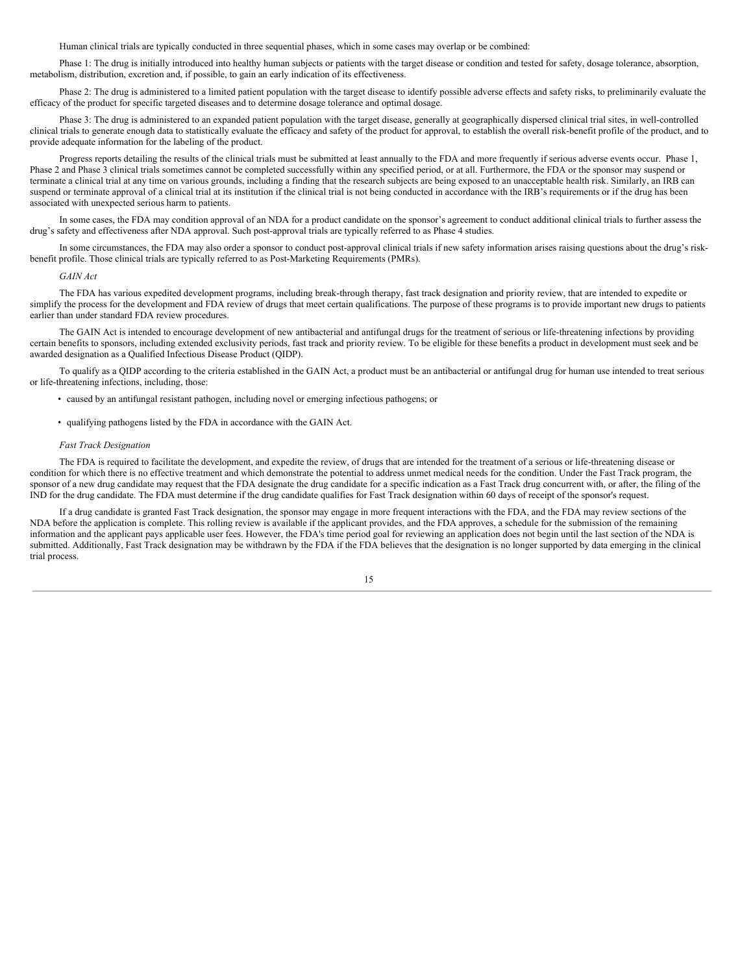Human clinical trials are typically conducted in three sequential phases, which in some cases may overlap or be combined:

Phase 1: The drug is initially introduced into healthy human subjects or patients with the target disease or condition and tested for safety, dosage tolerance, absorption, metabolism, distribution, excretion and, if possible, to gain an early indication of its effectiveness.

Phase 2: The drug is administered to a limited patient population with the target disease to identify possible adverse effects and safety risks, to preliminarily evaluate the efficacy of the product for specific targeted diseases and to determine dosage tolerance and optimal dosage.

Phase 3: The drug is administered to an expanded patient population with the target disease, generally at geographically dispersed clinical trial sites, in well-controlled clinical trials to generate enough data to statistically evaluate the efficacy and safety of the product for approval, to establish the overall risk-benefit profile of the product, and to provide adequate information for the labeling of the product.

Progress reports detailing the results of the clinical trials must be submitted at least annually to the FDA and more frequently if serious adverse events occur. Phase 1, Phase 2 and Phase 3 clinical trials sometimes cannot be completed successfully within any specified period, or at all. Furthermore, the FDA or the sponsor may suspend or terminate a clinical trial at any time on various grounds, including a finding that the research subjects are being exposed to an unacceptable health risk. Similarly, an IRB can suspend or terminate approval of a clinical trial at its institution if the clinical trial is not being conducted in accordance with the IRB's requirements or if the drug has been associated with unexpected serious harm to patients.

In some cases, the FDA may condition approval of an NDA for a product candidate on the sponsor's agreement to conduct additional clinical trials to further assess the drug's safety and effectiveness after NDA approval. Such post-approval trials are typically referred to as Phase 4 studies.

In some circumstances, the FDA may also order a sponsor to conduct post-approval clinical trials if new safety information arises raising questions about the drug's riskbenefit profile. Those clinical trials are typically referred to as Post-Marketing Requirements (PMRs).

## *GAIN Act*

The FDA has various expedited development programs, including break-through therapy, fast track designation and priority review, that are intended to expedite or simplify the process for the development and FDA review of drugs that meet certain qualifications. The purpose of these programs is to provide important new drugs to patients earlier than under standard FDA review procedures.

The GAIN Act is intended to encourage development of new antibacterial and antifungal drugs for the treatment of serious or life-threatening infections by providing certain benefits to sponsors, including extended exclusivity periods, fast track and priority review. To be eligible for these benefits a product in development must seek and be awarded designation as a Qualified Infectious Disease Product (QIDP).

To qualify as a QIDP according to the criteria established in the GAIN Act, a product must be an antibacterial or antifungal drug for human use intended to treat serious or life-threatening infections, including, those:

- caused by an antifungal resistant pathogen, including novel or emerging infectious pathogens; or
- qualifying pathogens listed by the FDA in accordance with the GAIN Act.

## *Fast Track Designation*

The FDA is required to facilitate the development, and expedite the review, of drugs that are intended for the treatment of a serious or life-threatening disease or condition for which there is no effective treatment and which demonstrate the potential to address unmet medical needs for the condition. Under the Fast Track program, the sponsor of a new drug candidate may request that the FDA designate the drug candidate for a specific indication as a Fast Track drug concurrent with, or after, the filing of the IND for the drug candidate. The FDA must determine if the drug candidate qualifies for Fast Track designation within 60 days of receipt of the sponsor's request.

If a drug candidate is granted Fast Track designation, the sponsor may engage in more frequent interactions with the FDA, and the FDA may review sections of the NDA before the application is complete. This rolling review is available if the applicant provides, and the FDA approves, a schedule for the submission of the remaining information and the applicant pays applicable user fees. However, the FDA's time period goal for reviewing an application does not begin until the last section of the NDA is submitted. Additionally, Fast Track designation may be withdrawn by the FDA if the FDA believes that the designation is no longer supported by data emerging in the clinical trial process.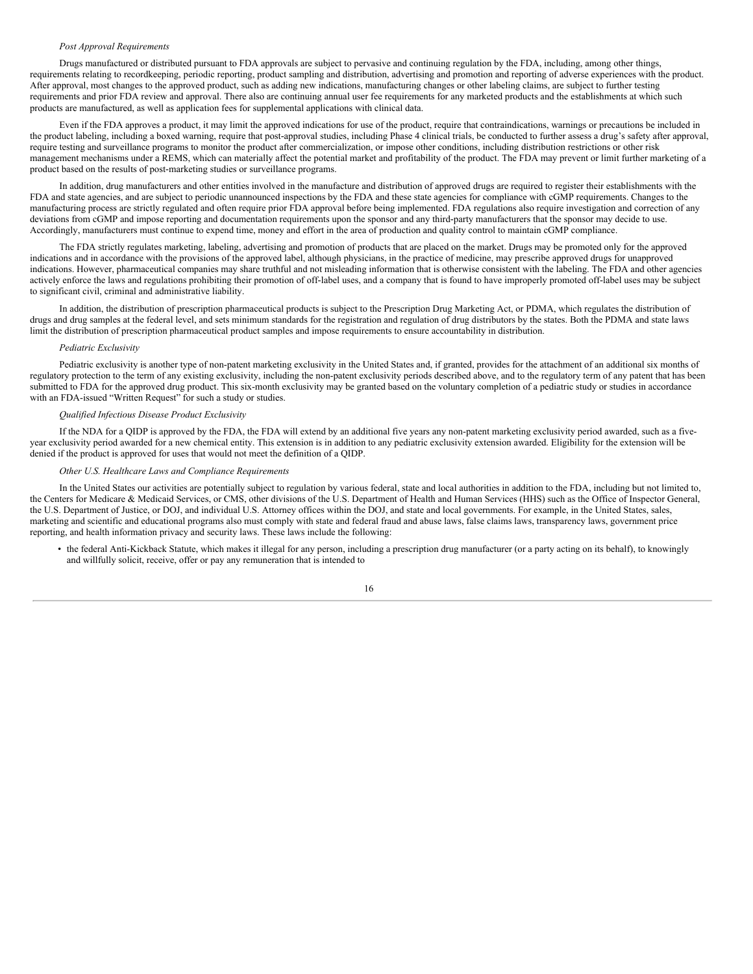## *Post Approval Requirements*

Drugs manufactured or distributed pursuant to FDA approvals are subject to pervasive and continuing regulation by the FDA, including, among other things, requirements relating to recordkeeping, periodic reporting, product sampling and distribution, advertising and promotion and reporting of adverse experiences with the product. After approval, most changes to the approved product, such as adding new indications, manufacturing changes or other labeling claims, are subject to further testing requirements and prior FDA review and approval. There also are continuing annual user fee requirements for any marketed products and the establishments at which such products are manufactured, as well as application fees for supplemental applications with clinical data.

Even if the FDA approves a product, it may limit the approved indications for use of the product, require that contraindications, warnings or precautions be included in the product labeling, including a boxed warning, require that post-approval studies, including Phase 4 clinical trials, be conducted to further assess a drug's safety after approval, require testing and surveillance programs to monitor the product after commercialization, or impose other conditions, including distribution restrictions or other risk management mechanisms under a REMS, which can materially affect the potential market and profitability of the product. The FDA may prevent or limit further marketing of a product based on the results of post-marketing studies or surveillance programs.

In addition, drug manufacturers and other entities involved in the manufacture and distribution of approved drugs are required to register their establishments with the FDA and state agencies, and are subject to periodic unannounced inspections by the FDA and these state agencies for compliance with cGMP requirements. Changes to the manufacturing process are strictly regulated and often require prior FDA approval before being implemented. FDA regulations also require investigation and correction of any deviations from cGMP and impose reporting and documentation requirements upon the sponsor and any third-party manufacturers that the sponsor may decide to use. Accordingly, manufacturers must continue to expend time, money and effort in the area of production and quality control to maintain cGMP compliance.

The FDA strictly regulates marketing, labeling, advertising and promotion of products that are placed on the market. Drugs may be promoted only for the approved indications and in accordance with the provisions of the approved label, although physicians, in the practice of medicine, may prescribe approved drugs for unapproved indications. However, pharmaceutical companies may share truthful and not misleading information that is otherwise consistent with the labeling. The FDA and other agencies actively enforce the laws and regulations prohibiting their promotion of off-label uses, and a company that is found to have improperly promoted off-label uses may be subject to significant civil, criminal and administrative liability.

In addition, the distribution of prescription pharmaceutical products is subject to the Prescription Drug Marketing Act, or PDMA, which regulates the distribution of drugs and drug samples at the federal level, and sets minimum standards for the registration and regulation of drug distributors by the states. Both the PDMA and state laws limit the distribution of prescription pharmaceutical product samples and impose requirements to ensure accountability in distribution.

## *Pediatric Exclusivity*

Pediatric exclusivity is another type of non-patent marketing exclusivity in the United States and, if granted, provides for the attachment of an additional six months of regulatory protection to the term of any existing exclusivity, including the non-patent exclusivity periods described above, and to the regulatory term of any patent that has been submitted to FDA for the approved drug product. This six-month exclusivity may be granted based on the voluntary completion of a pediatric study or studies in accordance with an FDA-issued "Written Request" for such a study or studies.

#### *Qualified Infectious Disease Product Exclusivity*

If the NDA for a QIDP is approved by the FDA, the FDA will extend by an additional five years any non-patent marketing exclusivity period awarded, such as a fiveyear exclusivity period awarded for a new chemical entity. This extension is in addition to any pediatric exclusivity extension awarded. Eligibility for the extension will be denied if the product is approved for uses that would not meet the definition of a QIDP.

## *Other U.S. Healthcare Laws and Compliance Requirements*

In the United States our activities are potentially subject to regulation by various federal, state and local authorities in addition to the FDA, including but not limited to, the Centers for Medicare & Medicaid Services, or CMS, other divisions of the U.S. Department of Health and Human Services (HHS) such as the Office of Inspector General, the U.S. Department of Justice, or DOJ, and individual U.S. Attorney offices within the DOJ, and state and local governments. For example, in the United States, sales, marketing and scientific and educational programs also must comply with state and federal fraud and abuse laws, false claims laws, transparency laws, government price reporting, and health information privacy and security laws. These laws include the following:

• the federal Anti-Kickback Statute, which makes it illegal for any person, including a prescription drug manufacturer (or a party acting on its behalf), to knowingly and willfully solicit, receive, offer or pay any remuneration that is intended to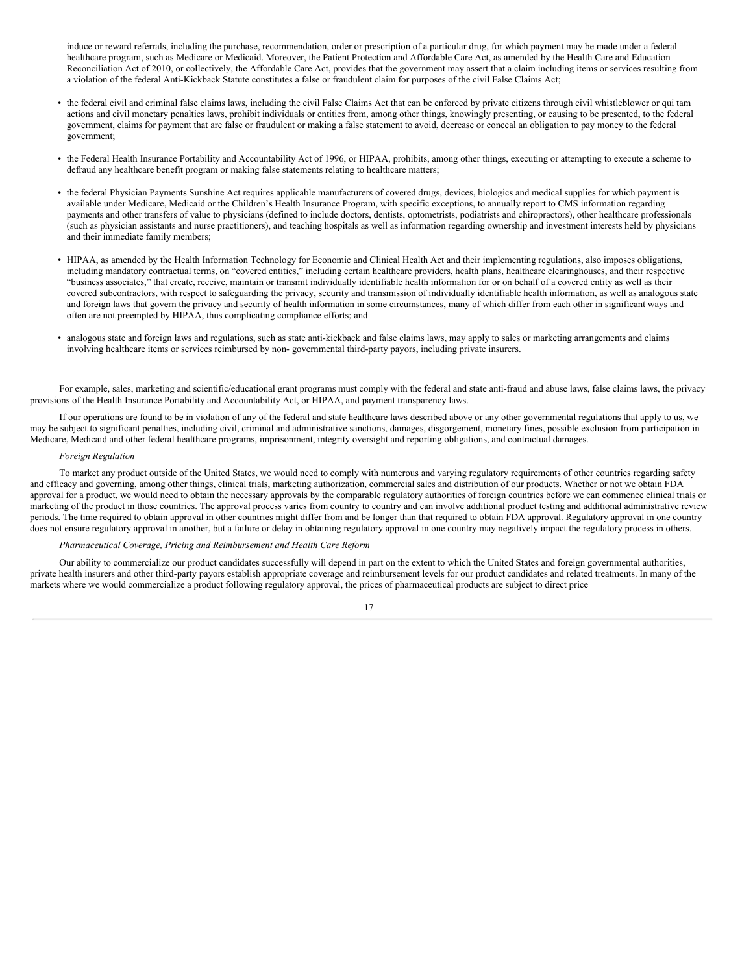induce or reward referrals, including the purchase, recommendation, order or prescription of a particular drug, for which payment may be made under a federal healthcare program, such as Medicare or Medicaid. Moreover, the Patient Protection and Affordable Care Act, as amended by the Health Care and Education Reconciliation Act of 2010, or collectively, the Affordable Care Act, provides that the government may assert that a claim including items or services resulting from a violation of the federal Anti-Kickback Statute constitutes a false or fraudulent claim for purposes of the civil False Claims Act;

- the federal civil and criminal false claims laws, including the civil False Claims Act that can be enforced by private citizens through civil whistleblower or qui tam actions and civil monetary penalties laws, prohibit individuals or entities from, among other things, knowingly presenting, or causing to be presented, to the federal government, claims for payment that are false or fraudulent or making a false statement to avoid, decrease or conceal an obligation to pay money to the federal government;
- the Federal Health Insurance Portability and Accountability Act of 1996, or HIPAA, prohibits, among other things, executing or attempting to execute a scheme to defraud any healthcare benefit program or making false statements relating to healthcare matters;
- the federal Physician Payments Sunshine Act requires applicable manufacturers of covered drugs, devices, biologics and medical supplies for which payment is available under Medicare, Medicaid or the Children's Health Insurance Program, with specific exceptions, to annually report to CMS information regarding payments and other transfers of value to physicians (defined to include doctors, dentists, optometrists, podiatrists and chiropractors), other healthcare professionals (such as physician assistants and nurse practitioners), and teaching hospitals as well as information regarding ownership and investment interests held by physicians and their immediate family members;
- HIPAA, as amended by the Health Information Technology for Economic and Clinical Health Act and their implementing regulations, also imposes obligations, including mandatory contractual terms, on "covered entities," including certain healthcare providers, health plans, healthcare clearinghouses, and their respective "business associates," that create, receive, maintain or transmit individually identifiable health information for or on behalf of a covered entity as well as their covered subcontractors, with respect to safeguarding the privacy, security and transmission of individually identifiable health information, as well as analogous state and foreign laws that govern the privacy and security of health information in some circumstances, many of which differ from each other in significant ways and often are not preempted by HIPAA, thus complicating compliance efforts; and
- analogous state and foreign laws and regulations, such as state anti-kickback and false claims laws, may apply to sales or marketing arrangements and claims involving healthcare items or services reimbursed by non- governmental third-party payors, including private insurers.

For example, sales, marketing and scientific/educational grant programs must comply with the federal and state anti-fraud and abuse laws, false claims laws, the privacy provisions of the Health Insurance Portability and Accountability Act, or HIPAA, and payment transparency laws.

If our operations are found to be in violation of any of the federal and state healthcare laws described above or any other governmental regulations that apply to us, we may be subject to significant penalties, including civil, criminal and administrative sanctions, damages, disgorgement, monetary fines, possible exclusion from participation in Medicare, Medicaid and other federal healthcare programs, imprisonment, integrity oversight and reporting obligations, and contractual damages.

#### *Foreign Regulation*

To market any product outside of the United States, we would need to comply with numerous and varying regulatory requirements of other countries regarding safety and efficacy and governing, among other things, clinical trials, marketing authorization, commercial sales and distribution of our products. Whether or not we obtain FDA approval for a product, we would need to obtain the necessary approvals by the comparable regulatory authorities of foreign countries before we can commence clinical trials or marketing of the product in those countries. The approval process varies from country to country and can involve additional product testing and additional administrative review periods. The time required to obtain approval in other countries might differ from and be longer than that required to obtain FDA approval. Regulatory approval in one country does not ensure regulatory approval in another, but a failure or delay in obtaining regulatory approval in one country may negatively impact the regulatory process in others.

## *Pharmaceutical Coverage, Pricing and Reimbursement and Health Care Reform*

Our ability to commercialize our product candidates successfully will depend in part on the extent to which the United States and foreign governmental authorities, private health insurers and other third-party payors establish appropriate coverage and reimbursement levels for our product candidates and related treatments. In many of the markets where we would commercialize a product following regulatory approval, the prices of pharmaceutical products are subject to direct price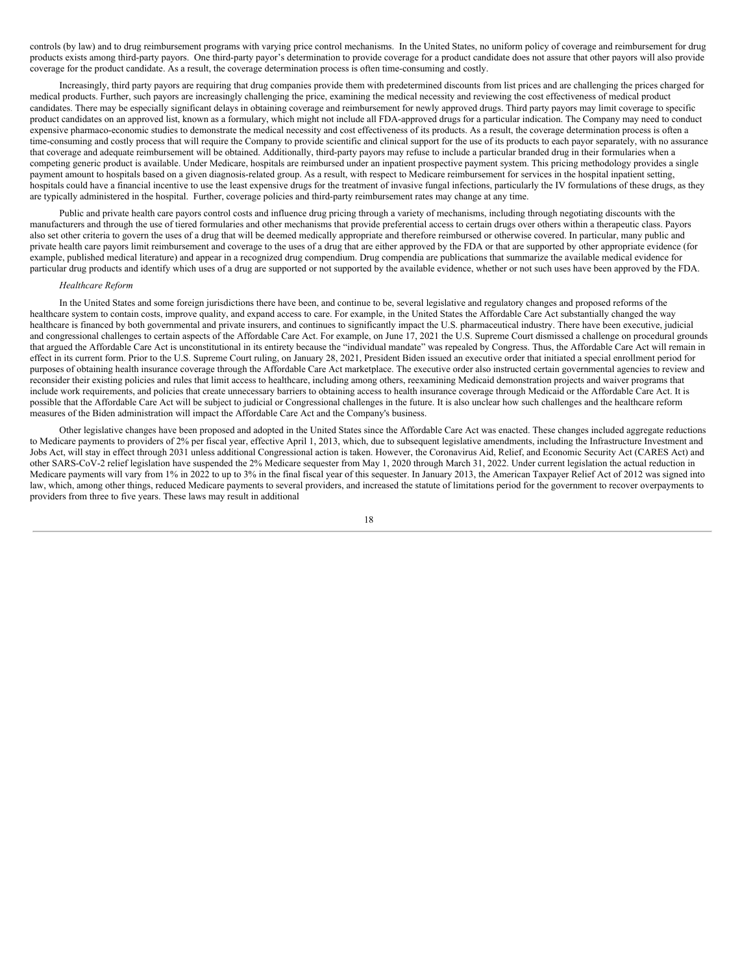controls (by law) and to drug reimbursement programs with varying price control mechanisms. In the United States, no uniform policy of coverage and reimbursement for drug products exists among third-party payors. One third-party payor's determination to provide coverage for a product candidate does not assure that other payors will also provide coverage for the product candidate. As a result, the coverage determination process is often time-consuming and costly.

Increasingly, third party payors are requiring that drug companies provide them with predetermined discounts from list prices and are challenging the prices charged for medical products. Further, such payors are increasingly challenging the price, examining the medical necessity and reviewing the cost effectiveness of medical product candidates. There may be especially significant delays in obtaining coverage and reimbursement for newly approved drugs. Third party payors may limit coverage to specific product candidates on an approved list, known as a formulary, which might not include all FDA-approved drugs for a particular indication. The Company may need to conduct expensive pharmaco-economic studies to demonstrate the medical necessity and cost effectiveness of its products. As a result, the coverage determination process is often a time-consuming and costly process that will require the Company to provide scientific and clinical support for the use of its products to each payor separately, with no assurance that coverage and adequate reimbursement will be obtained. Additionally, third-party payors may refuse to include a particular branded drug in their formularies when a competing generic product is available. Under Medicare, hospitals are reimbursed under an inpatient prospective payment system. This pricing methodology provides a single payment amount to hospitals based on a given diagnosis-related group. As a result, with respect to Medicare reimbursement for services in the hospital inpatient setting, hospitals could have a financial incentive to use the least expensive drugs for the treatment of invasive fungal infections, particularly the IV formulations of these drugs, as they are typically administered in the hospital. Further, coverage policies and third-party reimbursement rates may change at any time.

Public and private health care payors control costs and influence drug pricing through a variety of mechanisms, including through negotiating discounts with the manufacturers and through the use of tiered formularies and other mechanisms that provide preferential access to certain drugs over others within a therapeutic class. Payors also set other criteria to govern the uses of a drug that will be deemed medically appropriate and therefore reimbursed or otherwise covered. In particular, many public and private health care payors limit reimbursement and coverage to the uses of a drug that are either approved by the FDA or that are supported by other appropriate evidence (for example, published medical literature) and appear in a recognized drug compendium. Drug compendia are publications that summarize the available medical evidence for particular drug products and identify which uses of a drug are supported or not supported by the available evidence, whether or not such uses have been approved by the FDA.

### *Healthcare Reform*

In the United States and some foreign jurisdictions there have been, and continue to be, several legislative and regulatory changes and proposed reforms of the healthcare system to contain costs, improve quality, and expand access to care. For example, in the United States the Affordable Care Act substantially changed the way healthcare is financed by both governmental and private insurers, and continues to significantly impact the U.S. pharmaceutical industry. There have been executive, judicial and congressional challenges to certain aspects of the Affordable Care Act. For example, on June 17, 2021 the U.S. Supreme Court dismissed a challenge on procedural grounds that argued the Affordable Care Act is unconstitutional in its entirety because the "individual mandate" was repealed by Congress. Thus, the Affordable Care Act will remain in effect in its current form. Prior to the U.S. Supreme Court ruling, on January 28, 2021, President Biden issued an executive order that initiated a special enrollment period for purposes of obtaining health insurance coverage through the Affordable Care Act marketplace. The executive order also instructed certain governmental agencies to review and reconsider their existing policies and rules that limit access to healthcare, including among others, reexamining Medicaid demonstration projects and waiver programs that include work requirements, and policies that create unnecessary barriers to obtaining access to health insurance coverage through Medicaid or the Affordable Care Act. It is possible that the Affordable Care Act will be subject to judicial or Congressional challenges in the future. It is also unclear how such challenges and the healthcare reform measures of the Biden administration will impact the Affordable Care Act and the Company's business.

Other legislative changes have been proposed and adopted in the United States since the Affordable Care Act was enacted. These changes included aggregate reductions to Medicare payments to providers of 2% per fiscal year, effective April 1, 2013, which, due to subsequent legislative amendments, including the Infrastructure Investment and Jobs Act, will stay in effect through 2031 unless additional Congressional action is taken. However, the Coronavirus Aid, Relief, and Economic Security Act (CARES Act) and other SARS-CoV-2 relief legislation have suspended the 2% Medicare sequester from May 1, 2020 through March 31, 2022. Under current legislation the actual reduction in Medicare payments will vary from 1% in 2022 to up to 3% in the final fiscal year of this sequester. In January 2013, the American Taxpayer Relief Act of 2012 was signed into law, which, among other things, reduced Medicare payments to several providers, and increased the statute of limitations period for the government to recover overpayments to providers from three to five years. These laws may result in additional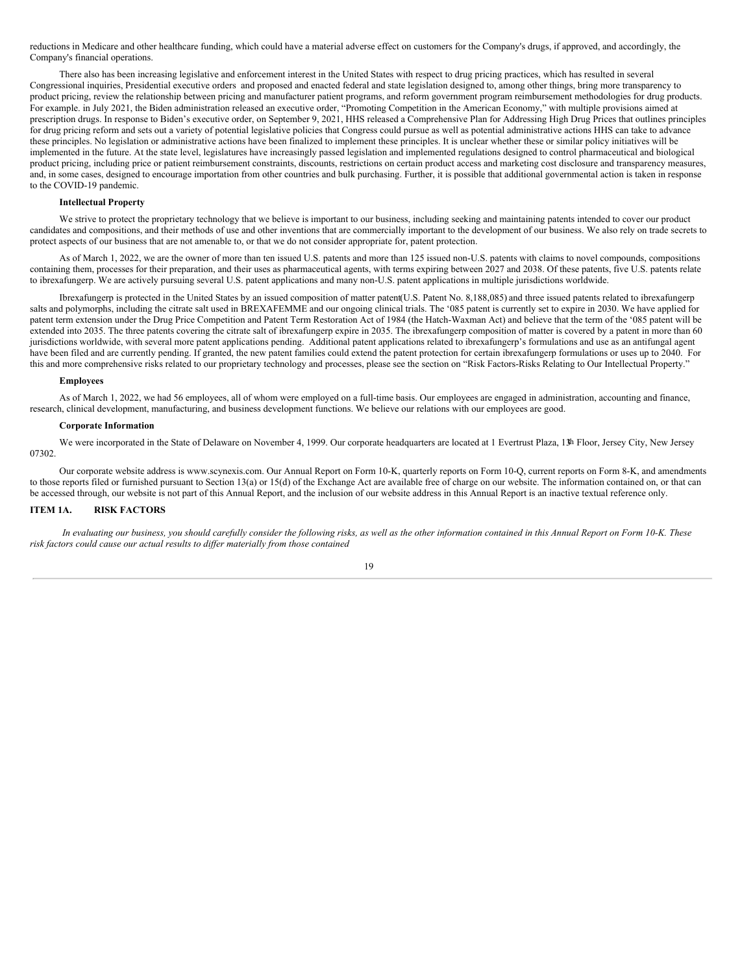reductions in Medicare and other healthcare funding, which could have a material adverse effect on customers for the Company's drugs, if approved, and accordingly, the Company's financial operations.

There also has been increasing legislative and enforcement interest in the United States with respect to drug pricing practices, which has resulted in several Congressional inquiries, Presidential executive orders and proposed and enacted federal and state legislation designed to, among other things, bring more transparency to product pricing, review the relationship between pricing and manufacturer patient programs, and reform government program reimbursement methodologies for drug products. For example. in July 2021, the Biden administration released an executive order, "Promoting Competition in the American Economy," with multiple provisions aimed at prescription drugs. In response to Biden's executive order, on September 9, 2021, HHS released a Comprehensive Plan for Addressing High Drug Prices that outlines principles for drug pricing reform and sets out a variety of potential legislative policies that Congress could pursue as well as potential administrative actions HHS can take to advance these principles. No legislation or administrative actions have been finalized to implement these principles. It is unclear whether these or similar policy initiatives will be implemented in the future. At the state level, legislatures have increasingly passed legislation and implemented regulations designed to control pharmaceutical and biological product pricing, including price or patient reimbursement constraints, discounts, restrictions on certain product access and marketing cost disclosure and transparency measures, and, in some cases, designed to encourage importation from other countries and bulk purchasing. Further, it is possible that additional governmental action is taken in response to the COVID-19 pandemic.

## **Intellectual Property**

We strive to protect the proprietary technology that we believe is important to our business, including seeking and maintaining patents intended to cover our product candidates and compositions, and their methods of use and other inventions that are commercially important to the development of our business. We also rely on trade secrets to protect aspects of our business that are not amenable to, or that we do not consider appropriate for, patent protection.

As of March 1, 2022, we are the owner of more than ten issued U.S. patents and more than 125 issued non-U.S. patents with claims to novel compounds, compositions containing them, processes for their preparation, and their uses as pharmaceutical agents, with terms expiring between 2027 and 2038. Of these patents, five U.S. patents relate to ibrexafungerp. We are actively pursuing several U.S. patent applications and many non-U.S. patent applications in multiple jurisdictions worldwide.

Ibrexafungerp is protected in the United States by an issued composition of matter patent(U.S. Patent No. 8,188,085) and three issued patents related to ibrexafungerp salts and polymorphs, including the citrate salt used in BREXAFEMME and our ongoing clinical trials. The '085 patent is currently set to expire in 2030. We have applied for patent term extension under the Drug Price Competition and Patent Term Restoration Act of 1984 (the Hatch-Waxman Act) and believe that the term of the '085 patent will be extended into 2035. The three patents covering the citrate salt of ibrexafungerp expire in 2035. The ibrexafungerp composition of matter is covered by a patent in more than 60 jurisdictions worldwide, with several more patent applications pending. Additional patent applications related to ibrexafungerp's formulations and use as an antifungal agent have been filed and are currently pending. If granted, the new patent families could extend the patent protection for certain ibrexafungerp formulations or uses up to 2040. For this and more comprehensive risks related to our proprietary technology and processes, please see the section on "Risk Factors-Risks Relating to Our Intellectual Property."

#### **Employees**

As of March 1, 2022, we had 56 employees, all of whom were employed on a full-time basis. Our employees are engaged in administration, accounting and finance, research, clinical development, manufacturing, and business development functions. We believe our relations with our employees are good.

#### **Corporate Information**

We were incorporated in the State of Delaware on November 4, 1999. Our corporate headquarters are located at 1 Evertrust Plaza, 13h Floor, Jersey City, New Jersey 07302.

Our corporate website address is www.scynexis.com. Our Annual Report on Form 10-K, quarterly reports on Form 10-Q, current reports on Form 8-K, and amendments to those reports filed or furnished pursuant to Section 13(a) or 15(d) of the Exchange Act are available free of charge on our website. The information contained on, or that can be accessed through, our website is not part of this Annual Report, and the inclusion of our website address in this Annual Report is an inactive textual reference only.

## <span id="page-18-0"></span>**ITEM 1A. RISK FACTORS**

In evaluating our business, you should carefully consider the following risks, as well as the other information contained in this Annual Report on Form 10-K. These *risk factors could cause our actual results to dif er materially from those contained*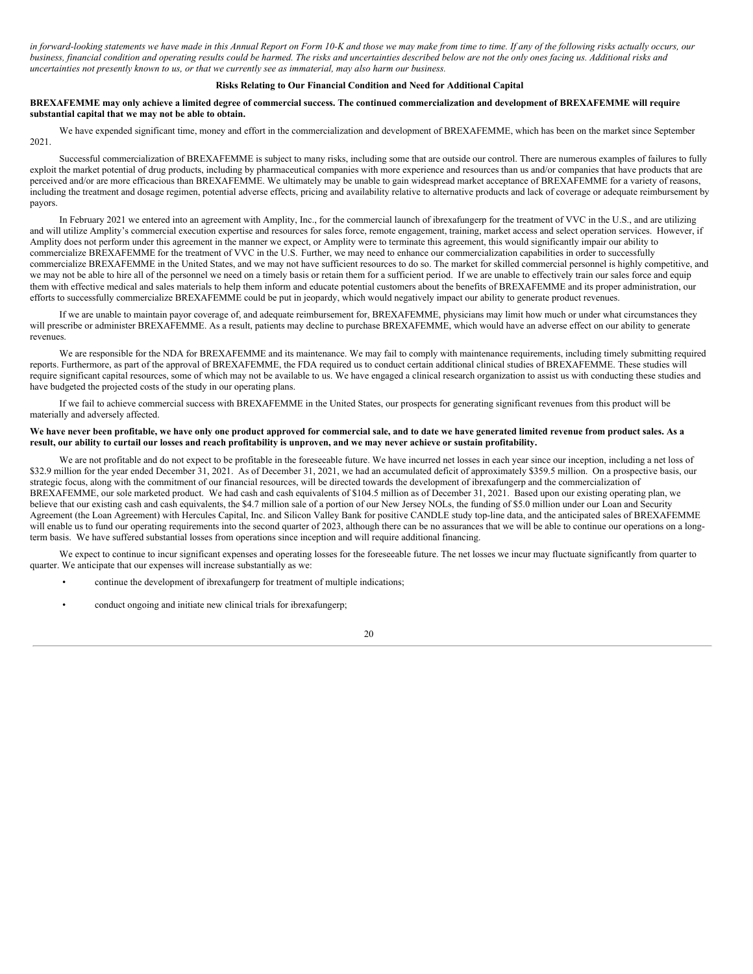in forward-looking statements we have made in this Annual Report on Form 10-K and those we may make from time to time. If any of the following risks actually occurs, our business, financial condition and operating results could be harmed. The risks and uncertainties described below are not the only ones facing us. Additional risks and uncertainties not presently known to us, or that we currently see as immaterial, may also harm our business.

## **Risks Relating to Our Financial Condition and Need for Additional Capital**

## BREXAFEMME may only achieve a limited degree of commercial success. The continued commercialization and development of BREXAFEMME will require **substantial capital that we may not be able to obtain.**

We have expended significant time, money and effort in the commercialization and development of BREXAFEMME, which has been on the market since September 2021.

Successful commercialization of BREXAFEMME is subject to many risks, including some that are outside our control. There are numerous examples of failures to fully exploit the market potential of drug products, including by pharmaceutical companies with more experience and resources than us and/or companies that have products that are perceived and/or are more efficacious than BREXAFEMME. We ultimately may be unable to gain widespread market acceptance of BREXAFEMME for a variety of reasons, including the treatment and dosage regimen, potential adverse effects, pricing and availability relative to alternative products and lack of coverage or adequate reimbursement by payors.

In February 2021 we entered into an agreement with Amplity, Inc., for the commercial launch of ibrexafungerp for the treatment of VVC in the U.S., and are utilizing and will utilize Amplity's commercial execution expertise and resources for sales force, remote engagement, training, market access and select operation services. However, if Amplity does not perform under this agreement in the manner we expect, or Amplity were to terminate this agreement, this would significantly impair our ability to commercialize BREXAFEMME for the treatment of VVC in the U.S. Further, we may need to enhance our commercialization capabilities in order to successfully commercialize BREXAFEMME in the United States, and we may not have sufficient resources to do so. The market for skilled commercial personnel is highly competitive, and we may not be able to hire all of the personnel we need on a timely basis or retain them for a sufficient period. If we are unable to effectively train our sales force and equip them with effective medical and sales materials to help them inform and educate potential customers about the benefits of BREXAFEMME and its proper administration, our efforts to successfully commercialize BREXAFEMME could be put in jeopardy, which would negatively impact our ability to generate product revenues.

If we are unable to maintain payor coverage of, and adequate reimbursement for, BREXAFEMME, physicians may limit how much or under what circumstances they will prescribe or administer BREXAFEMME. As a result, patients may decline to purchase BREXAFEMME, which would have an adverse effect on our ability to generate revenues.

We are responsible for the NDA for BREXAFEMME and its maintenance. We may fail to comply with maintenance requirements, including timely submitting required reports. Furthermore, as part of the approval of BREXAFEMME, the FDA required us to conduct certain additional clinical studies of BREXAFEMME. These studies will require significant capital resources, some of which may not be available to us. We have engaged a clinical research organization to assist us with conducting these studies and have budgeted the projected costs of the study in our operating plans.

If we fail to achieve commercial success with BREXAFEMME in the United States, our prospects for generating significant revenues from this product will be materially and adversely affected.

## We have never been profitable, we have only one product approved for commercial sale, and to date we have generated limited revenue from product sales. As a result, our ability to curtail our losses and reach profitability is unproven, and we may never achieve or sustain profitability.

We are not profitable and do not expect to be profitable in the foreseeable future. We have incurred net losses in each year since our inception, including a net loss of \$32.9 million for the year ended December 31, 2021. As of December 31, 2021, we had an accumulated deficit of approximately \$359.5 million. On a prospective basis, our strategic focus, along with the commitment of our financial resources, will be directed towards the development of ibrexafungerp and the commercialization of BREXAFEMME, our sole marketed product. We had cash and cash equivalents of \$104.5 million as of December 31, 2021. Based upon our existing operating plan, we believe that our existing cash and cash equivalents, the \$4.7 million sale of a portion of our New Jersey NOLs, the funding of \$5.0 million under our Loan and Security Agreement (the Loan Agreement) with Hercules Capital, Inc. and Silicon Valley Bank for positive CANDLE study top-line data, and the anticipated sales of BREXAFEMME will enable us to fund our operating requirements into the second quarter of 2023, although there can be no assurances that we will be able to continue our operations on a longterm basis. We have suffered substantial losses from operations since inception and will require additional financing.

We expect to continue to incur significant expenses and operating losses for the foreseeable future. The net losses we incur may fluctuate significantly from quarter to quarter. We anticipate that our expenses will increase substantially as we:

- continue the development of ibrexafungerp for treatment of multiple indications;
- conduct ongoing and initiate new clinical trials for ibrexafungerp;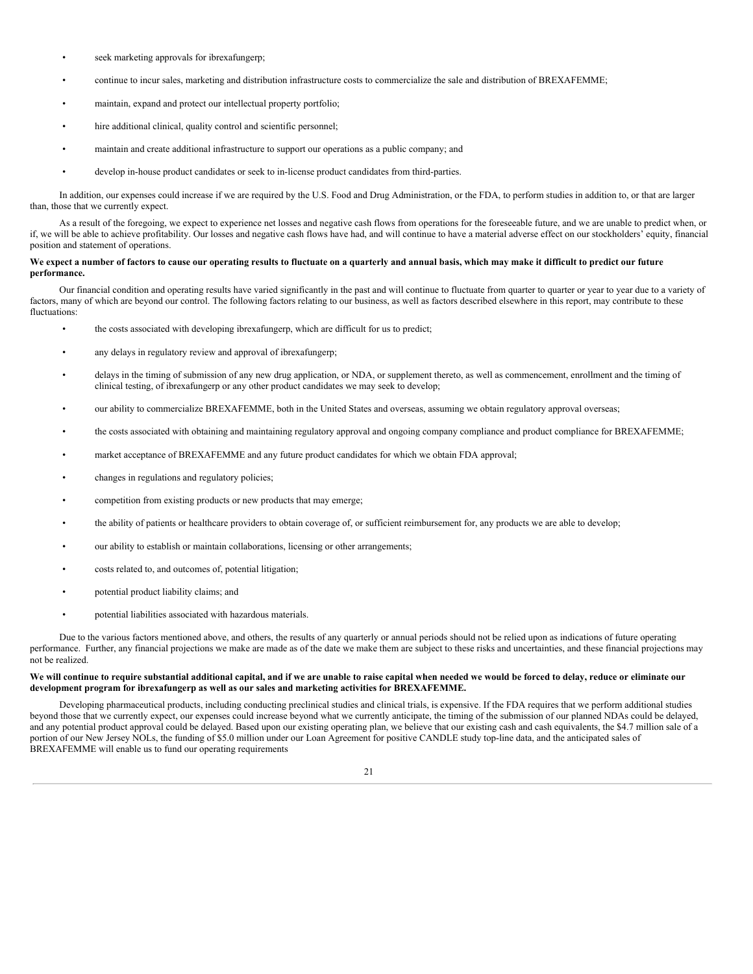- seek marketing approvals for ibrexafungerp;
- continue to incur sales, marketing and distribution infrastructure costs to commercialize the sale and distribution of BREXAFEMME;
- maintain, expand and protect our intellectual property portfolio;
- hire additional clinical, quality control and scientific personnel;
- maintain and create additional infrastructure to support our operations as a public company; and
- develop in-house product candidates or seek to in-license product candidates from third-parties.

In addition, our expenses could increase if we are required by the U.S. Food and Drug Administration, or the FDA, to perform studies in addition to, or that are larger than, those that we currently expect.

As a result of the foregoing, we expect to experience net losses and negative cash flows from operations for the foreseeable future, and we are unable to predict when, or if, we will be able to achieve profitability. Our losses and negative cash flows have had, and will continue to have a material adverse effect on our stockholders' equity, financial position and statement of operations.

## We expect a number of factors to cause our operating results to fluctuate on a quarterly and annual basis, which may make it difficult to predict our future **performance.**

Our financial condition and operating results have varied significantly in the past and will continue to fluctuate from quarter to quarter or year to year due to a variety of factors, many of which are beyond our control. The following factors relating to our business, as well as factors described elsewhere in this report, may contribute to these fluctuations:

- the costs associated with developing ibrexafungerp, which are difficult for us to predict;
- any delays in regulatory review and approval of ibrexafungerp;
- delays in the timing of submission of any new drug application, or NDA, or supplement thereto, as well as commencement, enrollment and the timing of clinical testing, of ibrexafungerp or any other product candidates we may seek to develop;
- our ability to commercialize BREXAFEMME, both in the United States and overseas, assuming we obtain regulatory approval overseas;
- the costs associated with obtaining and maintaining regulatory approval and ongoing company compliance and product compliance for BREXAFEMME;
- market acceptance of BREXAFEMME and any future product candidates for which we obtain FDA approval;
- changes in regulations and regulatory policies;
- competition from existing products or new products that may emerge;
- the ability of patients or healthcare providers to obtain coverage of, or sufficient reimbursement for, any products we are able to develop;
- our ability to establish or maintain collaborations, licensing or other arrangements;
- costs related to, and outcomes of, potential litigation;
- potential product liability claims; and
- potential liabilities associated with hazardous materials.

Due to the various factors mentioned above, and others, the results of any quarterly or annual periods should not be relied upon as indications of future operating performance. Further, any financial projections we make are made as of the date we make them are subject to these risks and uncertainties, and these financial projections may not be realized.

## We will continue to require substantial additional capital, and if we are unable to raise capital when needed we would be forced to delay, reduce or eliminate our **development program for ibrexafungerp as well as our sales and marketing activities for BREXAFEMME.**

Developing pharmaceutical products, including conducting preclinical studies and clinical trials, is expensive. If the FDA requires that we perform additional studies beyond those that we currently expect, our expenses could increase beyond what we currently anticipate, the timing of the submission of our planned NDAs could be delayed, and any potential product approval could be delayed. Based upon our existing operating plan, we believe that our existing cash and cash equivalents, the \$4.7 million sale of a portion of our New Jersey NOLs, the funding of \$5.0 million under our Loan Agreement for positive CANDLE study top-line data, and the anticipated sales of BREXAFEMME will enable us to fund our operating requirements

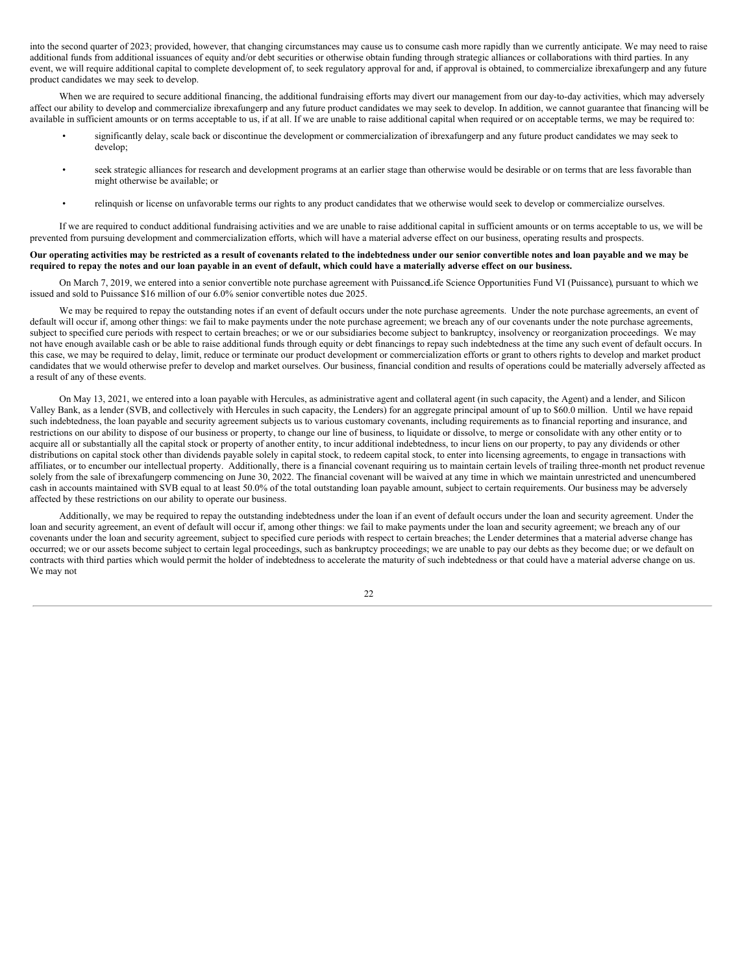into the second quarter of 2023; provided, however, that changing circumstances may cause us to consume cash more rapidly than we currently anticipate. We may need to raise additional funds from additional issuances of equity and/or debt securities or otherwise obtain funding through strategic alliances or collaborations with third parties. In any event, we will require additional capital to complete development of, to seek regulatory approval for and, if approval is obtained, to commercialize ibrexafungerp and any future product candidates we may seek to develop.

When we are required to secure additional financing, the additional fundraising efforts may divert our management from our day-to-day activities, which may adversely affect our ability to develop and commercialize ibrexafungerp and any future product candidates we may seek to develop. In addition, we cannot guarantee that financing will be available in sufficient amounts or on terms acceptable to us, if at all. If we are unable to raise additional capital when required or on acceptable terms, we may be required to:

- significantly delay, scale back or discontinue the development or commercialization of ibrexafungerp and any future product candidates we may seek to develop;
- seek strategic alliances for research and development programs at an earlier stage than otherwise would be desirable or on terms that are less favorable than might otherwise be available; or
- relinquish or license on unfavorable terms our rights to any product candidates that we otherwise would seek to develop or commercialize ourselves.

If we are required to conduct additional fundraising activities and we are unable to raise additional capital in sufficient amounts or on terms acceptable to us, we will be prevented from pursuing development and commercialization efforts, which will have a material adverse effect on our business, operating results and prospects.

## Our operating activities may be restricted as a result of covenants related to the indebtedness under our senior convertible notes and loan payable and we may be required to repay the notes and our loan payable in an event of default, which could have a materially adverse effect on our business.

On March 7, 2019, we entered into a senior convertible note purchase agreement with PuissanceLife Science Opportunities Fund VI (Puissance), pursuant to which we issued and sold to Puissance \$16 million of our 6.0% senior convertible notes due 2025.

We may be required to repay the outstanding notes if an event of default occurs under the note purchase agreements. Under the note purchase agreements, an event of default will occur if, among other things: we fail to make payments under the note purchase agreement; we breach any of our covenants under the note purchase agreements, subject to specified cure periods with respect to certain breaches; or we or our subsidiaries become subject to bankruptcy, insolvency or reorganization proceedings. We may not have enough available cash or be able to raise additional funds through equity or debt financings to repay such indebtedness at the time any such event of default occurs. In this case, we may be required to delay, limit, reduce or terminate our product development or commercialization efforts or grant to others rights to develop and market product candidates that we would otherwise prefer to develop and market ourselves. Our business, financial condition and results of operations could be materially adversely affected as a result of any of these events.

On May 13, 2021, we entered into a loan payable with Hercules, as administrative agent and collateral agent (in such capacity, the Agent) and a lender, and Silicon Valley Bank, as a lender (SVB, and collectively with Hercules in such capacity, the Lenders) for an aggregate principal amount of up to \$60.0 million. Until we have repaid such indebtedness, the loan payable and security agreement subjects us to various customary covenants, including requirements as to financial reporting and insurance, and restrictions on our ability to dispose of our business or property, to change our line of business, to liquidate or dissolve, to merge or consolidate with any other entity or to acquire all or substantially all the capital stock or property of another entity, to incur additional indebtedness, to incur liens on our property, to pay any dividends or other distributions on capital stock other than dividends payable solely in capital stock, to redeem capital stock, to enter into licensing agreements, to engage in transactions with affiliates, or to encumber our intellectual property. Additionally, there is a financial covenant requiring us to maintain certain levels of trailing three-month net product revenue solely from the sale of ibrexafungerp commencing on June 30, 2022. The financial covenant will be waived at any time in which we maintain unrestricted and unencumbered cash in accounts maintained with SVB equal to at least 50.0% of the total outstanding loan payable amount, subject to certain requirements. Our business may be adversely affected by these restrictions on our ability to operate our business.

Additionally, we may be required to repay the outstanding indebtedness under the loan if an event of default occurs under the loan and security agreement. Under the loan and security agreement, an event of default will occur if, among other things: we fail to make payments under the loan and security agreement; we breach any of our covenants under the loan and security agreement, subject to specified cure periods with respect to certain breaches; the Lender determines that a material adverse change has occurred; we or our assets become subject to certain legal proceedings, such as bankruptcy proceedings; we are unable to pay our debts as they become due; or we default on contracts with third parties which would permit the holder of indebtedness to accelerate the maturity of such indebtedness or that could have a material adverse change on us. We may not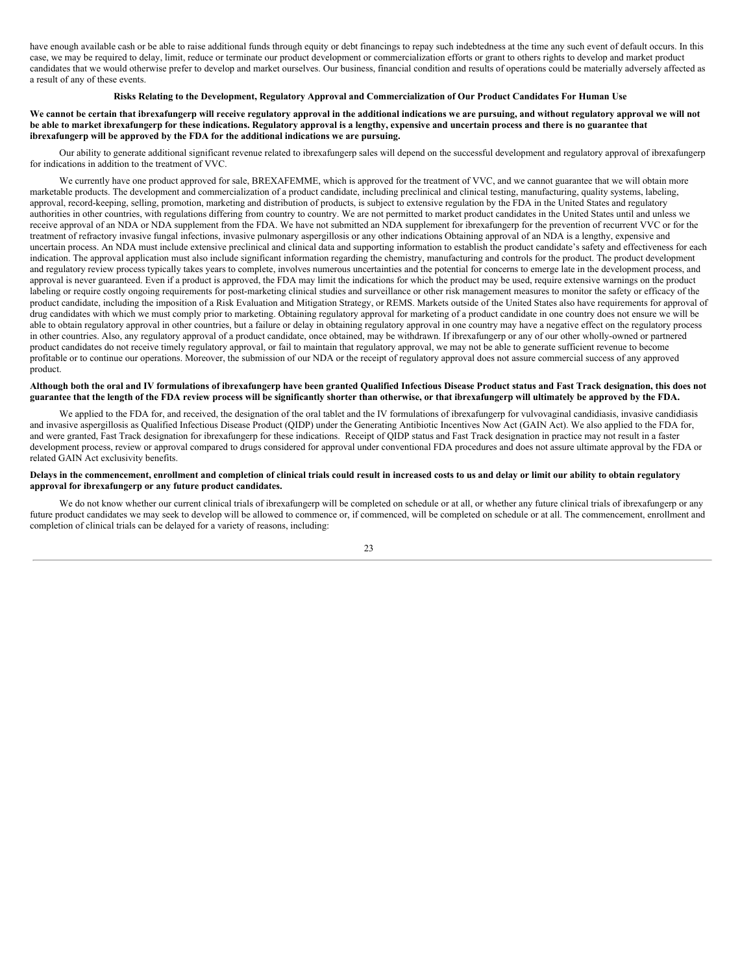have enough available cash or be able to raise additional funds through equity or debt financings to repay such indebtedness at the time any such event of default occurs. In this case, we may be required to delay, limit, reduce or terminate our product development or commercialization efforts or grant to others rights to develop and market product candidates that we would otherwise prefer to develop and market ourselves. Our business, financial condition and results of operations could be materially adversely affected as a result of any of these events.

#### Risks Relating to the Development, Regulatory Approval and Commercialization of Our Product Candidates For Human Use

We cannot be certain that ibrexafungerp will receive regulatory approval in the additional indications we are pursuing, and without regulatory approval we will not be able to market ibrexafungerp for these indications. Regulatory approval is a lengthy, expensive and uncertain process and there is no guarantee that **ibrexafungerp will be approved by the FDA for the additional indications we are pursuing.**

Our ability to generate additional significant revenue related to ibrexafungerp sales will depend on the successful development and regulatory approval of ibrexafungerp for indications in addition to the treatment of VVC.

We currently have one product approved for sale, BREXAFEMME, which is approved for the treatment of VVC, and we cannot guarantee that we will obtain more marketable products. The development and commercialization of a product candidate, including preclinical and clinical testing, manufacturing, quality systems, labeling, approval, record-keeping, selling, promotion, marketing and distribution of products, is subject to extensive regulation by the FDA in the United States and regulatory authorities in other countries, with regulations differing from country to country. We are not permitted to market product candidates in the United States until and unless we receive approval of an NDA or NDA supplement from the FDA. We have not submitted an NDA supplement for ibrexafungerp for the prevention of recurrent VVC or for the treatment of refractory invasive fungal infections, invasive pulmonary aspergillosis or any other indications. Obtaining approval of an NDA is a lengthy, expensive and uncertain process. An NDA must include extensive preclinical and clinical data and supporting information to establish the product candidate's safety and effectiveness for each indication. The approval application must also include significant information regarding the chemistry, manufacturing and controls for the product. The product development and regulatory review process typically takes years to complete, involves numerous uncertainties and the potential for concerns to emerge late in the development process, and approval is never guaranteed. Even if a product is approved, the FDA may limit the indications for which the product may be used, require extensive warnings on the product labeling or require costly ongoing requirements for post-marketing clinical studies and surveillance or other risk management measures to monitor the safety or efficacy of the product candidate, including the imposition of a Risk Evaluation and Mitigation Strategy, or REMS. Markets outside of the United States also have requirements for approval of drug candidates with which we must comply prior to marketing. Obtaining regulatory approval for marketing of a product candidate in one country does not ensure we will be able to obtain regulatory approval in other countries, but a failure or delay in obtaining regulatory approval in one country may have a negative effect on the regulatory process in other countries. Also, any regulatory approval of a product candidate, once obtained, may be withdrawn. If ibrexafungerp or any of our other wholly-owned or partnered product candidates do not receive timely regulatory approval, or fail to maintain that regulatory approval, we may not be able to generate sufficient revenue to become profitable or to continue our operations. Moreover, the submission of our NDA or the receipt of regulatory approval does not assure commercial success of any approved product.

## Although both the oral and IV formulations of ibrexafungerp have been granted Qualified Infectious Disease Product status and Fast Track designation, this does not guarantee that the length of the FDA review process will be significantly shorter than otherwise, or that ibrexafungerp will ultimately be approved by the FDA.

We applied to the FDA for, and received, the designation of the oral tablet and the IV formulations of ibrexafungerp for vulvovaginal candidiasis, invasive candidiasis and invasive aspergillosis as Qualified Infectious Disease Product (QIDP) under the Generating Antibiotic Incentives Now Act (GAIN Act). We also applied to the FDA for, and were granted, Fast Track designation for ibrexafungerp for these indications. Receipt of QIDP status and Fast Track designation in practice may not result in a faster development process, review or approval compared to drugs considered for approval under conventional FDA procedures and does not assure ultimate approval by the FDA or related GAIN Act exclusivity benefits.

## Delays in the commencement, enrollment and completion of clinical trials could result in increased costs to us and delay or limit our ability to obtain regulatory **approval for ibrexafungerp or any future product candidates.**

We do not know whether our current clinical trials of ibrexafungerp will be completed on schedule or at all, or whether any future clinical trials of ibrexafungerp or any future product candidates we may seek to develop will be allowed to commence or, if commenced, will be completed on schedule or at all. The commencement, enrollment and completion of clinical trials can be delayed for a variety of reasons, including:

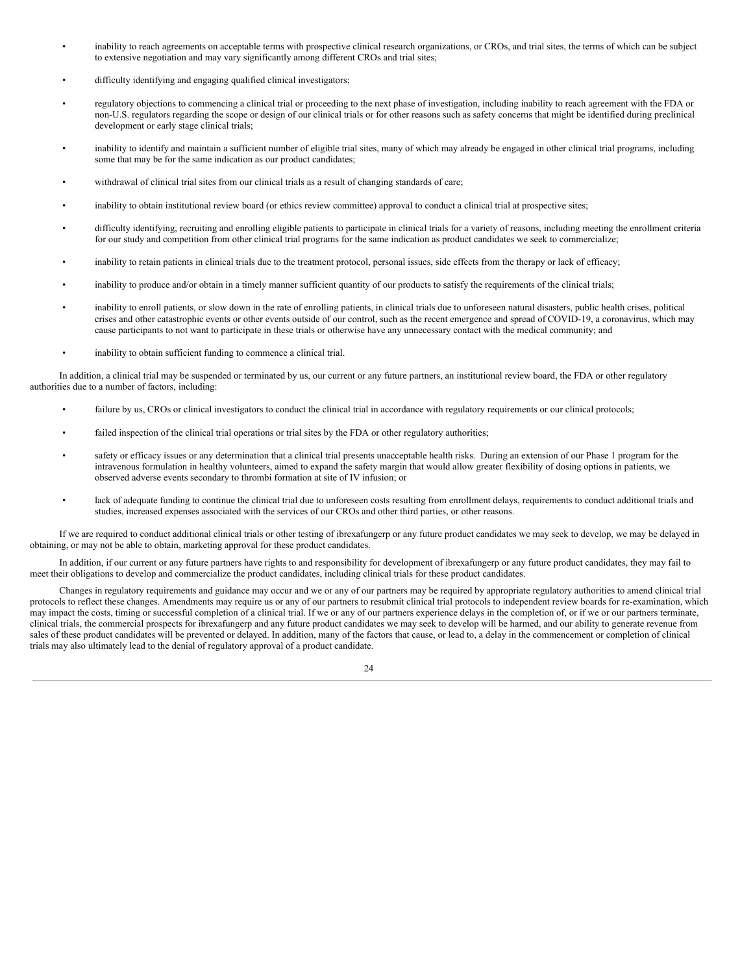- inability to reach agreements on acceptable terms with prospective clinical research organizations, or CROs, and trial sites, the terms of which can be subject to extensive negotiation and may vary significantly among different CROs and trial sites;
- difficulty identifying and engaging qualified clinical investigators;
- regulatory objections to commencing a clinical trial or proceeding to the next phase of investigation, including inability to reach agreement with the FDA or non-U.S. regulators regarding the scope or design of our clinical trials or for other reasons such as safety concerns that might be identified during preclinical development or early stage clinical trials;
- inability to identify and maintain a sufficient number of eligible trial sites, many of which may already be engaged in other clinical trial programs, including some that may be for the same indication as our product candidates;
- withdrawal of clinical trial sites from our clinical trials as a result of changing standards of care;
- inability to obtain institutional review board (or ethics review committee) approval to conduct a clinical trial at prospective sites;
- difficulty identifying, recruiting and enrolling eligible patients to participate in clinical trials for a variety of reasons, including meeting the enrollment criteria for our study and competition from other clinical trial programs for the same indication as product candidates we seek to commercialize;
- inability to retain patients in clinical trials due to the treatment protocol, personal issues, side effects from the therapy or lack of efficacy;
- inability to produce and/or obtain in a timely manner sufficient quantity of our products to satisfy the requirements of the clinical trials;
- inability to enroll patients, or slow down in the rate of enrolling patients, in clinical trials due to unforeseen natural disasters, public health crises, political crises and other catastrophic events or other events outside of our control, such as the recent emergence and spread of COVID-19, a coronavirus, which may cause participants to not want to participate in these trials or otherwise have any unnecessary contact with the medical community; and
- inability to obtain sufficient funding to commence a clinical trial.

In addition, a clinical trial may be suspended or terminated by us, our current or any future partners, an institutional review board, the FDA or other regulatory authorities due to a number of factors, including:

- failure by us, CROs or clinical investigators to conduct the clinical trial in accordance with regulatory requirements or our clinical protocols;
- failed inspection of the clinical trial operations or trial sites by the FDA or other regulatory authorities;
- safety or efficacy issues or any determination that a clinical trial presents unacceptable health risks. During an extension of our Phase 1 program for the intravenous formulation in healthy volunteers, aimed to expand the safety margin that would allow greater flexibility of dosing options in patients, we observed adverse events secondary to thrombi formation at site of IV infusion; or
- lack of adequate funding to continue the clinical trial due to unforeseen costs resulting from enrollment delays, requirements to conduct additional trials and studies, increased expenses associated with the services of our CROs and other third parties, or other reasons.

If we are required to conduct additional clinical trials or other testing of ibrexafungerp or any future product candidates we may seek to develop, we may be delayed in obtaining, or may not be able to obtain, marketing approval for these product candidates.

In addition, if our current or any future partners have rights to and responsibility for development of ibrexafungerp or any future product candidates, they may fail to meet their obligations to develop and commercialize the product candidates, including clinical trials for these product candidates.

Changes in regulatory requirements and guidance may occur and we or any of our partners may be required by appropriate regulatory authorities to amend clinical trial protocols to reflect these changes. Amendments may require us or any of our partners to resubmit clinical trial protocols to independent review boards for re-examination, which may impact the costs, timing or successful completion of a clinical trial. If we or any of our partners experience delays in the completion of, or if we or our partners terminate, clinical trials, the commercial prospects for ibrexafungerp and any future product candidates we may seek to develop will be harmed, and our ability to generate revenue from sales of these product candidates will be prevented or delayed. In addition, many of the factors that cause, or lead to, a delay in the commencement or completion of clinical trials may also ultimately lead to the denial of regulatory approval of a product candidate.

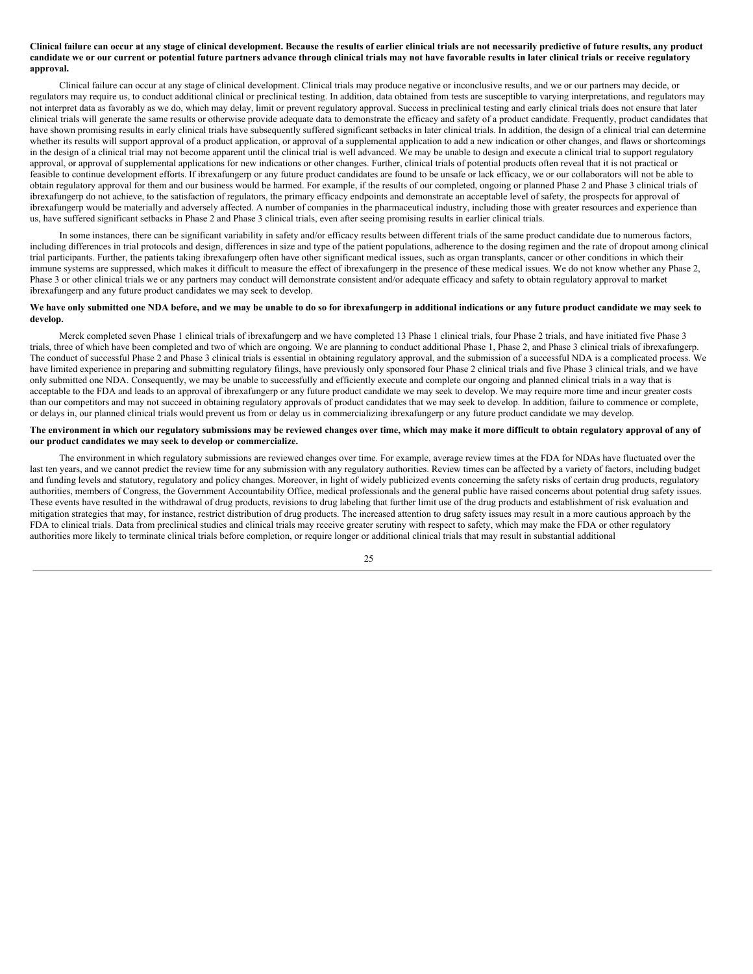## Clinical failure can occur at any stage of clinical development. Because the results of earlier clinical trials are not necessarily predictive of future results, any product candidate we or our current or potential future partners advance through clinical trials may not have favorable results in later clinical trials or receive regulatory **approval.**

Clinical failure can occur at any stage of clinical development. Clinical trials may produce negative or inconclusive results, and we or our partners may decide, or regulators may require us, to conduct additional clinical or preclinical testing. In addition, data obtained from tests are susceptible to varying interpretations, and regulators may not interpret data as favorably as we do, which may delay, limit or prevent regulatory approval. Success in preclinical testing and early clinical trials does not ensure that later clinical trials will generate the same results or otherwise provide adequate data to demonstrate the efficacy and safety of a product candidate. Frequently, product candidates that have shown promising results in early clinical trials have subsequently suffered significant setbacks in later clinical trials. In addition, the design of a clinical trial can determine whether its results will support approval of a product application, or approval of a supplemental application to add a new indication or other changes, and flaws or shortcomings in the design of a clinical trial may not become apparent until the clinical trial is well advanced. We may be unable to design and execute a clinical trial to support regulatory approval, or approval of supplemental applications for new indications or other changes. Further, clinical trials of potential products often reveal that it is not practical or feasible to continue development efforts. If ibrexafungerp or any future product candidates are found to be unsafe or lack efficacy, we or our collaborators will not be able to obtain regulatory approval for them and our business would be harmed. For example, if the results of our completed, ongoing or planned Phase 2 and Phase 3 clinical trials of ibrexafungerp do not achieve, to the satisfaction of regulators, the primary efficacy endpoints and demonstrate an acceptable level of safety, the prospects for approval of ibrexafungerp would be materially and adversely affected. A number of companies in the pharmaceutical industry, including those with greater resources and experience than us, have suffered significant setbacks in Phase 2 and Phase 3 clinical trials, even after seeing promising results in earlier clinical trials.

In some instances, there can be significant variability in safety and/or efficacy results between different trials of the same product candidate due to numerous factors, including differences in trial protocols and design, differences in size and type of the patient populations, adherence to the dosing regimen and the rate of dropout among clinical trial participants. Further, the patients taking ibrexafungerp often have other significant medical issues, such as organ transplants, cancer or other conditions in which their immune systems are suppressed, which makes it difficult to measure the effect of ibrexafungerp in the presence of these medical issues. We do not know whether any Phase 2, Phase 3 or other clinical trials we or any partners may conduct will demonstrate consistent and/or adequate efficacy and safety to obtain regulatory approval to market ibrexafungerp and any future product candidates we may seek to develop.

## We have only submitted one NDA before, and we may be unable to do so for ibrexafungerp in additional indications or any future product candidate we may seek to **develop.**

Merck completed seven Phase 1 clinical trials of ibrexafungerp and we have completed 13 Phase 1 clinical trials, four Phase 2 trials, and have initiated five Phase 3 trials, three of which have been completed and two of which are ongoing. We are planning to conduct additional Phase 1, Phase 2, and Phase 3 clinical trials of ibrexafungerp. The conduct of successful Phase 2 and Phase 3 clinical trials is essential in obtaining regulatory approval, and the submission of a successful NDA is a complicated process. We have limited experience in preparing and submitting regulatory filings, have previously only sponsored four Phase 2 clinical trials and five Phase 3 clinical trials, and we have only submitted one NDA. Consequently, we may be unable to successfully and efficiently execute and complete our ongoing and planned clinical trials in a way that is acceptable to the FDA and leads to an approval of ibrexafungerp or any future product candidate we may seek to develop. We may require more time and incur greater costs than our competitors and may not succeed in obtaining regulatory approvals of product candidates that we may seek to develop. In addition, failure to commence or complete, or delays in, our planned clinical trials would prevent us from or delay us in commercializing ibrexafungerp or any future product candidate we may develop.

## The environment in which our regulatory submissions may be reviewed changes over time, which may make it more difficult to obtain regulatory approval of any of **our product candidates we may seek to develop or commercialize.**

The environment in which regulatory submissions are reviewed changes over time. For example, average review times at the FDA for NDAs have fluctuated over the last ten years, and we cannot predict the review time for any submission with any regulatory authorities. Review times can be affected by a variety of factors, including budget and funding levels and statutory, regulatory and policy changes. Moreover, in light of widely publicized events concerning the safety risks of certain drug products, regulatory authorities, members of Congress, the Government Accountability Office, medical professionals and the general public have raised concerns about potential drug safety issues. These events have resulted in the withdrawal of drug products, revisions to drug labeling that further limit use of the drug products and establishment of risk evaluation and mitigation strategies that may, for instance, restrict distribution of drug products. The increased attention to drug safety issues may result in a more cautious approach by the FDA to clinical trials. Data from preclinical studies and clinical trials may receive greater scrutiny with respect to safety, which may make the FDA or other regulatory authorities more likely to terminate clinical trials before completion, or require longer or additional clinical trials that may result in substantial additional

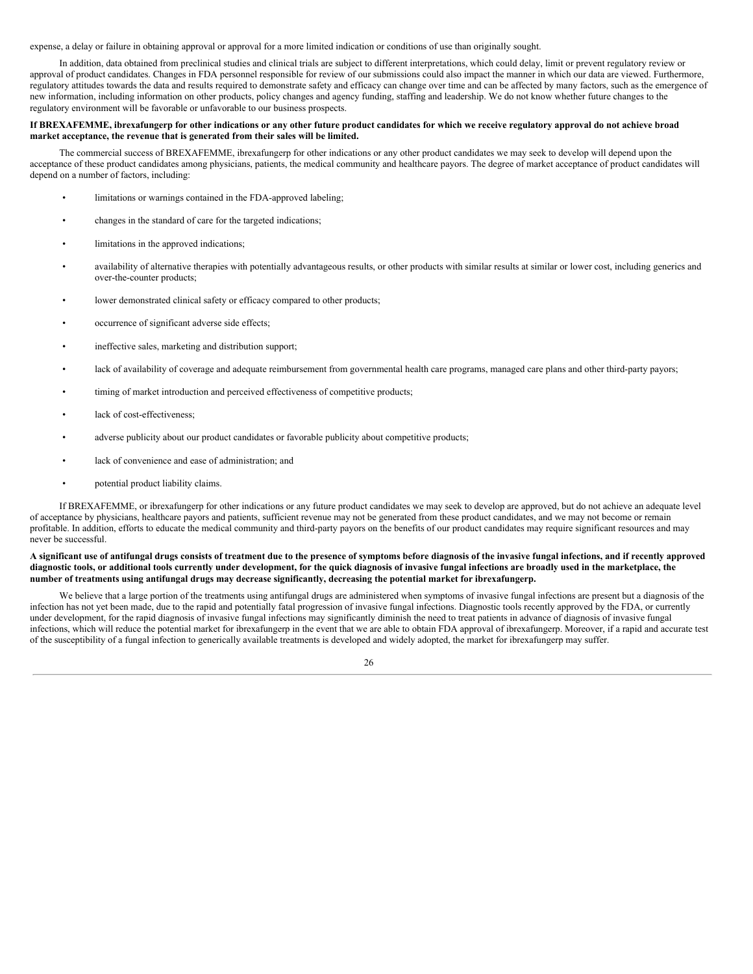expense, a delay or failure in obtaining approval or approval for a more limited indication or conditions of use than originally sought.

In addition, data obtained from preclinical studies and clinical trials are subject to different interpretations, which could delay, limit or prevent regulatory review or approval of product candidates. Changes in FDA personnel responsible for review of our submissions could also impact the manner in which our data are viewed. Furthermore, regulatory attitudes towards the data and results required to demonstrate safety and efficacy can change over time and can be affected by many factors, such as the emergence of new information, including information on other products, policy changes and agency funding, staffing and leadership. We do not know whether future changes to the regulatory environment will be favorable or unfavorable to our business prospects.

## If BREXAFEMME, ibrexafungerp for other indications or any other future product candidates for which we receive regulatory approval do not achieve broad **market acceptance, the revenue that is generated from their sales will be limited.**

The commercial success of BREXAFEMME, ibrexafungerp for other indications or any other product candidates we may seek to develop will depend upon the acceptance of these product candidates among physicians, patients, the medical community and healthcare payors. The degree of market acceptance of product candidates will depend on a number of factors, including:

- limitations or warnings contained in the FDA-approved labeling;
- changes in the standard of care for the targeted indications;
- limitations in the approved indications;
- availability of alternative therapies with potentially advantageous results, or other products with similar results at similar or lower cost, including generics and over-the-counter products;
- lower demonstrated clinical safety or efficacy compared to other products;
- occurrence of significant adverse side effects;
- ineffective sales, marketing and distribution support;
- lack of availability of coverage and adequate reimbursement from governmental health care programs, managed care plans and other third-party payors;
- timing of market introduction and perceived effectiveness of competitive products;
- lack of cost-effectiveness;
- adverse publicity about our product candidates or favorable publicity about competitive products;
- lack of convenience and ease of administration; and
- potential product liability claims.

If BREXAFEMME, or ibrexafungerp for other indications or any future product candidates we may seek to develop are approved, but do not achieve an adequate level of acceptance by physicians, healthcare payors and patients, sufficient revenue may not be generated from these product candidates, and we may not become or remain profitable. In addition, efforts to educate the medical community and third-party payors on the benefits of our product candidates may require significant resources and may never be successful.

## A significant use of antifungal drugs consists of treatment due to the presence of symptoms before diagnosis of the invasive fungal infections, and if recently approved diagnostic tools, or additional tools currently under development, for the quick diagnosis of invasive fungal infections are broadly used in the marketplace, the number of treatments using antifungal drugs may decrease significantly, decreasing the potential market for ibrexafungerp.

We believe that a large portion of the treatments using antifungal drugs are administered when symptoms of invasive fungal infections are present but a diagnosis of the infection has not yet been made, due to the rapid and potentially fatal progression of invasive fungal infections. Diagnostic tools recently approved by the FDA, or currently under development, for the rapid diagnosis of invasive fungal infections may significantly diminish the need to treat patients in advance of diagnosis of invasive fungal infections, which will reduce the potential market for ibrexafungerp in the event that we are able to obtain FDA approval of ibrexafungerp. Moreover, if a rapid and accurate test of the susceptibility of a fungal infection to generically available treatments is developed and widely adopted, the market for ibrexafungerp may suffer.

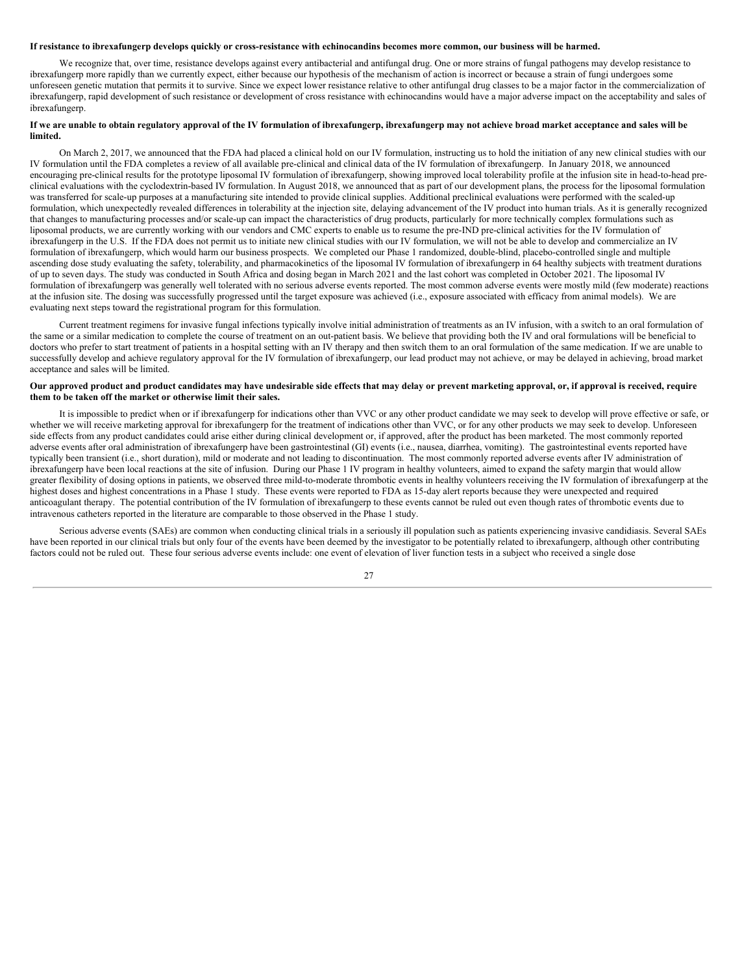## If resistance to ibrexafungerp develops quickly or cross-resistance with echinocandins becomes more common, our business will be harmed.

We recognize that, over time, resistance develops against every antibacterial and antifungal drug. One or more strains of fungal pathogens may develop resistance to ibrexafungerp more rapidly than we currently expect, either because our hypothesis of the mechanism of action is incorrect or because a strain of fungi undergoes some unforeseen genetic mutation that permits it to survive. Since we expect lower resistance relative to other antifungal drug classes to be a major factor in the commercialization of ibrexafungerp, rapid development of such resistance or development of cross resistance with echinocandins would have a major adverse impact on the acceptability and sales of ibrexafungerp.

## If we are unable to obtain regulatory approval of the IV formulation of ibrexafungerp, ibrexafungerp may not achieve broad market acceptance and sales will be **limited.**

On March 2, 2017, we announced that the FDA had placed a clinical hold on our IV formulation, instructing us to hold the initiation of any new clinical studies with our IV formulation until the FDA completes a review of all available pre-clinical and clinical data of the IV formulation of ibrexafungerp. In January 2018, we announced encouraging pre-clinical results for the prototype liposomal IV formulation of ibrexafungerp, showing improved local tolerability profile at the infusion site in head-to-head preclinical evaluations with the cyclodextrin-based IV formulation. In August 2018, we announced that as part of our development plans, the process for the liposomal formulation was transferred for scale-up purposes at a manufacturing site intended to provide clinical supplies. Additional preclinical evaluations were performed with the scaled-up formulation, which unexpectedly revealed differences in tolerability at the injection site, delaying advancement of the IV product into human trials. As it is generally recognized that changes to manufacturing processes and/or scale-up can impact the characteristics of drug products, particularly for more technically complex formulations such as liposomal products, we are currently working with our vendors and CMC experts to enable us to resume the pre-IND pre-clinical activities for the IV formulation of ibrexafungerp in the U.S. If the FDA does not permit us to initiate new clinical studies with our IV formulation, we will not be able to develop and commercialize an IV formulation of ibrexafungerp, which would harm our business prospects. We completed our Phase 1 randomized, double-blind, placebo-controlled single and multiple ascending dose study evaluating the safety, tolerability, and pharmacokinetics of the liposomal IV formulation of ibrexafungerp in 64 healthy subjects with treatment durations of up to seven days. The study was conducted in South Africa and dosing began in March 2021 and the last cohort was completed in October 2021. The liposomal IV formulation of ibrexafungerp was generally well tolerated with no serious adverse events reported. The most common adverse events were mostly mild (few moderate) reactions at the infusion site. The dosing was successfully progressed until the target exposure was achieved (i.e., exposure associated with efficacy from animal models). We are evaluating next steps toward the registrational program for this formulation.

Current treatment regimens for invasive fungal infections typically involve initial administration of treatments as an IV infusion, with a switch to an oral formulation of the same or a similar medication to complete the course of treatment on an out-patient basis. We believe that providing both the IV and oral formulations will be beneficial to doctors who prefer to start treatment of patients in a hospital setting with an IV therapy and then switch them to an oral formulation of the same medication. If we are unable to successfully develop and achieve regulatory approval for the IV formulation of ibrexafungerp, our lead product may not achieve, or may be delayed in achieving, broad market acceptance and sales will be limited.

## Our approved product and product candidates may have undesirable side effects that may delay or prevent marketing approval, or, if approval is received, require **them to be taken off the market or otherwise limit their sales.**

It is impossible to predict when or if ibrexafungerp for indications other than VVC or any other product candidate we may seek to develop will prove effective or safe, or whether we will receive marketing approval for ibrexafungerp for the treatment of indications other than VVC, or for any other products we may seek to develop. Unforeseen side effects from any product candidates could arise either during clinical development or, if approved, after the product has been marketed. The most commonly reported adverse events after oral administration of ibrexafungerp have been gastrointestinal (GI) events (i.e., nausea, diarrhea, vomiting). The gastrointestinal events reported have typically been transient (i.e., short duration), mild or moderate and not leading to discontinuation. The most commonly reported adverse events after IV administration of ibrexafungerp have been local reactions at the site of infusion. During our Phase 1 IV program in healthy volunteers, aimed to expand the safety margin that would allow greater flexibility of dosing options in patients, we observed three mild-to-moderate thrombotic events in healthy volunteers receiving the IV formulation of ibrexafungerp at the highest doses and highest concentrations in a Phase 1 study. These events were reported to FDA as 15-day alert reports because they were unexpected and required anticoagulant therapy. The potential contribution of the IV formulation of ibrexafungerp to these events cannot be ruled out even though rates of thrombotic events due to intravenous catheters reported in the literature are comparable to those observed in the Phase 1 study.

Serious adverse events (SAEs) are common when conducting clinical trials in a seriously ill population such as patients experiencing invasive candidiasis. Several SAEs have been reported in our clinical trials but only four of the events have been deemed by the investigator to be potentially related to ibrexafungerp, although other contributing factors could not be ruled out. These four serious adverse events include: one event of elevation of liver function tests in a subject who received a single dose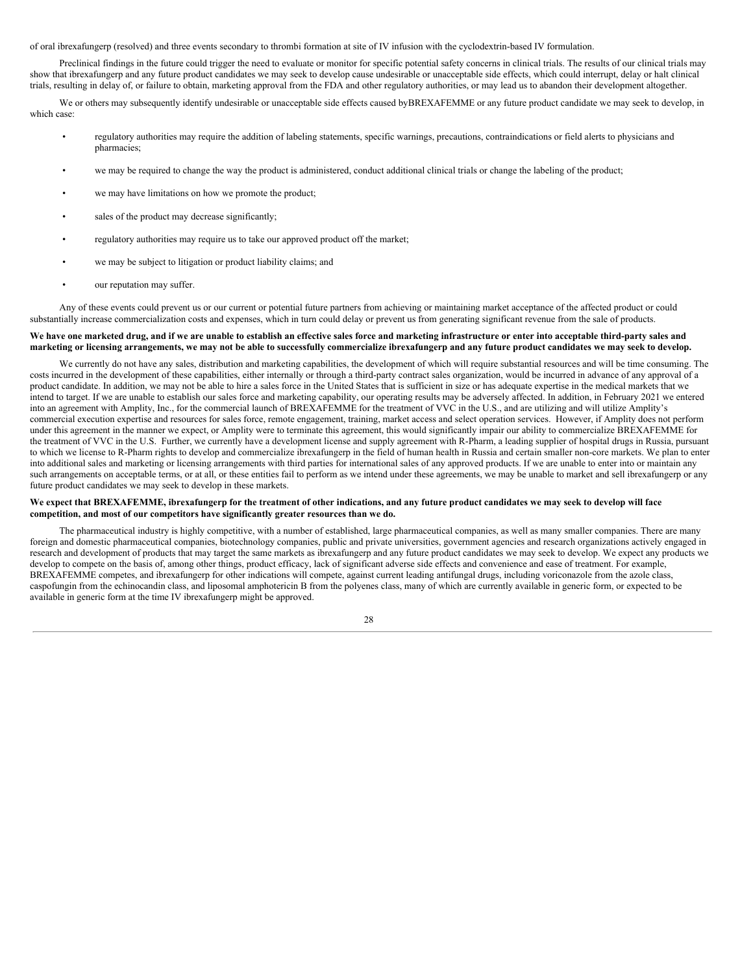of oral ibrexafungerp (resolved) and three events secondary to thrombi formation at site of IV infusion with the cyclodextrin-based IV formulation.

Preclinical findings in the future could trigger the need to evaluate or monitor for specific potential safety concerns in clinical trials. The results of our clinical trials may show that ibrexafungerp and any future product candidates we may seek to develop cause undesirable or unacceptable side effects, which could interrupt, delay or halt clinical trials, resulting in delay of, or failure to obtain, marketing approval from the FDA and other regulatory authorities, or may lead us to abandon their development altogether.

We or others may subsequently identify undesirable or unacceptable side effects caused byBREXAFEMME or any future product candidate we may seek to develop, in which case:

- regulatory authorities may require the addition of labeling statements, specific warnings, precautions, contraindications or field alerts to physicians and pharmacies;
- we may be required to change the way the product is administered, conduct additional clinical trials or change the labeling of the product;
- we may have limitations on how we promote the product;
- sales of the product may decrease significantly;
- regulatory authorities may require us to take our approved product off the market;
- we may be subject to litigation or product liability claims; and
- our reputation may suffer.

Any of these events could prevent us or our current or potential future partners from achieving or maintaining market acceptance of the affected product or could substantially increase commercialization costs and expenses, which in turn could delay or prevent us from generating significant revenue from the sale of products.

## We have one marketed drug, and if we are unable to establish an effective sales force and marketing infrastructure or enter into acceptable third-party sales and marketing or licensing arrangements, we may not be able to successfully commercialize ibrexafungerp and any future product candidates we may seek to develop.

We currently do not have any sales, distribution and marketing capabilities, the development of which will require substantial resources and will be time consuming. The costs incurred in the development of these capabilities, either internally or through a third-party contract sales organization, would be incurred in advance of any approval of a product candidate. In addition, we may not be able to hire a sales force in the United States that is sufficient in size or has adequate expertise in the medical markets that we intend to target. If we are unable to establish our sales force and marketing capability, our operating results may be adversely affected. In addition, in February 2021 we entered into an agreement with Amplity, Inc., for the commercial launch of BREXAFEMME for the treatment of VVC in the U.S., and are utilizing and will utilize Amplity's commercial execution expertise and resources for sales force, remote engagement, training, market access and select operation services. However, if Amplity does not perform under this agreement in the manner we expect, or Amplity were to terminate this agreement, this would significantly impair our ability to commercialize BREXAFEMME for the treatment of VVC in the U.S. Further, we currently have a development license and supply agreement with R-Pharm, a leading supplier of hospital drugs in Russia, pursuant to which we license to R-Pharm rights to develop and commercialize ibrexafungerp in the field of human health in Russia and certain smaller non-core markets. We plan to enter into additional sales and marketing or licensing arrangements with third parties for international sales of any approved products. If we are unable to enter into or maintain any such arrangements on acceptable terms, or at all, or these entities fail to perform as we intend under these agreements, we may be unable to market and sell ibrexafungerp or any future product candidates we may seek to develop in these markets.

## We expect that BREXAFEMME, ibrexafungerp for the treatment of other indications, and any future product candidates we may seek to develop will face **competition, and most of our competitors have significantly greater resources than we do.**

The pharmaceutical industry is highly competitive, with a number of established, large pharmaceutical companies, as well as many smaller companies. There are many foreign and domestic pharmaceutical companies, biotechnology companies, public and private universities, government agencies and research organizations actively engaged in research and development of products that may target the same markets as ibrexafungerp and any future product candidates we may seek to develop. We expect any products we develop to compete on the basis of, among other things, product efficacy, lack of significant adverse side effects and convenience and ease of treatment. For example, BREXAFEMME competes, and ibrexafungerp for other indications will compete, against current leading antifungal drugs, including voriconazole from the azole class, caspofungin from the echinocandin class, and liposomal amphotericin B from the polyenes class, many of which are currently available in generic form, or expected to be available in generic form at the time IV ibrexafungerp might be approved.

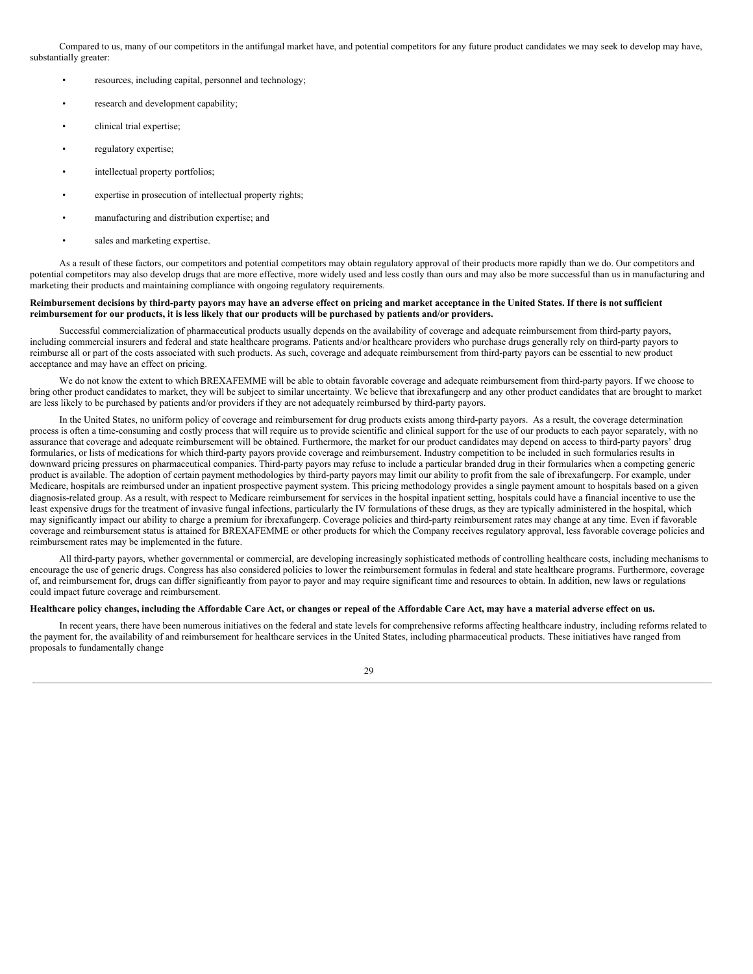Compared to us, many of our competitors in the antifungal market have, and potential competitors for any future product candidates we may seek to develop may have, substantially greater:

- resources, including capital, personnel and technology;
- research and development capability;
- clinical trial expertise;
- regulatory expertise;
- intellectual property portfolios;
- expertise in prosecution of intellectual property rights;
- manufacturing and distribution expertise; and
- sales and marketing expertise.

As a result of these factors, our competitors and potential competitors may obtain regulatory approval of their products more rapidly than we do. Our competitors and potential competitors may also develop drugs that are more effective, more widely used and less costly than ours and may also be more successful than us in manufacturing and marketing their products and maintaining compliance with ongoing regulatory requirements.

## Reimbursement decisions by third-party payors may have an adverse effect on pricing and market acceptance in the United States. If there is not sufficient reimbursement for our products, it is less likely that our products will be purchased by patients and/or providers.

Successful commercialization of pharmaceutical products usually depends on the availability of coverage and adequate reimbursement from third-party payors, including commercial insurers and federal and state healthcare programs. Patients and/or healthcare providers who purchase drugs generally rely on third-party payors to reimburse all or part of the costs associated with such products. As such, coverage and adequate reimbursement from third-party payors can be essential to new product acceptance and may have an effect on pricing.

We do not know the extent to which BREXAFEMME will be able to obtain favorable coverage and adequate reimbursement from third-party payors. If we choose to bring other product candidates to market, they will be subject to similar uncertainty. We believe that ibrexafungerp and any other product candidates that are brought to market are less likely to be purchased by patients and/or providers if they are not adequately reimbursed by third-party payors.

In the United States, no uniform policy of coverage and reimbursement for drug products exists among third-party payors. As a result, the coverage determination process is often a time-consuming and costly process that will require us to provide scientific and clinical support for the use of our products to each payor separately, with no assurance that coverage and adequate reimbursement will be obtained. Furthermore, the market for our product candidates may depend on access to third-party payors' drug formularies, or lists of medications for which third-party payors provide coverage and reimbursement. Industry competition to be included in such formularies results in downward pricing pressures on pharmaceutical companies. Third-party payors may refuse to include a particular branded drug in their formularies when a competing generic product is available. The adoption of certain payment methodologies by third-party payors may limit our ability to profit from the sale of ibrexafungerp. For example, under Medicare, hospitals are reimbursed under an inpatient prospective payment system. This pricing methodology provides a single payment amount to hospitals based on a given diagnosis-related group. As a result, with respect to Medicare reimbursement for services in the hospital inpatient setting, hospitals could have a financial incentive to use the least expensive drugs for the treatment of invasive fungal infections, particularly the IV formulations of these drugs, as they are typically administered in the hospital, which may significantly impact our ability to charge a premium for ibrexafungerp. Coverage policies and third-party reimbursement rates may change at any time. Even if favorable coverage and reimbursement status is attained for BREXAFEMME or other products for which the Company receives regulatory approval, less favorable coverage policies and reimbursement rates may be implemented in the future.

All third-party payors, whether governmental or commercial, are developing increasingly sophisticated methods of controlling healthcare costs, including mechanisms to encourage the use of generic drugs. Congress has also considered policies to lower the reimbursement formulas in federal and state healthcare programs. Furthermore, coverage of, and reimbursement for, drugs can differ significantly from payor to payor and may require significant time and resources to obtain. In addition, new laws or regulations could impact future coverage and reimbursement.

## Healthcare policy changes, including the Affordable Care Act, or changes or repeal of the Affordable Care Act, may have a material adverse effect on us.

In recent years, there have been numerous initiatives on the federal and state levels for comprehensive reforms affecting healthcare industry, including reforms related to the payment for, the availability of and reimbursement for healthcare services in the United States, including pharmaceutical products. These initiatives have ranged from proposals to fundamentally change

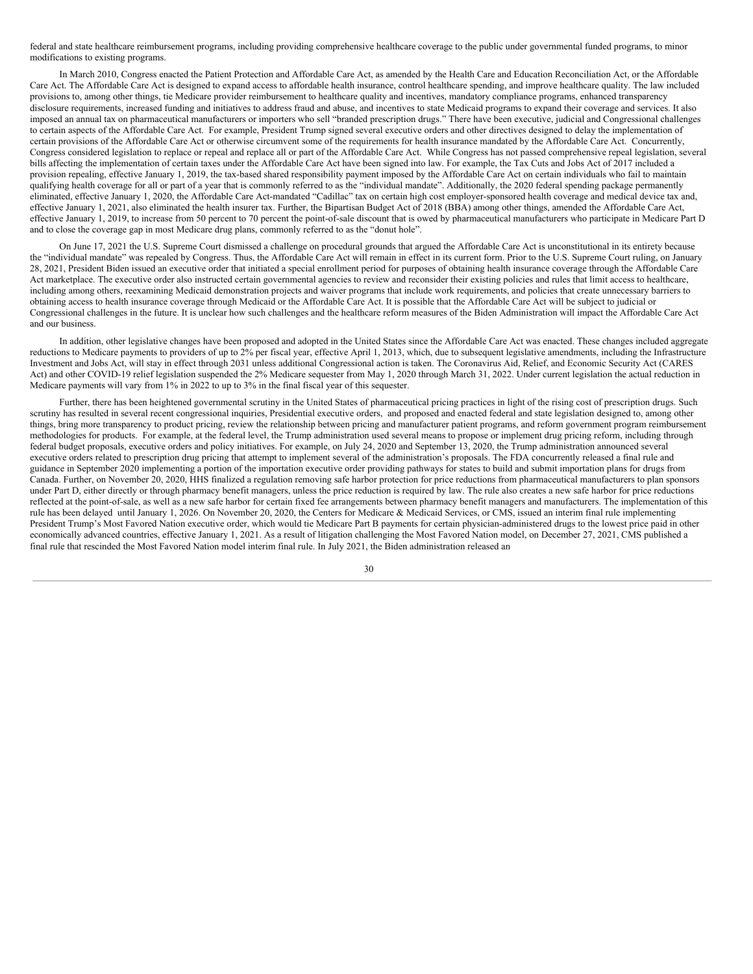federal and state healthcare reimbursement programs, including providing comprehensive healthcare coverage to the public under governmental funded programs, to minor modifications to existing programs.

In March 2010, Congress enacted the Patient Protection and Affordable Care Act, as amended by the Health Care and Education Reconciliation Act, or the Affordable Care Act. The Affordable Care Act is designed to expand access to affordable health insurance, control healthcare spending, and improve healthcare quality. The law included provisions to, among other things, tie Medicare provider reimbursement to healthcare quality and incentives, mandatory compliance programs, enhanced transparency disclosure requirements, increased funding and initiatives to address fraud and abuse, and incentives to state Medicaid programs to expand their coverage and services. It also imposed an annual tax on pharmaceutical manufacturers or importers who sell "branded prescription drugs." There have been executive, judicial and Congressional challenges to certain aspects of the Affordable Care Act. For example, President Trump signed several executive orders and other directives designed to delay the implementation of certain provisions of the Affordable Care Act or otherwise circumvent some of the requirements for health insurance mandated by the Affordable Care Act. Concurrently, Congress considered legislation to replace or repeal and replace all or part of the Affordable Care Act. While Congress has not passed comprehensive repeal legislation, several bills affecting the implementation of certain taxes under the Affordable Care Act have been signed into law. For example, the Tax Cuts and Jobs Act of 2017 included a provision repealing, effective January 1, 2019, the tax-based shared responsibility payment imposed by the Affordable Care Act on certain individuals who fail to maintain qualifying health coverage for all or part of a year that is commonly referred to as the "individual mandate". Additionally, the 2020 federal spending package permanently eliminated, effective January 1, 2020, the Affordable Care Act-mandated "Cadillac" tax on certain high cost employer-sponsored health coverage and medical device tax and, effective January 1, 2021, also eliminated the health insurer tax. Further, the Bipartisan Budget Act of 2018 (BBA) among other things, amended the Affordable Care Act, effective January 1, 2019, to increase from 50 percent to 70 percent the point-of-sale discount that is owed by pharmaceutical manufacturers who participate in Medicare Part D and to close the coverage gap in most Medicare drug plans, commonly referred to as the "donut hole".

On June 17, 2021 the U.S. Supreme Court dismissed a challenge on procedural grounds that argued the Affordable Care Act is unconstitutional in its entirety because the "individual mandate" was repealed by Congress. Thus, the Affordable Care Act will remain in effect in its current form. Prior to the U.S. Supreme Court ruling, on January 28, 2021, President Biden issued an executive order that initiated a special enrollment period for purposes of obtaining health insurance coverage through the Affordable Care Act marketplace. The executive order also instructed certain governmental agencies to review and reconsider their existing policies and rules that limit access to healthcare, including among others, reexamining Medicaid demonstration projects and waiver programs that include work requirements, and policies that create unnecessary barriers to obtaining access to health insurance coverage through Medicaid or the Affordable Care Act. It is possible that the Affordable Care Act will be subject to judicial or Congressional challenges in the future. It is unclear how such challenges and the healthcare reform measures of the Biden Administration will impact the Affordable Care Act and our business.

In addition, other legislative changes have been proposed and adopted in the United States since the Affordable Care Act was enacted. These changes included aggregate reductions to Medicare payments to providers of up to 2% per fiscal year, effective April 1, 2013, which, due to subsequent legislative amendments, including the Infrastructure Investment and Jobs Act, will stay in effect through 2031 unless additional Congressional action is taken. The Coronavirus Aid, Relief, and Economic Security Act (CARES Act) and other COVID-19 relief legislation suspended the 2% Medicare sequester from May 1, 2020 through March 31, 2022. Under current legislation the actual reduction in Medicare payments will vary from 1% in 2022 to up to 3% in the final fiscal year of this sequester.

Further, there has been heightened governmental scrutiny in the United States of pharmaceutical pricing practices in light of the rising cost of prescription drugs. Such scrutiny has resulted in several recent congressional inquiries, Presidential executive orders, and proposed and enacted federal and state legislation designed to, among other things, bring more transparency to product pricing, review the relationship between pricing and manufacturer patient programs, and reform government program reimbursement methodologies for products. For example, at the federal level, the Trump administration used several means to propose or implement drug pricing reform, including through federal budget proposals, executive orders and policy initiatives. For example, on July 24, 2020 and September 13, 2020, the Trump administration announced several executive orders related to prescription drug pricing that attempt to implement several of the administration's proposals. The FDA concurrently released a final rule and guidance in September 2020 implementing a portion of the importation executive order providing pathways for states to build and submit importation plans for drugs from Canada. Further, on November 20, 2020, HHS finalized a regulation removing safe harbor protection for price reductions from pharmaceutical manufacturers to plan sponsors under Part D, either directly or through pharmacy benefit managers, unless the price reduction is required by law. The rule also creates a new safe harbor for price reductions reflected at the point-of-sale, as well as a new safe harbor for certain fixed fee arrangements between pharmacy benefit managers and manufacturers. The implementation of this rule has been delayed until January 1, 2026. On November 20, 2020, the Centers for Medicare & Medicaid Services, or CMS, issued an interim final rule implementing President Trump's Most Favored Nation executive order, which would tie Medicare Part B payments for certain physician-administered drugs to the lowest price paid in other economically advanced countries, effective January 1, 2021. As a result of litigation challenging the Most Favored Nation model, on December 27, 2021, CMS published a final rule that rescinded the Most Favored Nation model interim final rule. In July 2021, the Biden administration released an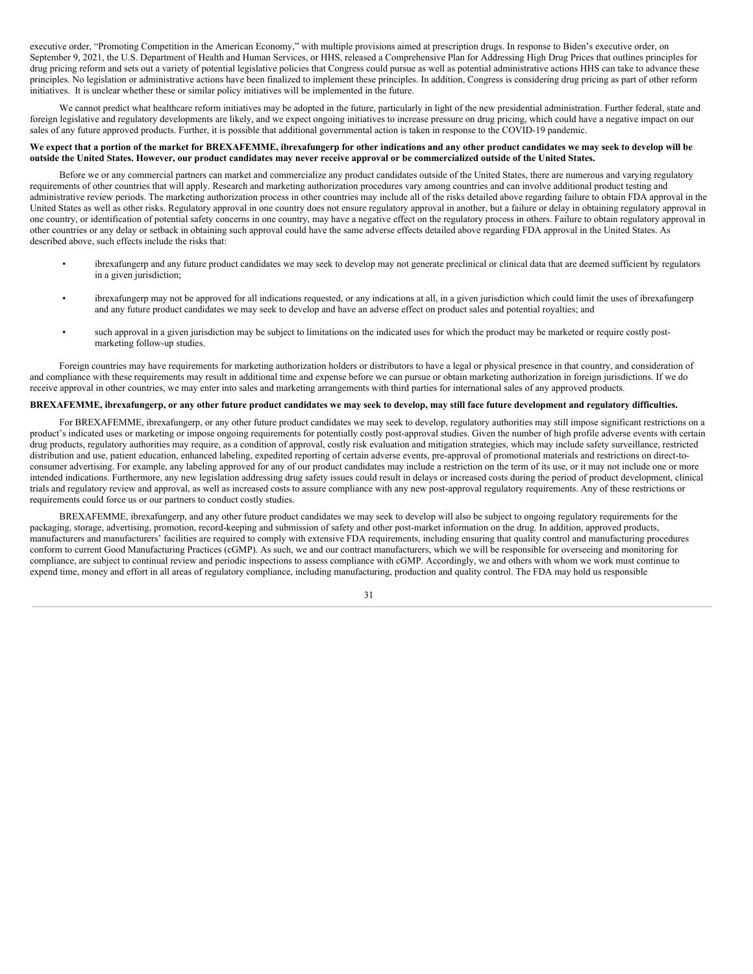executive order, "Promoting Competition in the American Economy," with multiple provisions aimed at prescription drugs. In response to Biden's executive order, on September 9, 2021, the U.S. Department of Health and Human Services, or HHS, released a Comprehensive Plan for Addressing High Drug Prices that outlines principles for drug pricing reform and sets out a variety of potential legislative policies that Congress could pursue as well as potential administrative actions HHS can take to advance these principles. No legislation or administrative actions have been finalized to implement these principles. In addition, Congress is considering drug pricing as part of other reform initiatives. It is unclear whether these or similar policy initiatives will be implemented in the future.

We cannot predict what healthcare reform initiatives may be adopted in the future, particularly in light of the new presidential administration. Further federal, state and foreign legislative and regulatory developments are likely, and we expect ongoing initiatives to increase pressure on drug pricing, which could have a negative impact on our sales of any future approved products. Further, it is possible that additional governmental action is taken in response to the COVID-19 pandemic.

## We expect that a portion of the market for BREXAFEMME, ibrexafungerp for other indications and any other product candidates we may seek to develop will be outside the United States. However, our product candidates may never receive approval or be commercialized outside of the United States.

Before we or any commercial partners can market and commercialize any product candidates outside of the United States, there are numerous and varying regulatory requirements of other countries that will apply. Research and marketing authorization procedures vary among countries and can involve additional product testing and administrative review periods. The marketing authorization process in other countries may include all of the risks detailed above regarding failure to obtain FDA approval in the United States as well as other risks. Regulatory approval in one country does not ensure regulatory approval in another, but a failure or delay in obtaining regulatory approval in one country, or identification of potential safety concerns in one country, may have a negative effect on the regulatory process in others. Failure to obtain regulatory approval in other countries or any delay or setback in obtaining such approval could have the same adverse effects detailed above regarding FDA approval in the United States. As described above, such effects include the risks that:

- ibrexafungerp and any future product candidates we may seek to develop may not generate preclinical or clinical data that are deemed sufficient by regulators in a given jurisdiction;
- ibrexafungerp may not be approved for all indications requested, or any indications at all, in a given jurisdiction which could limit the uses of ibrexafungerp and any future product candidates we may seek to develop and have an adverse effect on product sales and potential royalties; and
- such approval in a given jurisdiction may be subject to limitations on the indicated uses for which the product may be marketed or require costly postmarketing follow-up studies.

Foreign countries may have requirements for marketing authorization holders or distributors to have a legal or physical presence in that country, and consideration of and compliance with these requirements may result in additional time and expense before we can pursue or obtain marketing authorization in foreign jurisdictions. If we do receive approval in other countries, we may enter into sales and marketing arrangements with third parties for international sales of any approved products.

## BREXAFEMME, ibrexafungerp, or any other future product candidates we may seek to develop, may still face future development and regulatory difficulties.

For BREXAFEMME, ibrexafungerp, or any other future product candidates we may seek to develop, regulatory authorities may still impose significant restrictions on a product's indicated uses or marketing or impose ongoing requirements for potentially costly post-approval studies. Given the number of high profile adverse events with certain drug products, regulatory authorities may require, as a condition of approval, costly risk evaluation and mitigation strategies, which may include safety surveillance, restricted distribution and use, patient education, enhanced labeling, expedited reporting of certain adverse events, pre-approval of promotional materials and restrictions on direct-toconsumer advertising. For example, any labeling approved for any of our product candidates may include a restriction on the term of its use, or it may not include one or more intended indications. Furthermore, any new legislation addressing drug safety issues could result in delays or increased costs during the period of product development, clinical trials and regulatory review and approval, as well as increased costs to assure compliance with any new post-approval regulatory requirements. Any of these restrictions or requirements could force us or our partners to conduct costly studies.

BREXAFEMME, ibrexafungerp, and any other future product candidates we may seek to develop will also be subject to ongoing regulatory requirements for the packaging, storage, advertising, promotion, record-keeping and submission of safety and other post-market information on the drug. In addition, approved products, manufacturers and manufacturers' facilities are required to comply with extensive FDA requirements, including ensuring that quality control and manufacturing procedures conform to current Good Manufacturing Practices (cGMP). As such, we and our contract manufacturers, which we will be responsible for overseeing and monitoring for compliance, are subject to continual review and periodic inspections to assess compliance with cGMP. Accordingly, we and others with whom we work must continue to expend time, money and effort in all areas of regulatory compliance, including manufacturing, production and quality control. The FDA may hold us responsible

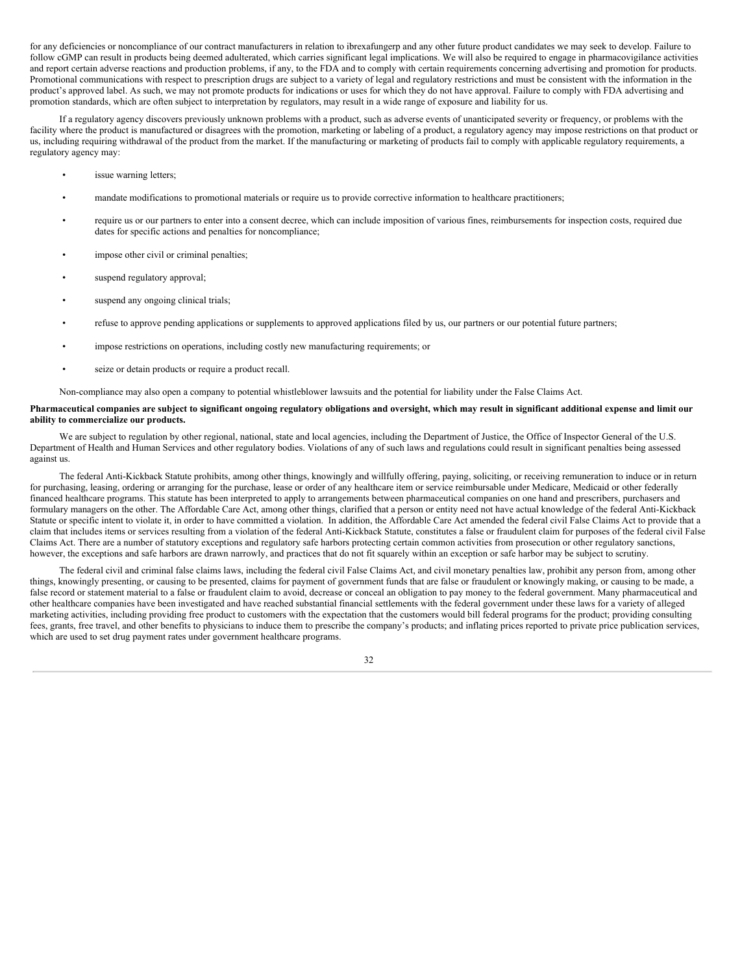for any deficiencies or noncompliance of our contract manufacturers in relation to ibrexafungerp and any other future product candidates we may seek to develop. Failure to follow cGMP can result in products being deemed adulterated, which carries significant legal implications. We will also be required to engage in pharmacovigilance activities and report certain adverse reactions and production problems, if any, to the FDA and to comply with certain requirements concerning advertising and promotion for products. Promotional communications with respect to prescription drugs are subject to a variety of legal and regulatory restrictions and must be consistent with the information in the product's approved label. As such, we may not promote products for indications or uses for which they do not have approval. Failure to comply with FDA advertising and promotion standards, which are often subject to interpretation by regulators, may result in a wide range of exposure and liability for us.

If a regulatory agency discovers previously unknown problems with a product, such as adverse events of unanticipated severity or frequency, or problems with the facility where the product is manufactured or disagrees with the promotion, marketing or labeling of a product, a regulatory agency may impose restrictions on that product or us, including requiring withdrawal of the product from the market. If the manufacturing or marketing of products fail to comply with applicable regulatory requirements, a regulatory agency may:

- issue warning letters;
- mandate modifications to promotional materials or require us to provide corrective information to healthcare practitioners;
- require us or our partners to enter into a consent decree, which can include imposition of various fines, reimbursements for inspection costs, required due dates for specific actions and penalties for noncompliance;
- impose other civil or criminal penalties;
- suspend regulatory approval;
- suspend any ongoing clinical trials;
- refuse to approve pending applications or supplements to approved applications filed by us, our partners or our potential future partners;
- impose restrictions on operations, including costly new manufacturing requirements; or
- seize or detain products or require a product recall.

Non-compliance may also open a company to potential whistleblower lawsuits and the potential for liability under the False Claims Act.

## Pharmaceutical companies are subject to significant ongoing regulatory obligations and oversight, which may result in significant additional expense and limit our **ability to commercialize our products.**

We are subject to regulation by other regional, national, state and local agencies, including the Department of Justice, the Office of Inspector General of the U.S. Department of Health and Human Services and other regulatory bodies. Violations of any of such laws and regulations could result in significant penalties being assessed against us.

The federal Anti-Kickback Statute prohibits, among other things, knowingly and willfully offering, paying, soliciting, or receiving remuneration to induce or in return for purchasing, leasing, ordering or arranging for the purchase, lease or order of any healthcare item or service reimbursable under Medicare, Medicaid or other federally financed healthcare programs. This statute has been interpreted to apply to arrangements between pharmaceutical companies on one hand and prescribers, purchasers and formulary managers on the other. The Affordable Care Act, among other things, clarified that a person or entity need not have actual knowledge of the federal Anti-Kickback Statute or specific intent to violate it, in order to have committed a violation. In addition, the Affordable Care Act amended the federal civil False Claims Act to provide that a claim that includes items or services resulting from a violation of the federal Anti-Kickback Statute, constitutes a false or fraudulent claim for purposes of the federal civil False Claims Act. There are a number of statutory exceptions and regulatory safe harbors protecting certain common activities from prosecution or other regulatory sanctions, however, the exceptions and safe harbors are drawn narrowly, and practices that do not fit squarely within an exception or safe harbor may be subject to scrutiny.

The federal civil and criminal false claims laws, including the federal civil False Claims Act, and civil monetary penalties law, prohibit any person from, among other things, knowingly presenting, or causing to be presented, claims for payment of government funds that are false or fraudulent or knowingly making, or causing to be made, a false record or statement material to a false or fraudulent claim to avoid, decrease or conceal an obligation to pay money to the federal government. Many pharmaceutical and other healthcare companies have been investigated and have reached substantial financial settlements with the federal government under these laws for a variety of alleged marketing activities, including providing free product to customers with the expectation that the customers would bill federal programs for the product; providing consulting fees, grants, free travel, and other benefits to physicians to induce them to prescribe the company's products; and inflating prices reported to private price publication services, which are used to set drug payment rates under government healthcare programs.

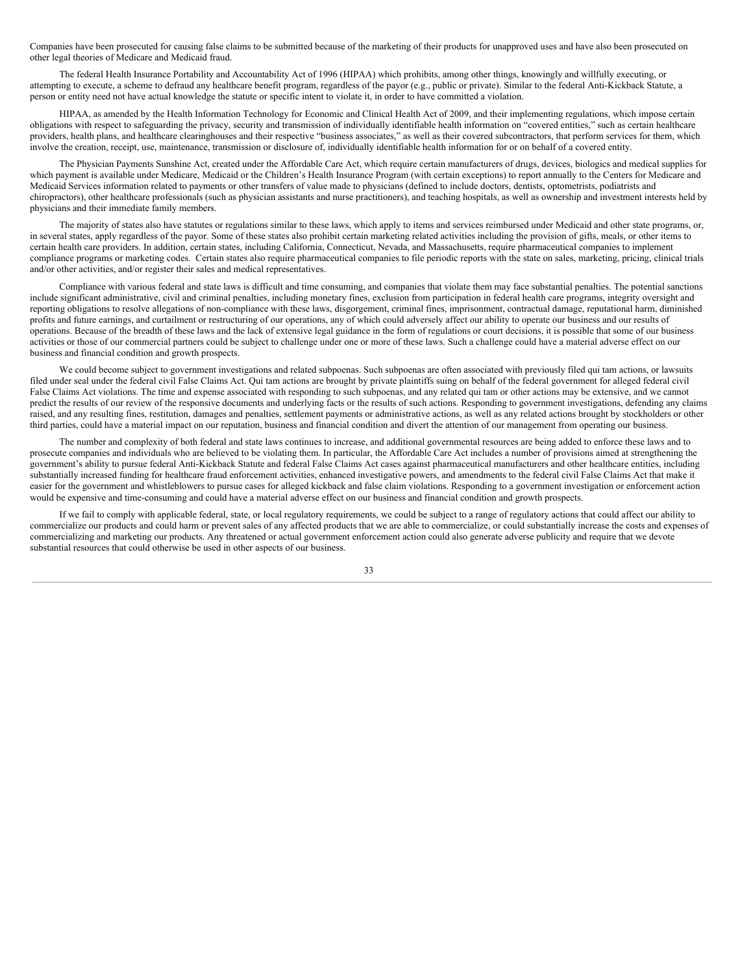Companies have been prosecuted for causing false claims to be submitted because of the marketing of their products for unapproved uses and have also been prosecuted on other legal theories of Medicare and Medicaid fraud.

The federal Health Insurance Portability and Accountability Act of 1996 (HIPAA) which prohibits, among other things, knowingly and willfully executing, or attempting to execute, a scheme to defraud any healthcare benefit program, regardless of the payor (e.g., public or private). Similar to the federal Anti-Kickback Statute, a person or entity need not have actual knowledge the statute or specific intent to violate it, in order to have committed a violation.

HIPAA, as amended by the Health Information Technology for Economic and Clinical Health Act of 2009, and their implementing regulations, which impose certain obligations with respect to safeguarding the privacy, security and transmission of individually identifiable health information on "covered entities," such as certain healthcare providers, health plans, and healthcare clearinghouses and their respective "business associates," as well as their covered subcontractors, that perform services for them, which involve the creation, receipt, use, maintenance, transmission or disclosure of, individually identifiable health information for or on behalf of a covered entity.

The Physician Payments Sunshine Act, created under the Affordable Care Act, which require certain manufacturers of drugs, devices, biologics and medical supplies for which payment is available under Medicare, Medicaid or the Children's Health Insurance Program (with certain exceptions) to report annually to the Centers for Medicare and Medicaid Services information related to payments or other transfers of value made to physicians (defined to include doctors, dentists, optometrists, podiatrists and chiropractors), other healthcare professionals (such as physician assistants and nurse practitioners), and teaching hospitals, as well as ownership and investment interests held by physicians and their immediate family members.

The majority of states also have statutes or regulations similar to these laws, which apply to items and services reimbursed under Medicaid and other state programs, or, in several states, apply regardless of the payor. Some of these states also prohibit certain marketing related activities including the provision of gifts, meals, or other items to certain health care providers. In addition, certain states, including California, Connecticut, Nevada, and Massachusetts, require pharmaceutical companies to implement compliance programs or marketing codes. Certain states also require pharmaceutical companies to file periodic reports with the state on sales, marketing, pricing, clinical trials and/or other activities, and/or register their sales and medical representatives.

Compliance with various federal and state laws is difficult and time consuming, and companies that violate them may face substantial penalties. The potential sanctions include significant administrative, civil and criminal penalties, including monetary fines, exclusion from participation in federal health care programs, integrity oversight and reporting obligations to resolve allegations of non-compliance with these laws, disgorgement, criminal fines, imprisonment, contractual damage, reputational harm, diminished profits and future earnings, and curtailment or restructuring of our operations, any of which could adversely affect our ability to operate our business and our results of operations. Because of the breadth of these laws and the lack of extensive legal guidance in the form of regulations or court decisions, it is possible that some of our business activities or those of our commercial partners could be subject to challenge under one or more of these laws. Such a challenge could have a material adverse effect on our business and financial condition and growth prospects.

We could become subject to government investigations and related subpoenas. Such subpoenas are often associated with previously filed qui tam actions, or lawsuits filed under seal under the federal civil False Claims Act. Qui tam actions are brought by private plaintiffs suing on behalf of the federal government for alleged federal civil False Claims Act violations. The time and expense associated with responding to such subpoenas, and any related qui tam or other actions may be extensive, and we cannot predict the results of our review of the responsive documents and underlying facts or the results of such actions. Responding to government investigations, defending any claims raised, and any resulting fines, restitution, damages and penalties, settlement payments or administrative actions, as well as any related actions brought by stockholders or other third parties, could have a material impact on our reputation, business and financial condition and divert the attention of our management from operating our business.

The number and complexity of both federal and state laws continues to increase, and additional governmental resources are being added to enforce these laws and to prosecute companies and individuals who are believed to be violating them. In particular, the Affordable Care Act includes a number of provisions aimed at strengthening the government's ability to pursue federal Anti-Kickback Statute and federal False Claims Act cases against pharmaceutical manufacturers and other healthcare entities, including substantially increased funding for healthcare fraud enforcement activities, enhanced investigative powers, and amendments to the federal civil False Claims Act that make it easier for the government and whistleblowers to pursue cases for alleged kickback and false claim violations. Responding to a government investigation or enforcement action would be expensive and time-consuming and could have a material adverse effect on our business and financial condition and growth prospects.

If we fail to comply with applicable federal, state, or local regulatory requirements, we could be subject to a range of regulatory actions that could affect our ability to commercialize our products and could harm or prevent sales of any affected products that we are able to commercialize, or could substantially increase the costs and expenses of commercializing and marketing our products. Any threatened or actual government enforcement action could also generate adverse publicity and require that we devote substantial resources that could otherwise be used in other aspects of our business.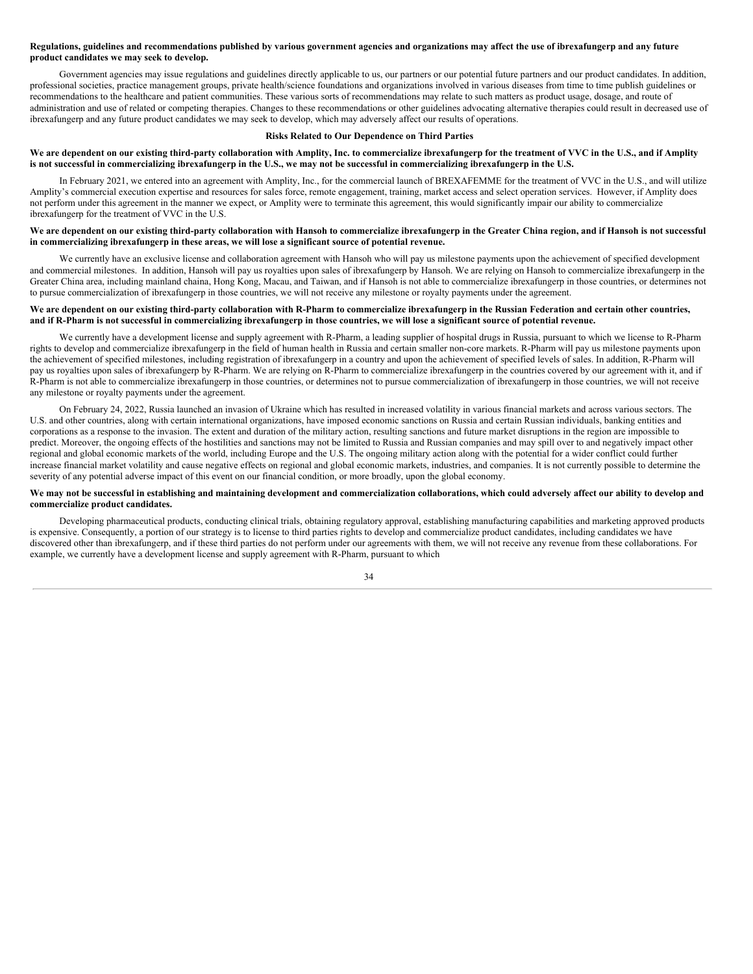## Regulations, guidelines and recommendations published by various government agencies and organizations may affect the use of ibrexafungerp and any future **product candidates we may seek to develop.**

Government agencies may issue regulations and guidelines directly applicable to us, our partners or our potential future partners and our product candidates. In addition, professional societies, practice management groups, private health/science foundations and organizations involved in various diseases from time to time publish guidelines or recommendations to the healthcare and patient communities. These various sorts of recommendations may relate to such matters as product usage, dosage, and route of administration and use of related or competing therapies. Changes to these recommendations or other guidelines advocating alternative therapies could result in decreased use of ibrexafungerp and any future product candidates we may seek to develop, which may adversely affect our results of operations.

## **Risks Related to Our Dependence on Third Parties**

## We are dependent on our existing third-party collaboration with Amplity, Inc. to commercialize ibrexafungerp for the treatment of VVC in the U.S., and if Amplity is not successful in commercializing ibrexafungerp in the U.S., we may not be successful in commercializing ibrexafungerp in the U.S.

In February 2021, we entered into an agreement with Amplity, Inc., for the commercial launch of BREXAFEMME for the treatment of VVC in the U.S., and will utilize Amplity's commercial execution expertise and resources for sales force, remote engagement, training, market access and select operation services. However, if Amplity does not perform under this agreement in the manner we expect, or Amplity were to terminate this agreement, this would significantly impair our ability to commercialize ibrexafungerp for the treatment of VVC in the U.S.

## We are dependent on our existing third-party collaboration with Hansoh to commercialize ibrexafungerp in the Greater China region, and if Hansoh is not successful **in commercializing ibrexafungerp in these areas, we will lose a significant source of potential revenue.**

We currently have an exclusive license and collaboration agreement with Hansoh who will pay us milestone payments upon the achievement of specified development and commercial milestones. In addition, Hansoh will pay us royalties upon sales of ibrexafungerp by Hansoh. We are relying on Hansoh to commercialize ibrexafungerp in the Greater China area, including mainland chaina, Hong Kong, Macau, and Taiwan, and if Hansoh is not able to commercialize ibrexafungerp in those countries, or determines not to pursue commercialization of ibrexafungerp in those countries, we will not receive any milestone or royalty payments under the agreement.

## We are dependent on our existing third-party collaboration with R-Pharm to commercialize ibrexafungerp in the Russian Federation and certain other countries. and if R-Pharm is not successful in commercializing ibrexafungerp in those countries, we will lose a significant source of potential revenue.

We currently have a development license and supply agreement with R-Pharm, a leading supplier of hospital drugs in Russia, pursuant to which we license to R-Pharm rights to develop and commercialize ibrexafungerp in the field of human health in Russia and certain smaller non-core markets. R-Pharm will pay us milestone payments upon the achievement of specified milestones, including registration of ibrexafungerp in a country and upon the achievement of specified levels of sales. In addition, R-Pharm will pay us royalties upon sales of ibrexafungerp by R-Pharm. We are relying on R-Pharm to commercialize ibrexafungerp in the countries covered by our agreement with it, and if R-Pharm is not able to commercialize ibrexafungerp in those countries, or determines not to pursue commercialization of ibrexafungerp in those countries, we will not receive any milestone or royalty payments under the agreement.

On February 24, 2022, Russia launched an invasion of Ukraine which has resulted in increased volatility in various financial markets and across various sectors. The U.S. and other countries, along with certain international organizations, have imposed economic sanctions on Russia and certain Russian individuals, banking entities and corporations as a response to the invasion. The extent and duration of the military action, resulting sanctions and future market disruptions in the region are impossible to predict. Moreover, the ongoing effects of the hostilities and sanctions may not be limited to Russia and Russian companies and may spill over to and negatively impact other regional and global economic markets of the world, including Europe and the U.S. The ongoing military action along with the potential for a wider conflict could further increase financial market volatility and cause negative effects on regional and global economic markets, industries, and companies. It is not currently possible to determine the severity of any potential adverse impact of this event on our financial condition, or more broadly, upon the global economy.

## We may not be successful in establishing and maintaining development and commercialization collaborations, which could adversely affect our ability to develop and **commercialize product candidates.**

Developing pharmaceutical products, conducting clinical trials, obtaining regulatory approval, establishing manufacturing capabilities and marketing approved products is expensive. Consequently, a portion of our strategy is to license to third parties rights to develop and commercialize product candidates, including candidates we have discovered other than ibrexafungerp, and if these third parties do not perform under our agreements with them, we will not receive any revenue from these collaborations. For example, we currently have a development license and supply agreement with R-Pharm, pursuant to which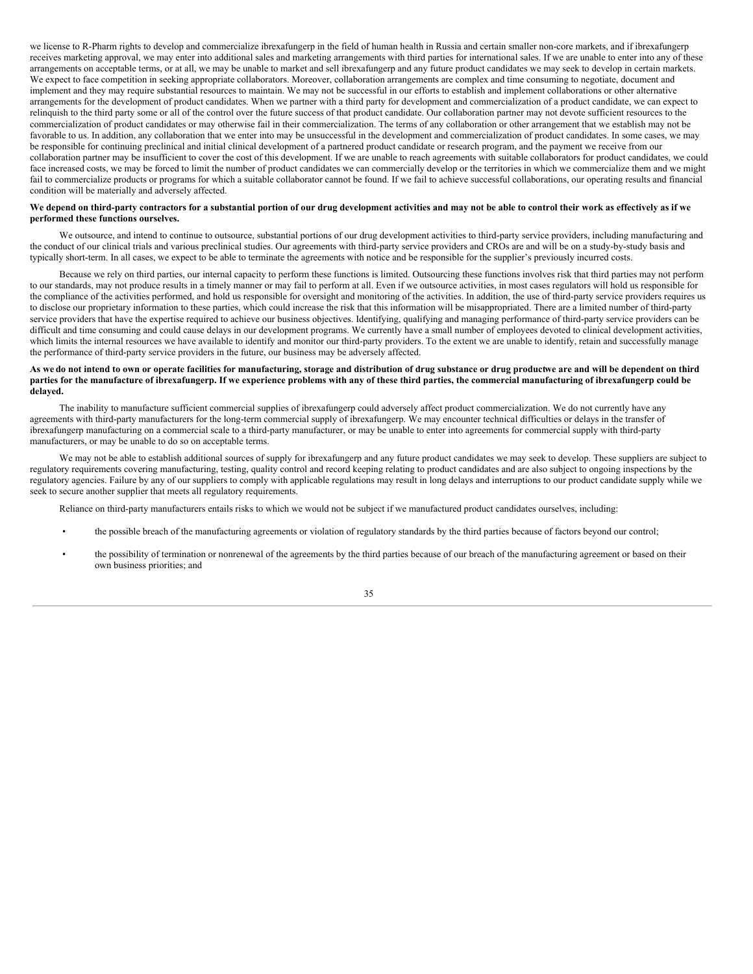we license to R-Pharm rights to develop and commercialize ibrexafungerp in the field of human health in Russia and certain smaller non-core markets, and if ibrexafungerp receives marketing approval, we may enter into additional sales and marketing arrangements with third parties for international sales. If we are unable to enter into any of these arrangements on acceptable terms, or at all, we may be unable to market and sell ibrexafungerp and any future product candidates we may seek to develop in certain markets. We expect to face competition in seeking appropriate collaborators. Moreover, collaboration arrangements are complex and time consuming to negotiate, document and implement and they may require substantial resources to maintain. We may not be successful in our efforts to establish and implement collaborations or other alternative arrangements for the development of product candidates. When we partner with a third party for development and commercialization of a product candidate, we can expect to relinquish to the third party some or all of the control over the future success of that product candidate. Our collaboration partner may not devote sufficient resources to the commercialization of product candidates or may otherwise fail in their commercialization. The terms of any collaboration or other arrangement that we establish may not be favorable to us. In addition, any collaboration that we enter into may be unsuccessful in the development and commercialization of product candidates. In some cases, we may be responsible for continuing preclinical and initial clinical development of a partnered product candidate or research program, and the payment we receive from our collaboration partner may be insufficient to cover the cost of this development. If we are unable to reach agreements with suitable collaborators for product candidates, we could face increased costs, we may be forced to limit the number of product candidates we can commercially develop or the territories in which we commercialize them and we might fail to commercialize products or programs for which a suitable collaborator cannot be found. If we fail to achieve successful collaborations, our operating results and financial condition will be materially and adversely affected.

### We depend on third-party contractors for a substantial portion of our drug development activities and may not be able to control their work as effectively as if we **performed these functions ourselves.**

We outsource, and intend to continue to outsource, substantial portions of our drug development activities to third-party service providers, including manufacturing and the conduct of our clinical trials and various preclinical studies. Our agreements with third-party service providers and CROs are and will be on a study-by-study basis and typically short-term. In all cases, we expect to be able to terminate the agreements with notice and be responsible for the supplier's previously incurred costs.

Because we rely on third parties, our internal capacity to perform these functions is limited. Outsourcing these functions involves risk that third parties may not perform to our standards, may not produce results in a timely manner or may fail to perform at all. Even if we outsource activities, in most cases regulators will hold us responsible for the compliance of the activities performed, and hold us responsible for oversight and monitoring of the activities. In addition, the use of third-party service providers requires us to disclose our proprietary information to these parties, which could increase the risk that this information will be misappropriated. There are a limited number of third-party service providers that have the expertise required to achieve our business objectives. Identifying, qualifying and managing performance of third-party service providers can be difficult and time consuming and could cause delays in our development programs. We currently have a small number of employees devoted to clinical development activities, which limits the internal resources we have available to identify and monitor our third-party providers. To the extent we are unable to identify, retain and successfully manage the performance of third-party service providers in the future, our business may be adversely affected.

#### As we do not intend to own or operate facilities for manufacturing, storage and distribution of drug substance or drug productwe are and will be dependent on third parties for the manufacture of ibrexafungerp. If we experience problems with any of these third parties, the commercial manufacturing of ibrexafungerp could be **delayed.**

The inability to manufacture sufficient commercial supplies of ibrexafungerp could adversely affect product commercialization. We do not currently have any agreements with third-party manufacturers for the long-term commercial supply of ibrexafungerp. We may encounter technical difficulties or delays in the transfer of ibrexafungerp manufacturing on a commercial scale to a third-party manufacturer, or may be unable to enter into agreements for commercial supply with third-party manufacturers, or may be unable to do so on acceptable terms.

We may not be able to establish additional sources of supply for ibrexafungerp and any future product candidates we may seek to develop. These suppliers are subject to regulatory requirements covering manufacturing, testing, quality control and record keeping relating to product candidates and are also subject to ongoing inspections by the regulatory agencies. Failure by any of our suppliers to comply with applicable regulations may result in long delays and interruptions to our product candidate supply while we seek to secure another supplier that meets all regulatory requirements.

Reliance on third-party manufacturers entails risks to which we would not be subject if we manufactured product candidates ourselves, including:

- the possible breach of the manufacturing agreements or violation of regulatory standards by the third parties because of factors beyond our control;
- the possibility of termination or nonrenewal of the agreements by the third parties because of our breach of the manufacturing agreement or based on their own business priorities; and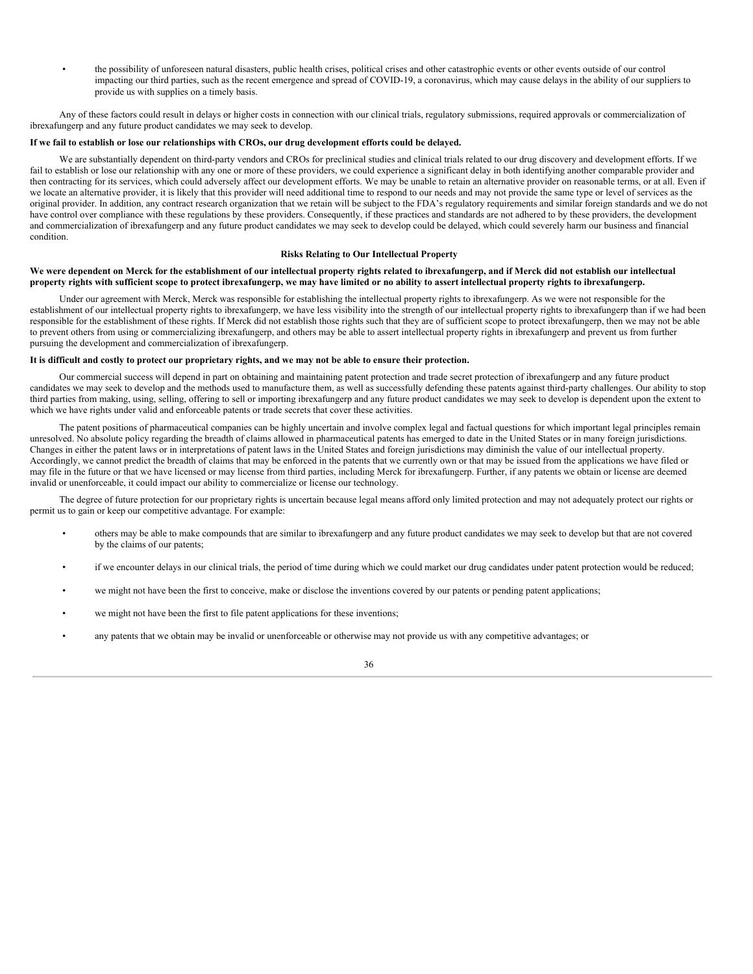• the possibility of unforeseen natural disasters, public health crises, political crises and other catastrophic events or other events outside of our control impacting our third parties, such as the recent emergence and spread of COVID-19, a coronavirus, which may cause delays in the ability of our suppliers to provide us with supplies on a timely basis.

Any of these factors could result in delays or higher costs in connection with our clinical trials, regulatory submissions, required approvals or commercialization of ibrexafungerp and any future product candidates we may seek to develop.

## If we fail to establish or lose our relationships with CROs, our drug development efforts could be delayed.

We are substantially dependent on third-party vendors and CROs for preclinical studies and clinical trials related to our drug discovery and development efforts. If we fail to establish or lose our relationship with any one or more of these providers, we could experience a significant delay in both identifying another comparable provider and then contracting for its services, which could adversely affect our development efforts. We may be unable to retain an alternative provider on reasonable terms, or at all. Even if we locate an alternative provider, it is likely that this provider will need additional time to respond to our needs and may not provide the same type or level of services as the original provider. In addition, any contract research organization that we retain will be subject to the FDA's regulatory requirements and similar foreign standards and we do not have control over compliance with these regulations by these providers. Consequently, if these practices and standards are not adhered to by these providers, the development and commercialization of ibrexafungerp and any future product candidates we may seek to develop could be delayed, which could severely harm our business and financial condition.

## **Risks Relating to Our Intellectual Property**

## We were dependent on Merck for the establishment of our intellectual property rights related to ibrexafungerp, and if Merck did not establish our intellectual property rights with sufficient scope to protect ibrexafungerp, we may have limited or no ability to assert intellectual property rights to ibrexafungerp.

Under our agreement with Merck, Merck was responsible for establishing the intellectual property rights to ibrexafungerp. As we were not responsible for the establishment of our intellectual property rights to ibrexafungerp, we have less visibility into the strength of our intellectual property rights to ibrexafungerp than if we had been responsible for the establishment of these rights. If Merck did not establish those rights such that they are of sufficient scope to protect ibrexafungerp, then we may not be able to prevent others from using or commercializing ibrexafungerp, and others may be able to assert intellectual property rights in ibrexafungerp and prevent us from further pursuing the development and commercialization of ibrexafungerp.

## It is difficult and costly to protect our proprietary rights, and we may not be able to ensure their protection.

Our commercial success will depend in part on obtaining and maintaining patent protection and trade secret protection of ibrexafungerp and any future product candidates we may seek to develop and the methods used to manufacture them, as well as successfully defending these patents against third-party challenges. Our ability to stop third parties from making, using, selling, offering to sell or importing ibrexafungerp and any future product candidates we may seek to develop is dependent upon the extent to which we have rights under valid and enforceable patents or trade secrets that cover these activities.

The patent positions of pharmaceutical companies can be highly uncertain and involve complex legal and factual questions for which important legal principles remain unresolved. No absolute policy regarding the breadth of claims allowed in pharmaceutical patents has emerged to date in the United States or in many foreign jurisdictions. Changes in either the patent laws or in interpretations of patent laws in the United States and foreign jurisdictions may diminish the value of our intellectual property. Accordingly, we cannot predict the breadth of claims that may be enforced in the patents that we currently own or that may be issued from the applications we have filed or may file in the future or that we have licensed or may license from third parties, including Merck for ibrexafungerp. Further, if any patents we obtain or license are deemed invalid or unenforceable, it could impact our ability to commercialize or license our technology.

The degree of future protection for our proprietary rights is uncertain because legal means afford only limited protection and may not adequately protect our rights or permit us to gain or keep our competitive advantage. For example:

- others may be able to make compounds that are similar to ibrexafungerp and any future product candidates we may seek to develop but that are not covered by the claims of our patents;
- if we encounter delays in our clinical trials, the period of time during which we could market our drug candidates under patent protection would be reduced;
- we might not have been the first to conceive, make or disclose the inventions covered by our patents or pending patent applications;
- we might not have been the first to file patent applications for these inventions;
- any patents that we obtain may be invalid or unenforceable or otherwise may not provide us with any competitive advantages; or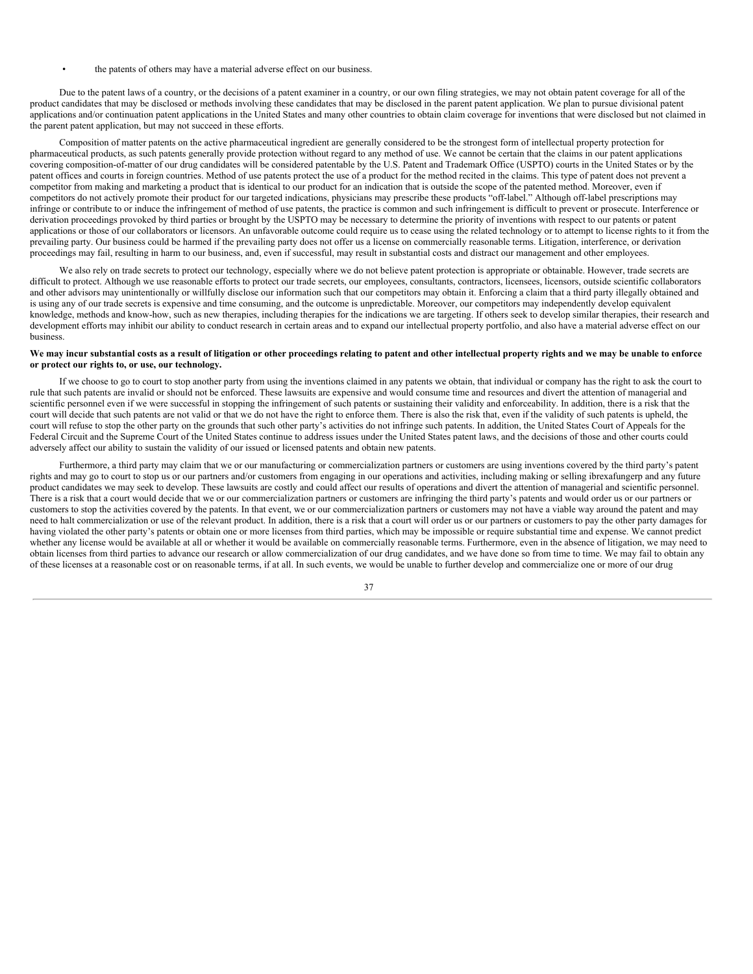the patents of others may have a material adverse effect on our business.

Due to the patent laws of a country, or the decisions of a patent examiner in a country, or our own filing strategies, we may not obtain patent coverage for all of the product candidates that may be disclosed or methods involving these candidates that may be disclosed in the parent patent application. We plan to pursue divisional patent applications and/or continuation patent applications in the United States and many other countries to obtain claim coverage for inventions that were disclosed but not claimed in the parent patent application, but may not succeed in these efforts.

Composition of matter patents on the active pharmaceutical ingredient are generally considered to be the strongest form of intellectual property protection for pharmaceutical products, as such patents generally provide protection without regard to any method of use. We cannot be certain that the claims in our patent applications covering composition-of-matter of our drug candidates will be considered patentable by the U.S. Patent and Trademark Office (USPTO) courts in the United States or by the patent offices and courts in foreign countries. Method of use patents protect the use of a product for the method recited in the claims. This type of patent does not prevent a competitor from making and marketing a product that is identical to our product for an indication that is outside the scope of the patented method. Moreover, even if competitors do not actively promote their product for our targeted indications, physicians may prescribe these products "off-label." Although off-label prescriptions may infringe or contribute to or induce the infringement of method of use patents, the practice is common and such infringement is difficult to prevent or prosecute. Interference or derivation proceedings provoked by third parties or brought by the USPTO may be necessary to determine the priority of inventions with respect to our patents or patent applications or those of our collaborators or licensors. An unfavorable outcome could require us to cease using the related technology or to attempt to license rights to it from the prevailing party. Our business could be harmed if the prevailing party does not offer us a license on commercially reasonable terms. Litigation, interference, or derivation proceedings may fail, resulting in harm to our business, and, even if successful, may result in substantial costs and distract our management and other employees.

We also rely on trade secrets to protect our technology, especially where we do not believe patent protection is appropriate or obtainable. However, trade secrets are difficult to protect. Although we use reasonable efforts to protect our trade secrets, our employees, consultants, contractors, licensees, licensors, outside scientific collaborators and other advisors may unintentionally or willfully disclose our information such that our competitors may obtain it. Enforcing a claim that a third party illegally obtained and is using any of our trade secrets is expensive and time consuming, and the outcome is unpredictable. Moreover, our competitors may independently develop equivalent knowledge, methods and know-how, such as new therapies, including therapies for the indications we are targeting. If others seek to develop similar therapies, their research and development efforts may inhibit our ability to conduct research in certain areas and to expand our intellectual property portfolio, and also have a material adverse effect on our business.

## We may incur substantial costs as a result of litigation or other proceedings relating to patent and other intellectual property rights and we may be unable to enforce **or protect our rights to, or use, our technology.**

If we choose to go to court to stop another party from using the inventions claimed in any patents we obtain, that individual or company has the right to ask the court to rule that such patents are invalid or should not be enforced. These lawsuits are expensive and would consume time and resources and divert the attention of managerial and scientific personnel even if we were successful in stopping the infringement of such patents or sustaining their validity and enforceability. In addition, there is a risk that the court will decide that such patents are not valid or that we do not have the right to enforce them. There is also the risk that, even if the validity of such patents is upheld, the court will refuse to stop the other party on the grounds that such other party's activities do not infringe such patents. In addition, the United States Court of Appeals for the Federal Circuit and the Supreme Court of the United States continue to address issues under the United States patent laws, and the decisions of those and other courts could adversely affect our ability to sustain the validity of our issued or licensed patents and obtain new patents.

Furthermore, a third party may claim that we or our manufacturing or commercialization partners or customers are using inventions covered by the third party's patent rights and may go to court to stop us or our partners and/or customers from engaging in our operations and activities, including making or selling ibrexafungerp and any future product candidates we may seek to develop. These lawsuits are costly and could affect our results of operations and divert the attention of managerial and scientific personnel. There is a risk that a court would decide that we or our commercialization partners or customers are infringing the third party's patents and would order us or our partners or customers to stop the activities covered by the patents. In that event, we or our commercialization partners or customers may not have a viable way around the patent and may need to halt commercialization or use of the relevant product. In addition, there is a risk that a court will order us or our partners or customers to pay the other party damages for having violated the other party's patents or obtain one or more licenses from third parties, which may be impossible or require substantial time and expense. We cannot predict whether any license would be available at all or whether it would be available on commercially reasonable terms. Furthermore, even in the absence of litigation, we may need to obtain licenses from third parties to advance our research or allow commercialization of our drug candidates, and we have done so from time to time. We may fail to obtain any of these licenses at a reasonable cost or on reasonable terms, if at all. In such events, we would be unable to further develop and commercialize one or more of our drug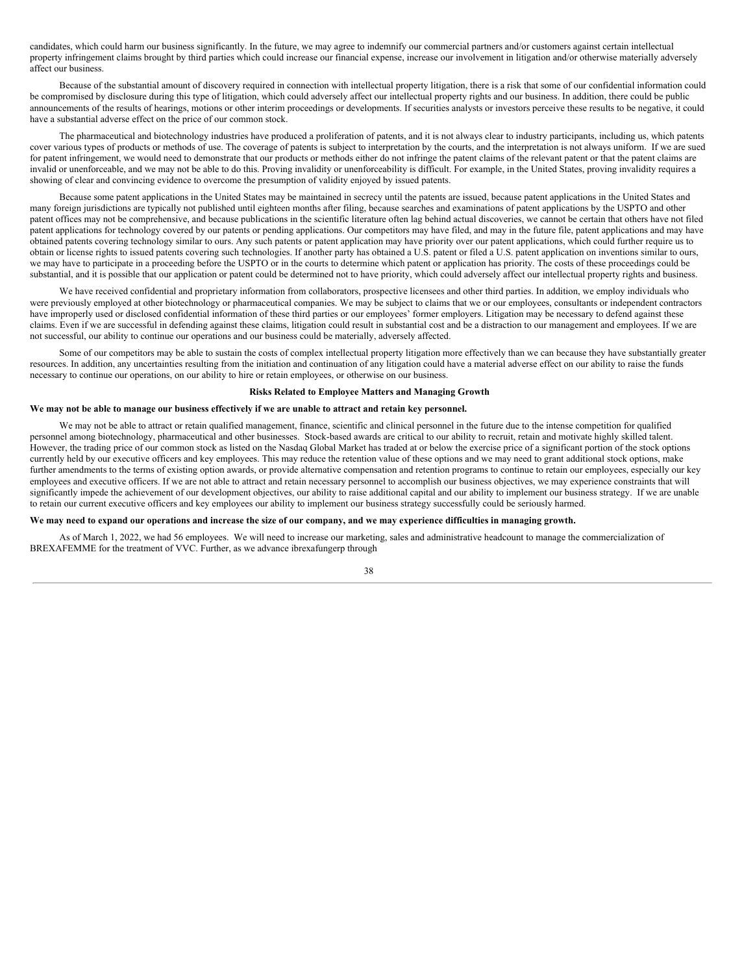candidates, which could harm our business significantly. In the future, we may agree to indemnify our commercial partners and/or customers against certain intellectual property infringement claims brought by third parties which could increase our financial expense, increase our involvement in litigation and/or otherwise materially adversely affect our business.

Because of the substantial amount of discovery required in connection with intellectual property litigation, there is a risk that some of our confidential information could be compromised by disclosure during this type of litigation, which could adversely affect our intellectual property rights and our business. In addition, there could be public announcements of the results of hearings, motions or other interim proceedings or developments. If securities analysts or investors perceive these results to be negative, it could have a substantial adverse effect on the price of our common stock.

The pharmaceutical and biotechnology industries have produced a proliferation of patents, and it is not always clear to industry participants, including us, which patents cover various types of products or methods of use. The coverage of patents is subject to interpretation by the courts, and the interpretation is not always uniform. If we are sued for patent infringement, we would need to demonstrate that our products or methods either do not infringe the patent claims of the relevant patent or that the patent claims are invalid or unenforceable, and we may not be able to do this. Proving invalidity or unenforceability is difficult. For example, in the United States, proving invalidity requires a showing of clear and convincing evidence to overcome the presumption of validity enjoyed by issued patents.

Because some patent applications in the United States may be maintained in secrecy until the patents are issued, because patent applications in the United States and many foreign jurisdictions are typically not published until eighteen months after filing, because searches and examinations of patent applications by the USPTO and other patent offices may not be comprehensive, and because publications in the scientific literature often lag behind actual discoveries, we cannot be certain that others have not filed patent applications for technology covered by our patents or pending applications. Our competitors may have filed, and may in the future file, patent applications and may have obtained patents covering technology similar to ours. Any such patents or patent application may have priority over our patent applications, which could further require us to obtain or license rights to issued patents covering such technologies. If another party has obtained a U.S. patent or filed a U.S. patent application on inventions similar to ours, we may have to participate in a proceeding before the USPTO or in the courts to determine which patent or application has priority. The costs of these proceedings could be substantial, and it is possible that our application or patent could be determined not to have priority, which could adversely affect our intellectual property rights and business.

We have received confidential and proprietary information from collaborators, prospective licensees and other third parties. In addition, we employ individuals who were previously employed at other biotechnology or pharmaceutical companies. We may be subject to claims that we or our employees, consultants or independent contractors have improperly used or disclosed confidential information of these third parties or our employees' former employers. Litigation may be necessary to defend against these claims. Even if we are successful in defending against these claims, litigation could result in substantial cost and be a distraction to our management and employees. If we are not successful, our ability to continue our operations and our business could be materially, adversely affected.

Some of our competitors may be able to sustain the costs of complex intellectual property litigation more effectively than we can because they have substantially greater resources. In addition, any uncertainties resulting from the initiation and continuation of any litigation could have a material adverse effect on our ability to raise the funds necessary to continue our operations, on our ability to hire or retain employees, or otherwise on our business.

### **Risks Related to Employee Matters and Managing Growth**

# We may not be able to manage our business effectively if we are unable to attract and retain key personnel.

We may not be able to attract or retain qualified management, finance, scientific and clinical personnel in the future due to the intense competition for qualified personnel among biotechnology, pharmaceutical and other businesses. Stock-based awards are critical to our ability to recruit, retain and motivate highly skilled talent. However, the trading price of our common stock as listed on the Nasdaq Global Market has traded at or below the exercise price of a significant portion of the stock options currently held by our executive officers and key employees. This may reduce the retention value of these options and we may need to grant additional stock options, make further amendments to the terms of existing option awards, or provide alternative compensation and retention programs to continue to retain our employees, especially our key employees and executive officers. If we are not able to attract and retain necessary personnel to accomplish our business objectives, we may experience constraints that will significantly impede the achievement of our development objectives, our ability to raise additional capital and our ability to implement our business strategy. If we are unable to retain our current executive officers and key employees our ability to implement our business strategy successfully could be seriously harmed.

# We may need to expand our operations and increase the size of our company, and we may experience difficulties in managing growth.

As of March 1, 2022, we had 56 employees. We will need to increase our marketing, sales and administrative headcount to manage the commercialization of BREXAFEMME for the treatment of VVC. Further, as we advance ibrexafungerp through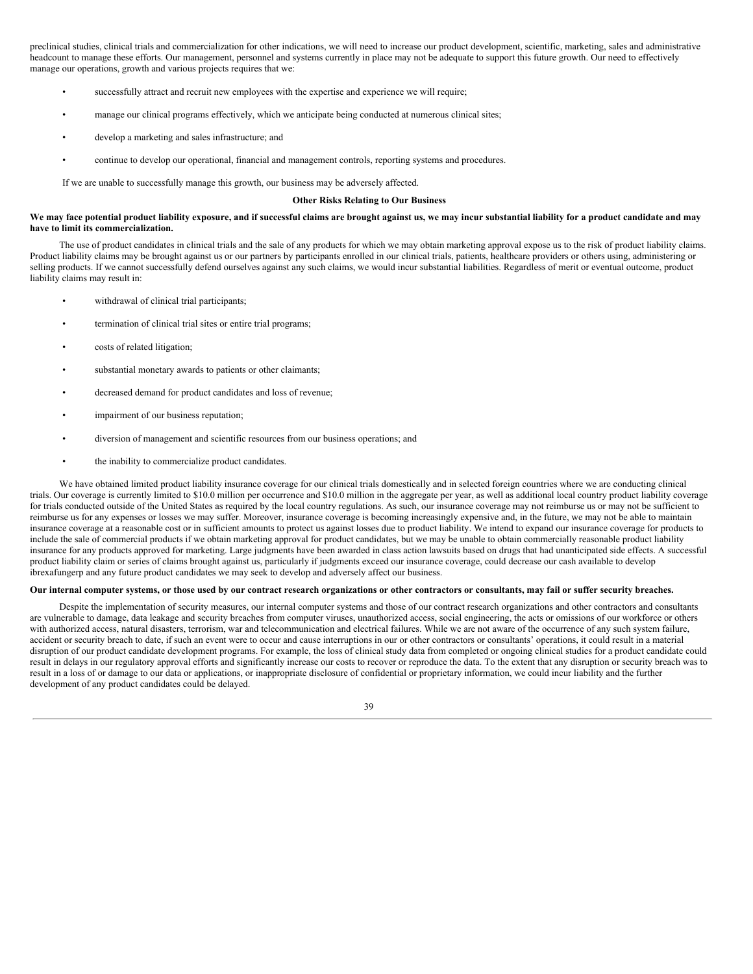preclinical studies, clinical trials and commercialization for other indications, we will need to increase our product development, scientific, marketing, sales and administrative headcount to manage these efforts. Our management, personnel and systems currently in place may not be adequate to support this future growth. Our need to effectively manage our operations, growth and various projects requires that we:

- successfully attract and recruit new employees with the expertise and experience we will require;
- manage our clinical programs effectively, which we anticipate being conducted at numerous clinical sites;
- develop a marketing and sales infrastructure; and
- continue to develop our operational, financial and management controls, reporting systems and procedures.

If we are unable to successfully manage this growth, our business may be adversely affected.

#### **Other Risks Relating to Our Business**

# We may face potential product liability exposure, and if successful claims are brought against us, we may incur substantial liability for a product candidate and may **have to limit its commercialization.**

The use of product candidates in clinical trials and the sale of any products for which we may obtain marketing approval expose us to the risk of product liability claims. Product liability claims may be brought against us or our partners by participants enrolled in our clinical trials, patients, healthcare providers or others using, administering or selling products. If we cannot successfully defend ourselves against any such claims, we would incur substantial liabilities. Regardless of merit or eventual outcome, product liability claims may result in:

- withdrawal of clinical trial participants;
- termination of clinical trial sites or entire trial programs;
- costs of related litigation;
- substantial monetary awards to patients or other claimants;
- decreased demand for product candidates and loss of revenue;
- impairment of our business reputation;
- diversion of management and scientific resources from our business operations; and
- the inability to commercialize product candidates.

We have obtained limited product liability insurance coverage for our clinical trials domestically and in selected foreign countries where we are conducting clinical trials. Our coverage is currently limited to \$10.0 million per occurrence and \$10.0 million in the aggregate per year, as well as additional local country product liability coverage for trials conducted outside of the United States as required by the local country regulations. As such, our insurance coverage may not reimburse us or may not be sufficient to reimburse us for any expenses or losses we may suffer. Moreover, insurance coverage is becoming increasingly expensive and, in the future, we may not be able to maintain insurance coverage at a reasonable cost or in sufficient amounts to protect us against losses due to product liability. We intend to expand our insurance coverage for products to include the sale of commercial products if we obtain marketing approval for product candidates, but we may be unable to obtain commercially reasonable product liability insurance for any products approved for marketing. Large judgments have been awarded in class action lawsuits based on drugs that had unanticipated side effects. A successful product liability claim or series of claims brought against us, particularly if judgments exceed our insurance coverage, could decrease our cash available to develop ibrexafungerp and any future product candidates we may seek to develop and adversely affect our business.

### Our internal computer systems, or those used by our contract research organizations or other contractors or consultants, may fail or suffer security breaches.

Despite the implementation of security measures, our internal computer systems and those of our contract research organizations and other contractors and consultants are vulnerable to damage, data leakage and security breaches from computer viruses, unauthorized access, social engineering, the acts or omissions of our workforce or others with authorized access, natural disasters, terrorism, war and telecommunication and electrical failures. While we are not aware of the occurrence of any such system failure, accident or security breach to date, if such an event were to occur and cause interruptions in our or other contractors or consultants' operations, it could result in a material disruption of our product candidate development programs. For example, the loss of clinical study data from completed or ongoing clinical studies for a product candidate could result in delays in our regulatory approval efforts and significantly increase our costs to recover or reproduce the data. To the extent that any disruption or security breach was to result in a loss of or damage to our data or applications, or inappropriate disclosure of confidential or proprietary information, we could incur liability and the further development of any product candidates could be delayed.

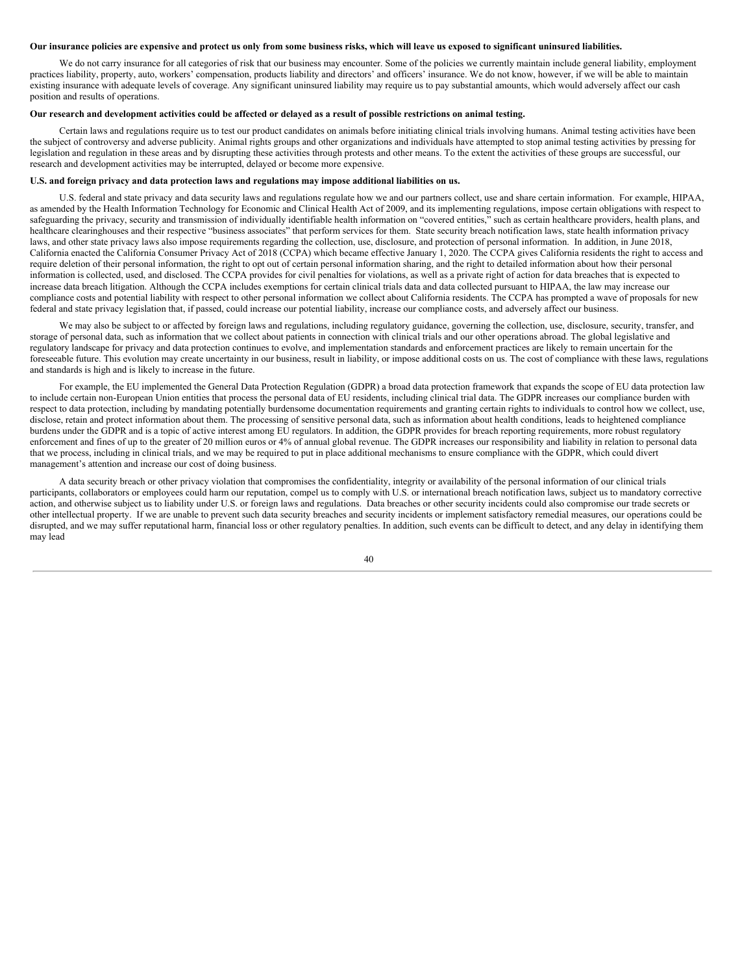## Our insurance policies are expensive and protect us only from some business risks, which will leave us exposed to significant uninsured liabilities.

We do not carry insurance for all categories of risk that our business may encounter. Some of the policies we currently maintain include general liability, employment practices liability, property, auto, workers' compensation, products liability and directors' and officers' insurance. We do not know, however, if we will be able to maintain existing insurance with adequate levels of coverage. Any significant uninsured liability may require us to pay substantial amounts, which would adversely affect our cash position and results of operations.

# Our research and development activities could be affected or delayed as a result of possible restrictions on animal testing.

Certain laws and regulations require us to test our product candidates on animals before initiating clinical trials involving humans. Animal testing activities have been the subject of controversy and adverse publicity. Animal rights groups and other organizations and individuals have attempted to stop animal testing activities by pressing for legislation and regulation in these areas and by disrupting these activities through protests and other means. To the extent the activities of these groups are successful, our research and development activities may be interrupted, delayed or become more expensive.

### **U.S. and foreign privacy and data protection laws and regulations may impose additional liabilities on us.**

U.S. federal and state privacy and data security laws and regulations regulate how we and our partners collect, use and share certain information. For example, HIPAA, as amended by the Health Information Technology for Economic and Clinical Health Act of 2009, and its implementing regulations, impose certain obligations with respect to safeguarding the privacy, security and transmission of individually identifiable health information on "covered entities," such as certain healthcare providers, health plans, and healthcare clearinghouses and their respective "business associates" that perform services for them. State security breach notification laws, state health information privacy laws, and other state privacy laws also impose requirements regarding the collection, use, disclosure, and protection of personal information. In addition, in June 2018, California enacted the California Consumer Privacy Act of 2018 (CCPA) which became effective January 1, 2020. The CCPA gives California residents the right to access and require deletion of their personal information, the right to opt out of certain personal information sharing, and the right to detailed information about how their personal information is collected, used, and disclosed. The CCPA provides for civil penalties for violations, as well as a private right of action for data breaches that is expected to increase data breach litigation. Although the CCPA includes exemptions for certain clinical trials data and data collected pursuant to HIPAA, the law may increase our compliance costs and potential liability with respect to other personal information we collect about California residents. The CCPA has prompted a wave of proposals for new federal and state privacy legislation that, if passed, could increase our potential liability, increase our compliance costs, and adversely affect our business.

We may also be subject to or affected by foreign laws and regulations, including regulatory guidance, governing the collection, use, disclosure, security, transfer, and storage of personal data, such as information that we collect about patients in connection with clinical trials and our other operations abroad. The global legislative and regulatory landscape for privacy and data protection continues to evolve, and implementation standards and enforcement practices are likely to remain uncertain for the foreseeable future. This evolution may create uncertainty in our business, result in liability, or impose additional costs on us. The cost of compliance with these laws, regulations and standards is high and is likely to increase in the future.

For example, the EU implemented the General Data Protection Regulation (GDPR) a broad data protection framework that expands the scope of EU data protection law to include certain non-European Union entities that process the personal data of EU residents, including clinical trial data. The GDPR increases our compliance burden with respect to data protection, including by mandating potentially burdensome documentation requirements and granting certain rights to individuals to control how we collect, use, disclose, retain and protect information about them. The processing of sensitive personal data, such as information about health conditions, leads to heightened compliance burdens under the GDPR and is a topic of active interest among EU regulators. In addition, the GDPR provides for breach reporting requirements, more robust regulatory enforcement and fines of up to the greater of 20 million euros or 4% of annual global revenue. The GDPR increases our responsibility and liability in relation to personal data that we process, including in clinical trials, and we may be required to put in place additional mechanisms to ensure compliance with the GDPR, which could divert management's attention and increase our cost of doing business.

A data security breach or other privacy violation that compromises the confidentiality, integrity or availability of the personal information of our clinical trials participants, collaborators or employees could harm our reputation, compel us to comply with U.S. or international breach notification laws, subject us to mandatory corrective action, and otherwise subject us to liability under U.S. or foreign laws and regulations. Data breaches or other security incidents could also compromise our trade secrets or other intellectual property. If we are unable to prevent such data security breaches and security incidents or implement satisfactory remedial measures, our operations could be disrupted, and we may suffer reputational harm, financial loss or other regulatory penalties. In addition, such events can be difficult to detect, and any delay in identifying them may lead

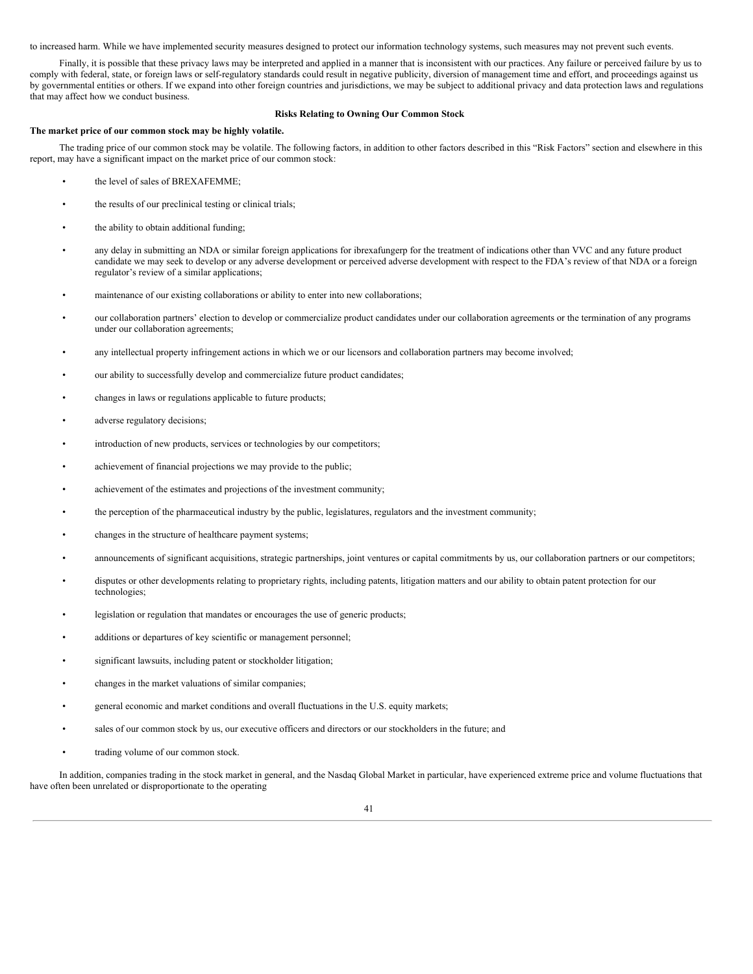to increased harm. While we have implemented security measures designed to protect our information technology systems, such measures may not prevent such events.

Finally, it is possible that these privacy laws may be interpreted and applied in a manner that is inconsistent with our practices. Any failure or perceived failure by us to comply with federal, state, or foreign laws or self-regulatory standards could result in negative publicity, diversion of management time and effort, and proceedings against us by governmental entities or others. If we expand into other foreign countries and jurisdictions, we may be subject to additional privacy and data protection laws and regulations that may affect how we conduct business.

# **Risks Relating to Owning Our Common Stock**

#### **The market price of our common stock may be highly volatile.**

The trading price of our common stock may be volatile. The following factors, in addition to other factors described in this "Risk Factors" section and elsewhere in this report, may have a significant impact on the market price of our common stock:

- the level of sales of BREXAFEMME;
- the results of our preclinical testing or clinical trials;
- the ability to obtain additional funding;
- any delay in submitting an NDA or similar foreign applications for ibrexafungerp for the treatment of indications other than VVC and any future product candidate we may seek to develop or any adverse development or perceived adverse development with respect to the FDA's review of that NDA or a foreign regulator's review of a similar applications;
- maintenance of our existing collaborations or ability to enter into new collaborations;
- our collaboration partners' election to develop or commercialize product candidates under our collaboration agreements or the termination of any programs under our collaboration agreements;
- any intellectual property infringement actions in which we or our licensors and collaboration partners may become involved;
- our ability to successfully develop and commercialize future product candidates;
- changes in laws or regulations applicable to future products;
- adverse regulatory decisions;
- introduction of new products, services or technologies by our competitors;
- achievement of financial projections we may provide to the public;
- achievement of the estimates and projections of the investment community;
- the perception of the pharmaceutical industry by the public, legislatures, regulators and the investment community;
- changes in the structure of healthcare payment systems;
- announcements of significant acquisitions, strategic partnerships, joint ventures or capital commitments by us, our collaboration partners or our competitors;
- disputes or other developments relating to proprietary rights, including patents, litigation matters and our ability to obtain patent protection for our technologies;
- legislation or regulation that mandates or encourages the use of generic products;
- additions or departures of key scientific or management personnel;
- significant lawsuits, including patent or stockholder litigation;
- changes in the market valuations of similar companies;
- general economic and market conditions and overall fluctuations in the U.S. equity markets;
- sales of our common stock by us, our executive officers and directors or our stockholders in the future; and
- trading volume of our common stock.

In addition, companies trading in the stock market in general, and the Nasdaq Global Market in particular, have experienced extreme price and volume fluctuations that have often been unrelated or disproportionate to the operating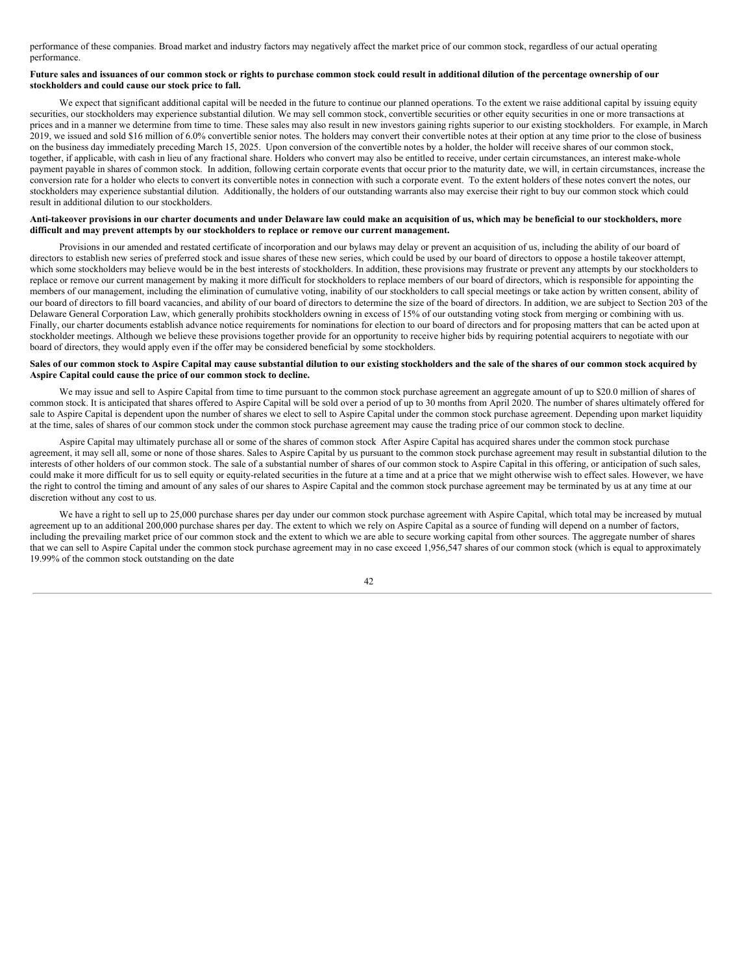performance of these companies. Broad market and industry factors may negatively affect the market price of our common stock, regardless of our actual operating performance.

# Future sales and issuances of our common stock or rights to purchase common stock could result in additional dilution of the percentage ownership of our **stockholders and could cause our stock price to fall.**

We expect that significant additional capital will be needed in the future to continue our planned operations. To the extent we raise additional capital by issuing equity securities, our stockholders may experience substantial dilution. We may sell common stock, convertible securities or other equity securities in one or more transactions at prices and in a manner we determine from time to time. These sales may also result in new investors gaining rights superior to our existing stockholders. For example, in March 2019, we issued and sold \$16 million of 6.0% convertible senior notes. The holders may convert their convertible notes at their option at any time prior to the close of business on the business day immediately preceding March 15, 2025. Upon conversion of the convertible notes by a holder, the holder will receive shares of our common stock, together, if applicable, with cash in lieu of any fractional share. Holders who convert may also be entitled to receive, under certain circumstances, an interest make-whole payment payable in shares of common stock. In addition, following certain corporate events that occur prior to the maturity date, we will, in certain circumstances, increase the conversion rate for a holder who elects to convert its convertible notes in connection with such a corporate event. To the extent holders of these notes convert the notes, our stockholders may experience substantial dilution. Additionally, the holders of our outstanding warrants also may exercise their right to buy our common stock which could result in additional dilution to our stockholders.

# Anti-takeover provisions in our charter documents and under Delaware law could make an acquisition of us, which may be beneficial to our stockholders, more **difficult and may prevent attempts by our stockholders to replace or remove our current management.**

Provisions in our amended and restated certificate of incorporation and our bylaws may delay or prevent an acquisition of us, including the ability of our board of directors to establish new series of preferred stock and issue shares of these new series, which could be used by our board of directors to oppose a hostile takeover attempt, which some stockholders may believe would be in the best interests of stockholders. In addition, these provisions may frustrate or prevent any attempts by our stockholders to replace or remove our current management by making it more difficult for stockholders to replace members of our board of directors, which is responsible for appointing the members of our management, including the elimination of cumulative voting, inability of our stockholders to call special meetings or take action by written consent, ability of our board of directors to fill board vacancies, and ability of our board of directors to determine the size of the board of directors. In addition, we are subject to Section 203 of the Delaware General Corporation Law, which generally prohibits stockholders owning in excess of 15% of our outstanding voting stock from merging or combining with us. Finally, our charter documents establish advance notice requirements for nominations for election to our board of directors and for proposing matters that can be acted upon at stockholder meetings. Although we believe these provisions together provide for an opportunity to receive higher bids by requiring potential acquirers to negotiate with our board of directors, they would apply even if the offer may be considered beneficial by some stockholders.

# Sales of our common stock to Aspire Capital may cause substantial dilution to our existing stockholders and the sale of the shares of our common stock acquired by **Aspire Capital could cause the price of our common stock to decline.**

We may issue and sell to Aspire Capital from time to time pursuant to the common stock purchase agreement an aggregate amount of up to \$20.0 million of shares of common stock. It is anticipated that shares offered to Aspire Capital will be sold over a period of up to 30 months from April 2020. The number of shares ultimately offered for sale to Aspire Capital is dependent upon the number of shares we elect to sell to Aspire Capital under the common stock purchase agreement. Depending upon market liquidity at the time, sales of shares of our common stock under the common stock purchase agreement may cause the trading price of our common stock to decline.

Aspire Capital may ultimately purchase all or some of the shares of common stock. After Aspire Capital has acquired shares under the common stock purchase agreement, it may sell all, some or none of those shares. Sales to Aspire Capital by us pursuant to the common stock purchase agreement may result in substantial dilution to the interests of other holders of our common stock. The sale of a substantial number of shares of our common stock to Aspire Capital in this offering, or anticipation of such sales, could make it more difficult for us to sell equity or equity-related securities in the future at a time and at a price that we might otherwise wish to effect sales. However, we have the right to control the timing and amount of any sales of our shares to Aspire Capital and the common stock purchase agreement may be terminated by us at any time at our discretion without any cost to us.

We have a right to sell up to 25,000 purchase shares per day under our common stock purchase agreement with Aspire Capital, which total may be increased by mutual agreement up to an additional 200,000 purchase shares per day. The extent to which we rely on Aspire Capital as a source of funding will depend on a number of factors, including the prevailing market price of our common stock and the extent to which we are able to secure working capital from other sources. The aggregate number of shares that we can sell to Aspire Capital under the common stock purchase agreement may in no case exceed 1,956,547 shares of our common stock (which is equal to approximately 19.99% of the common stock outstanding on the date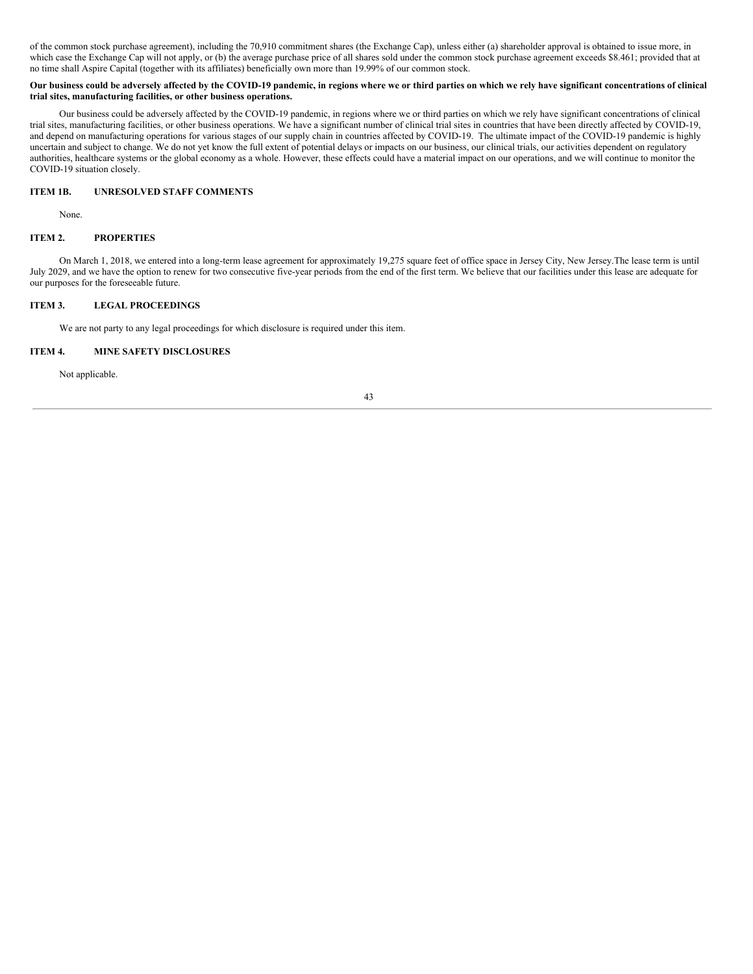of the common stock purchase agreement), including the 70,910 commitment shares (the Exchange Cap), unless either (a) shareholder approval is obtained to issue more, in which case the Exchange Cap will not apply, or (b) the average purchase price of all shares sold under the common stock purchase agreement exceeds \$8.461; provided that at no time shall Aspire Capital (together with its affiliates) beneficially own more than 19.99% of our common stock.

# Our business could be adversely affected by the COVID-19 pandemic, in regions where we or third parties on which we rely have significant concentrations of clinical **trial sites, manufacturing facilities, or other business operations.**

Our business could be adversely affected by the COVID-19 pandemic, in regions where we or third parties on which we rely have significant concentrations of clinical trial sites, manufacturing facilities, or other business operations. We have a significant number of clinical trial sites in countries that have been directly affected by COVID-19, and depend on manufacturing operations for various stages of our supply chain in countries affected by COVID-19. The ultimate impact of the COVID-19 pandemic is highly uncertain and subject to change. We do not yet know the full extent of potential delays or impacts on our business, our clinical trials, our activities dependent on regulatory authorities, healthcare systems or the global economy as a whole. However, these effects could have a material impact on our operations, and we will continue to monitor the COVID-19 situation closely.

# **ITEM 1B. UNRESOLVED STAFF COMMENTS**

None.

# **ITEM 2. PROPERTIES**

On March 1, 2018, we entered into a long-term lease agreement for approximately 19,275 square feet of office space in Jersey City, New Jersey.The lease term is until July 2029, and we have the option to renew for two consecutive five-year periods from the end of the first term. We believe that our facilities under this lease are adequate for our purposes for the foreseeable future.

## **ITEM 3. LEGAL PROCEEDINGS**

We are not party to any legal proceedings for which disclosure is required under this item.

# **ITEM 4. MINE SAFETY DISCLOSURES**

Not applicable.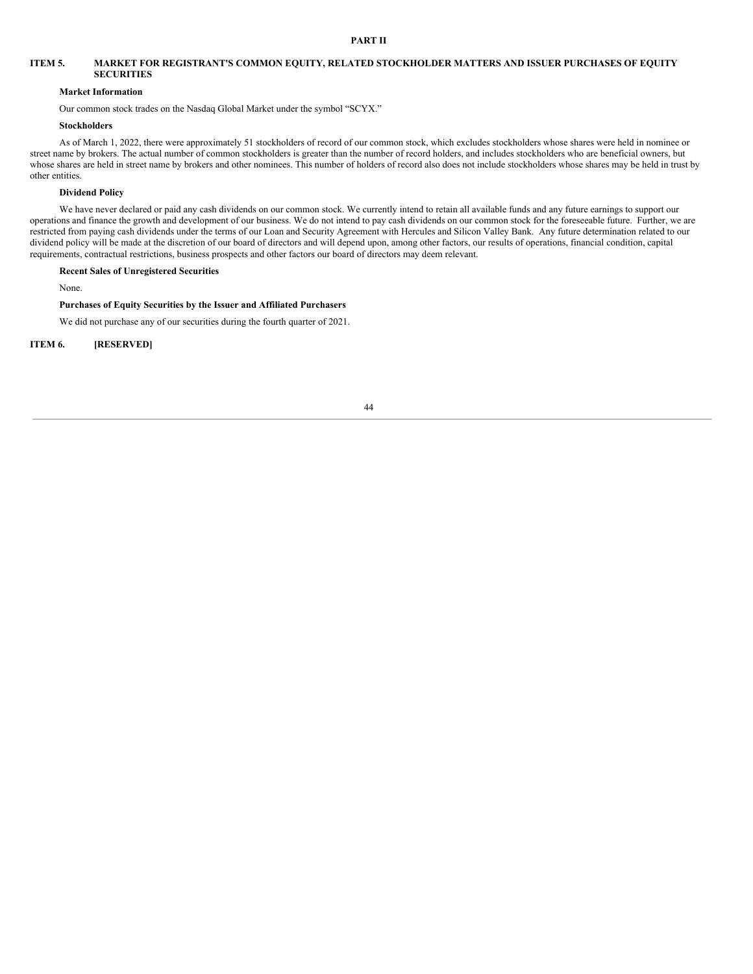# **ITEM 5. MARKET FOR REGISTRANT'S COMMON EQUITY, RELATED STOCKHOLDER MATTERS AND ISSUER PURCHASES OF EQUITY SECURITIES**

# **Market Information**

Our common stock trades on the Nasdaq Global Market under the symbol "SCYX."

#### **Stockholders**

As of March 1, 2022, there were approximately 51 stockholders of record of our common stock, which excludes stockholders whose shares were held in nominee or street name by brokers. The actual number of common stockholders is greater than the number of record holders, and includes stockholders who are beneficial owners, but whose shares are held in street name by brokers and other nominees. This number of holders of record also does not include stockholders whose shares may be held in trust by other entities.

## **Dividend Policy**

We have never declared or paid any cash dividends on our common stock. We currently intend to retain all available funds and any future earnings to support our operations and finance the growth and development of our business. We do not intend to pay cash dividends on our common stock for the foreseeable future. Further, we are restricted from paying cash dividends under the terms of our Loan and Security Agreement with Hercules and Silicon Valley Bank. Any future determination related to our dividend policy will be made at the discretion of our board of directors and will depend upon, among other factors, our results of operations, financial condition, capital requirements, contractual restrictions, business prospects and other factors our board of directors may deem relevant.

### **Recent Sales of Unregistered Securities**

None.

# **Purchases of Equity Securities by the Issuer and Affiliated Purchasers**

We did not purchase any of our securities during the fourth quarter of 2021.

# **ITEM 6. [RESERVED]**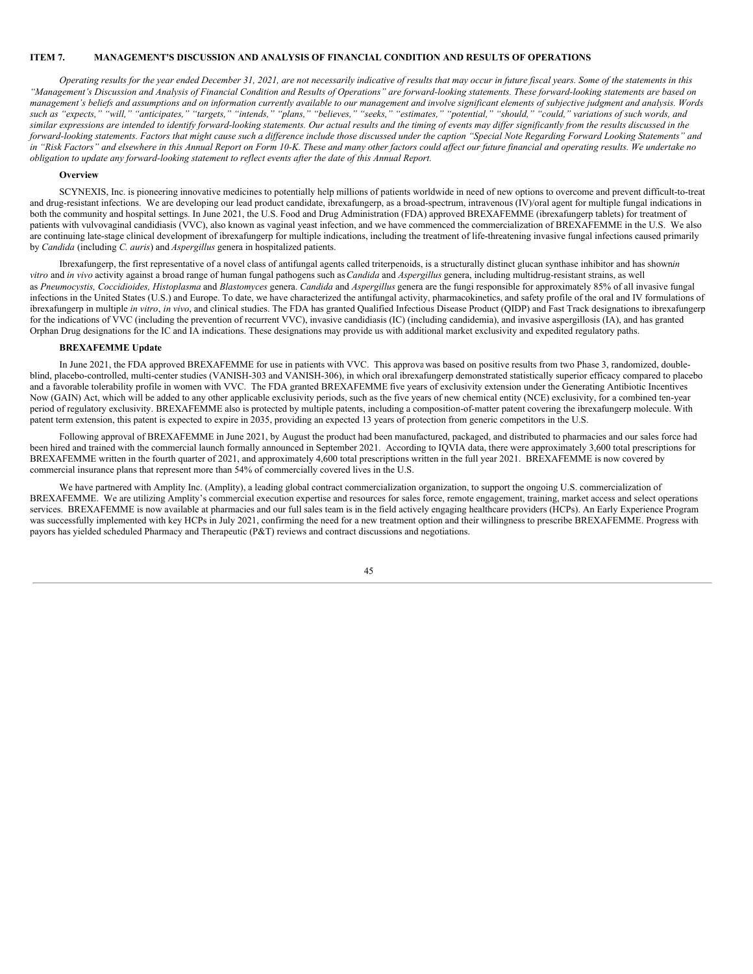# **ITEM 7. MANAGEMENT'S DISCUSSION AND ANALYSIS OF FINANCIAL CONDITION AND RESULTS OF OPERATIONS**

Operating results for the year ended December 31, 2021, are not necessarily indicative of results that may occur in future fiscal years. Some of the statements in this "Management's Discussion and Analysis of Financial Condition and Results of Operations" are forward-looking statements. These forward-looking statements are based on management's beliefs and assumptions and on information currently available to our management and involve significant elements of subjective judgment and analysis. Words such as "expects," "will," "anticipates," "targets," "intends," "plans," "believes," "seeks," "estimates," "potential," "should," "could," variations of such words, and similar expressions are intended to identify forward-looking statements. Our actual results and the timing of events may differ significantly from the results discussed in the forward-looking statements. Factors that might cause such a difference include those discussed under the caption "Special Note Regarding Forward Looking Statements" and in "Risk Factors" and elsewhere in this Annual Report on Form 10-K. These and many other factors could affect our future financial and operating results. We undertake no *obligation to update any forward-looking statement to reflect events after the date of this Annual Report.*

#### **Overview**

SCYNEXIS, Inc. is pioneering innovative medicines to potentially help millions of patients worldwide in need of new options to overcome and prevent difficult-to-treat and drug-resistant infections. We are developing our lead product candidate, ibrexafungerp, as a broad-spectrum, intravenous (IV)/oral agent for multiple fungal indications in both the community and hospital settings. In June 2021, the U.S. Food and Drug Administration (FDA) approved BREXAFEMME (ibrexafungerp tablets) for treatment of patients with vulvovaginal candidiasis (VVC), also known as vaginal yeast infection, and we have commenced the commercialization of BREXAFEMME in the U.S. We also are continuing late-stage clinical development of ibrexafungerp for multiple indications, including the treatment of life-threatening invasive fungal infections caused primarily by *Candida* (including *C. auris*) and *Aspergillus* genera in hospitalized patients.

Ibrexafungerp, the first representative of a novel class of antifungal agents called triterpenoids, is a structurally distinct glucan synthase inhibitor and has shown*in vitro* and *in vivo* activity against a broad range of human fungal pathogens such as*Candida* and *Aspergillus* genera, including multidrug-resistant strains, as well as *Pneumocystis, Coccidioides, Histoplasma* and *Blastomyces* genera. *Candida* and *Aspergillus* genera are the fungi responsible for approximately 85% of all invasive fungal infections in the United States (U.S.) and Europe. To date, we have characterized the antifungal activity, pharmacokinetics, and safety profile of the oral and IV formulations of ibrexafungerp in multiple *in vitro*, *in vivo*, and clinical studies. The FDA has granted Qualified Infectious Disease Product (QIDP) and Fast Track designations to ibrexafungerp for the indications of VVC (including the prevention of recurrent VVC), invasive candidiasis (IC) (including candidemia), and invasive aspergillosis (IA), and has granted Orphan Drug designations for the IC and IA indications. These designations may provide us with additional market exclusivity and expedited regulatory paths.

# **BREXAFEMME Update**

In June 2021, the FDA approved BREXAFEMME for use in patients with VVC. This approva was based on positive results from two Phase 3, randomized, doubleblind, placebo-controlled, multi-center studies (VANISH-303 and VANISH-306), in which oral ibrexafungerp demonstrated statistically superior efficacy compared to placebo and a favorable tolerability profile in women with VVC. The FDA granted BREXAFEMME five years of exclusivity extension under the Generating Antibiotic Incentives Now (GAIN) Act, which will be added to any other applicable exclusivity periods, such as the five years of new chemical entity (NCE) exclusivity, for a combined ten-year period of regulatory exclusivity. BREXAFEMME also is protected by multiple patents, including a composition-of-matter patent covering the ibrexafungerp molecule. With patent term extension, this patent is expected to expire in 2035, providing an expected 13 years of protection from generic competitors in the U.S.

Following approval of BREXAFEMME in June 2021, by August the product had been manufactured, packaged, and distributed to pharmacies and our sales force had been hired and trained with the commercial launch formally announced in September 2021. According to IQVIA data, there were approximately 3,600 total prescriptions for BREXAFEMME written in the fourth quarter of 2021, and approximately 4,600 total prescriptions written in the full year 2021. BREXAFEMME is now covered by commercial insurance plans that represent more than 54% of commercially covered lives in the U.S.

We have partnered with Amplity Inc. (Amplity), a leading global contract commercialization organization, to support the ongoing U.S. commercialization of BREXAFEMME. We are utilizing Amplity's commercial execution expertise and resources for sales force, remote engagement, training, market access and select operations services. BREXAFEMME is now available at pharmacies and our full sales team is in the field actively engaging healthcare providers (HCPs). An Early Experience Program was successfully implemented with key HCPs in July 2021, confirming the need for a new treatment option and their willingness to prescribe BREXAFEMME. Progress with payors has yielded scheduled Pharmacy and Therapeutic (P&T) reviews and contract discussions and negotiations.

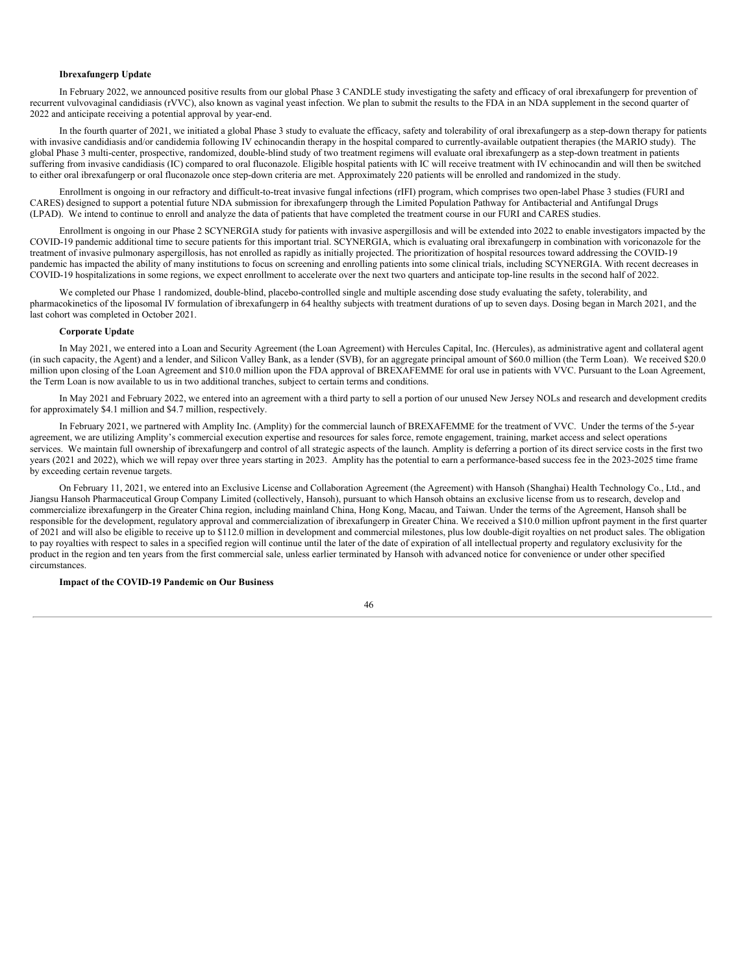### **Ibrexafungerp Update**

In February 2022, we announced positive results from our global Phase 3 CANDLE study investigating the safety and efficacy of oral ibrexafungerp for prevention of recurrent vulvovaginal candidiasis (rVVC), also known as vaginal yeast infection. We plan to submit the results to the FDA in an NDA supplement in the second quarter of 2022 and anticipate receiving a potential approval by year-end.

In the fourth quarter of 2021, we initiated a global Phase 3 study to evaluate the efficacy, safety and tolerability of oral ibrexafungerp as a step-down therapy for patients with invasive candidiasis and/or candidemia following IV echinocandin therapy in the hospital compared to currently-available outpatient therapies (the MARIO study). The global Phase 3 multi-center, prospective, randomized, double-blind study of two treatment regimens will evaluate oral ibrexafungerp as a step-down treatment in patients suffering from invasive candidiasis (IC) compared to oral fluconazole. Eligible hospital patients with IC will receive treatment with IV echinocandin and will then be switched to either oral ibrexafungerp or oral fluconazole once step-down criteria are met. Approximately 220 patients will be enrolled and randomized in the study.

Enrollment is ongoing in our refractory and difficult-to-treat invasive fungal infections (rIFI) program, which comprises two open-label Phase 3 studies (FURI and CARES) designed to support a potential future NDA submission for ibrexafungerp through the Limited Population Pathway for Antibacterial and Antifungal Drugs (LPAD). We intend to continue to enroll and analyze the data of patients that have completed the treatment course in our FURI and CARES studies.

Enrollment is ongoing in our Phase 2 SCYNERGIA study for patients with invasive aspergillosis and will be extended into 2022 to enable investigators impacted by the COVID-19 pandemic additional time to secure patients for this important trial. SCYNERGIA, which is evaluating oral ibrexafungerp in combination with voriconazole for the treatment of invasive pulmonary aspergillosis, has not enrolled as rapidly as initially projected. The prioritization of hospital resources toward addressing the COVID-19 pandemic has impacted the ability of many institutions to focus on screening and enrolling patients into some clinical trials, including SCYNERGIA. With recent decreases in COVID-19 hospitalizations in some regions, we expect enrollment to accelerate over the next two quarters and anticipate top-line results in the second half of 2022.

We completed our Phase 1 randomized, double-blind, placebo-controlled single and multiple ascending dose study evaluating the safety, tolerability, and pharmacokinetics of the liposomal IV formulation of ibrexafungerp in 64 healthy subjects with treatment durations of up to seven days. Dosing began in March 2021, and the last cohort was completed in October 2021.

### **Corporate Update**

In May 2021, we entered into a Loan and Security Agreement (the Loan Agreement) with Hercules Capital, Inc. (Hercules), as administrative agent and collateral agent (in such capacity, the Agent) and a lender, and Silicon Valley Bank, as a lender (SVB), for an aggregate principal amount of \$60.0 million (the Term Loan). We received \$20.0 million upon closing of the Loan Agreement and \$10.0 million upon the FDA approval of BREXAFEMME for oral use in patients with VVC. Pursuant to the Loan Agreement, the Term Loan is now available to us in two additional tranches, subject to certain terms and conditions.

In May 2021 and February 2022, we entered into an agreement with a third party to sell a portion of our unused New Jersey NOLs and research and development credits for approximately \$4.1 million and \$4.7 million, respectively.

In February 2021, we partnered with Amplity Inc. (Amplity) for the commercial launch of BREXAFEMME for the treatment of VVC. Under the terms of the 5-year agreement, we are utilizing Amplity's commercial execution expertise and resources for sales force, remote engagement, training, market access and select operations services. We maintain full ownership of ibrexafungerp and control of all strategic aspects of the launch. Amplity is deferring a portion of its direct service costs in the first two years (2021 and 2022), which we will repay over three years starting in 2023. Amplity has the potential to earn a performance-based success fee in the 2023-2025 time frame by exceeding certain revenue targets.

On February 11, 2021, we entered into an Exclusive License and Collaboration Agreement (the Agreement) with Hansoh (Shanghai) Health Technology Co., Ltd., and Jiangsu Hansoh Pharmaceutical Group Company Limited (collectively, Hansoh), pursuant to which Hansoh obtains an exclusive license from us to research, develop and commercialize ibrexafungerp in the Greater China region, including mainland China, Hong Kong, Macau, and Taiwan. Under the terms of the Agreement, Hansoh shall be responsible for the development, regulatory approval and commercialization of ibrexafungerp in Greater China. We received a \$10.0 million upfront payment in the first quarter of 2021 and will also be eligible to receive up to \$112.0 million in development and commercial milestones, plus low double-digit royalties on net product sales. The obligation to pay royalties with respect to sales in a specified region will continue until the later of the date of expiration of all intellectual property and regulatory exclusivity for the product in the region and ten years from the first commercial sale, unless earlier terminated by Hansoh with advanced notice for convenience or under other specified circumstances.

# **Impact of the COVID-19 Pandemic on Our Business**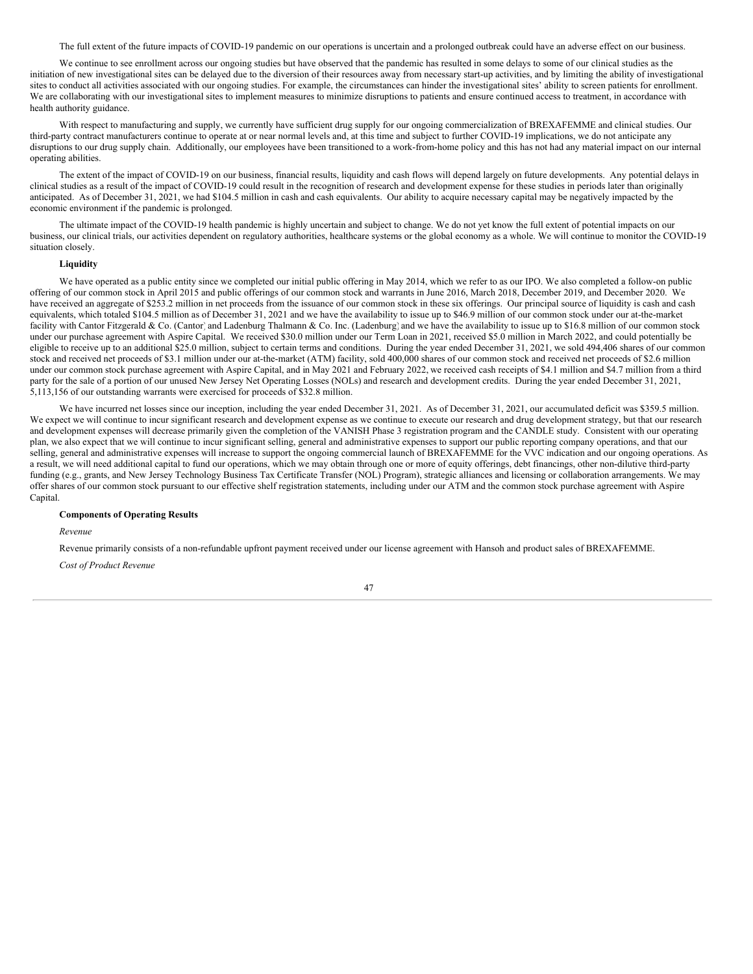The full extent of the future impacts of COVID-19 pandemic on our operations is uncertain and a prolonged outbreak could have an adverse effect on our business.

We continue to see enrollment across our ongoing studies but have observed that the pandemic has resulted in some delays to some of our clinical studies as the initiation of new investigational sites can be delayed due to the diversion of their resources away from necessary start-up activities, and by limiting the ability of investigational sites to conduct all activities associated with our ongoing studies. For example, the circumstances can hinder the investigational sites' ability to screen patients for enrollment. We are collaborating with our investigational sites to implement measures to minimize disruptions to patients and ensure continued access to treatment, in accordance with health authority guidance.

With respect to manufacturing and supply, we currently have sufficient drug supply for our ongoing commercialization of BREXAFEMME and clinical studies. Our third-party contract manufacturers continue to operate at or near normal levels and, at this time and subject to further COVID-19 implications, we do not anticipate any disruptions to our drug supply chain. Additionally, our employees have been transitioned to a work-from-home policy and this has not had any material impact on our internal operating abilities.

The extent of the impact of COVID-19 on our business, financial results, liquidity and cash flows will depend largely on future developments. Any potential delays in clinical studies as a result of the impact of COVID-19 could result in the recognition of research and development expense for these studies in periods later than originally anticipated. As of December 31, 2021, we had \$104.5 million in cash and cash equivalents. Our ability to acquire necessary capital may be negatively impacted by the economic environment if the pandemic is prolonged.

The ultimate impact of the COVID-19 health pandemic is highly uncertain and subject to change. We do not yet know the full extent of potential impacts on our business, our clinical trials, our activities dependent on regulatory authorities, healthcare systems or the global economy as a whole. We will continue to monitor the COVID-19 situation closely.

# **Liquidity**

We have operated as a public entity since we completed our initial public offering in May 2014, which we refer to as our IPO. We also completed a follow-on public offering of our common stock in April 2015 and public offerings of our common stock and warrants in June 2016, March 2018, December 2019, and December 2020. We have received an aggregate of \$253.2 million in net proceeds from the issuance of our common stock in these six offerings. Our principal source of liquidity is cash and cash equivalents, which totaled \$104.5 million as of December 31, 2021 and we have the availability to issue up to \$46.9 million of our common stock under our at-the-market facility with Cantor Fitzgerald & Co. (Cantor) and Ladenburg Thalmann & Co. Inc. (Ladenburg) and we have the availability to issue up to \$16.8 million of our common stock under our purchase agreement with Aspire Capital. We received \$30.0 million under our Term Loan in 2021, received \$5.0 million in March 2022, and could potentially be eligible to receive up to an additional \$25.0 million, subject to certain terms and conditions. During the year ended December 31, 2021, we sold 494,406 shares of our common stock and received net proceeds of \$3.1 million under our at-the-market (ATM) facility, sold 400,000 shares of our common stock and received net proceeds of \$2.6 million under our common stock purchase agreement with Aspire Capital, and in May 2021 and February 2022, we received cash receipts of \$4.1 million and \$4.7 million from a third party for the sale of a portion of our unused New Jersey Net Operating Losses (NOLs) and research and development credits. During the year ended December 31, 2021, 5,113,156 of our outstanding warrants were exercised for proceeds of \$32.8 million.

We have incurred net losses since our inception, including the year ended December 31, 2021. As of December 31, 2021, our accumulated deficit was \$359.5 million. We expect we will continue to incur significant research and development expense as we continue to execute our research and drug development strategy, but that our research and development expenses will decrease primarily given the completion of the VANISH Phase 3 registration program and the CANDLE study. Consistent with our operating plan, we also expect that we will continue to incur significant selling, general and administrative expenses to support our public reporting company operations, and that our selling, general and administrative expenses will increase to support the ongoing commercial launch of BREXAFEMME for the VVC indication and our ongoing operations. As a result, we will need additional capital to fund our operations, which we may obtain through one or more of equity offerings, debt financings, other non-dilutive third-party funding (e.g., grants, and New Jersey Technology Business Tax Certificate Transfer (NOL) Program), strategic alliances and licensing or collaboration arrangements. We may offer shares of our common stock pursuant to our effective shelf registration statements, including under our ATM and the common stock purchase agreement with Aspire Capital.

# **Components of Operating Results**

*Revenue*

Revenue primarily consists of a non-refundable upfront payment received under our license agreement with Hansoh and product sales of BREXAFEMME.

*Cost of Product Revenue*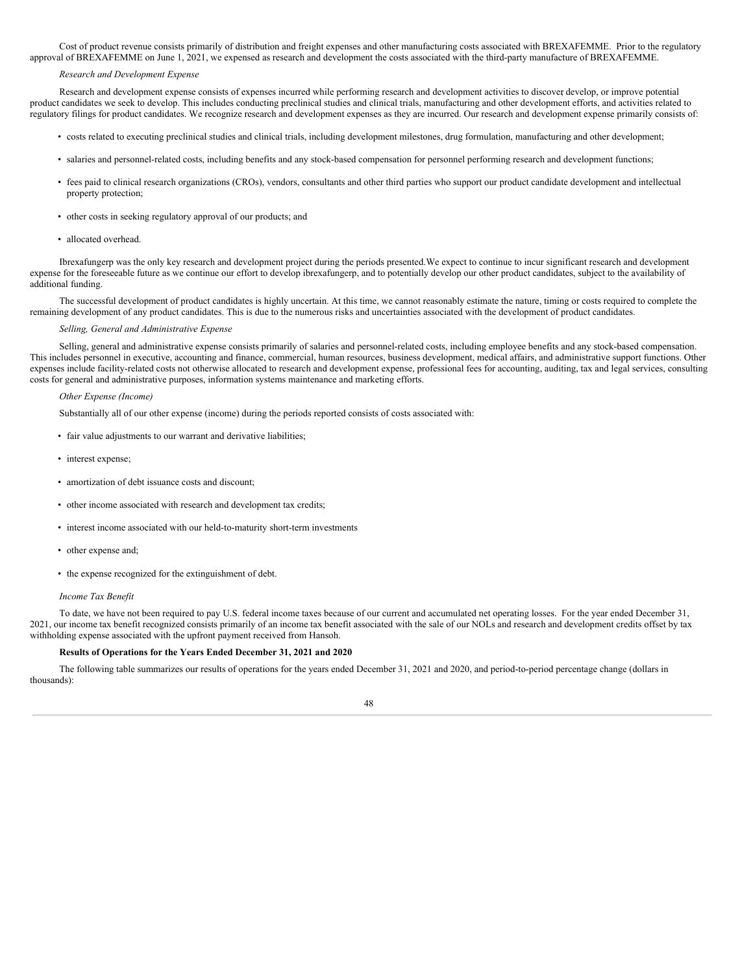Cost of product revenue consists primarily of distribution and freight expenses and other manufacturing costs associated with BREXAFEMME. Prior to the regulatory approval of BREXAFEMME on June 1, 2021, we expensed as research and development the costs associated with the third-party manufacture of BREXAFEMME.

# *Research and Development Expense*

Research and development expense consists of expenses incurred while performing research and development activities to discover develop, or improve potential product candidates we seek to develop. This includes conducting preclinical studies and clinical trials, manufacturing and other development efforts, and activities related to regulatory filings for product candidates. We recognize research and development expenses as they are incurred. Our research and development expense primarily consists of:

- costs related to executing preclinical studies and clinical trials, including development milestones, drug formulation, manufacturing and other development;
- salaries and personnel-related costs, including benefits and any stock-based compensation for personnel performing research and development functions;
- fees paid to clinical research organizations (CROs), vendors, consultants and other third parties who support our product candidate development and intellectual property protection;
- other costs in seeking regulatory approval of our products; and
- allocated overhead.

Ibrexafungerp was the only key research and development project during the periods presented.We expect to continue to incur significant research and development expense for the foreseeable future as we continue our effort to develop ibrexafungerp, and to potentially develop our other product candidates, subject to the availability of additional funding.

The successful development of product candidates is highly uncertain. At this time, we cannot reasonably estimate the nature, timing or costs required to complete the remaining development of any product candidates. This is due to the numerous risks and uncertainties associated with the development of product candidates.

### *Selling, General and Administrative Expense*

Selling, general and administrative expense consists primarily of salaries and personnel-related costs, including employee benefits and any stock-based compensation. This includes personnel in executive, accounting and finance, commercial, human resources, business development, medical affairs, and administrative support functions. Other expenses include facility-related costs not otherwise allocated to research and development expense, professional fees for accounting, auditing, tax and legal services, consulting costs for general and administrative purposes, information systems maintenance and marketing efforts.

### *Other Expense (Income)*

Substantially all of our other expense (income) during the periods reported consists of costs associated with:

- fair value adjustments to our warrant and derivative liabilities;
- interest expense;
- amortization of debt issuance costs and discount;
- other income associated with research and development tax credits;
- interest income associated with our held-to-maturity short-term investments
- other expense and;
- the expense recognized for the extinguishment of debt.

#### *Income Tax Benefit*

To date, we have not been required to pay U.S. federal income taxes because of our current and accumulated net operating losses. For the year ended December 31, 2021, our income tax benefit recognized consists primarily of an income tax benefit associated with the sale of our NOLs and research and development credits offset by tax withholding expense associated with the upfront payment received from Hansoh.

### **Results of Operations for the Years Ended December 31, 2021 and 2020**

The following table summarizes our results of operations for the years ended December 31, 2021 and 2020, and period-to-period percentage change (dollars in thousands):

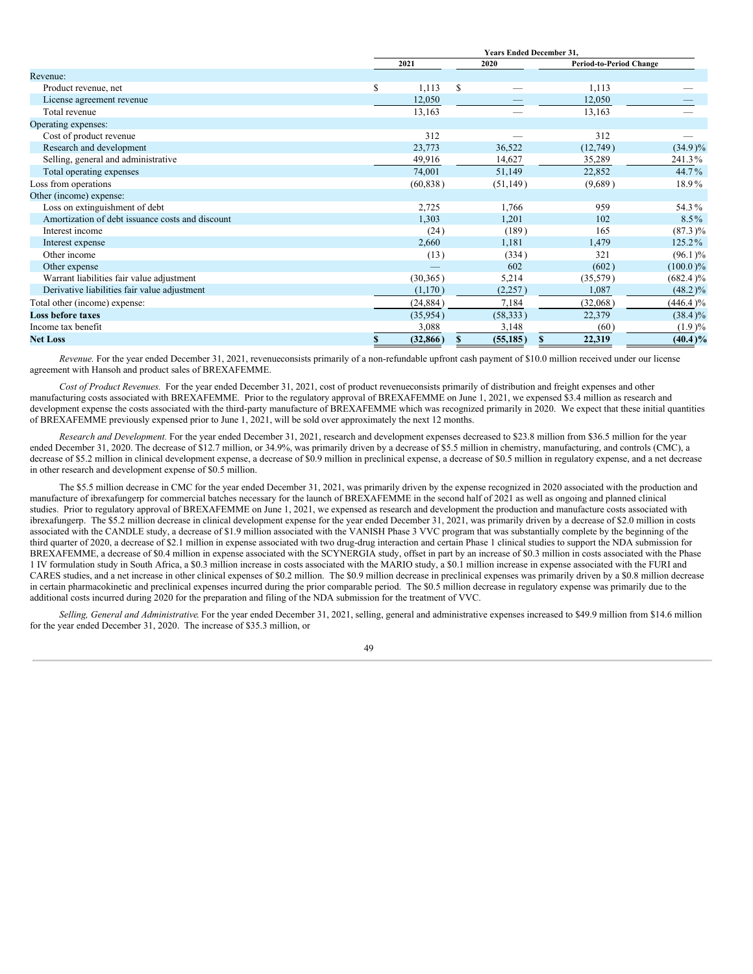|                                                  | <b>Years Ended December 31.</b> |    |           |                                |             |  |
|--------------------------------------------------|---------------------------------|----|-----------|--------------------------------|-------------|--|
|                                                  | 2021                            |    | 2020      | <b>Period-to-Period Change</b> |             |  |
| Revenue:                                         |                                 |    |           |                                |             |  |
| Product revenue, net                             | \$<br>1,113                     | \$ |           | 1,113                          |             |  |
| License agreement revenue                        | 12,050                          |    |           | 12,050                         |             |  |
| Total revenue                                    | 13,163                          |    |           | 13,163                         |             |  |
| Operating expenses:                              |                                 |    |           |                                |             |  |
| Cost of product revenue                          | 312                             |    |           | 312                            |             |  |
| Research and development                         | 23,773                          |    | 36,522    | (12,749)                       | $(34.9)\%$  |  |
| Selling, general and administrative              | 49,916                          |    | 14,627    | 35,289                         | 241.3%      |  |
| Total operating expenses                         | 74,001                          |    | 51,149    | 22,852                         | 44.7%       |  |
| Loss from operations                             | (60, 838)                       |    | (51, 149) | (9,689)                        | 18.9%       |  |
| Other (income) expense:                          |                                 |    |           |                                |             |  |
| Loss on extinguishment of debt                   | 2,725                           |    | 1,766     | 959                            | 54.3%       |  |
| Amortization of debt issuance costs and discount | 1,303                           |    | 1,201     | 102                            | $8.5\%$     |  |
| Interest income                                  | (24)                            |    | (189)     | 165                            | $(87.3)\%$  |  |
| Interest expense                                 | 2,660                           |    | 1,181     | 1,479                          | 125.2%      |  |
| Other income                                     | (13)                            |    | (334)     | 321                            | $(96.1)\%$  |  |
| Other expense                                    |                                 |    | 602       | (602)                          | $(100.0)\%$ |  |
| Warrant liabilities fair value adjustment        | (30, 365)                       |    | 5,214     | (35,579)                       | $(682.4)\%$ |  |
| Derivative liabilities fair value adjustment     | (1,170)                         |    | (2,257)   | 1,087                          | $(48.2)\%$  |  |
| Total other (income) expense:                    | (24, 884)                       |    | 7,184     | (32,068)                       | $(446.4)\%$ |  |
| <b>Loss before taxes</b>                         | (35,954)                        |    | (58, 333) | 22,379                         | $(38.4)\%$  |  |
| Income tax benefit                               | 3,088                           |    | 3,148     | (60)                           | (1.9)%      |  |
| <b>Net Loss</b>                                  | \$<br>(32, 866)                 | S  | (55, 185) | 22,319<br>\$                   | $(40.4)\%$  |  |

*Revenue.* For the year ended December 31, 2021, revenueconsists primarily of a non-refundable upfront cash payment of \$10.0 million received under our license agreement with Hansoh and product sales of BREXAFEMME.

*Cost of Product Revenues.* For the year ended December 31, 2021, cost of product revenueconsists primarily of distribution and freight expenses and other manufacturing costs associated with BREXAFEMME. Prior to the regulatory approval of BREXAFEMME on June 1, 2021, we expensed \$3.4 million as research and development expense the costs associated with the third-party manufacture of BREXAFEMME which was recognized primarily in 2020. We expect that these initial quantities of BREXAFEMME previously expensed prior to June 1, 2021, will be sold over approximately the next 12 months.

*Research and Development.* For the year ended December 31, 2021, research and development expenses decreased to \$23.8 million from \$36.5 million for the year ended December 31, 2020. The decrease of \$12.7 million, or 34.9%, was primarily driven by a decrease of \$5.5 million in chemistry, manufacturing, and controls (CMC), a decrease of \$5.2 million in clinical development expense, a decrease of \$0.9 million in preclinical expense, a decrease of \$0.5 million in regulatory expense, and a net decrease in other research and development expense of \$0.5 million.

The \$5.5 million decrease in CMC for the year ended December 31, 2021, was primarily driven by the expense recognized in 2020 associated with the production and manufacture of ibrexafungerp for commercial batches necessary for the launch of BREXAFEMME in the second half of 2021 as well as ongoing and planned clinical studies. Prior to regulatory approval of BREXAFEMME on June 1, 2021, we expensed as research and development the production and manufacture costs associated with ibrexafungerp. The \$5.2 million decrease in clinical development expense for the year ended December 31, 2021, was primarily driven by a decrease of \$2.0 million in costs associated with the CANDLE study, a decrease of \$1.9 million associated with the VANISH Phase 3 VVC program that was substantially complete by the beginning of the third quarter of 2020, a decrease of \$2.1 million in expense associated with two drug-drug interaction and certain Phase 1 clinical studies to support the NDA submission for BREXAFEMME, a decrease of \$0.4 million in expense associated with the SCYNERGIA study, offset in part by an increase of \$0.3 million in costs associated with the Phase 1 IV formulation study in South Africa, a \$0.3 million increase in costs associated with the MARIO study, a \$0.1 million increase in expense associated with the FURI and CARES studies, and a net increase in other clinical expenses of \$0.2 million. The \$0.9 million decrease in preclinical expenses was primarily driven by a \$0.8 million decrease in certain pharmacokinetic and preclinical expenses incurred during the prior comparable period. The \$0.5 million decrease in regulatory expense was primarily due to the additional costs incurred during 2020 for the preparation and filing of the NDA submission for the treatment of VVC.

*Selling, General and Administrative*. For the year ended December 31, 2021, selling, general and administrative expenses increased to \$49.9 million from \$14.6 million for the year ended December 31, 2020. The increase of \$35.3 million, or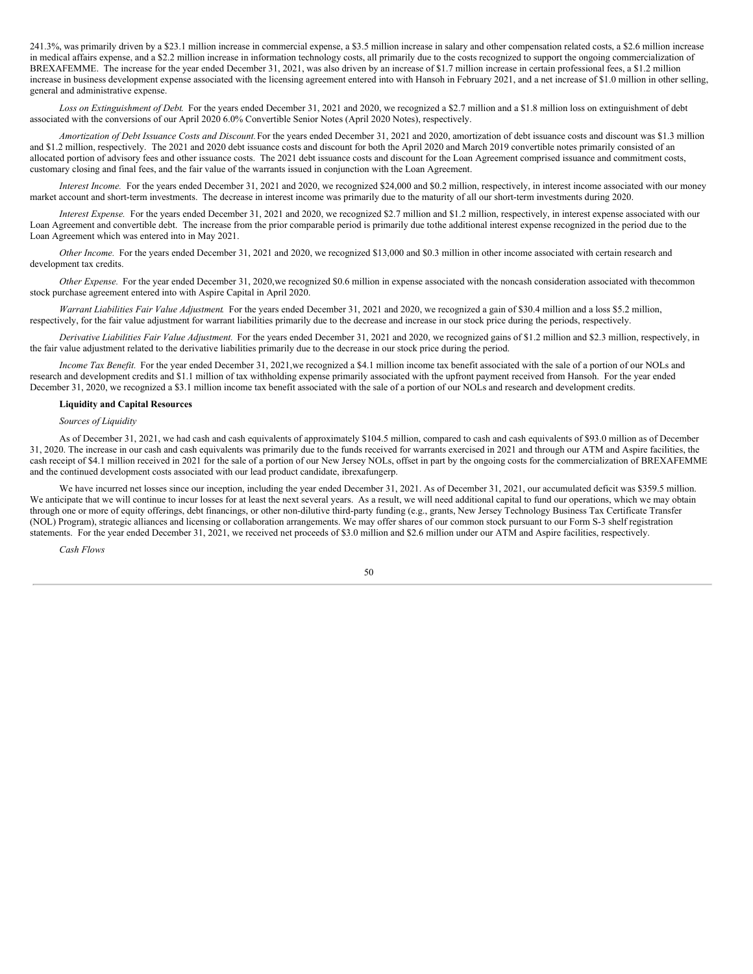241.3%, was primarily driven by a \$23.1 million increase in commercial expense, a \$3.5 million increase in salary and other compensation related costs, a \$2.6 million increase in medical affairs expense, and a \$2.2 million increase in information technology costs, all primarily due to the costs recognized to support the ongoing commercialization of BREXAFEMME. The increase for the year ended December 31, 2021, was also driven by an increase of \$1.7 million increase in certain professional fees, a \$1.2 million increase in business development expense associated with the licensing agreement entered into with Hansoh in February 2021, and a net increase of \$1.0 million in other selling, general and administrative expense.

*Loss on Extinguishment of Debt*. For the years ended December 31, 2021 and 2020, we recognized a \$2.7 million and a \$1.8 million loss on extinguishment of debt associated with the conversions of our April 2020 6.0% Convertible Senior Notes (April 2020 Notes), respectively.

*Amortization of Debt Issuance Costs and Discount.*For the years ended December 31, 2021 and 2020, amortization of debt issuance costs and discount was \$1.3 million and \$1.2 million, respectively. The 2021 and 2020 debt issuance costs and discount for both the April 2020 and March 2019 convertible notes primarily consisted of an allocated portion of advisory fees and other issuance costs. The 2021 debt issuance costs and discount for the Loan Agreement comprised issuance and commitment costs, customary closing and final fees, and the fair value of the warrants issued in conjunction with the Loan Agreement.

*Interest Income.* For the years ended December 31, 2021 and 2020, we recognized \$24,000 and \$0.2 million, respectively, in interest income associated with our money market account and short-term investments. The decrease in interest income was primarily due to the maturity of all our short-term investments during 2020.

*Interest Expense.* For the years ended December 31, 2021 and 2020, we recognized \$2.7 million and \$1.2 million, respectively, in interest expense associated with our Loan Agreement and convertible debt. The increase from the prior comparable period is primarily due tothe additional interest expense recognized in the period due to the Loan Agreement which was entered into in May 2021.

*Other Income.* For the years ended December 31, 2021 and 2020, we recognized \$13,000 and \$0.3 million in other income associated with certain research and development tax credits.

*Other Expense.* For the year ended December 31, 2020,we recognized \$0.6 million in expense associated with the noncash consideration associated with thecommon stock purchase agreement entered into with Aspire Capital in April 2020.

*Warrant Liabilities Fair Value Adjustment*. For the years ended December 31, 2021 and 2020, we recognized a gain of \$30.4 million and a loss \$5.2 million, respectively, for the fair value adjustment for warrant liabilities primarily due to the decrease and increase in our stock price during the periods, respectively.

*Derivative Liabilities Fair Value Adjustment.* For the years ended December 31, 2021 and 2020, we recognized gains of \$1.2 million and \$2.3 million, respectively, in the fair value adjustment related to the derivative liabilities primarily due to the decrease in our stock price during the period.

*Income Tax Benefit.* For the year ended December 31, 2021,we recognized a \$4.1 million income tax benefit associated with the sale of a portion of our NOLs and research and development credits and \$1.1 million of tax withholding expense primarily associated with the upfront payment received from Hansoh. For the year ended December 31, 2020, we recognized a \$3.1 million income tax benefit associated with the sale of a portion of our NOLs and research and development credits.

# **Liquidity and Capital Resources**

*Sources of Liquidity*

As of December 31, 2021, we had cash and cash equivalents of approximately \$104.5 million, compared to cash and cash equivalents of \$93.0 million as of December 31, 2020. The increase in our cash and cash equivalents was primarily due to the funds received for warrants exercised in 2021 and through our ATM and Aspire facilities, the cash receipt of \$4.1 million received in 2021 for the sale of a portion of our New Jersey NOLs, offset in part by the ongoing costs for the commercialization of BREXAFEMME and the continued development costs associated with our lead product candidate, ibrexafungerp.

We have incurred net losses since our inception, including the year ended December 31, 2021. As of December 31, 2021, our accumulated deficit was \$359.5 million. We anticipate that we will continue to incur losses for at least the next several years. As a result, we will need additional capital to fund our operations, which we may obtain through one or more of equity offerings, debt financings, or other non-dilutive third-party funding (e.g., grants, New Jersey Technology Business Tax Certificate Transfer (NOL) Program), strategic alliances and licensing or collaboration arrangements. We may offer shares of our common stock pursuant to our Form S-3 shelf registration statements. For the year ended December 31, 2021, we received net proceeds of \$3.0 million and \$2.6 million under our ATM and Aspire facilities, respectively.

*Cash Flows*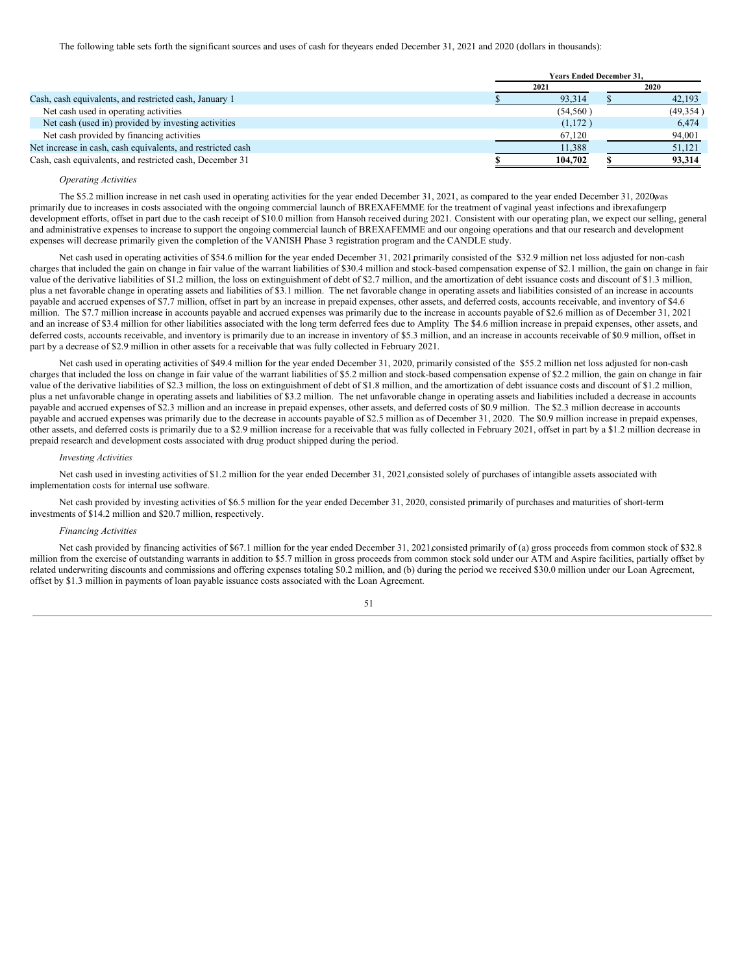The following table sets forth the significant sources and uses of cash for theyears ended December 31, 2021 and 2020 (dollars in thousands):

|                                                             | <b>Years Ended December 31.</b> |           |  |           |  |  |
|-------------------------------------------------------------|---------------------------------|-----------|--|-----------|--|--|
|                                                             | 2021                            |           |  | 2020      |  |  |
| Cash, cash equivalents, and restricted cash, January 1      |                                 | 93,314    |  | 42,193    |  |  |
| Net cash used in operating activities                       |                                 | (54, 560) |  | (49, 354) |  |  |
| Net cash (used in) provided by investing activities         |                                 | (1,172)   |  | 6,474     |  |  |
| Net cash provided by financing activities                   |                                 | 67,120    |  | 94,001    |  |  |
| Net increase in cash, cash equivalents, and restricted cash |                                 | 11,388    |  | 51,121    |  |  |
| Cash, cash equivalents, and restricted cash, December 31    |                                 | 104.702   |  | 93,314    |  |  |

#### *Operating Activities*

The \$5.2 million increase in net cash used in operating activities for the year ended December 31, 2021, as compared to the year ended December 31, 2020was primarily due to increases in costs associated with the ongoing commercial launch of BREXAFEMME for the treatment of vaginal yeast infections and ibrexafungerp development efforts, offset in part due to the cash receipt of \$10.0 million from Hansoh received during 2021. Consistent with our operating plan, we expect our selling, general and administrative expenses to increase to support the ongoing commercial launch of BREXAFEMME and our ongoing operations and that our research and development expenses will decrease primarily given the completion of the VANISH Phase 3 registration program and the CANDLE study.

Net cash used in operating activities of \$54.6 million for the year ended December 31, 2021 primarily consisted of the \$32.9 million net loss adjusted for non-cash charges that included the gain on change in fair value of the warrant liabilities of \$30.4 million and stock-based compensation expense of \$2.1 million, the gain on change in fair value of the derivative liabilities of \$1.2 million, the loss on extinguishment of debt of \$2.7 million, and the amortization of debt issuance costs and discount of \$1.3 million, plus a net favorable change in operating assets and liabilities of \$3.1 million. The net favorable change in operating assets and liabilities consisted of an increase in accounts payable and accrued expenses of \$7.7 million, offset in part by an increase in prepaid expenses, other assets, and deferred costs, accounts receivable, and inventory of \$4.6 million. The \$7.7 million increase in accounts payable and accrued expenses was primarily due to the increase in accounts payable of \$2.6 million as of December 31, 2021 and an increase of \$3.4 million for other liabilities associated with the long term deferred fees due to Amplity. The \$4.6 million increase in prepaid expenses, other assets, and deferred costs, accounts receivable, and inventory is primarily due to an increase in inventory of \$5.3 million, and an increase in accounts receivable of \$0.9 million, offset in part by a decrease of \$2.9 million in other assets for a receivable that was fully collected in February 2021.

Net cash used in operating activities of \$49.4 million for the year ended December 31, 2020, primarily consisted of the \$55.2 million net loss adjusted for non-cash charges that included the loss on change in fair value of the warrant liabilities of \$5.2 million and stock-based compensation expense of \$2.2 million, the gain on change in fair value of the derivative liabilities of \$2.3 million, the loss on extinguishment of debt of \$1.8 million, and the amortization of debt issuance costs and discount of \$1.2 million, plus a net unfavorable change in operating assets and liabilities of \$3.2 million. The net unfavorable change in operating assets and liabilities included a decrease in accounts payable and accrued expenses of \$2.3 million and an increase in prepaid expenses, other assets, and deferred costs of \$0.9 million. The \$2.3 million decrease in accounts payable and accrued expenses was primarily due to the decrease in accounts payable of \$2.5 million as of December 31, 2020. The \$0.9 million increase in prepaid expenses, other assets, and deferred costs is primarily due to a \$2.9 million increase for a receivable that was fully collected in February 2021, offset in part by a \$1.2 million decrease in prepaid research and development costs associated with drug product shipped during the period.

### *Investing Activities*

Net cash used in investing activities of \$1.2 million for the year ended December 31, 2021,consisted solely of purchases of intangible assets associated with implementation costs for internal use software.

Net cash provided by investing activities of \$6.5 million for the year ended December 31, 2020, consisted primarily of purchases and maturities of short-term investments of \$14.2 million and \$20.7 million, respectively.

#### *Financing Activities*

Net cash provided by financing activities of \$67.1 million for the year ended December 31, 2021 consisted primarily of (a) gross proceeds from common stock of \$32.8 million from the exercise of outstanding warrants in addition to \$5.7 million in gross proceeds from common stock sold under our ATM and Aspire facilities, partially offset by related underwriting discounts and commissions and offering expenses totaling \$0.2 million, and (b) during the period we received \$30.0 million under our Loan Agreement, offset by \$1.3 million in payments of loan payable issuance costs associated with the Loan Agreement.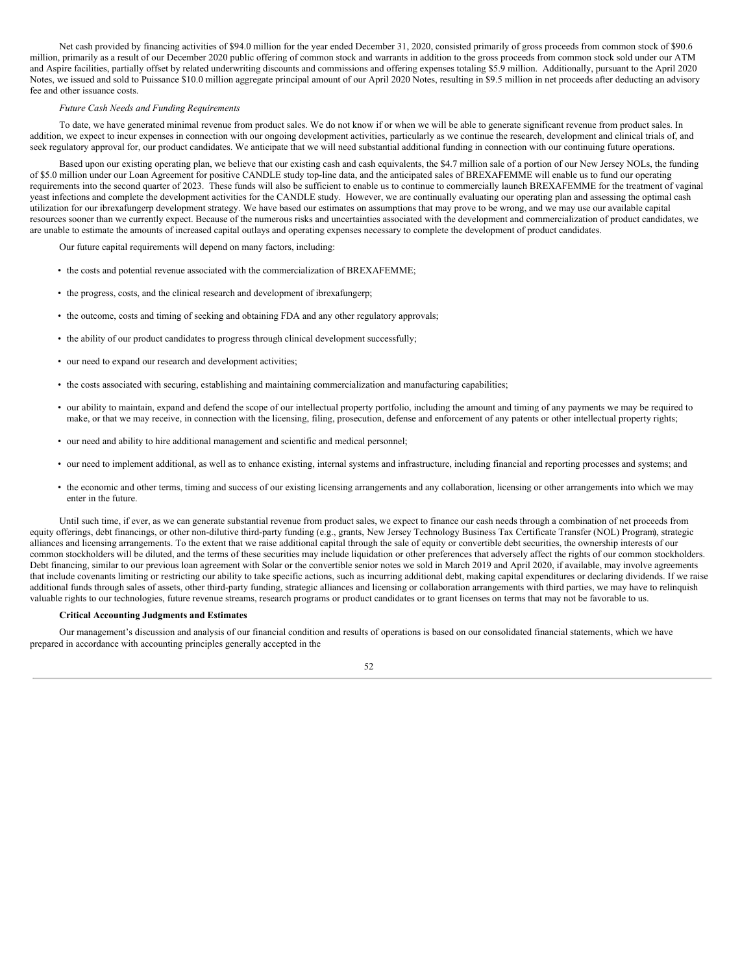Net cash provided by financing activities of \$94.0 million for the year ended December 31, 2020, consisted primarily of gross proceeds from common stock of \$90.6 million, primarily as a result of our December 2020 public offering of common stock and warrants in addition to the gross proceeds from common stock sold under our ATM and Aspire facilities, partially offset by related underwriting discounts and commissions and offering expenses totaling \$5.9 million. Additionally, pursuant to the April 2020 Notes, we issued and sold to Puissance \$10.0 million aggregate principal amount of our April 2020 Notes, resulting in \$9.5 million in net proceeds after deducting an advisory fee and other issuance costs.

# *Future Cash Needs and Funding Requirements*

To date, we have generated minimal revenue from product sales. We do not know if or when we will be able to generate significant revenue from product sales. In addition, we expect to incur expenses in connection with our ongoing development activities, particularly as we continue the research, development and clinical trials of, and seek regulatory approval for, our product candidates. We anticipate that we will need substantial additional funding in connection with our continuing future operations.

Based upon our existing operating plan, we believe that our existing cash and cash equivalents, the \$4.7 million sale of a portion of our New Jersey NOLs, the funding of \$5.0 million under our Loan Agreement for positive CANDLE study top-line data, and the anticipated sales of BREXAFEMME will enable us to fund our operating requirements into the second quarter of 2023. These funds will also be sufficient to enable us to continue to commercially launch BREXAFEMME for the treatment of vaginal yeast infections and complete the development activities for the CANDLE study. However, we are continually evaluating our operating plan and assessing the optimal cash utilization for our ibrexafungerp development strategy. We have based our estimates on assumptions that may prove to be wrong, and we may use our available capital resources sooner than we currently expect. Because of the numerous risks and uncertainties associated with the development and commercialization of product candidates, we are unable to estimate the amounts of increased capital outlays and operating expenses necessary to complete the development of product candidates.

Our future capital requirements will depend on many factors, including:

- the costs and potential revenue associated with the commercialization of BREXAFEMME;
- the progress, costs, and the clinical research and development of ibrexafungerp;
- the outcome, costs and timing of seeking and obtaining FDA and any other regulatory approvals;
- the ability of our product candidates to progress through clinical development successfully;
- our need to expand our research and development activities;
- the costs associated with securing, establishing and maintaining commercialization and manufacturing capabilities;
- our ability to maintain, expand and defend the scope of our intellectual property portfolio, including the amount and timing of any payments we may be required to make, or that we may receive, in connection with the licensing, filing, prosecution, defense and enforcement of any patents or other intellectual property rights;
- our need and ability to hire additional management and scientific and medical personnel;
- our need to implement additional, as well as to enhance existing, internal systems and infrastructure, including financial and reporting processes and systems; and
- the economic and other terms, timing and success of our existing licensing arrangements and any collaboration, licensing or other arrangements into which we may enter in the future.

Until such time, if ever, as we can generate substantial revenue from product sales, we expect to finance our cash needs through a combination of net proceeds from equity offerings, debt financings, or other non-dilutive third-party funding (e.g., grants, New Jersey Technology Business Tax Certificate Transfer (NOL) Program), strategic alliances and licensing arrangements. To the extent that we raise additional capital through the sale of equity or convertible debt securities, the ownership interests of our common stockholders will be diluted, and the terms of these securities may include liquidation or other preferences that adversely affect the rights of our common stockholders. Debt financing, similar to our previous loan agreement with Solar or the convertible senior notes we sold in March 2019 and April 2020, if available, may involve agreements that include covenants limiting or restricting our ability to take specific actions, such as incurring additional debt, making capital expenditures or declaring dividends. If we raise additional funds through sales of assets, other third-party funding, strategic alliances and licensing or collaboration arrangements with third parties, we may have to relinquish valuable rights to our technologies, future revenue streams, research programs or product candidates or to grant licenses on terms that may not be favorable to us.

#### **Critical Accounting Judgments and Estimates**

Our management's discussion and analysis of our financial condition and results of operations is based on our consolidated financial statements, which we have prepared in accordance with accounting principles generally accepted in the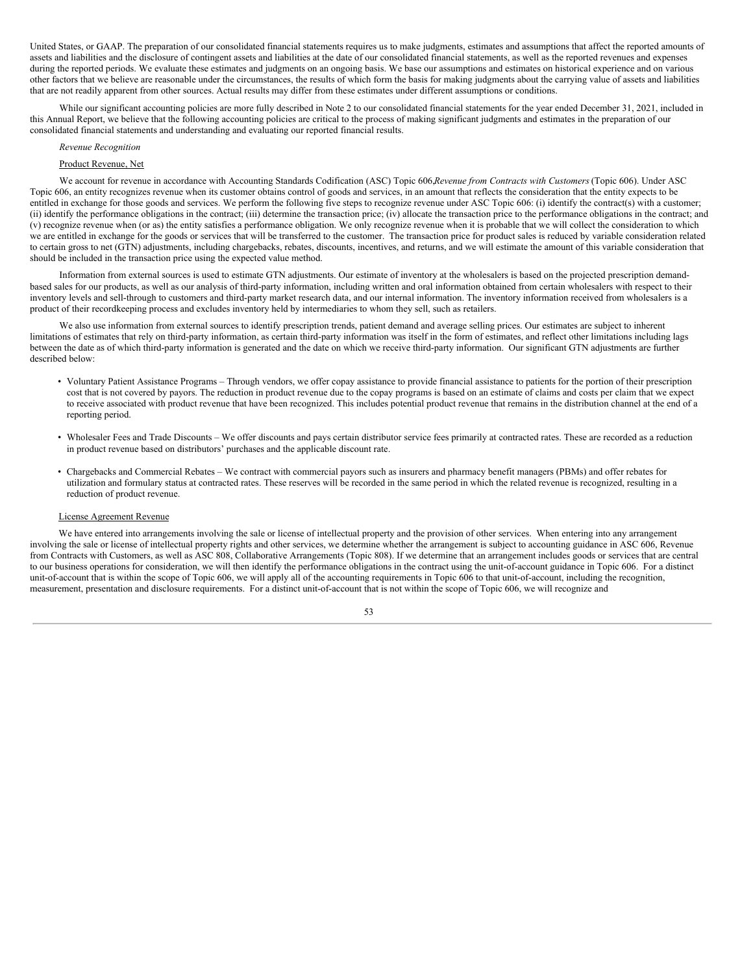United States, or GAAP. The preparation of our consolidated financial statements requires us to make judgments, estimates and assumptions that affect the reported amounts of assets and liabilities and the disclosure of contingent assets and liabilities at the date of our consolidated financial statements, as well as the reported revenues and expenses during the reported periods. We evaluate these estimates and judgments on an ongoing basis. We base our assumptions and estimates on historical experience and on various other factors that we believe are reasonable under the circumstances, the results of which form the basis for making judgments about the carrying value of assets and liabilities that are not readily apparent from other sources. Actual results may differ from these estimates under different assumptions or conditions.

While our significant accounting policies are more fully described in Note 2 to our consolidated financial statements for the year ended December 31, 2021, included in this Annual Report, we believe that the following accounting policies are critical to the process of making significant judgments and estimates in the preparation of our consolidated financial statements and understanding and evaluating our reported financial results.

### *Revenue Recognition*

### Product Revenue, Net

We account for revenue in accordance with Accounting Standards Codification (ASC) Topic 606,*Revenue from Contracts with Customers*(Topic 606). Under ASC Topic 606, an entity recognizes revenue when its customer obtains control of goods and services, in an amount that reflects the consideration that the entity expects to be entitled in exchange for those goods and services. We perform the following five steps to recognize revenue under ASC Topic 606: (i) identify the contract(s) with a customer; (ii) identify the performance obligations in the contract; (iii) determine the transaction price; (iv) allocate the transaction price to the performance obligations in the contract; and (v) recognize revenue when (or as) the entity satisfies a performance obligation. We only recognize revenue when it is probable that we will collect the consideration to which we are entitled in exchange for the goods or services that will be transferred to the customer. The transaction price for product sales is reduced by variable consideration related to certain gross to net (GTN) adjustments, including chargebacks, rebates, discounts, incentives, and returns, and we will estimate the amount of this variable consideration that should be included in the transaction price using the expected value method.

Information from external sources is used to estimate GTN adjustments. Our estimate of inventory at the wholesalers is based on the projected prescription demandbased sales for our products, as well as our analysis of third-party information, including written and oral information obtained from certain wholesalers with respect to their inventory levels and sell-through to customers and third-party market research data, and our internal information. The inventory information received from wholesalers is a product of their recordkeeping process and excludes inventory held by intermediaries to whom they sell, such as retailers.

We also use information from external sources to identify prescription trends, patient demand and average selling prices. Our estimates are subject to inherent limitations of estimates that rely on third-party information, as certain third-party information was itself in the form of estimates, and reflect other limitations including lags between the date as of which third-party information is generated and the date on which we receive third-party information. Our significant GTN adjustments are further described below:

- Voluntary Patient Assistance Programs Through vendors, we offer copay assistance to provide financial assistance to patients for the portion of their prescription cost that is not covered by payors. The reduction in product revenue due to the copay programs is based on an estimate of claims and costs per claim that we expect to receive associated with product revenue that have been recognized. This includes potential product revenue that remains in the distribution channel at the end of a reporting period.
- Wholesaler Fees and Trade Discounts We offer discounts and pays certain distributor service fees primarily at contracted rates. These are recorded as a reduction in product revenue based on distributors' purchases and the applicable discount rate.
- Chargebacks and Commercial Rebates We contract with commercial payors such as insurers and pharmacy benefit managers (PBMs) and offer rebates for utilization and formulary status at contracted rates. These reserves will be recorded in the same period in which the related revenue is recognized, resulting in a reduction of product revenue.

#### License Agreement Revenue

We have entered into arrangements involving the sale or license of intellectual property and the provision of other services. When entering into any arrangement involving the sale or license of intellectual property rights and other services, we determine whether the arrangement is subject to accounting guidance in ASC 606, Revenue from Contracts with Customers, as well as ASC 808, Collaborative Arrangements (Topic 808). If we determine that an arrangement includes goods or services that are central to our business operations for consideration, we will then identify the performance obligations in the contract using the unit-of-account guidance in Topic 606. For a distinct unit-of-account that is within the scope of Topic 606, we will apply all of the accounting requirements in Topic 606 to that unit-of-account, including the recognition, measurement, presentation and disclosure requirements. For a distinct unit-of-account that is not within the scope of Topic 606, we will recognize and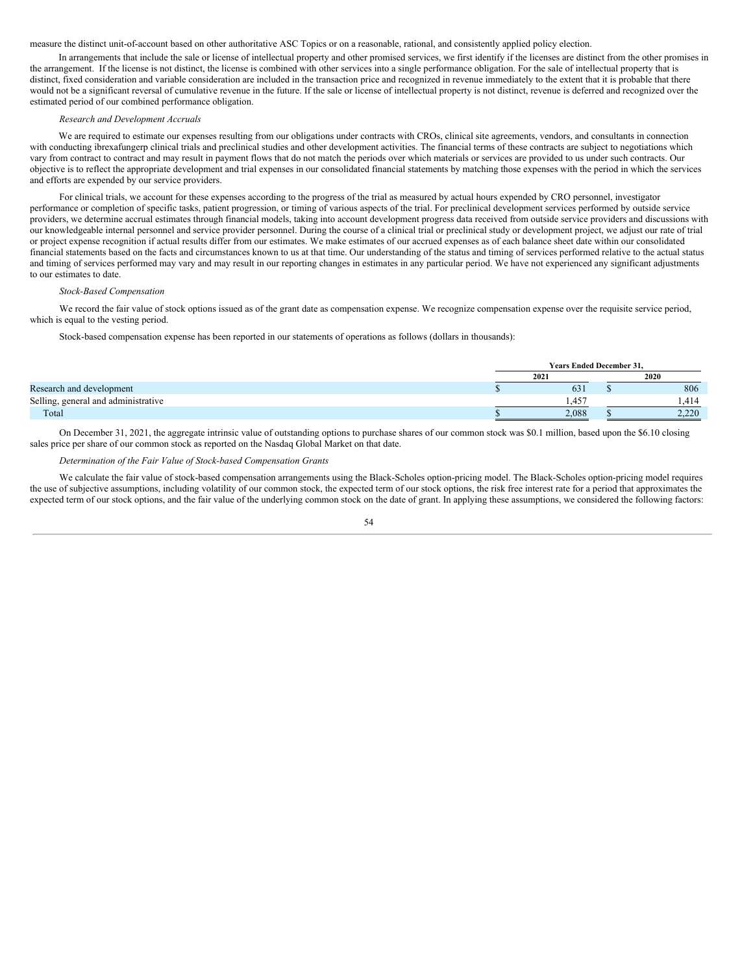measure the distinct unit-of-account based on other authoritative ASC Topics or on a reasonable, rational, and consistently applied policy election.

In arrangements that include the sale or license of intellectual property and other promised services, we first identify if the licenses are distinct from the other promises in the arrangement. If the license is not distinct, the license is combined with other services into a single performance obligation. For the sale of intellectual property that is distinct, fixed consideration and variable consideration are included in the transaction price and recognized in revenue immediately to the extent that it is probable that there would not be a significant reversal of cumulative revenue in the future. If the sale or license of intellectual property is not distinct, revenue is deferred and recognized over the estimated period of our combined performance obligation.

#### *Research and Development Accruals*

We are required to estimate our expenses resulting from our obligations under contracts with CROs, clinical site agreements, vendors, and consultants in connection with conducting ibrexafungerp clinical trials and preclinical studies and other development activities. The financial terms of these contracts are subject to negotiations which vary from contract to contract and may result in payment flows that do not match the periods over which materials or services are provided to us under such contracts. Our objective is to reflect the appropriate development and trial expenses in our consolidated financial statements by matching those expenses with the period in which the services and efforts are expended by our service providers.

For clinical trials, we account for these expenses according to the progress of the trial as measured by actual hours expended by CRO personnel, investigator performance or completion of specific tasks, patient progression, or timing of various aspects of the trial. For preclinical development services performed by outside service providers, we determine accrual estimates through financial models, taking into account development progress data received from outside service providers and discussions with our knowledgeable internal personnel and service provider personnel. During the course of a clinical trial or preclinical study or development project, we adjust our rate of trial or project expense recognition if actual results differ from our estimates. We make estimates of our accrued expenses as of each balance sheet date within our consolidated financial statements based on the facts and circumstances known to us at that time. Our understanding of the status and timing of services performed relative to the actual status and timing of services performed may vary and may result in our reporting changes in estimates in any particular period. We have not experienced any significant adjustments to our estimates to date.

### *Stock-Based Compensation*

We record the fair value of stock options issued as of the grant date as compensation expense. We recognize compensation expense over the requisite service period, which is equal to the vesting period.

Stock-based compensation expense has been reported in our statements of operations as follows (dollars in thousands):

|                                     | <b>Years Ended December 31.</b> |       |  |       |
|-------------------------------------|---------------------------------|-------|--|-------|
|                                     |                                 | 2021  |  | 2020  |
| Research and development            |                                 | 63    |  | 806   |
| Selling, general and administrative |                                 | 0.457 |  | 1.414 |
| Total                               |                                 | 2.088 |  | 2.220 |

On December 31, 2021, the aggregate intrinsic value of outstanding options to purchase shares of our common stock was \$0.1 million, based upon the \$6.10 closing sales price per share of our common stock as reported on the Nasdaq Global Market on that date.

### *Determination of the Fair Value of Stock-based Compensation Grants*

We calculate the fair value of stock-based compensation arrangements using the Black-Scholes option-pricing model. The Black-Scholes option-pricing model requires the use of subjective assumptions, including volatility of our common stock, the expected term of our stock options, the risk free interest rate for a period that approximates the expected term of our stock options, and the fair value of the underlying common stock on the date of grant. In applying these assumptions, we considered the following factors:

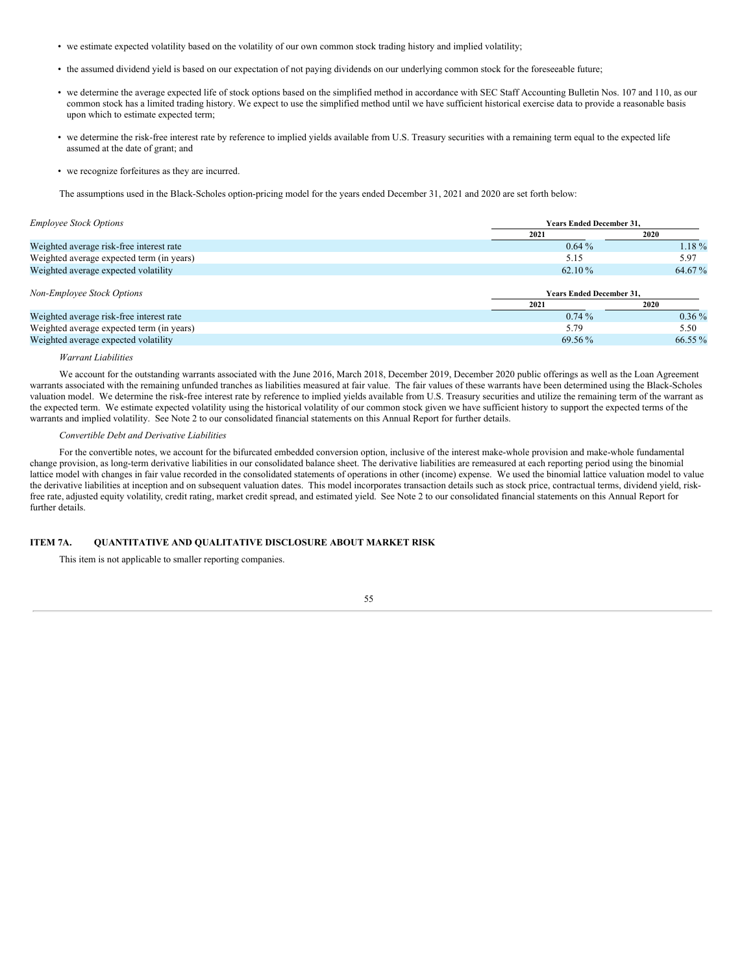- we estimate expected volatility based on the volatility of our own common stock trading history and implied volatility;
- the assumed dividend yield is based on our expectation of not paying dividends on our underlying common stock for the foreseeable future;
- we determine the average expected life of stock options based on the simplified method in accordance with SEC Staff Accounting Bulletin Nos. 107 and 110, as our common stock has a limited trading history. We expect to use the simplified method until we have sufficient historical exercise data to provide a reasonable basis upon which to estimate expected term;
- we determine the risk-free interest rate by reference to implied yields available from U.S. Treasury securities with a remaining term equal to the expected life assumed at the date of grant; and
- we recognize forfeitures as they are incurred.

The assumptions used in the Black-Scholes option-pricing model for the years ended December 31, 2021 and 2020 are set forth below:

| <b>Employee Stock Options</b>             | <b>Years Ended December 31.</b> |             |  |
|-------------------------------------------|---------------------------------|-------------|--|
|                                           | 2021                            | <b>2020</b> |  |
| Weighted average risk-free interest rate  | $0.64\%$                        | $1.18\%$    |  |
| Weighted average expected term (in years) | 5.15                            | 5.97        |  |
| Weighted average expected volatility      | $62.10\%$                       | 64.67%      |  |
| Non-Employee Stock Options                | <b>Years Ended December 31,</b> |             |  |
|                                           | 2021                            | 2020        |  |
| Weighted average risk-free interest rate  | $0.74\%$                        | $0.36\%$    |  |
| Weighted average expected term (in years) | 5.79                            | 5.50        |  |
| Weighted average expected volatility      | 69.56 %                         | 66.55 %     |  |

# *Warrant Liabilities*

We account for the outstanding warrants associated with the June 2016, March 2018, December 2019, December 2020 public offerings as well as the Loan Agreement warrants associated with the remaining unfunded tranches as liabilities measured at fair value. The fair values of these warrants have been determined using the Black-Scholes valuation model. We determine the risk-free interest rate by reference to implied yields available from U.S. Treasury securities and utilize the remaining term of the warrant as the expected term. We estimate expected volatility using the historical volatility of our common stock given we have sufficient history to support the expected terms of the warrants and implied volatility. See Note 2 to our consolidated financial statements on this Annual Report for further details.

## *Convertible Debt and Derivative Liabilities*

For the convertible notes, we account for the bifurcated embedded conversion option, inclusive of the interest make-whole provision and make-whole fundamental change provision, as long-term derivative liabilities in our consolidated balance sheet. The derivative liabilities are remeasured at each reporting period using the binomial lattice model with changes in fair value recorded in the consolidated statements of operations in other (income) expense. We used the binomial lattice valuation model to value the derivative liabilities at inception and on subsequent valuation dates. This model incorporates transaction details such as stock price, contractual terms, dividend yield, riskfree rate, adjusted equity volatility, credit rating, market credit spread, and estimated yield. See Note 2 to our consolidated financial statements on this Annual Report for further details.

# **ITEM 7A. QUANTITATIVE AND QUALITATIVE DISCLOSURE ABOUT MARKET RISK**

This item is not applicable to smaller reporting companies.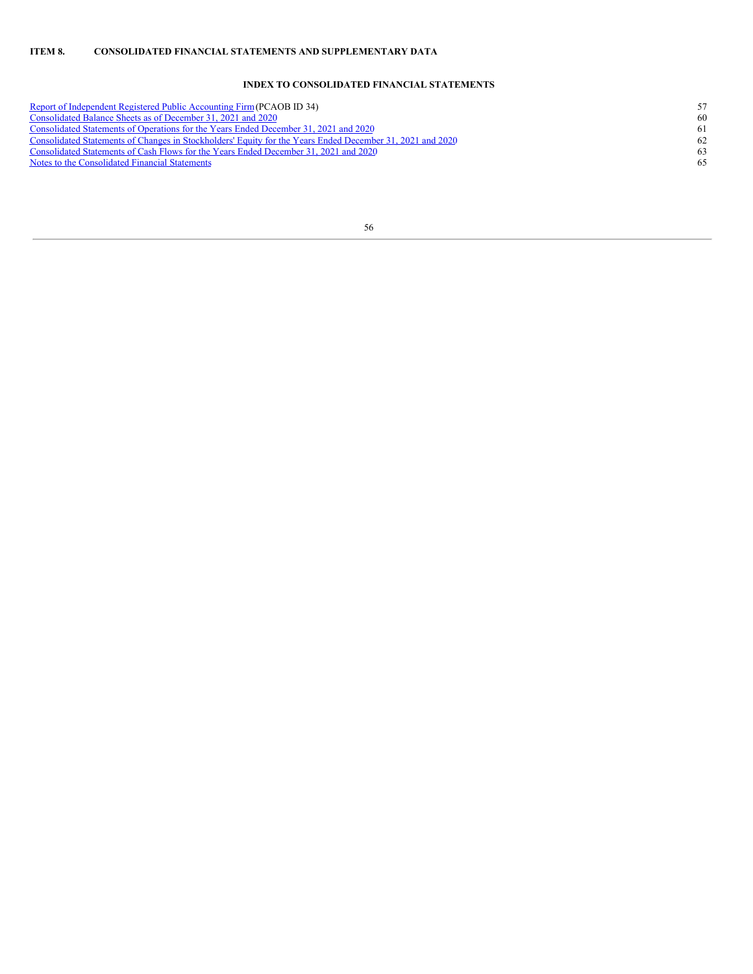# **INDEX TO CONSOLIDATED FINANCIAL STATEMENTS**

| Report of Independent Registered Public Accounting Firm (PCAOB ID 34)                                     | 57  |
|-----------------------------------------------------------------------------------------------------------|-----|
| Consolidated Balance Sheets as of December 31, 2021 and 2020                                              | 60  |
| Consolidated Statements of Operations for the Years Ended December 31, 2021 and 2020                      | -61 |
| Consolidated Statements of Changes in Stockholders' Equity for the Years Ended December 31, 2021 and 2020 | 62  |
| Consolidated Statements of Cash Flows for the Years Ended December 31, 2021 and 2020                      | -63 |
| Notes to the Consolidated Financial Statements                                                            | -65 |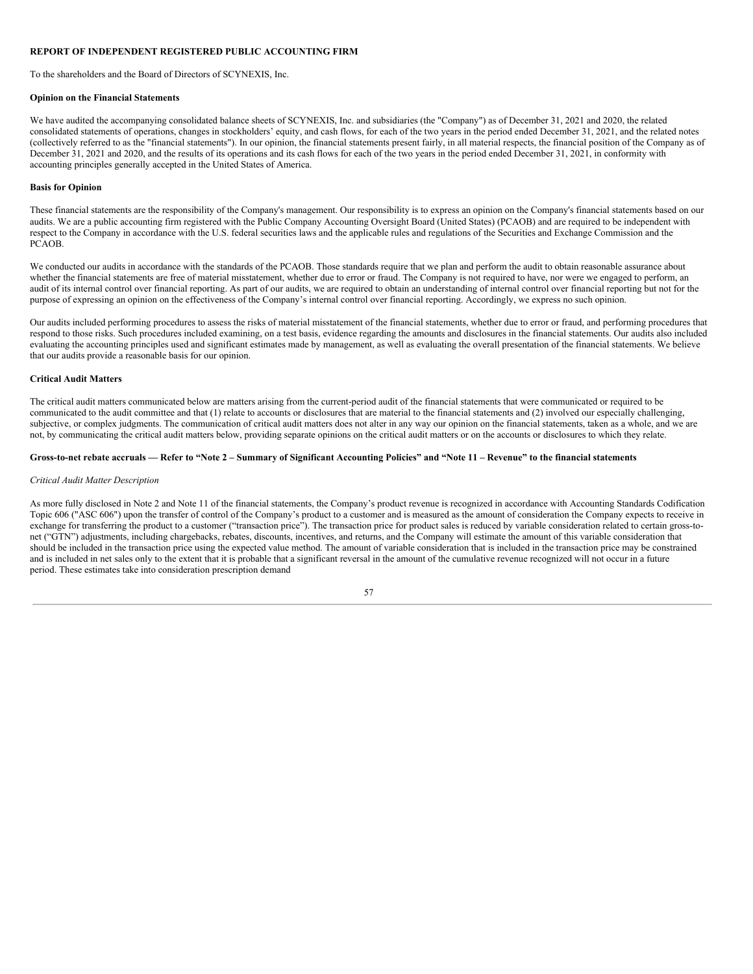# **REPORT OF INDEPENDENT REGISTERED PUBLIC ACCOUNTING FIRM**

To the shareholders and the Board of Directors of SCYNEXIS, Inc.

# **Opinion on the Financial Statements**

We have audited the accompanying consolidated balance sheets of SCYNEXIS, Inc. and subsidiaries (the "Company") as of December 31, 2021 and 2020, the related consolidated statements of operations, changes in stockholders' equity, and cash flows, for each of the two years in the period ended December 31, 2021, and the related notes (collectively referred to as the "financial statements"). In our opinion, the financial statements present fairly, in all material respects, the financial position of the Company as of December 31, 2021 and 2020, and the results of its operations and its cash flows for each of the two years in the period ended December 31, 2021, in conformity with accounting principles generally accepted in the United States of America.

# **Basis for Opinion**

These financial statements are the responsibility of the Company's management. Our responsibility is to express an opinion on the Company's financial statements based on our audits. We are a public accounting firm registered with the Public Company Accounting Oversight Board (United States) (PCAOB) and are required to be independent with respect to the Company in accordance with the U.S. federal securities laws and the applicable rules and regulations of the Securities and Exchange Commission and the PCAOB.

We conducted our audits in accordance with the standards of the PCAOB. Those standards require that we plan and perform the audit to obtain reasonable assurance about whether the financial statements are free of material misstatement, whether due to error or fraud. The Company is not required to have, nor were we engaged to perform, an audit of its internal control over financial reporting. As part of our audits, we are required to obtain an understanding of internal control over financial reporting but not for the purpose of expressing an opinion on the effectiveness of the Company's internal control over financial reporting. Accordingly, we express no such opinion.

Our audits included performing procedures to assess the risks of material misstatement of the financial statements, whether due to error or fraud, and performing procedures that respond to those risks. Such procedures included examining, on a test basis, evidence regarding the amounts and disclosures in the financial statements. Our audits also included evaluating the accounting principles used and significant estimates made by management, as well as evaluating the overall presentation of the financial statements. We believe that our audits provide a reasonable basis for our opinion.

# **Critical Audit Matters**

The critical audit matters communicated below are matters arising from the current-period audit of the financial statements that were communicated or required to be communicated to the audit committee and that (1) relate to accounts or disclosures that are material to the financial statements and (2) involved our especially challenging, subjective, or complex judgments. The communication of critical audit matters does not alter in any way our opinion on the financial statements, taken as a whole, and we are not, by communicating the critical audit matters below, providing separate opinions on the critical audit matters or on the accounts or disclosures to which they relate.

# Gross-to-net rebate accruals - Refer to "Note 2 - Summary of Significant Accounting Policies" and "Note 11 - Revenue" to the financial statements

# *Critical Audit Matter Description*

As more fully disclosed in Note 2 and Note 11 of the financial statements, the Company's product revenue is recognized in accordance with Accounting Standards Codification Topic 606 ("ASC 606") upon the transfer of control of the Company's product to a customer and is measured as the amount of consideration the Company expects to receive in exchange for transferring the product to a customer ("transaction price"). The transaction price for product sales is reduced by variable consideration related to certain gross-tonet ("GTN") adjustments, including chargebacks, rebates, discounts, incentives, and returns, and the Company will estimate the amount of this variable consideration that should be included in the transaction price using the expected value method. The amount of variable consideration that is included in the transaction price may be constrained and is included in net sales only to the extent that it is probable that a significant reversal in the amount of the cumulative revenue recognized will not occur in a future period. These estimates take into consideration prescription demand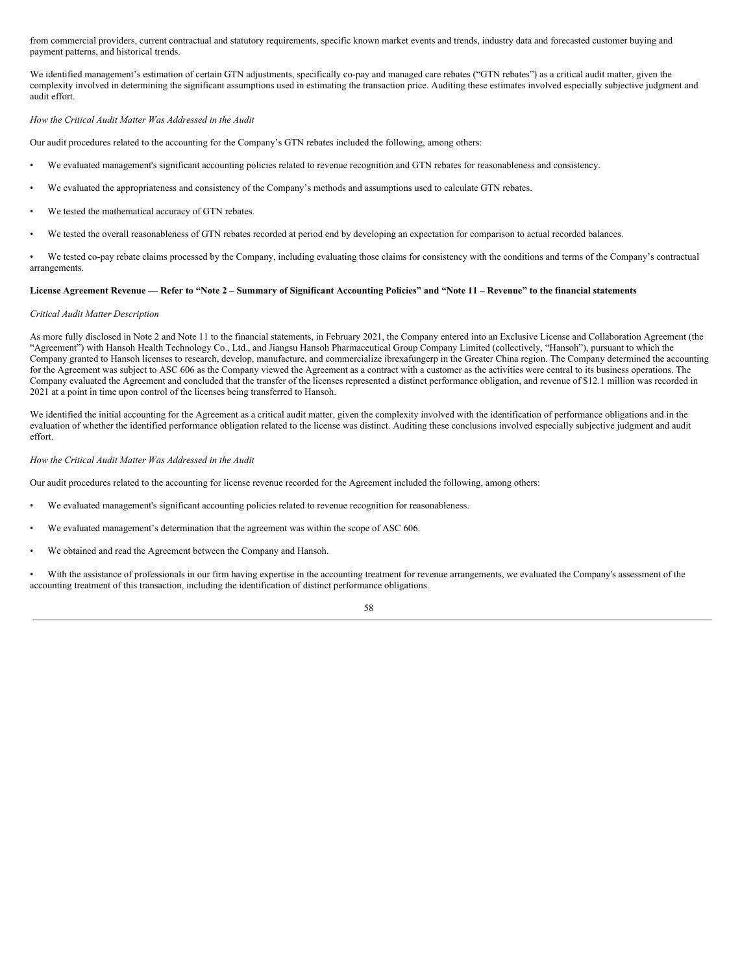from commercial providers, current contractual and statutory requirements, specific known market events and trends, industry data and forecasted customer buying and payment patterns, and historical trends.

We identified management's estimation of certain GTN adjustments, specifically co-pay and managed care rebates ("GTN rebates") as a critical audit matter, given the complexity involved in determining the significant assumptions used in estimating the transaction price. Auditing these estimates involved especially subjective judgment and audit effort.

# *How the Critical Audit Matter Was Addressed in the Audit*

Our audit procedures related to the accounting for the Company's GTN rebates included the following, among others:

- We evaluated management's significant accounting policies related to revenue recognition and GTN rebates for reasonableness and consistency.
- We evaluated the appropriateness and consistency of the Company's methods and assumptions used to calculate GTN rebates.
- We tested the mathematical accuracy of GTN rebates.
- We tested the overall reasonableness of GTN rebates recorded at period end by developing an expectation for comparison to actual recorded balances.

• We tested co-pay rebate claims processed by the Company, including evaluating those claims for consistency with the conditions and terms of the Company's contractual arrangements.

### License Agreement Revenue - Refer to "Note 2 - Summary of Significant Accounting Policies" and "Note 11 - Revenue" to the financial statements

#### *Critical Audit Matter Description*

As more fully disclosed in Note 2 and Note 11 to the financial statements, in February 2021, the Company entered into an Exclusive License and Collaboration Agreement (the "Agreement") with Hansoh Health Technology Co., Ltd., and Jiangsu Hansoh Pharmaceutical Group Company Limited (collectively, "Hansoh"), pursuant to which the Company granted to Hansoh licenses to research, develop, manufacture, and commercialize ibrexafungerp in the Greater China region. The Company determined the accounting for the Agreement was subject to ASC 606 as the Company viewed the Agreement as a contract with a customer as the activities were central to its business operations. The Company evaluated the Agreement and concluded that the transfer of the licenses represented a distinct performance obligation, and revenue of \$12.1 million was recorded in 2021 at a point in time upon control of the licenses being transferred to Hansoh.

We identified the initial accounting for the Agreement as a critical audit matter, given the complexity involved with the identification of performance obligations and in the evaluation of whether the identified performance obligation related to the license was distinct. Auditing these conclusions involved especially subjective judgment and audit effort.

### *How the Critical Audit Matter Was Addressed in the Audit*

Our audit procedures related to the accounting for license revenue recorded for the Agreement included the following, among others:

- We evaluated management's significant accounting policies related to revenue recognition for reasonableness.
- We evaluated management's determination that the agreement was within the scope of ASC 606.
- We obtained and read the Agreement between the Company and Hansoh.

• With the assistance of professionals in our firm having expertise in the accounting treatment for revenue arrangements, we evaluated the Company's assessment of the accounting treatment of this transaction, including the identification of distinct performance obligations.

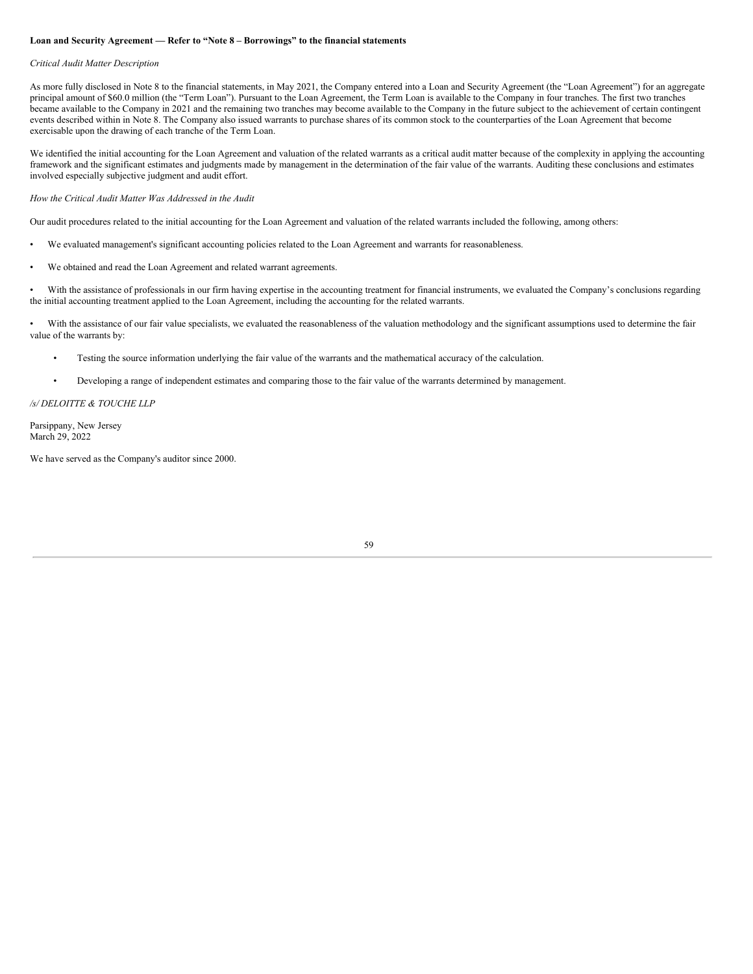## **Loan and Security Agreement — Refer to "Note 8 – Borrowings" to the financial statements**

#### *Critical Audit Matter Description*

As more fully disclosed in Note 8 to the financial statements, in May 2021, the Company entered into a Loan and Security Agreement (the "Loan Agreement") for an aggregate principal amount of \$60.0 million (the "Term Loan"). Pursuant to the Loan Agreement, the Term Loan is available to the Company in four tranches. The first two tranches became available to the Company in 2021 and the remaining two tranches may become available to the Company in the future subject to the achievement of certain contingent events described within in Note 8. The Company also issued warrants to purchase shares of its common stock to the counterparties of the Loan Agreement that become exercisable upon the drawing of each tranche of the Term Loan.

We identified the initial accounting for the Loan Agreement and valuation of the related warrants as a critical audit matter because of the complexity in applying the accounting framework and the significant estimates and judgments made by management in the determination of the fair value of the warrants. Auditing these conclusions and estimates involved especially subjective judgment and audit effort.

### *How the Critical Audit Matter Was Addressed in the Audit*

Our audit procedures related to the initial accounting for the Loan Agreement and valuation of the related warrants included the following, among others:

- We evaluated management's significant accounting policies related to the Loan Agreement and warrants for reasonableness.
- We obtained and read the Loan Agreement and related warrant agreements.

• With the assistance of professionals in our firm having expertise in the accounting treatment for financial instruments, we evaluated the Company's conclusions regarding the initial accounting treatment applied to the Loan Agreement, including the accounting for the related warrants.

• With the assistance of our fair value specialists, we evaluated the reasonableness of the valuation methodology and the significant assumptions used to determine the fair value of the warrants by:

- Testing the source information underlying the fair value of the warrants and the mathematical accuracy of the calculation.
- Developing a range of independent estimates and comparing those to the fair value of the warrants determined by management.

*/s/ DELOITTE & TOUCHE LLP*

Parsippany, New Jersey March 29, 2022

We have served as the Company's auditor since 2000.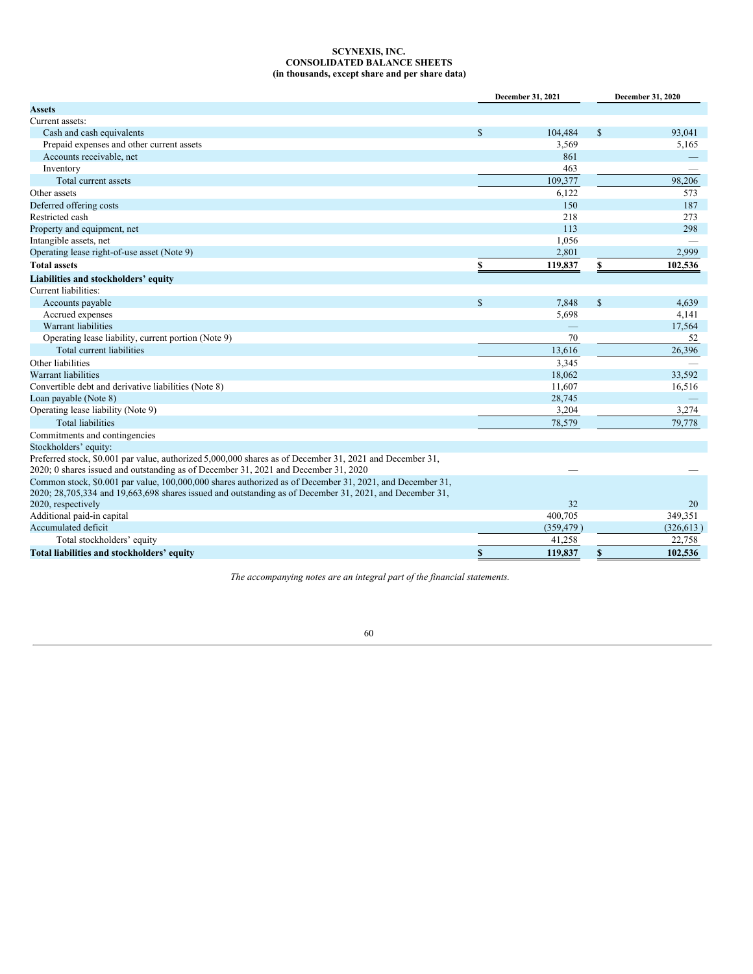### **SCYNEXIS, INC. CONSOLIDATED BALANCE SHEETS (in thousands, except share and per share data)**

<span id="page-59-0"></span>

|                                                                                                          | December 31, 2021 |            |              | December 31, 2020 |
|----------------------------------------------------------------------------------------------------------|-------------------|------------|--------------|-------------------|
| <b>Assets</b>                                                                                            |                   |            |              |                   |
| Current assets:                                                                                          |                   |            |              |                   |
| Cash and cash equivalents                                                                                | $\mathbf S$       | 104,484    | $\mathbb{S}$ | 93,041            |
| Prepaid expenses and other current assets                                                                |                   | 3,569      |              | 5,165             |
| Accounts receivable, net                                                                                 |                   | 861        |              |                   |
| Inventory                                                                                                |                   | 463        |              |                   |
| Total current assets                                                                                     |                   | 109,377    |              | 98,206            |
| Other assets                                                                                             |                   | 6,122      |              | 573               |
| Deferred offering costs                                                                                  |                   | 150        |              | 187               |
| Restricted cash                                                                                          |                   | 218        |              | 273               |
| Property and equipment, net                                                                              |                   | 113        |              | 298               |
| Intangible assets, net                                                                                   |                   | 1,056      |              |                   |
| Operating lease right-of-use asset (Note 9)                                                              |                   | 2,801      |              | 2,999             |
| <b>Total assets</b>                                                                                      | \$                | 119,837    | S            | 102,536           |
| Liabilities and stockholders' equity                                                                     |                   |            |              |                   |
| Current liabilities:                                                                                     |                   |            |              |                   |
| Accounts payable                                                                                         | $\mathbf S$       | 7,848      | $\mathbf S$  | 4,639             |
| Accrued expenses                                                                                         |                   | 5,698      |              | 4,141             |
| Warrant liabilities                                                                                      |                   |            |              | 17,564            |
| Operating lease liability, current portion (Note 9)                                                      |                   | 70         |              | 52                |
| Total current liabilities                                                                                |                   | 13,616     |              | 26,396            |
| Other liabilities                                                                                        |                   | 3,345      |              |                   |
| Warrant liabilities                                                                                      |                   | 18,062     |              | 33,592            |
| Convertible debt and derivative liabilities (Note 8)                                                     |                   | 11,607     |              | 16,516            |
| Loan payable (Note 8)                                                                                    |                   | 28,745     |              |                   |
| Operating lease liability (Note 9)                                                                       |                   | 3,204      |              | 3,274             |
| <b>Total liabilities</b>                                                                                 |                   | 78,579     |              | 79,778            |
| Commitments and contingencies                                                                            |                   |            |              |                   |
| Stockholders' equity:                                                                                    |                   |            |              |                   |
| Preferred stock, \$0.001 par value, authorized 5,000,000 shares as of December 31, 2021 and December 31, |                   |            |              |                   |
| 2020; 0 shares issued and outstanding as of December 31, 2021 and December 31, 2020                      |                   |            |              |                   |
| Common stock, \$0.001 par value, 100,000,000 shares authorized as of December 31, 2021, and December 31, |                   |            |              |                   |
| 2020; 28,705,334 and 19,663,698 shares issued and outstanding as of December 31, 2021, and December 31,  |                   |            |              |                   |
| 2020, respectively                                                                                       |                   | 32         |              | 20                |
| Additional paid-in capital                                                                               |                   | 400.705    |              | 349,351           |
| Accumulated deficit                                                                                      |                   | (359, 479) |              | (326, 613)        |
| Total stockholders' equity                                                                               |                   | 41,258     |              | 22,758            |
| Total liabilities and stockholders' equity                                                               | \$                | 119,837    | \$           | 102,536           |

*The accompanying notes are an integral part of the financial statements.*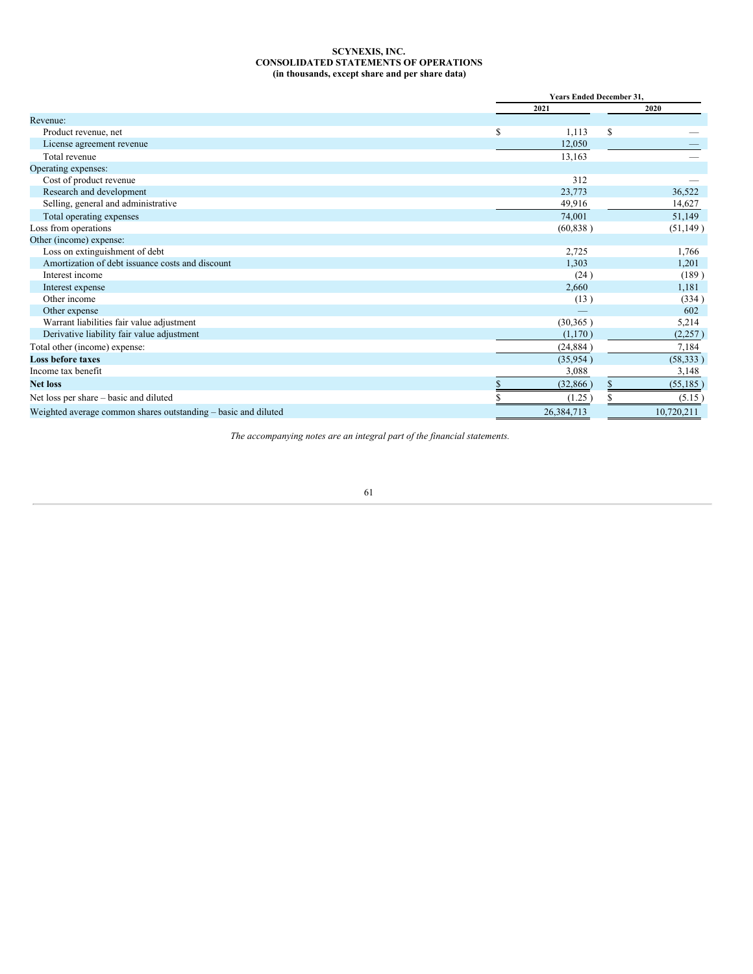# **SCYNEXIS, INC. CONSOLIDATED STATEMENTS OF OPERATIONS (in thousands, except share and per share data)**

<span id="page-60-0"></span>

|                                                                |            | <b>Years Ended December 31.</b> |
|----------------------------------------------------------------|------------|---------------------------------|
|                                                                | 2021       | 2020                            |
| Revenue:                                                       |            |                                 |
| Product revenue, net                                           | S          | \$<br>1.113                     |
| License agreement revenue                                      | 12,050     |                                 |
| Total revenue                                                  | 13.163     |                                 |
| Operating expenses:                                            |            |                                 |
| Cost of product revenue                                        |            | 312                             |
| Research and development                                       | 23,773     | 36,522                          |
| Selling, general and administrative                            | 49,916     | 14,627                          |
| Total operating expenses                                       | 74,001     | 51,149                          |
| Loss from operations                                           |            | (60, 838)<br>(51, 149)          |
| Other (income) expense:                                        |            |                                 |
| Loss on extinguishment of debt                                 |            | 2,725<br>1,766                  |
| Amortization of debt issuance costs and discount               |            | 1,303<br>1,201                  |
| Interest income                                                |            | (24)<br>(189)                   |
| Interest expense                                               |            | 1,181<br>2,660                  |
| Other income                                                   |            | (13)<br>(334)                   |
| Other expense                                                  |            | 602                             |
| Warrant liabilities fair value adjustment                      | (30, 365)  | 5,214                           |
| Derivative liability fair value adjustment                     |            | (1,170)<br>(2,257)              |
| Total other (income) expense:                                  | (24, 884)  | 7,184                           |
| <b>Loss before taxes</b>                                       | (35,954)   | (58, 333)                       |
| Income tax benefit                                             |            | 3,088<br>3,148                  |
| <b>Net loss</b>                                                | (32, 866)  | \$<br>(55, 185)                 |
| Net loss per share – basic and diluted                         |            | (1.25)<br>(5.15)                |
| Weighted average common shares outstanding - basic and diluted | 26,384,713 | 10,720,211                      |

*The accompanying notes are an integral part of the financial statements.*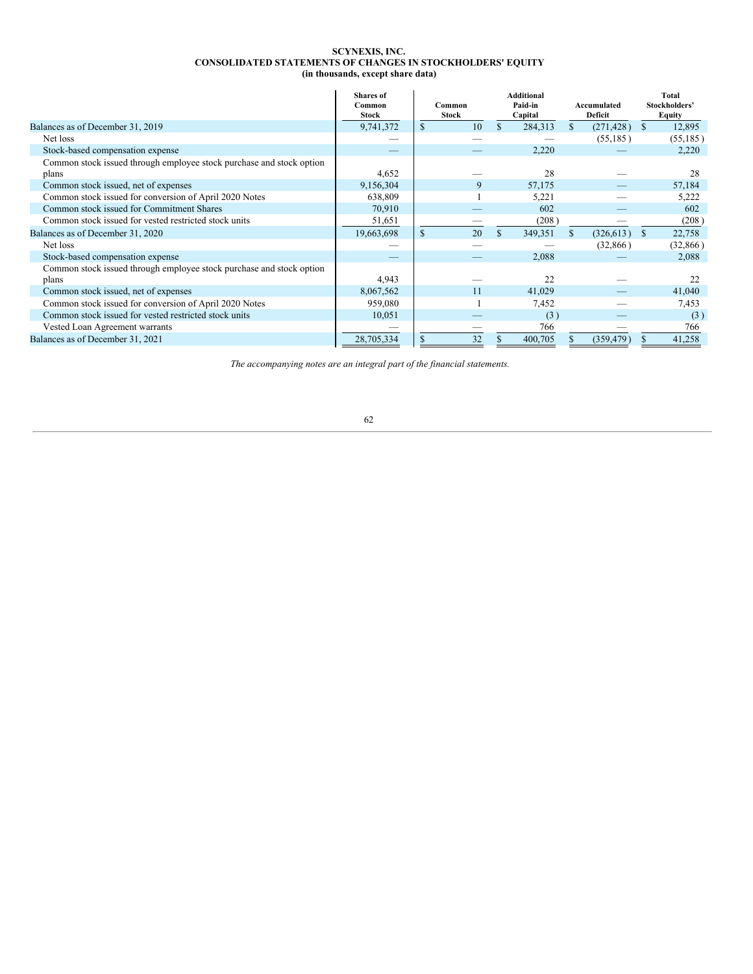### **SCYNEXIS, INC. CONSOLIDATED STATEMENTS OF CHANGES IN STOCKHOLDERS' EQUITY (in thousands, except share data)**

<span id="page-61-0"></span>

|                                                                      | <b>Shares</b> of<br>Common<br><b>Stock</b> | Common<br><b>Stock</b> |              | <b>Additional</b><br>Paid-in<br>Capital |               | Accumulated<br><b>Deficit</b> |               | <b>Total</b><br>Stockholders'<br>Equity |
|----------------------------------------------------------------------|--------------------------------------------|------------------------|--------------|-----------------------------------------|---------------|-------------------------------|---------------|-----------------------------------------|
| Balances as of December 31, 2019                                     | 9,741,372                                  | \$<br>10               | $\mathbf{s}$ | 284,313                                 | <sup>\$</sup> | (271, 428)                    | <sup>\$</sup> | 12,895                                  |
| Net loss                                                             |                                            |                        |              |                                         |               | (55, 185)                     |               | (55, 185)                               |
| Stock-based compensation expense                                     |                                            |                        |              | 2,220                                   |               |                               |               | 2,220                                   |
| Common stock issued through employee stock purchase and stock option |                                            |                        |              |                                         |               |                               |               |                                         |
| plans                                                                | 4,652                                      |                        |              | 28                                      |               |                               |               | 28                                      |
| Common stock issued, net of expenses                                 | 9,156,304                                  | 9                      |              | 57,175                                  |               |                               |               | 57,184                                  |
| Common stock issued for conversion of April 2020 Notes               | 638,809                                    |                        |              | 5,221                                   |               |                               |               | 5,222                                   |
| Common stock issued for Commitment Shares                            | 70,910                                     |                        |              | 602                                     |               |                               |               | 602                                     |
| Common stock issued for vested restricted stock units                | 51,651                                     |                        |              | (208)                                   |               |                               |               | (208)                                   |
| Balances as of December 31, 2020                                     | 19,663,698                                 | \$<br>20               |              | 349,351                                 | <sup>\$</sup> | (326, 613)                    | <sup>S</sup>  | 22,758                                  |
| Net loss                                                             |                                            |                        |              |                                         |               | (32,866)                      |               | (32, 866)                               |
| Stock-based compensation expense                                     |                                            |                        |              | 2,088                                   |               |                               |               | 2,088                                   |
| Common stock issued through employee stock purchase and stock option |                                            |                        |              |                                         |               |                               |               |                                         |
| plans                                                                | 4,943                                      |                        |              | 22                                      |               |                               |               | 22                                      |
| Common stock issued, net of expenses                                 | 8,067,562                                  | 11                     |              | 41,029                                  |               |                               |               | 41,040                                  |
| Common stock issued for conversion of April 2020 Notes               | 959,080                                    |                        |              | 7,452                                   |               |                               |               | 7,453                                   |
| Common stock issued for vested restricted stock units                | 10,051                                     |                        |              | (3)                                     |               |                               |               | (3)                                     |
| Vested Loan Agreement warrants                                       |                                            |                        |              | 766                                     |               |                               |               | 766                                     |
| Balances as of December 31, 2021                                     | 28,705,334                                 | 32                     |              | 400,705                                 |               | (359, 479)                    |               | 41,258                                  |

*The accompanying notes are an integral part of the financial statements.*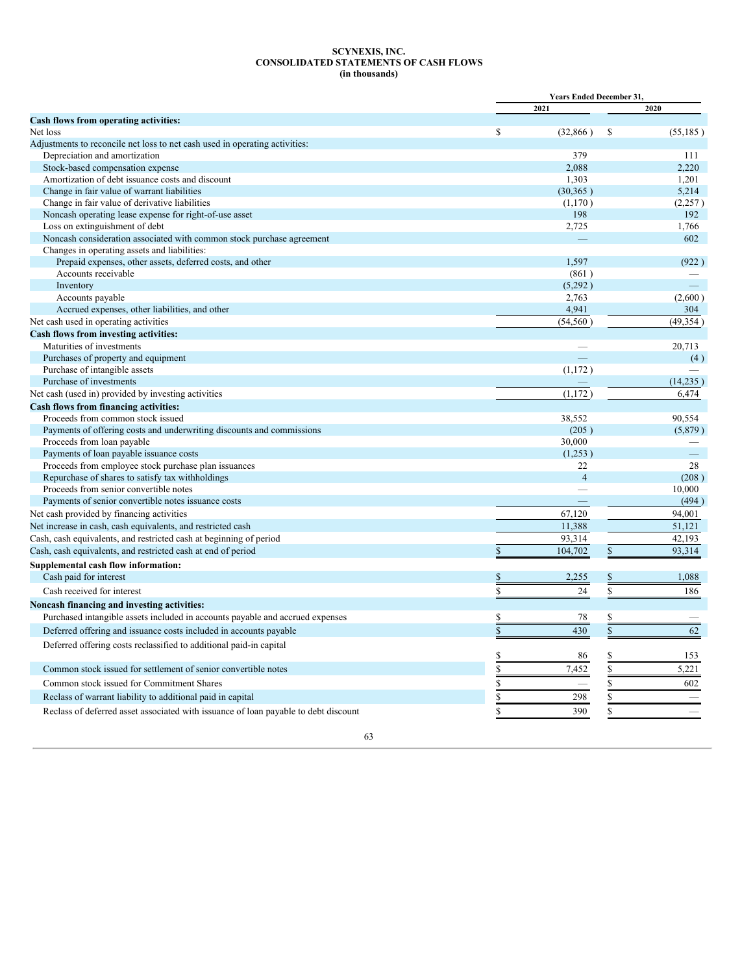# **SCYNEXIS, INC. CONSOLIDATED STATEMENTS OF CASH FLOWS (in thousands)**

<span id="page-62-0"></span>

|                                                                                     | <b>Years Ended December 31,</b>        |           |
|-------------------------------------------------------------------------------------|----------------------------------------|-----------|
|                                                                                     | 2021                                   | 2020      |
| Cash flows from operating activities:                                               |                                        |           |
| Net loss                                                                            | \$<br>(32,866)<br>\$                   | (55, 185) |
| Adjustments to reconcile net loss to net cash used in operating activities:         |                                        |           |
| Depreciation and amortization                                                       | 379                                    | 111       |
| Stock-based compensation expense                                                    | 2,088                                  | 2,220     |
| Amortization of debt issuance costs and discount                                    | 1,303                                  | 1,201     |
| Change in fair value of warrant liabilities                                         | (30, 365)                              | 5,214     |
| Change in fair value of derivative liabilities                                      | (1,170)                                | (2,257)   |
| Noncash operating lease expense for right-of-use asset                              | 198                                    | 192       |
| Loss on extinguishment of debt                                                      | 2,725                                  | 1,766     |
| Noncash consideration associated with common stock purchase agreement               |                                        | 602       |
| Changes in operating assets and liabilities:                                        |                                        |           |
| Prepaid expenses, other assets, deferred costs, and other                           | 1,597                                  | (922)     |
| Accounts receivable                                                                 | (861)                                  |           |
| Inventory                                                                           | (5,292)                                |           |
| Accounts payable                                                                    | 2,763                                  | (2,600)   |
| Accrued expenses, other liabilities, and other                                      | 4,941                                  | 304       |
| Net cash used in operating activities                                               | (54, 560)                              | (49, 354) |
| Cash flows from investing activities:                                               |                                        |           |
| Maturities of investments                                                           |                                        | 20.713    |
| Purchases of property and equipment                                                 | $\qquad \qquad -$                      | (4)       |
| Purchase of intangible assets                                                       | (1,172)                                |           |
| Purchase of investments                                                             |                                        | (14, 235) |
| Net cash (used in) provided by investing activities                                 | (1,172)                                | 6,474     |
| Cash flows from financing activities:                                               |                                        |           |
| Proceeds from common stock issued                                                   | 38,552                                 | 90,554    |
| Payments of offering costs and underwriting discounts and commissions               | (205)                                  | (5,879)   |
| Proceeds from loan payable                                                          | 30,000                                 |           |
| Payments of loan payable issuance costs                                             | (1,253)                                |           |
| Proceeds from employee stock purchase plan issuances                                | 22                                     | 28        |
| Repurchase of shares to satisfy tax withholdings                                    | $\overline{4}$                         | (208)     |
| Proceeds from senior convertible notes                                              | $\overline{\phantom{0}}$               | 10,000    |
| Payments of senior convertible notes issuance costs                                 |                                        | (494)     |
| Net cash provided by financing activities                                           | 67,120                                 | 94,001    |
| Net increase in cash, cash equivalents, and restricted cash                         | 11,388                                 | 51,121    |
| Cash, cash equivalents, and restricted cash at beginning of period                  | 93,314                                 | 42,193    |
| Cash, cash equivalents, and restricted cash at end of period                        | \$<br>$\mathbf S$<br>104,702           | 93,314    |
| Supplemental cash flow information:                                                 |                                        |           |
| Cash paid for interest                                                              | 2,255<br>\$<br>S                       | 1,088     |
| Cash received for interest                                                          | $\mathbf S$<br>Ś<br>24                 | 186       |
|                                                                                     |                                        |           |
| Noncash financing and investing activities:                                         |                                        |           |
| Purchased intangible assets included in accounts payable and accrued expenses       | S<br>\$<br>78                          |           |
| Deferred offering and issuance costs included in accounts payable                   | $\overline{\$}$<br>430<br>$\mathbf{s}$ | 62        |
| Deferred offering costs reclassified to additional paid-in capital                  |                                        |           |
|                                                                                     | \$<br>S<br>86                          | 153       |
| Common stock issued for settlement of senior convertible notes                      | \$<br>7,452                            | 5,221     |
| Common stock issued for Commitment Shares                                           | S<br>L.                                | 602       |
| Reclass of warrant liability to additional paid in capital                          | 298<br>S<br>S                          |           |
|                                                                                     | 390<br>\$<br>S                         |           |
| Reclass of deferred asset associated with issuance of loan payable to debt discount |                                        |           |

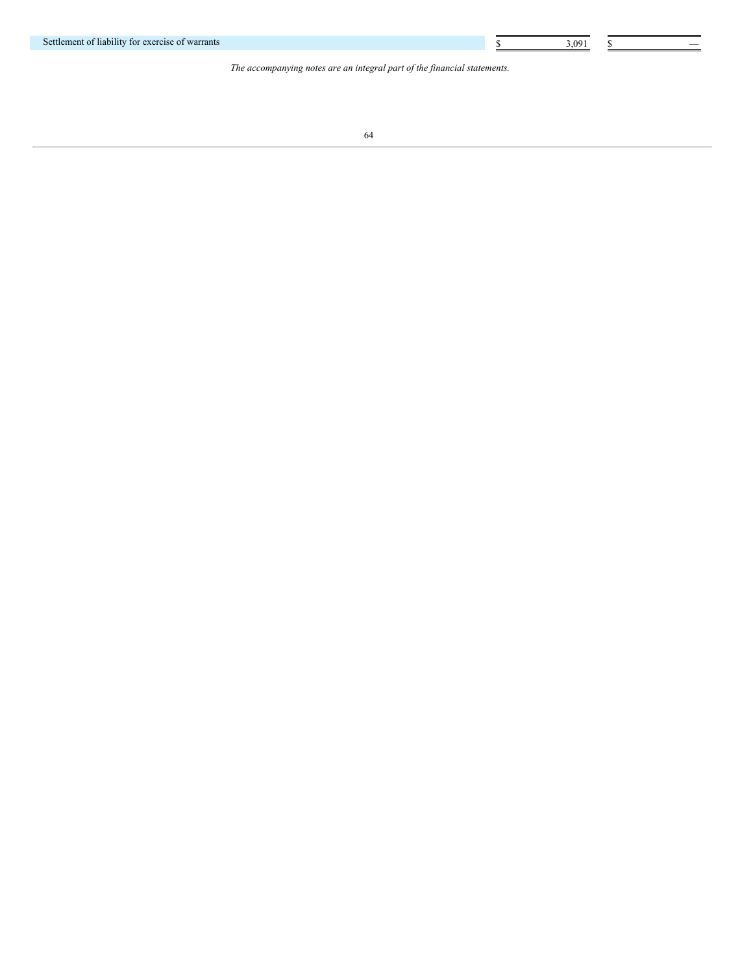*The accompanying notes are an integral part of the financial statements.*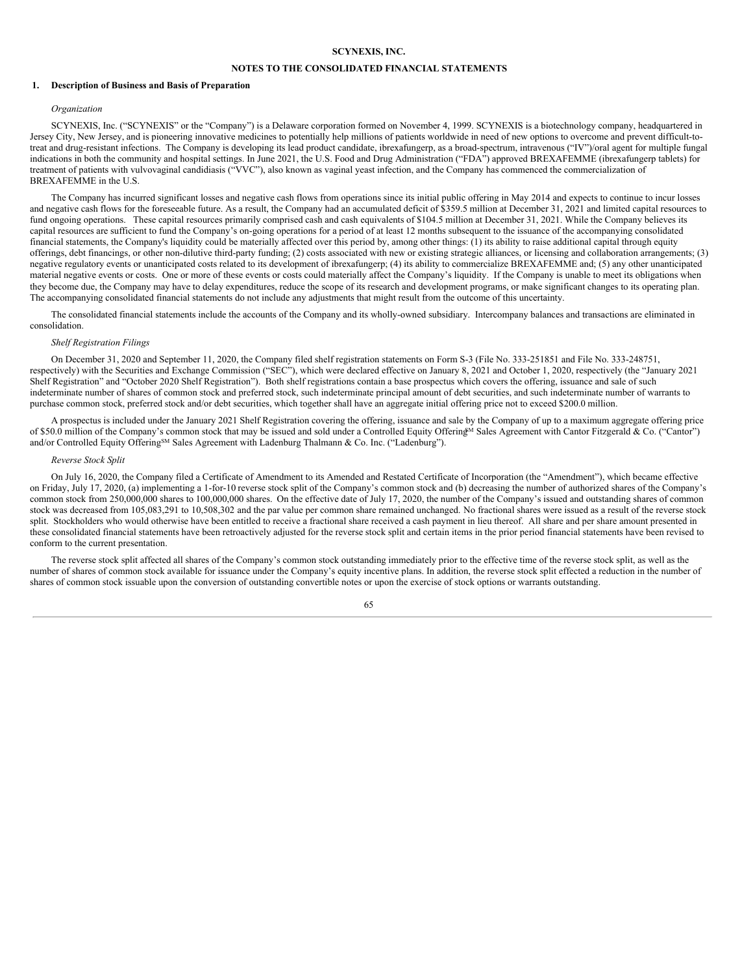# **SCYNEXIS, INC.**

# **NOTES TO THE CONSOLIDATED FINANCIAL STATEMENTS**

#### <span id="page-64-0"></span>**1. Description of Business and Basis of Preparation**

#### *Organization*

SCYNEXIS, Inc. ("SCYNEXIS" or the "Company") is a Delaware corporation formed on November 4, 1999. SCYNEXIS is a biotechnology company, headquartered in Jersey City, New Jersey, and is pioneering innovative medicines to potentially help millions of patients worldwide in need of new options to overcome and prevent difficult-totreat and drug-resistant infections. The Company is developing its lead product candidate, ibrexafungerp, as a broad-spectrum, intravenous ("IV")/oral agent for multiple fungal indications in both the community and hospital settings. In June 2021, the U.S. Food and Drug Administration ("FDA") approved BREXAFEMME (ibrexafungerp tablets) for treatment of patients with vulvovaginal candidiasis ("VVC"), also known as vaginal yeast infection, and the Company has commenced the commercialization of BREXAFEMME in the U.S.

The Company has incurred significant losses and negative cash flows from operations since its initial public offering in May 2014 and expects to continue to incur losses and negative cash flows for the foreseeable future. As a result, the Company had an accumulated deficit of \$359.5 million at December 31, 2021 and limited capital resources to fund ongoing operations. These capital resources primarily comprised cash and cash equivalents of \$104.5 million at December 31, 2021. While the Company believes its capital resources are sufficient to fund the Company's on-going operations for a period of at least 12 months subsequent to the issuance of the accompanying consolidated financial statements, the Company's liquidity could be materially affected over this period by, among other things: (1) its ability to raise additional capital through equity offerings, debt financings, or other non-dilutive third-party funding; (2) costs associated with new or existing strategic alliances, or licensing and collaboration arrangements; (3) negative regulatory events or unanticipated costs related to its development of ibrexafungerp; (4) its ability to commercialize BREXAFEMME and; (5) any other unanticipated material negative events or costs. One or more of these events or costs could materially affect the Company's liquidity. If the Company is unable to meet its obligations when they become due, the Company may have to delay expenditures, reduce the scope of its research and development programs, or make significant changes to its operating plan. The accompanying consolidated financial statements do not include any adjustments that might result from the outcome of this uncertainty.

The consolidated financial statements include the accounts of the Company and its wholly-owned subsidiary. Intercompany balances and transactions are eliminated in consolidation.

# *Shelf Registration Filings*

On December 31, 2020 and September 11, 2020, the Company filed shelf registration statements on Form S-3 (File No. 333-251851 and File No. 333-248751, respectively) with the Securities and Exchange Commission ("SEC"), which were declared effective on January 8, 2021 and October 1, 2020, respectively (the "January 2021 Shelf Registration" and "October 2020 Shelf Registration"). Both shelf registrations contain a base prospectus which covers the offering, issuance and sale of such indeterminate number of shares of common stock and preferred stock, such indeterminate principal amount of debt securities, and such indeterminate number of warrants to purchase common stock, preferred stock and/or debt securities, which together shall have an aggregate initial offering price not to exceed \$200.0 million.

A prospectus is included under the January 2021 Shelf Registration covering the offering, issuance and sale by the Company of up to a maximum aggregate offering price of \$50.0 million of the Company's common stock that may be issued and sold under a Controlled Equity Offering<sup>M</sup> Sales Agreement with Cantor Fitzgerald & Co. ("Cantor") and/or Controlled Equity Offering<sup>SM</sup> Sales Agreement with Ladenburg Thalmann & Co. Inc. ("Ladenburg").

#### *Reverse Stock Split*

On July 16, 2020, the Company filed a Certificate of Amendment to its Amended and Restated Certificate of Incorporation (the "Amendment"), which became effective on Friday, July 17, 2020, (a) implementing a 1-for-10 reverse stock split of the Company's common stock and (b) decreasing the number of authorized shares of the Company's common stock from 250,000,000 shares to 100,000,000 shares. On the effective date of July 17, 2020, the number of the Company's issued and outstanding shares of common stock was decreased from 105,083,291 to 10,508,302 and the par value per common share remained unchanged. No fractional shares were issued as a result of the reverse stock split. Stockholders who would otherwise have been entitled to receive a fractional share received a cash payment in lieu thereof. All share and per share amount presented in these consolidated financial statements have been retroactively adjusted for the reverse stock split and certain items in the prior period financial statements have been revised to conform to the current presentation.

The reverse stock split affected all shares of the Company's common stock outstanding immediately prior to the effective time of the reverse stock split, as well as the number of shares of common stock available for issuance under the Company's equity incentive plans. In addition, the reverse stock split effected a reduction in the number of shares of common stock issuable upon the conversion of outstanding convertible notes or upon the exercise of stock options or warrants outstanding.

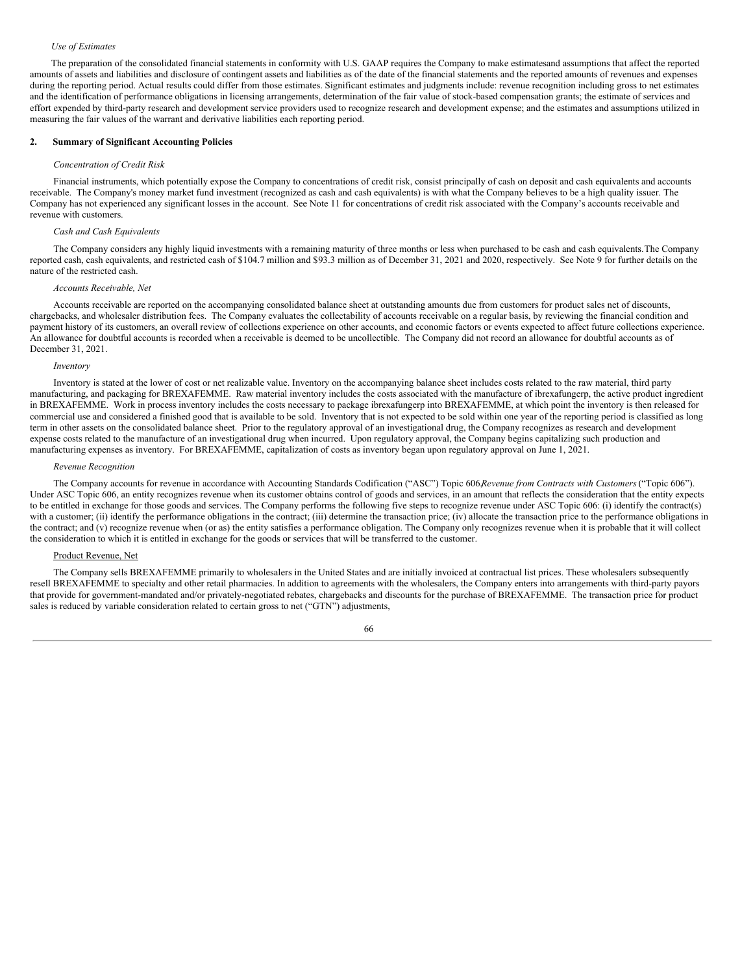# *Use of Estimates*

The preparation of the consolidated financial statements in conformity with U.S. GAAP requires the Company to make estimatesand assumptions that affect the reported amounts of assets and liabilities and disclosure of contingent assets and liabilities as of the date of the financial statements and the reported amounts of revenues and expenses during the reporting period. Actual results could differ from those estimates. Significant estimates and judgments include: revenue recognition including gross to net estimates and the identification of performance obligations in licensing arrangements, determination of the fair value of stock-based compensation grants; the estimate of services and effort expended by third-party research and development service providers used to recognize research and development expense; and the estimates and assumptions utilized in measuring the fair values of the warrant and derivative liabilities each reporting period.

## **2. Summary of Significant Accounting Policies**

#### *Concentration of Credit Risk*

Financial instruments, which potentially expose the Company to concentrations of credit risk, consist principally of cash on deposit and cash equivalents and accounts receivable. The Company's money market fund investment (recognized as cash and cash equivalents) is with what the Company believes to be a high quality issuer. The Company has not experienced any significant losses in the account. See Note 11 for concentrations of credit risk associated with the Company's accounts receivable and revenue with customers.

#### *Cash and Cash Equivalents*

The Company considers any highly liquid investments with a remaining maturity of three months or less when purchased to be cash and cash equivalents.The Company reported cash, cash equivalents, and restricted cash of \$104.7 million and \$93.3 million as of December 31, 2021 and 2020, respectively. See Note 9 for further details on the nature of the restricted cash.

#### *Accounts Receivable, Net*

Accounts receivable are reported on the accompanying consolidated balance sheet at outstanding amounts due from customers for product sales net of discounts, chargebacks, and wholesaler distribution fees. The Company evaluates the collectability of accounts receivable on a regular basis, by reviewing the financial condition and payment history of its customers, an overall review of collections experience on other accounts, and economic factors or events expected to affect future collections experience. An allowance for doubtful accounts is recorded when a receivable is deemed to be uncollectible. The Company did not record an allowance for doubtful accounts as of December 31, 2021.

### *Inventory*

Inventory is stated at the lower of cost or net realizable value. Inventory on the accompanying balance sheet includes costs related to the raw material, third party manufacturing, and packaging for BREXAFEMME. Raw material inventory includes the costs associated with the manufacture of ibrexafungerp, the active product ingredient in BREXAFEMME. Work in process inventory includes the costs necessary to package ibrexafungerp into BREXAFEMME, at which point the inventory is then released for commercial use and considered a finished good that is available to be sold. Inventory that is not expected to be sold within one year of the reporting period is classified as long term in other assets on the consolidated balance sheet. Prior to the regulatory approval of an investigational drug, the Company recognizes as research and development expense costs related to the manufacture of an investigational drug when incurred. Upon regulatory approval, the Company begins capitalizing such production and manufacturing expenses as inventory. For BREXAFEMME, capitalization of costs as inventory began upon regulatory approval on June 1, 2021.

#### *Revenue Recognition*

The Company accounts for revenue in accordance with Accounting Standards Codification ("ASC") Topic 606,*Revenue from Contracts with Customers*("Topic 606"). Under ASC Topic 606, an entity recognizes revenue when its customer obtains control of goods and services, in an amount that reflects the consideration that the entity expects to be entitled in exchange for those goods and services. The Company performs the following five steps to recognize revenue under ASC Topic 606: (i) identify the contract(s) with a customer; (ii) identify the performance obligations in the contract; (iii) determine the transaction price; (iv) allocate the transaction price to the performance obligations in the contract; and (v) recognize revenue when (or as) the entity satisfies a performance obligation. The Company only recognizes revenue when it is probable that it will collect the consideration to which it is entitled in exchange for the goods or services that will be transferred to the customer.

# Product Revenue, Net

The Company sells BREXAFEMME primarily to wholesalers in the United States and are initially invoiced at contractual list prices. These wholesalers subsequently resell BREXAFEMME to specialty and other retail pharmacies. In addition to agreements with the wholesalers, the Company enters into arrangements with third-party payors that provide for government-mandated and/or privately-negotiated rebates, chargebacks and discounts for the purchase of BREXAFEMME. The transaction price for product sales is reduced by variable consideration related to certain gross to net ("GTN") adjustments,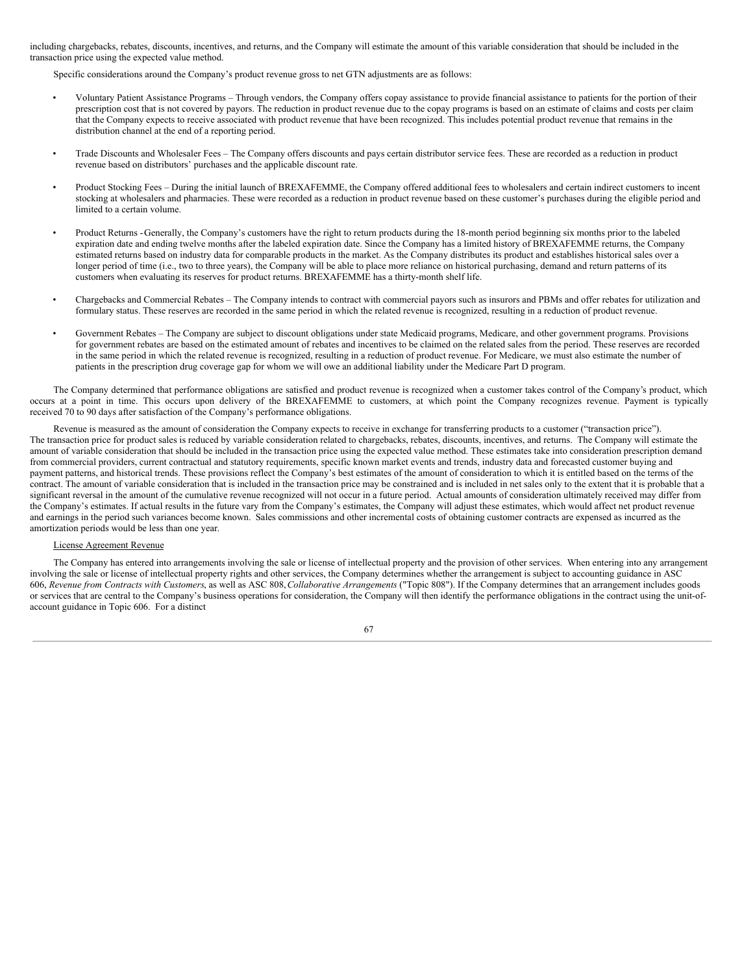including chargebacks, rebates, discounts, incentives, and returns, and the Company will estimate the amount of this variable consideration that should be included in the transaction price using the expected value method.

Specific considerations around the Company's product revenue gross to net GTN adjustments are as follows:

- Voluntary Patient Assistance Programs Through vendors, the Company offers copay assistance to provide financial assistance to patients for the portion of their prescription cost that is not covered by payors. The reduction in product revenue due to the copay programs is based on an estimate of claims and costs per claim that the Company expects to receive associated with product revenue that have been recognized. This includes potential product revenue that remains in the distribution channel at the end of a reporting period.
- Trade Discounts and Wholesaler Fees The Company offers discounts and pays certain distributor service fees. These are recorded as a reduction in product revenue based on distributors' purchases and the applicable discount rate.
- Product Stocking Fees During the initial launch of BREXAFEMME, the Company offered additional fees to wholesalers and certain indirect customers to incent stocking at wholesalers and pharmacies. These were recorded as a reduction in product revenue based on these customer's purchases during the eligible period and limited to a certain volume.
- Product Returns -Generally, the Company's customers have the right to return products during the 18-month period beginning six months prior to the labeled expiration date and ending twelve months after the labeled expiration date. Since the Company has a limited history of BREXAFEMME returns, the Company estimated returns based on industry data for comparable products in the market. As the Company distributes its product and establishes historical sales over a longer period of time (i.e., two to three years), the Company will be able to place more reliance on historical purchasing, demand and return patterns of its customers when evaluating its reserves for product returns. BREXAFEMME has a thirty-month shelf life.
- Chargebacks and Commercial Rebates The Company intends to contract with commercial payors such as insurors and PBMs and offer rebates for utilization and formulary status. These reserves are recorded in the same period in which the related revenue is recognized, resulting in a reduction of product revenue.
- Government Rebates The Company are subject to discount obligations under state Medicaid programs, Medicare, and other government programs. Provisions for government rebates are based on the estimated amount of rebates and incentives to be claimed on the related sales from the period. These reserves are recorded in the same period in which the related revenue is recognized, resulting in a reduction of product revenue. For Medicare, we must also estimate the number of patients in the prescription drug coverage gap for whom we will owe an additional liability under the Medicare Part D program.

The Company determined that performance obligations are satisfied and product revenue is recognized when a customer takes control of the Company's product, which occurs at a point in time. This occurs upon delivery of the BREXAFEMME to customers, at which point the Company recognizes revenue. Payment is typically received 70 to 90 days after satisfaction of the Company's performance obligations.

Revenue is measured as the amount of consideration the Company expects to receive in exchange for transferring products to a customer ("transaction price"). The transaction price for product sales is reduced by variable consideration related to chargebacks, rebates, discounts, incentives, and returns. The Company will estimate the amount of variable consideration that should be included in the transaction price using the expected value method. These estimates take into consideration prescription demand from commercial providers, current contractual and statutory requirements, specific known market events and trends, industry data and forecasted customer buying and payment patterns, and historical trends. These provisions reflect the Company's best estimates of the amount of consideration to which it is entitled based on the terms of the contract. The amount of variable consideration that is included in the transaction price may be constrained and is included in net sales only to the extent that it is probable that a significant reversal in the amount of the cumulative revenue recognized will not occur in a future period. Actual amounts of consideration ultimately received may differ from the Company's estimates. If actual results in the future vary from the Company's estimates, the Company will adjust these estimates, which would affect net product revenue and earnings in the period such variances become known. Sales commissions and other incremental costs of obtaining customer contracts are expensed as incurred as the amortization periods would be less than one year.

## License Agreement Revenue

The Company has entered into arrangements involving the sale or license of intellectual property and the provision of other services. When entering into any arrangement involving the sale or license of intellectual property rights and other services, the Company determines whether the arrangement is subject to accounting guidance in ASC 606, *Revenue from Contracts with Customers*, as well as ASC 808,*Collaborative Arrangements* ("Topic 808"). If the Company determines that an arrangement includes goods or services that are central to the Company's business operations for consideration, the Company will then identify the performance obligations in the contract using the unit-ofaccount guidance in Topic 606. For a distinct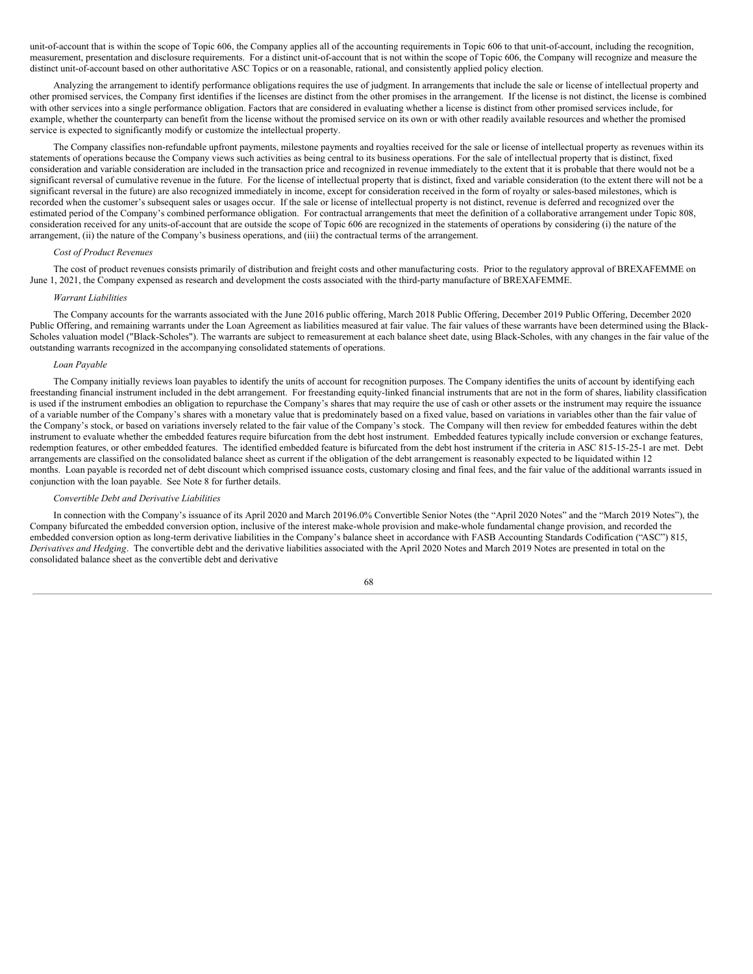unit-of-account that is within the scope of Topic 606, the Company applies all of the accounting requirements in Topic 606 to that unit-of-account, including the recognition, measurement, presentation and disclosure requirements. For a distinct unit-of-account that is not within the scope of Topic 606, the Company will recognize and measure the distinct unit-of-account based on other authoritative ASC Topics or on a reasonable, rational, and consistently applied policy election.

Analyzing the arrangement to identify performance obligations requires the use of judgment. In arrangements that include the sale or license of intellectual property and other promised services, the Company first identifies if the licenses are distinct from the other promises in the arrangement. If the license is not distinct, the license is combined with other services into a single performance obligation. Factors that are considered in evaluating whether a license is distinct from other promised services include, for example, whether the counterparty can benefit from the license without the promised service on its own or with other readily available resources and whether the promised service is expected to significantly modify or customize the intellectual property.

The Company classifies non-refundable upfront payments, milestone payments and royalties received for the sale or license of intellectual property as revenues within its statements of operations because the Company views such activities as being central to its business operations. For the sale of intellectual property that is distinct, fixed consideration and variable consideration are included in the transaction price and recognized in revenue immediately to the extent that it is probable that there would not be a significant reversal of cumulative revenue in the future. For the license of intellectual property that is distinct, fixed and variable consideration (to the extent there will not be a significant reversal in the future) are also recognized immediately in income, except for consideration received in the form of royalty or sales-based milestones, which is recorded when the customer's subsequent sales or usages occur. If the sale or license of intellectual property is not distinct, revenue is deferred and recognized over the estimated period of the Company's combined performance obligation. For contractual arrangements that meet the definition of a collaborative arrangement under Topic 808, consideration received for any units-of-account that are outside the scope of Topic 606 are recognized in the statements of operations by considering (i) the nature of the arrangement, (ii) the nature of the Company's business operations, and (iii) the contractual terms of the arrangement.

#### *Cost of Product Revenues*

The cost of product revenues consists primarily of distribution and freight costs and other manufacturing costs. Prior to the regulatory approval of BREXAFEMME on June 1, 2021, the Company expensed as research and development the costs associated with the third-party manufacture of BREXAFEMME.

#### *Warrant Liabilities*

The Company accounts for the warrants associated with the June 2016 public offering, March 2018 Public Offering, December 2019 Public Offering, December 2020 Public Offering, and remaining warrants under the Loan Agreement as liabilities measured at fair value. The fair values of these warrants have been determined using the Black-Scholes valuation model ("Black-Scholes"). The warrants are subject to remeasurement at each balance sheet date, using Black-Scholes, with any changes in the fair value of the outstanding warrants recognized in the accompanying consolidated statements of operations.

### *Loan Payable*

The Company initially reviews loan payables to identify the units of account for recognition purposes. The Company identifies the units of account by identifying each freestanding financial instrument included in the debt arrangement. For freestanding equity-linked financial instruments that are not in the form of shares, liability classification is used if the instrument embodies an obligation to repurchase the Company's shares that may require the use of cash or other assets or the instrument may require the issuance of a variable number of the Company's shares with a monetary value that is predominately based on a fixed value, based on variations in variables other than the fair value of the Company's stock, or based on variations inversely related to the fair value of the Company's stock. The Company will then review for embedded features within the debt instrument to evaluate whether the embedded features require bifurcation from the debt host instrument. Embedded features typically include conversion or exchange features, redemption features, or other embedded features. The identified embedded feature is bifurcated from the debt host instrument if the criteria in ASC 815-15-25-1 are met. Debt arrangements are classified on the consolidated balance sheet as current if the obligation of the debt arrangement is reasonably expected to be liquidated within 12 months. Loan payable is recorded net of debt discount which comprised issuance costs, customary closing and final fees, and the fair value of the additional warrants issued in conjunction with the loan payable. See Note 8 for further details.

### *Convertible Debt and Derivative Liabilities*

In connection with the Company's issuance of its April 2020 and March 20196.0% Convertible Senior Notes (the "April 2020 Notes" and the "March 2019 Notes"), the Company bifurcated the embedded conversion option, inclusive of the interest make-whole provision and make-whole fundamental change provision, and recorded the embedded conversion option as long-term derivative liabilities in the Company's balance sheet in accordance with FASB Accounting Standards Codification ("ASC") 815, *Derivatives and Hedging*. The convertible debt and the derivative liabilities associated with the April 2020 Notes and March 2019 Notes are presented in total on the consolidated balance sheet as the convertible debt and derivative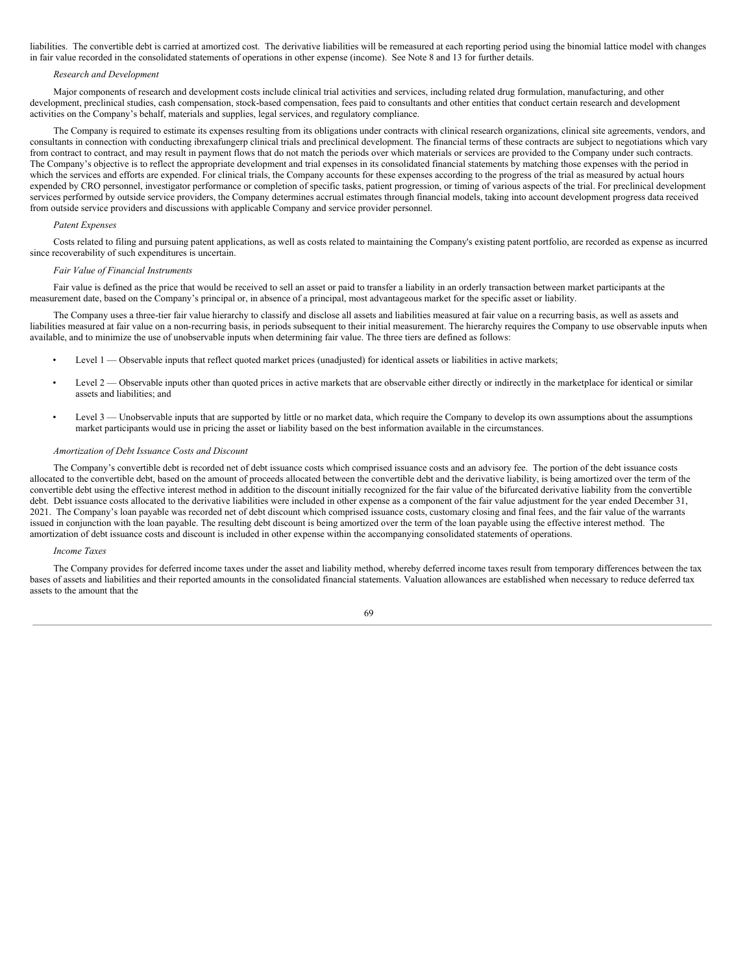liabilities. The convertible debt is carried at amortized cost. The derivative liabilities will be remeasured at each reporting period using the binomial lattice model with changes in fair value recorded in the consolidated statements of operations in other expense (income). See Note 8 and 13 for further details.

# *Research and Development*

Major components of research and development costs include clinical trial activities and services, including related drug formulation, manufacturing, and other development, preclinical studies, cash compensation, stock-based compensation, fees paid to consultants and other entities that conduct certain research and development activities on the Company's behalf, materials and supplies, legal services, and regulatory compliance.

The Company is required to estimate its expenses resulting from its obligations under contracts with clinical research organizations, clinical site agreements, vendors, and consultants in connection with conducting ibrexafungerp clinical trials and preclinical development. The financial terms of these contracts are subject to negotiations which vary from contract to contract, and may result in payment flows that do not match the periods over which materials or services are provided to the Company under such contracts. The Company's objective is to reflect the appropriate development and trial expenses in its consolidated financial statements by matching those expenses with the period in which the services and efforts are expended. For clinical trials, the Company accounts for these expenses according to the progress of the trial as measured by actual hours expended by CRO personnel, investigator performance or completion of specific tasks, patient progression, or timing of various aspects of the trial. For preclinical development services performed by outside service providers, the Company determines accrual estimates through financial models, taking into account development progress data received from outside service providers and discussions with applicable Company and service provider personnel.

#### *Patent Expenses*

Costs related to filing and pursuing patent applications, as well as costs related to maintaining the Company's existing patent portfolio, are recorded as expense as incurred since recoverability of such expenditures is uncertain.

### *Fair Value of Financial Instruments*

Fair value is defined as the price that would be received to sell an asset or paid to transfer a liability in an orderly transaction between market participants at the measurement date, based on the Company's principal or, in absence of a principal, most advantageous market for the specific asset or liability.

The Company uses a three-tier fair value hierarchy to classify and disclose all assets and liabilities measured at fair value on a recurring basis, as well as assets and liabilities measured at fair value on a non-recurring basis, in periods subsequent to their initial measurement. The hierarchy requires the Company to use observable inputs when available, and to minimize the use of unobservable inputs when determining fair value. The three tiers are defined as follows:

- Level 1 Observable inputs that reflect quoted market prices (unadjusted) for identical assets or liabilities in active markets;
- Level 2 Observable inputs other than quoted prices in active markets that are observable either directly or indirectly in the marketplace for identical or similar assets and liabilities; and
- Level 3 Unobservable inputs that are supported by little or no market data, which require the Company to develop its own assumptions about the assumptions market participants would use in pricing the asset or liability based on the best information available in the circumstances.

### *Amortization of Debt Issuance Costs and Discount*

The Company's convertible debt is recorded net of debt issuance costs which comprised issuance costs and an advisory fee. The portion of the debt issuance costs allocated to the convertible debt, based on the amount of proceeds allocated between the convertible debt and the derivative liability, is being amortized over the term of the convertible debt using the effective interest method in addition to the discount initially recognized for the fair value of the bifurcated derivative liability from the convertible debt. Debt issuance costs allocated to the derivative liabilities were included in other expense as a component of the fair value adjustment for the year ended December 31, 2021. The Company's loan payable was recorded net of debt discount which comprised issuance costs, customary closing and final fees, and the fair value of the warrants issued in conjunction with the loan payable. The resulting debt discount is being amortized over the term of the loan payable using the effective interest method. The amortization of debt issuance costs and discount is included in other expense within the accompanying consolidated statements of operations.

#### *Income Taxes*

The Company provides for deferred income taxes under the asset and liability method, whereby deferred income taxes result from temporary differences between the tax bases of assets and liabilities and their reported amounts in the consolidated financial statements. Valuation allowances are established when necessary to reduce deferred tax assets to the amount that the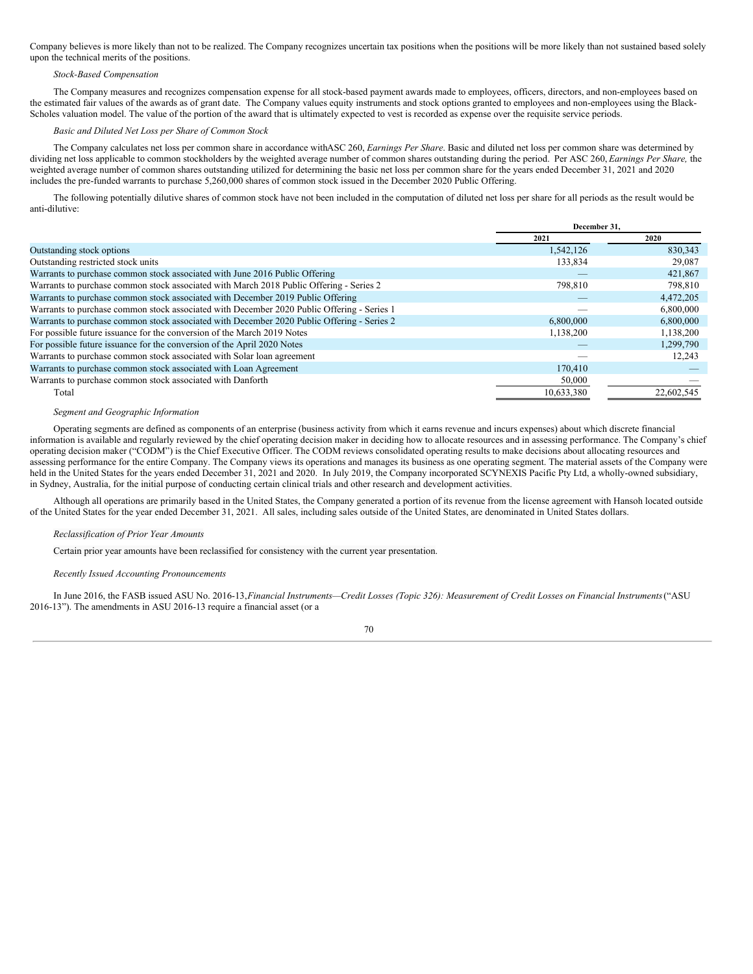Company believes is more likely than not to be realized. The Company recognizes uncertain tax positions when the positions will be more likely than not sustained based solely upon the technical merits of the positions.

# *Stock-Based Compensation*

The Company measures and recognizes compensation expense for all stock-based payment awards made to employees, officers, directors, and non-employees based on the estimated fair values of the awards as of grant date. The Company values equity instruments and stock options granted to employees and non-employees using the Black-Scholes valuation model. The value of the portion of the award that is ultimately expected to vest is recorded as expense over the requisite service periods.

# *Basic and Diluted Net Loss per Share of Common Stock*

The Company calculates net loss per common share in accordance withASC 260, *Earnings Per Share*. Basic and diluted net loss per common share was determined by dividing net loss applicable to common stockholders by the weighted average number of common shares outstanding during the period. Per ASC 260, *Earnings Per Share,* the weighted average number of common shares outstanding utilized for determining the basic net loss per common share for the years ended December 31, 2021 and 2020 includes the pre-funded warrants to purchase 5,260,000 shares of common stock issued in the December 2020 Public Offering.

The following potentially dilutive shares of common stock have not been included in the computation of diluted net loss per share for all periods as the result would be anti-dilutive:

|                                                                                            | December 31. |            |  |
|--------------------------------------------------------------------------------------------|--------------|------------|--|
|                                                                                            | 2021         | 2020       |  |
| Outstanding stock options                                                                  | 1,542,126    | 830,343    |  |
| Outstanding restricted stock units                                                         | 133,834      | 29,087     |  |
| Warrants to purchase common stock associated with June 2016 Public Offering                |              | 421,867    |  |
| Warrants to purchase common stock associated with March 2018 Public Offering - Series 2    | 798,810      | 798,810    |  |
| Warrants to purchase common stock associated with December 2019 Public Offering            |              | 4,472,205  |  |
| Warrants to purchase common stock associated with December 2020 Public Offering - Series 1 |              | 6,800,000  |  |
| Warrants to purchase common stock associated with December 2020 Public Offering - Series 2 | 6,800,000    | 6,800,000  |  |
| For possible future issuance for the conversion of the March 2019 Notes                    | 1.138.200    | 1,138,200  |  |
| For possible future issuance for the conversion of the April 2020 Notes                    |              | 1,299,790  |  |
| Warrants to purchase common stock associated with Solar loan agreement                     |              | 12.243     |  |
| Warrants to purchase common stock associated with Loan Agreement                           | 170.410      |            |  |
| Warrants to purchase common stock associated with Danforth                                 | 50,000       |            |  |
| Total                                                                                      | 10.633.380   | 22,602,545 |  |

### *Segment and Geographic Information*

Operating segments are defined as components of an enterprise (business activity from which it earns revenue and incurs expenses) about which discrete financial information is available and regularly reviewed by the chief operating decision maker in deciding how to allocate resources and in assessing performance. The Company's chief operating decision maker ("CODM") is the Chief Executive Officer. The CODM reviews consolidated operating results to make decisions about allocating resources and assessing performance for the entire Company. The Company views its operations and manages its business as one operating segment. The material assets of the Company were held in the United States for the years ended December 31, 2021 and 2020. In July 2019, the Company incorporated SCYNEXIS Pacific Pty Ltd, a wholly-owned subsidiary, in Sydney, Australia, for the initial purpose of conducting certain clinical trials and other research and development activities.

Although all operations are primarily based in the United States, the Company generated a portion of its revenue from the license agreement with Hansoh located outside of the United States for the year ended December 31, 2021. All sales, including sales outside of the United States, are denominated in United States dollars.

#### *Reclassification of Prior Year Amounts*

Certain prior year amounts have been reclassified for consistency with the current year presentation.

### *Recently Issued Accounting Pronouncements*

In June 2016, the FASB issued ASU No. 2016-13, Financial Instruments-Credit Losses (Topic 326): Measurement of Credit Losses on Financial Instruments ("ASU 2016-13"). The amendments in ASU 2016-13 require a financial asset (or a

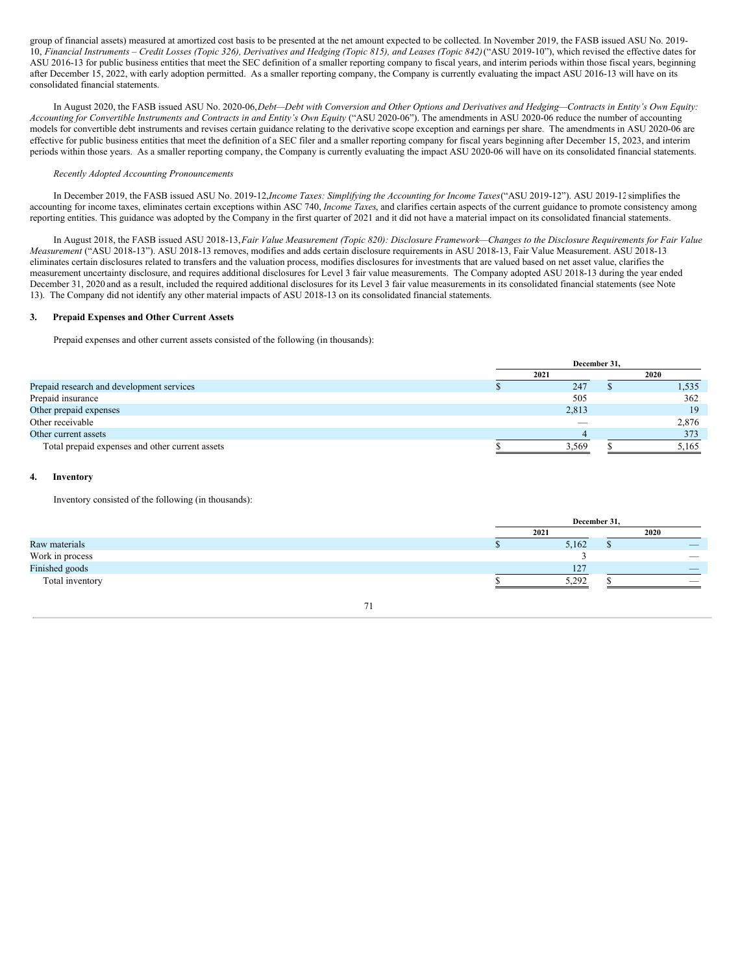group of financial assets) measured at amortized cost basis to be presented at the net amount expected to be collected. In November 2019, the FASB issued ASU No. 2019- 10, Financial Instruments - Credit Losses (Topic 326), Derivatives and Hedging (Topic 815), and Leases (Topic 842) ("ASU 2019-10"), which revised the effective dates for ASU 2016-13 for public business entities that meet the SEC definition of a smaller reporting company to fiscal years, and interim periods within those fiscal years, beginning after December 15, 2022, with early adoption permitted. As a smaller reporting company, the Company is currently evaluating the impact ASU 2016-13 will have on its consolidated financial statements.

In August 2020, the FASB issued ASU No. 2020-06, Debt-Debt with Conversion and Other Options and Derivatives and Hedging-Contracts in Entity's Own Equity: Accounting for Convertible Instruments and Contracts in and Entity's Own Equity ("ASU 2020-06"). The amendments in ASU 2020-06 reduce the number of accounting models for convertible debt instruments and revises certain guidance relating to the derivative scope exception and earnings per share. The amendments in ASU 2020-06 are effective for public business entities that meet the definition of a SEC filer and a smaller reporting company for fiscal years beginning after December 15, 2023, and interim periods within those years. As a smaller reporting company, the Company is currently evaluating the impact ASU 2020-06 will have on its consolidated financial statements.

#### *Recently Adopted Accounting Pronouncements*

In December 2019, the FASB issued ASU No. 2019-12,*Income Taxes: Simplifying the Accounting for Income Taxes*("ASU 2019-12"). ASU 2019-12simplifies the accounting for income taxes, eliminates certain exceptions within ASC 740, *Income Taxes*, and clarifies certain aspects of the current guidance to promote consistency among reporting entities. This guidance was adopted by the Company in the first quarter of 2021 and it did not have a material impact on its consolidated financial statements.

In August 2018, the FASB issued ASU 2018-13, Fair Value Measurement (Topic 820): Disclosure Framework-Changes to the Disclosure Requirements for Fair Value *Measurement* ("ASU 2018-13"). ASU 2018-13 removes, modifies and adds certain disclosure requirements in ASU 2018-13, Fair Value Measurement. ASU 2018-13 eliminates certain disclosures related to transfers and the valuation process, modifies disclosures for investments that are valued based on net asset value, clarifies the measurement uncertainty disclosure, and requires additional disclosures for Level 3 fair value measurements. The Company adopted ASU 2018-13 during the year ended December 31, 2020 and as a result, included the required additional disclosures for its Level 3 fair value measurements in its consolidated financial statements (see Note 13). The Company did not identify any other material impacts of ASU 2018-13 on its consolidated financial statements.

# **3. Prepaid Expenses and Other Current Assets**

Prepaid expenses and other current assets consisted of the following (in thousands):

|                                                 | December 31. |       |  |       |
|-------------------------------------------------|--------------|-------|--|-------|
|                                                 |              | 2021  |  | 2020  |
| Prepaid research and development services       |              | 247   |  | 1,535 |
| Prepaid insurance                               |              | 505   |  | 362   |
| Other prepaid expenses                          |              | 2,813 |  | 19    |
| Other receivable                                |              |       |  | 2,876 |
| Other current assets                            |              |       |  | 373   |
| Total prepaid expenses and other current assets |              | 3,569 |  | 5.165 |

### **4. Inventory**

Inventory consisted of the following (in thousands):

|                 | December 31, |  |                          |  |
|-----------------|--------------|--|--------------------------|--|
|                 | 2021         |  | 2020                     |  |
| Raw materials   | 5,162        |  | $-$                      |  |
| Work in process |              |  | $\overline{\phantom{a}}$ |  |
| Finished goods  | 127          |  | $-$                      |  |
| Total inventory | 5,292        |  | $\overline{\phantom{a}}$ |  |

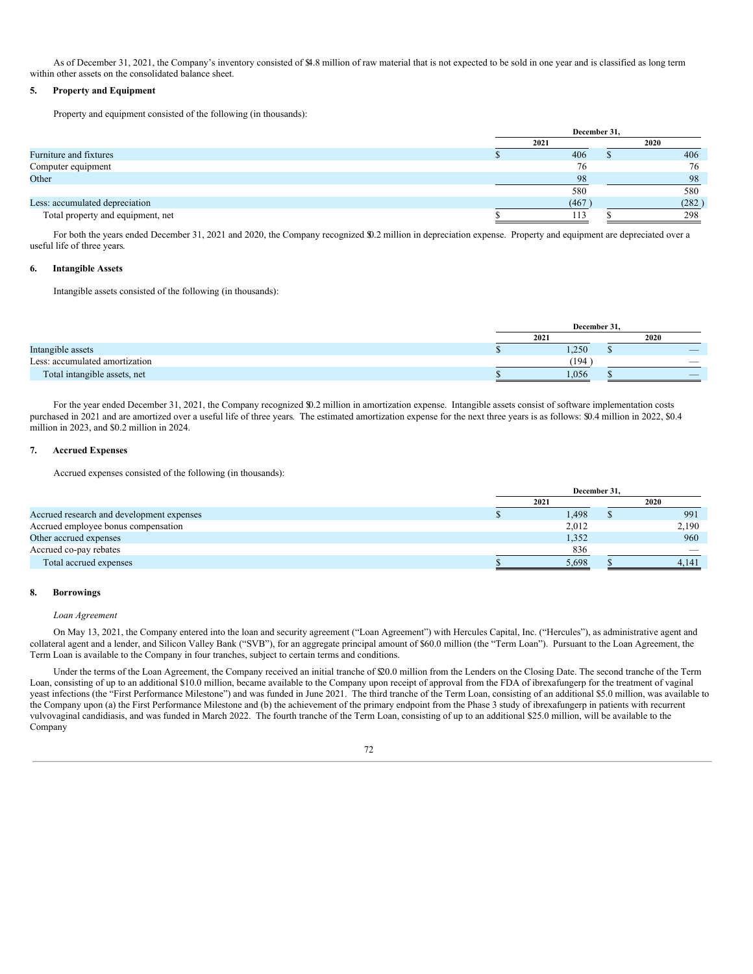As of December 31, 2021, the Company's inventory consisted of \$4.8 million of raw material that is not expected to be sold in one year and is classified as long term within other assets on the consolidated balance sheet.

# **5. Property and Equipment**

Property and equipment consisted of the following (in thousands):

|                                   | December 31, |  |       |  |
|-----------------------------------|--------------|--|-------|--|
|                                   | 2021         |  | 2020  |  |
| Furniture and fixtures            | 406          |  | 406   |  |
| Computer equipment                | 76           |  | 76    |  |
| Other                             | 98           |  | 98    |  |
|                                   | 580          |  | 580   |  |
| Less: accumulated depreciation    | (467)        |  | (282) |  |
| Total property and equipment, net |              |  | 298   |  |

For both the years ended December 31, 2021 and 2020, the Company recognized \$0.2 million in depreciation expense. Property and equipment are depreciated over a useful life of three years.

# **6. Intangible Assets**

Intangible assets consisted of the following (in thousands):

|                                | December 31. |       |      |                          |
|--------------------------------|--------------|-------|------|--------------------------|
|                                | 2021         |       | 2020 |                          |
| Intangible assets              |              | 1,250 |      | $-$                      |
| Less: accumulated amortization |              | (194) |      | $\overline{\phantom{a}}$ |
| Total intangible assets, net   |              | 1.056 |      | $\overline{\phantom{a}}$ |

For the year ended December 31, 2021, the Company recognized \$0.2 million in amortization expense. Intangible assets consist of software implementation costs purchased in 2021 and are amortized over a useful life of three years. The estimated amortization expense for the next three years is as follows: \$0.4 million in 2022, \$0.4 million in 2023, and \$0.2 million in 2024.

### **7. Accrued Expenses**

Accrued expenses consisted of the following (in thousands):

|                                           |      | December 31. |      |        |  |
|-------------------------------------------|------|--------------|------|--------|--|
|                                           | 2021 |              | 2020 |        |  |
| Accrued research and development expenses |      | 1,498        |      | 991    |  |
| Accrued employee bonus compensation       |      | 2,012        |      | 2,190  |  |
| Other accrued expenses                    |      | 1,352        |      | 960    |  |
| Accrued co-pay rebates                    |      | 836          |      | $\sim$ |  |
| Total accrued expenses                    |      | 5.698        |      | 4.141  |  |

#### **8. Borrowings**

### *Loan Agreement*

On May 13, 2021, the Company entered into the loan and security agreement ("Loan Agreement") with Hercules Capital, Inc. ("Hercules"), as administrative agent and collateral agent and a lender, and Silicon Valley Bank ("SVB"), for an aggregate principal amount of \$60.0 million (the "Term Loan"). Pursuant to the Loan Agreement, the Term Loan is available to the Company in four tranches, subject to certain terms and conditions.

Under the terms of the Loan Agreement, the Company received an initial tranche of \$20.0 million from the Lenders on the Closing Date. The second tranche of the Term Loan, consisting of up to an additional \$10.0 million, became available to the Company upon receipt of approval from the FDA of ibrexafungerp for the treatment of vaginal yeast infections (the "First Performance Milestone") and was funded in June 2021. The third tranche of the Term Loan, consisting of an additional \$5.0 million, was available to the Company upon (a) the First Performance Milestone and (b) the achievement of the primary endpoint from the Phase 3 study of ibrexafungerp in patients with recurrent vulvovaginal candidiasis, and was funded in March 2022. The fourth tranche of the Term Loan, consisting of up to an additional \$25.0 million, will be available to the Company

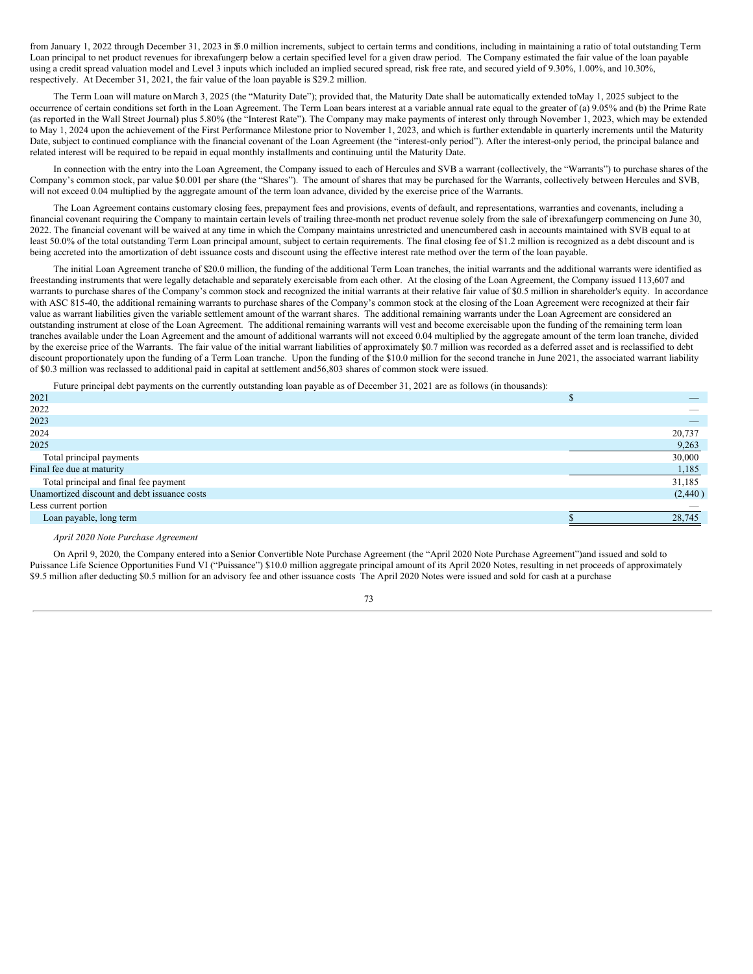from January 1, 2022 through December 31, 2023 in \$5.0 million increments, subject to certain terms and conditions, including in maintaining a ratio of total outstanding Term Loan principal to net product revenues for ibrexafungerp below a certain specified level for a given draw period. The Company estimated the fair value of the loan payable using a credit spread valuation model and Level 3 inputs which included an implied secured spread, risk free rate, and secured yield of 9.30%, 1.00%, and 10.30%, respectively. At December 31, 2021, the fair value of the loan payable is \$29.2 million.

The Term Loan will mature on March 3, 2025 (the "Maturity Date"); provided that, the Maturity Date shall be automatically extended toMay 1, 2025 subject to the occurrence of certain conditions set forth in the Loan Agreement. The Term Loan bears interest at a variable annual rate equal to the greater of (a) 9.05% and (b) the Prime Rate (as reported in the Wall Street Journal) plus 5.80% (the "Interest Rate"). The Company may make payments of interest only through November 1, 2023, which may be extended to May 1, 2024 upon the achievement of the First Performance Milestone prior to November 1, 2023, and which is further extendable in quarterly increments until the Maturity Date, subject to continued compliance with the financial covenant of the Loan Agreement (the "interest-only period"). After the interest-only period, the principal balance and related interest will be required to be repaid in equal monthly installments and continuing until the Maturity Date.

In connection with the entry into the Loan Agreement, the Company issued to each of Hercules and SVB a warrant (collectively, the "Warrants") to purchase shares of the Company's common stock, par value \$0.001 per share (the "Shares"). The amount of shares that may be purchased for the Warrants, collectively between Hercules and SVB, will not exceed 0.04 multiplied by the aggregate amount of the term loan advance, divided by the exercise price of the Warrants.

The Loan Agreement contains customary closing fees, prepayment fees and provisions, events of default, and representations, warranties and covenants, including a financial covenant requiring the Company to maintain certain levels of trailing three-month net product revenue solely from the sale of ibrexafungerp commencing on June 30, 2022. The financial covenant will be waived at any time in which the Company maintains unrestricted and unencumbered cash in accounts maintained with SVB equal to at least 50.0% of the total outstanding Term Loan principal amount, subject to certain requirements. The final closing fee of \$1.2 million is recognized as a debt discount and is being accreted into the amortization of debt issuance costs and discount using the effective interest rate method over the term of the loan payable.

The initial Loan Agreement tranche of \$20.0 million, the funding of the additional Term Loan tranches, the initial warrants and the additional warrants were identified as freestanding instruments that were legally detachable and separately exercisable from each other. At the closing of the Loan Agreement, the Company issued 113,607 and warrants to purchase shares of the Company's common stock and recognized the initial warrants at their relative fair value of \$0.5 million in shareholder's equity. In accordance with ASC 815-40, the additional remaining warrants to purchase shares of the Company's common stock at the closing of the Loan Agreement were recognized at their fair value as warrant liabilities given the variable settlement amount of the warrant shares. The additional remaining warrants under the Loan Agreement are considered an outstanding instrument at close of the Loan Agreement. The additional remaining warrants will vest and become exercisable upon the funding of the remaining term loan tranches available under the Loan Agreement and the amount of additional warrants will not exceed 0.04 multiplied by the aggregate amount of the term loan tranche, divided by the exercise price of the Warrants. The fair value of the initial warrant liabilities of approximately \$0.7 million was recorded as a deferred asset and is reclassified to debt discount proportionately upon the funding of a Term Loan tranche. Upon the funding of the \$10.0 million for the second tranche in June 2021, the associated warrant liability of \$0.3 million was reclassed to additional paid in capital at settlement and56,803 shares of common stock were issued.

Future principal debt payments on the currently outstanding loan payable as of December 31, 2021 are as follows (in thousands):

| 20,737  |
|---------|
| 9,263   |
| 30,000  |
| 1,185   |
| 31,185  |
| (2,440) |
|         |
| 28,745  |
|         |

#### *April 2020 Note Purchase Agreement*

On April 9, 2020, the Company entered into a Senior Convertible Note Purchase Agreement (the "April 2020 Note Purchase Agreement")and issued and sold to Puissance Life Science Opportunities Fund VI ("Puissance") \$10.0 million aggregate principal amount of its April 2020 Notes, resulting in net proceeds of approximately \$9.5 million after deducting \$0.5 million for an advisory fee and other issuance costs The April 2020 Notes were issued and sold for cash at a purchase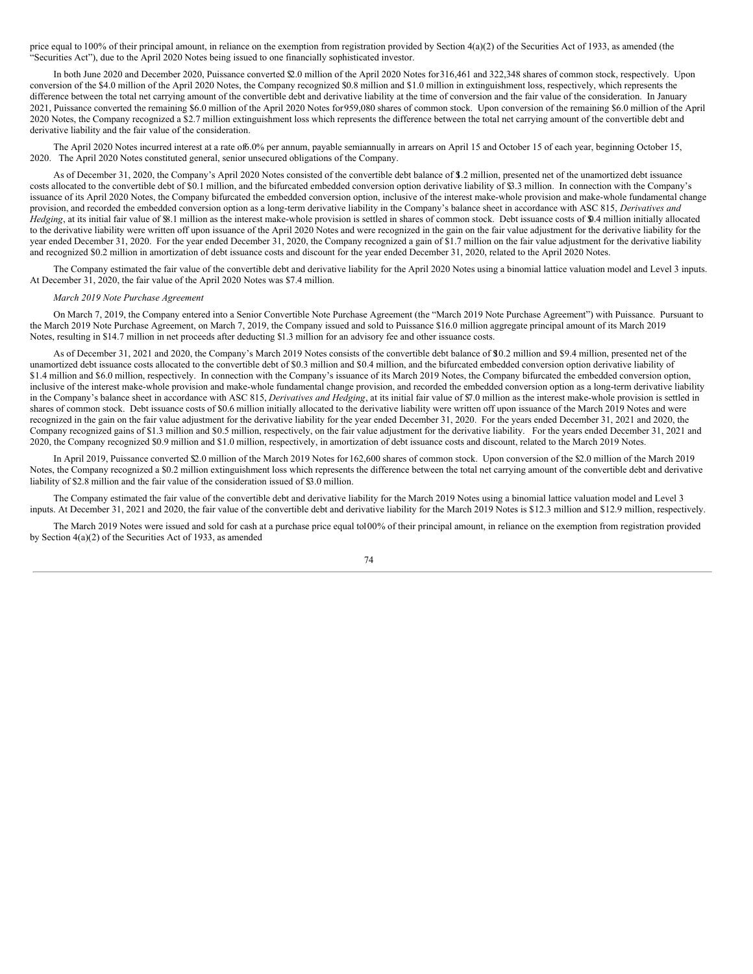price equal to 100% of their principal amount, in reliance on the exemption from registration provided by Section 4(a)(2) of the Securities Act of 1933, as amended (the "Securities Act"), due to the April 2020 Notes being issued to one financially sophisticated investor.

In both June 2020 and December 2020, Puissance converted \$2.0 million of the April 2020 Notes for 316,461 and 322,348 shares of common stock, respectively. Upon conversion of the \$4.0 million of the April 2020 Notes, the Company recognized \$0.8 million and \$1.0 million in extinguishment loss, respectively, which represents the difference between the total net carrying amount of the convertible debt and derivative liability at the time of conversion and the fair value of the consideration. In January 2021, Puissance converted the remaining \$6.0 million of the April 2020 Notes for959,080 shares of common stock. Upon conversion of the remaining \$6.0 million of the April 2020 Notes, the Company recognized a \$2.7 million extinguishment loss which represents the difference between the total net carrying amount of the convertible debt and derivative liability and the fair value of the consideration.

The April 2020 Notes incurred interest at a rate of6.0% per annum, payable semiannually in arrears on April 15 and October 15 of each year, beginning October 15, 2020. The April 2020 Notes constituted general, senior unsecured obligations of the Company.

As of December 31, 2020, the Company's April 2020 Notes consisted of the convertible debt balance of \$1.2 million, presented net of the unamortized debt issuance costs allocated to the convertible debt of \$0.1 million, and the bifurcated embedded conversion option derivative liability of \$3.3 million. In connection with the Company's issuance of its April 2020 Notes, the Company bifurcated the embedded conversion option, inclusive of the interest make-whole provision and make-whole fundamental change provision, and recorded the embedded conversion option as a long-term derivative liability in the Company's balance sheet in accordance with ASC 815, *Derivatives and Hedging*, at its initial fair value of \$8.1 million as the interest make-whole provision is settled in shares of common stock. Debt issuance costs of \$0.4 million initially allocated to the derivative liability were written off upon issuance of the April 2020 Notes and were recognized in the gain on the fair value adjustment for the derivative liability for the year ended December 31, 2020. For the year ended December 31, 2020, the Company recognized a gain of \$1.7 million on the fair value adjustment for the derivative liability and recognized \$0.2 million in amortization of debt issuance costs and discount for the year ended December 31, 2020, related to the April 2020 Notes.

The Company estimated the fair value of the convertible debt and derivative liability for the April 2020 Notes using a binomial lattice valuation model and Level 3 inputs. At December 31, 2020, the fair value of the April 2020 Notes was \$7.4 million.

#### *March 2019 Note Purchase Agreement*

On March 7, 2019, the Company entered into a Senior Convertible Note Purchase Agreement (the "March 2019 Note Purchase Agreement") with Puissance. Pursuant to the March 2019 Note Purchase Agreement, on March 7, 2019, the Company issued and sold to Puissance \$16.0 million aggregate principal amount of its March 2019 Notes, resulting in \$14.7 million in net proceeds after deducting \$1.3 million for an advisory fee and other issuance costs.

As of December 31, 2021 and 2020, the Company's March 2019 Notes consists of the convertible debt balance of \$0.2 million and \$9.4 million, presented net of the unamortized debt issuance costs allocated to the convertible debt of \$0.3 million and \$0.4 million, and the bifurcated embedded conversion option derivative liability of \$1.4 million and \$6.0 million, respectively. In connection with the Company's issuance of its March 2019 Notes, the Company bifurcated the embedded conversion option, inclusive of the interest make-whole provision and make-whole fundamental change provision, and recorded the embedded conversion option as a long-term derivative liability in the Company's balance sheet in accordance with ASC 815, *Derivatives and Hedging*, at its initial fair value of \$7.0 million as the interest make-whole provision is settled in shares of common stock. Debt issuance costs of \$0.6 million initially allocated to the derivative liability were written off upon issuance of the March 2019 Notes and were recognized in the gain on the fair value adjustment for the derivative liability for the year ended December 31, 2020. For the years ended December 31, 2021 and 2020, the Company recognized gains of \$1.3 million and \$0.5 million, respectively, on the fair value adjustment for the derivative liability. For the years ended December 31, 2021 and 2020, the Company recognized \$0.9 million and \$1.0 million, respectively, in amortization of debt issuance costs and discount, related to the March 2019 Notes.

In April 2019, Puissance converted \$2.0 million of the March 2019 Notes for 162,600 shares of common stock. Upon conversion of the \$2.0 million of the March 2019 Notes, the Company recognized a \$0.2 million extinguishment loss which represents the difference between the total net carrying amount of the convertible debt and derivative liability of \$2.8 million and the fair value of the consideration issued of \$3.0 million.

The Company estimated the fair value of the convertible debt and derivative liability for the March 2019 Notes using a binomial lattice valuation model and Level 3 inputs. At December 31, 2021 and 2020, the fair value of the convertible debt and derivative liability for the March 2019 Notes is \$12.3 million and \$12.9 million, respectively.

The March 2019 Notes were issued and sold for cash at a purchase price equal to100% of their principal amount, in reliance on the exemption from registration provided by Section 4(a)(2) of the Securities Act of 1933, as amended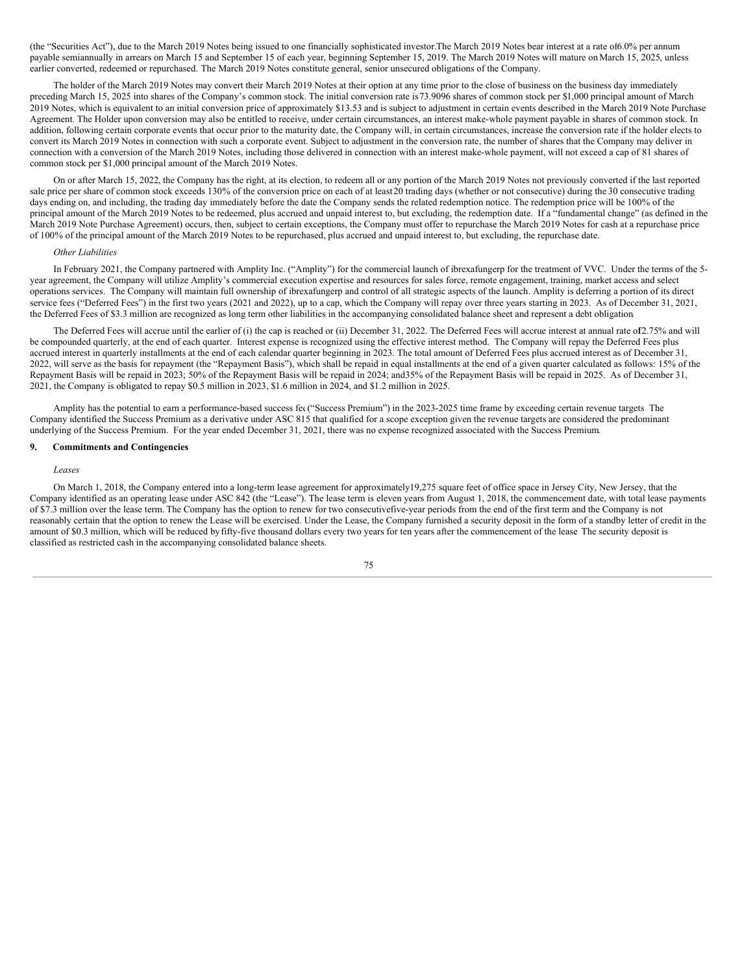(the "Securities Act"), due to the March 2019 Notes being issued to one financially sophisticated investor.The March 2019 Notes bear interest at a rate of 6.0% per annum payable semiannually in arrears on March 15 and September 15 of each year, beginning September 15, 2019. The March 2019 Notes will mature on March 15, 2025, unless earlier converted, redeemed or repurchased. The March 2019 Notes constitute general, senior unsecured obligations of the Company.

The holder of the March 2019 Notes may convert their March 2019 Notes at their option at any time prior to the close of business on the business day immediately preceding March 15, 2025 into shares of the Company's common stock. The initial conversion rate is73.9096 shares of common stock per \$1,000 principal amount of March 2019 Notes, which is equivalent to an initial conversion price of approximately \$13.53 and is subject to adjustment in certain events described in the March 2019 Note Purchase Agreement. The Holder upon conversion may also be entitled to receive, under certain circumstances, an interest make-whole payment payable in shares of common stock. In addition, following certain corporate events that occur prior to the maturity date, the Company will, in certain circumstances, increase the conversion rate if the holder elects to convert its March 2019 Notes in connection with such a corporate event. Subject to adjustment in the conversion rate, the number of shares that the Company may deliver in connection with a conversion of the March 2019 Notes, including those delivered in connection with an interest make-whole payment, will not exceed a cap of 81 shares of common stock per \$1,000 principal amount of the March 2019 Notes.

On or after March 15, 2022, the Company has the right, at its election, to redeem all or any portion of the March 2019 Notes not previously converted if the last reported sale price per share of common stock exceeds 130% of the conversion price on each of at least 20 trading days (whether or not consecutive) during the 30 consecutive trading days ending on, and including, the trading day immediately before the date the Company sends the related redemption notice. The redemption price will be 100% of the principal amount of the March 2019 Notes to be redeemed, plus accrued and unpaid interest to, but excluding, the redemption date. If a "fundamental change" (as defined in the March 2019 Note Purchase Agreement) occurs, then, subject to certain exceptions, the Company must offer to repurchase the March 2019 Notes for cash at a repurchase price of 100% of the principal amount of the March 2019 Notes to be repurchased, plus accrued and unpaid interest to, but excluding, the repurchase date.

#### *Other Liabilities*

In February 2021, the Company partnered with Amplity Inc. ("Amplity") for the commercial launch of ibrexafungerp for the treatment of VVC. Under the terms of the 5 year agreement, the Company will utilize Amplity's commercial execution expertise and resources for sales force, remote engagement, training, market access and select operations services. The Company will maintain full ownership of ibrexafungerp and control of all strategic aspects of the launch. Amplity is deferring a portion of its direct service fees ("Deferred Fees") in the first two years (2021 and 2022), up to a cap, which the Company will repay over three years starting in 2023. As of December 31, 2021, the Deferred Fees of \$3.3 million are recognized as long term other liabilities in the accompanying consolidated balance sheet and represent a debt obligation.

The Deferred Fees will accrue until the earlier of (i) the cap is reached or (ii) December 31, 2022. The Deferred Fees will accrue interest at annual rate of 2.75% and will be compounded quarterly, at the end of each quarter. Interest expense is recognized using the effective interest method. The Company will repay the Deferred Fees plus accrued interest in quarterly installments at the end of each calendar quarter beginning in 2023. The total amount of Deferred Fees plus accrued interest as of December 31, 2022, will serve as the basis for repayment (the "Repayment Basis"), which shall be repaid in equal installments at the end of a given quarter calculated as follows: 15% of the Repayment Basis will be repaid in 2023; 50% of the Repayment Basis will be repaid in 2024; and35% of the Repayment Basis will be repaid in 2025. As of December 31, 2021, the Company is obligated to repay \$0.5 million in 2023, \$1.6 million in 2024, and \$1.2 million in 2025.

Amplity has the potential to earn a performance-based success fee ("Success Premium") in the 2023-2025 time frame by exceeding certain revenue targets. The Company identified the Success Premium as a derivative under ASC 815 that qualified for a scope exception given the revenue targets are considered the predominant underlying of the Success Premium. For the year ended December 31, 2021, there was no expense recognized associated with the Success Premium.

# **9. Commitments and Contingencies**

#### *Leases*

On March 1, 2018, the Company entered into a long-term lease agreement for approximately19,275 square feet of office space in Jersey City, New Jersey, that the Company identified as an operating lease under ASC 842 (the "Lease"). The lease term is eleven years from August 1, 2018, the commencement date, with total lease payments of \$7.3 million over the lease term. The Company has the option to renew for two consecutivefive-year periods from the end of the first term and the Company is not reasonably certain that the option to renew the Lease will be exercised. Under the Lease, the Company furnished a security deposit in the form of a standby letter of credit in the amount of \$0.3 million, which will be reduced by fifty-five thousand dollars every two years for ten years after the commencement of the lease. The security deposit is classified as restricted cash in the accompanying consolidated balance sheets.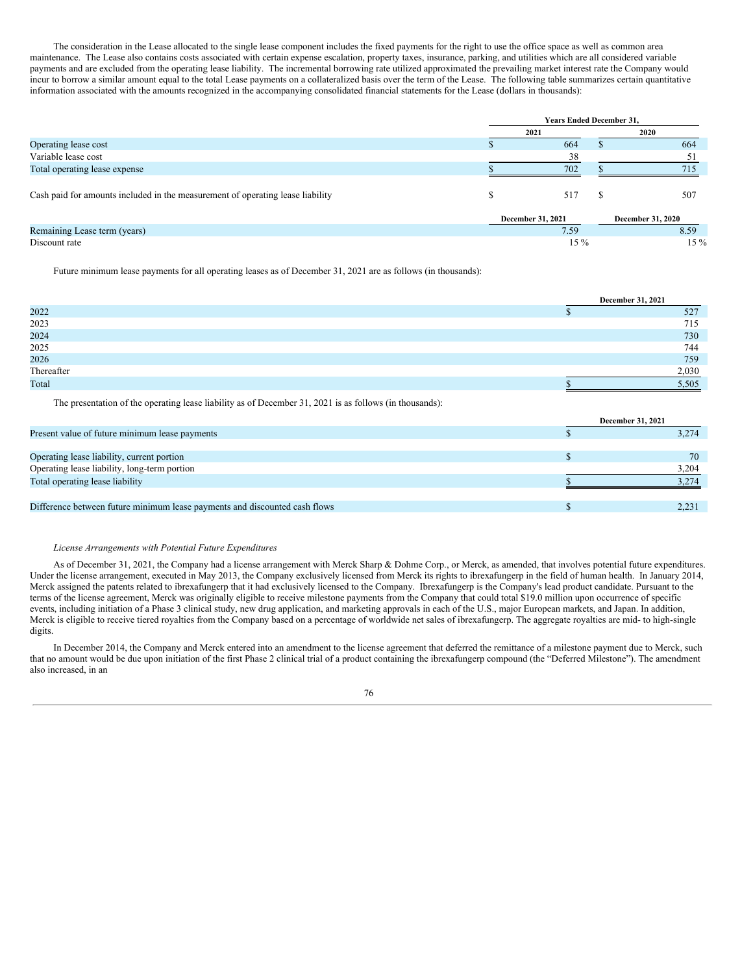The consideration in the Lease allocated to the single lease component includes the fixed payments for the right to use the office space as well as common area maintenance. The Lease also contains costs associated with certain expense escalation, property taxes, insurance, parking, and utilities which are all considered variable payments and are excluded from the operating lease liability. The incremental borrowing rate utilized approximated the prevailing market interest rate the Company would incur to borrow a similar amount equal to the total Lease payments on a collateralized basis over the term of the Lease. The following table summarizes certain quantitative information associated with the amounts recognized in the accompanying consolidated financial statements for the Lease (dollars in thousands):

|                                                                                | <b>Years Ended December 31,</b> |     |                   |  |
|--------------------------------------------------------------------------------|---------------------------------|-----|-------------------|--|
|                                                                                | 2021                            |     | 2020              |  |
| Operating lease cost                                                           | 664                             |     | 664               |  |
| Variable lease cost                                                            | 38                              |     | 51                |  |
| Total operating lease expense                                                  | 702                             |     | 715               |  |
| Cash paid for amounts included in the measurement of operating lease liability | 517                             | \$. | 507               |  |
|                                                                                | December 31, 2021               |     | December 31, 2020 |  |
| Remaining Lease term (years)                                                   | 7.59                            |     | 8.59              |  |
| Discount rate                                                                  | 15 %                            |     | $15\%$            |  |

Future minimum lease payments for all operating leases as of December 31, 2021 are as follows (in thousands):

|            | December 31, 2021 |
|------------|-------------------|
| 2022       | 527               |
| 2023       | 715               |
| 2024       | 730               |
| 2025       | 744               |
| 2026       | 759               |
| Thereafter | 2,030             |
| Total      | 5.505             |

The presentation of the operating lease liability as of December 31, 2021 is as follows (in thousands):

|                                                                            | December 31, 2021 |
|----------------------------------------------------------------------------|-------------------|
| Present value of future minimum lease payments                             | 3,274             |
|                                                                            |                   |
| Operating lease liability, current portion                                 | 70                |
| Operating lease liability, long-term portion                               | 3,204             |
| Total operating lease liability                                            | 3.274             |
|                                                                            |                   |
| Difference between future minimum lease payments and discounted cash flows | 2,231             |

#### *License Arrangements with Potential Future Expenditures*

As of December 31, 2021, the Company had a license arrangement with Merck Sharp & Dohme Corp., or Merck, as amended, that involves potential future expenditures. Under the license arrangement, executed in May 2013, the Company exclusively licensed from Merck its rights to ibrexafungerp in the field of human health. In January 2014, Merck assigned the patents related to ibrexafungerp that it had exclusively licensed to the Company. Ibrexafungerp is the Company's lead product candidate. Pursuant to the terms of the license agreement, Merck was originally eligible to receive milestone payments from the Company that could total \$19.0 million upon occurrence of specific events, including initiation of a Phase 3 clinical study, new drug application, and marketing approvals in each of the U.S., major European markets, and Japan. In addition, Merck is eligible to receive tiered royalties from the Company based on a percentage of worldwide net sales of ibrexafungerp. The aggregate royalties are mid- to high-single digits.

In December 2014, the Company and Merck entered into an amendment to the license agreement that deferred the remittance of a milestone payment due to Merck, such that no amount would be due upon initiation of the first Phase 2 clinical trial of a product containing the ibrexafungerp compound (the "Deferred Milestone"). The amendment also increased, in an

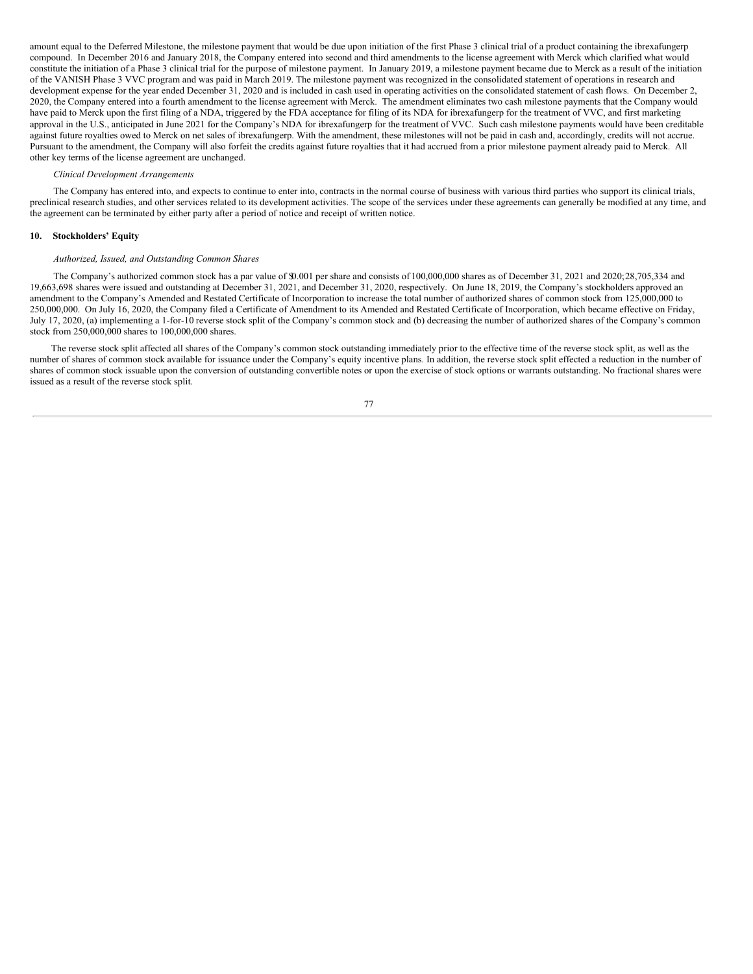amount equal to the Deferred Milestone, the milestone payment that would be due upon initiation of the first Phase 3 clinical trial of a product containing the ibrexafungerp compound. In December 2016 and January 2018, the Company entered into second and third amendments to the license agreement with Merck which clarified what would constitute the initiation of a Phase 3 clinical trial for the purpose of milestone payment. In January 2019, a milestone payment became due to Merck as a result of the initiation of the VANISH Phase 3 VVC program and was paid in March 2019. The milestone payment was recognized in the consolidated statement of operations in research and development expense for the year ended December 31, 2020 and is included in cash used in operating activities on the consolidated statement of cash flows. On December 2, 2020, the Company entered into a fourth amendment to the license agreement with Merck. The amendment eliminates two cash milestone payments that the Company would have paid to Merck upon the first filing of a NDA, triggered by the FDA acceptance for filing of its NDA for ibrexafungerp for the treatment of VVC, and first marketing approval in the U.S., anticipated in June 2021 for the Company's NDA for ibrexafungerp for the treatment of VVC. Such cash milestone payments would have been creditable against future royalties owed to Merck on net sales of ibrexafungerp. With the amendment, these milestones will not be paid in cash and, accordingly, credits will not accrue. Pursuant to the amendment, the Company will also forfeit the credits against future royalties that it had accrued from a prior milestone payment already paid to Merck. All other key terms of the license agreement are unchanged.

# *Clinical Development Arrangements*

The Company has entered into, and expects to continue to enter into, contracts in the normal course of business with various third parties who support its clinical trials, preclinical research studies, and other services related to its development activities. The scope of the services under these agreements can generally be modified at any time, and the agreement can be terminated by either party after a period of notice and receipt of written notice.

## **10. Stockholders' Equity**

#### *Authorized, Issued, and Outstanding Common Shares*

The Company's authorized common stock has a par value of \$0.001 per share and consists of 100,000,000 shares as of December 31, 2021 and 2020;28,705,334 and 19,663,698 shares were issued and outstanding at December 31, 2021, and December 31, 2020, respectively. On June 18, 2019, the Company's stockholders approved an amendment to the Company's Amended and Restated Certificate of Incorporation to increase the total number of authorized shares of common stock from 125,000,000 to 250,000,000. On July 16, 2020, the Company filed a Certificate of Amendment to its Amended and Restated Certificate of Incorporation, which became effective on Friday, July 17, 2020, (a) implementing a 1-for-10 reverse stock split of the Company's common stock and (b) decreasing the number of authorized shares of the Company's common stock from 250,000,000 shares to 100,000,000 shares.

The reverse stock split affected all shares of the Company's common stock outstanding immediately prior to the effective time of the reverse stock split, as well as the number of shares of common stock available for issuance under the Company's equity incentive plans. In addition, the reverse stock split effected a reduction in the number of shares of common stock issuable upon the conversion of outstanding convertible notes or upon the exercise of stock options or warrants outstanding. No fractional shares were issued as a result of the reverse stock split.

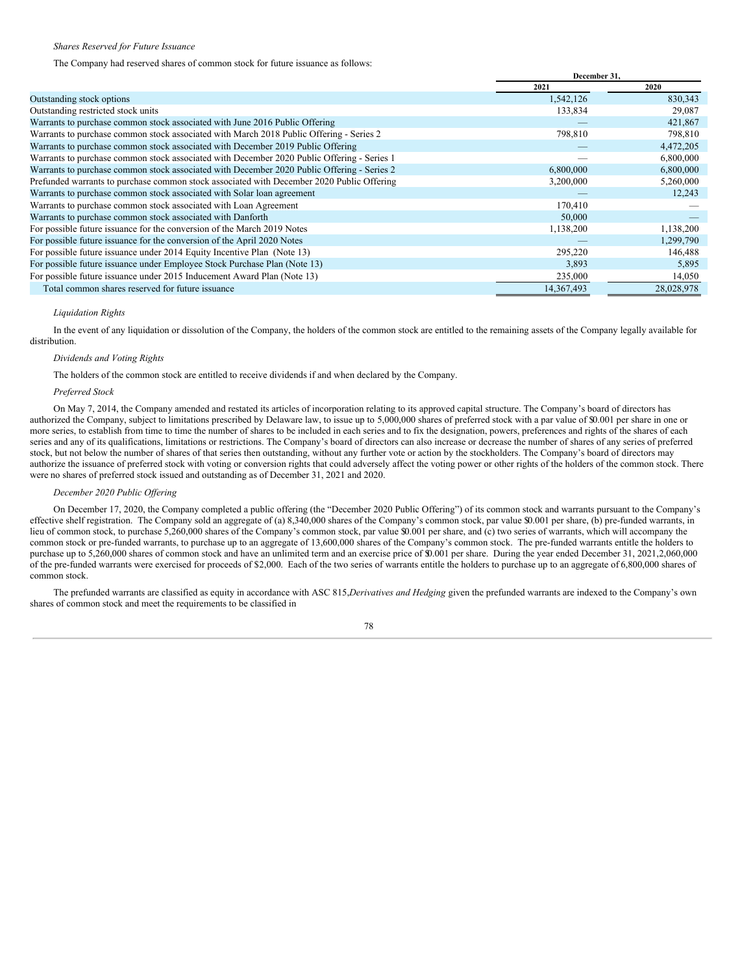## *Shares Reserved for Future Issuance*

The Company had reserved shares of common stock for future issuance as follows:

|                                                                                            | December 31. |            |  |
|--------------------------------------------------------------------------------------------|--------------|------------|--|
|                                                                                            | 2021         | 2020       |  |
| Outstanding stock options                                                                  | 1,542,126    | 830,343    |  |
| Outstanding restricted stock units                                                         | 133,834      | 29,087     |  |
| Warrants to purchase common stock associated with June 2016 Public Offering                |              | 421,867    |  |
| Warrants to purchase common stock associated with March 2018 Public Offering - Series 2    | 798,810      | 798,810    |  |
| Warrants to purchase common stock associated with December 2019 Public Offering            |              | 4,472,205  |  |
| Warrants to purchase common stock associated with December 2020 Public Offering - Series 1 |              | 6,800,000  |  |
| Warrants to purchase common stock associated with December 2020 Public Offering - Series 2 | 6,800,000    | 6,800,000  |  |
| Prefunded warrants to purchase common stock associated with December 2020 Public Offering  | 3,200,000    | 5,260,000  |  |
| Warrants to purchase common stock associated with Solar loan agreement                     |              | 12,243     |  |
| Warrants to purchase common stock associated with Loan Agreement                           | 170,410      |            |  |
| Warrants to purchase common stock associated with Danforth                                 | 50,000       |            |  |
| For possible future issuance for the conversion of the March 2019 Notes                    | 1,138,200    | 1,138,200  |  |
| For possible future issuance for the conversion of the April 2020 Notes                    |              | 1,299,790  |  |
| For possible future issuance under 2014 Equity Incentive Plan (Note 13)                    | 295,220      | 146,488    |  |
| For possible future issuance under Employee Stock Purchase Plan (Note 13)                  | 3,893        | 5,895      |  |
| For possible future issuance under 2015 Inducement Award Plan (Note 13)                    | 235,000      | 14,050     |  |
| Total common shares reserved for future issuance                                           | 14,367,493   | 28,028,978 |  |

#### *Liquidation Rights*

In the event of any liquidation or dissolution of the Company, the holders of the common stock are entitled to the remaining assets of the Company legally available for distribution.

#### *Dividends and Voting Rights*

The holders of the common stock are entitled to receive dividends if and when declared by the Company.

#### *Preferred Stock*

On May 7, 2014, the Company amended and restated its articles of incorporation relating to its approved capital structure. The Company's board of directors has authorized the Company, subject to limitations prescribed by Delaware law, to issue up to 5,000,000 shares of preferred stock with a par value of \$0.001 per share in one or more series, to establish from time to time the number of shares to be included in each series and to fix the designation, powers, preferences and rights of the shares of each series and any of its qualifications, limitations or restrictions. The Company's board of directors can also increase or decrease the number of shares of any series of preferred stock, but not below the number of shares of that series then outstanding, without any further vote or action by the stockholders. The Company's board of directors may authorize the issuance of preferred stock with voting or conversion rights that could adversely affect the voting power or other rights of the holders of the common stock. There were no shares of preferred stock issued and outstanding as of December 31, 2021 and 2020.

## *December 2020 Public Of ering*

On December 17, 2020, the Company completed a public offering (the "December 2020 Public Offering") of its common stock and warrants pursuant to the Company's effective shelf registration. The Company sold an aggregate of (a) 8,340,000 shares of the Company's common stock, par value \$0.001 per share, (b) pre-funded warrants, in lieu of common stock, to purchase 5,260,000 shares of the Company's common stock, par value \$0.001 per share, and (c) two series of warrants, which will accompany the common stock or pre-funded warrants, to purchase up to an aggregate of 13,600,000 shares of the Company's common stock. The pre-funded warrants entitle the holders to purchase up to 5,260,000 shares of common stock and have an unlimited term and an exercise price of \$0.001 per share. During the year ended December 31, 2021,2,060,000 of the pre-funded warrants were exercised for proceeds of \$2,000. Each of the two series of warrants entitle the holders to purchase up to an aggregate of 6,800,000 shares of common stock.

The prefunded warrants are classified as equity in accordance with ASC 815,*Derivatives and Hedging* given the prefunded warrants are indexed to the Company's own shares of common stock and meet the requirements to be classified in

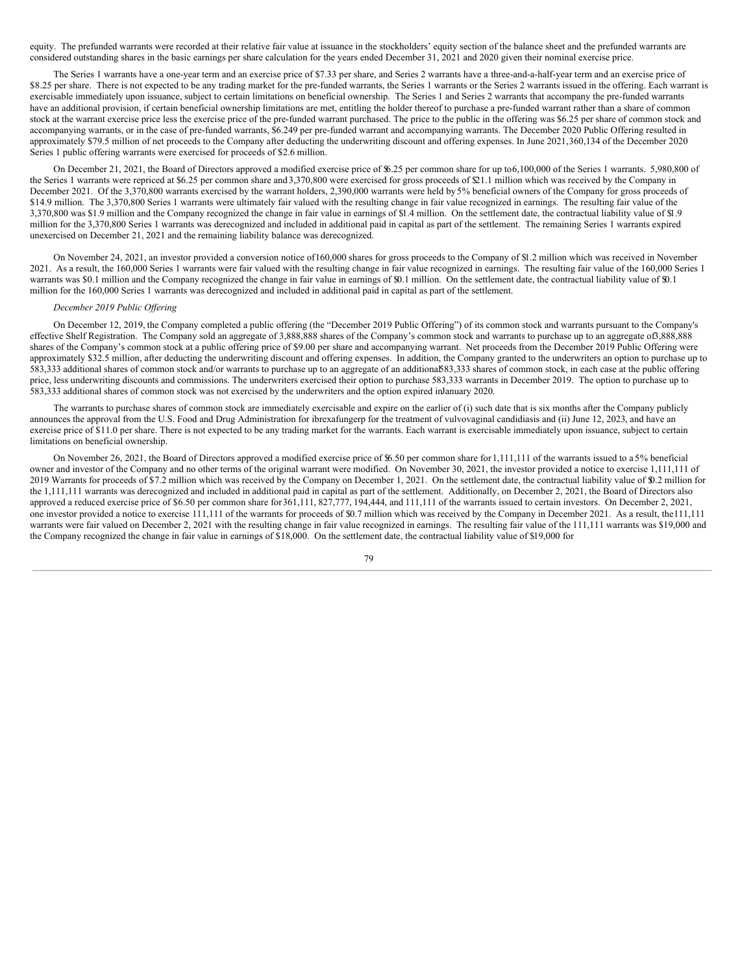equity. The prefunded warrants were recorded at their relative fair value at issuance in the stockholders' equity section of the balance sheet and the prefunded warrants are considered outstanding shares in the basic earnings per share calculation for the years ended December 31, 2021 and 2020 given their nominal exercise price.

The Series 1 warrants have a one-year term and an exercise price of \$7.33 per share, and Series 2 warrants have a three-and-a-half-year term and an exercise price of \$8.25 per share. There is not expected to be any trading market for the pre-funded warrants, the Series 1 warrants or the Series 2 warrants issued in the offering. Each warrant is exercisable immediately upon issuance, subject to certain limitations on beneficial ownership. The Series 1 and Series 2 warrants that accompany the pre-funded warrants have an additional provision, if certain beneficial ownership limitations are met, entitling the holder thereof to purchase a pre-funded warrant rather than a share of common stock at the warrant exercise price less the exercise price of the pre-funded warrant purchased. The price to the public in the offering was \$6.25 per share of common stock and accompanying warrants, or in the case of pre-funded warrants, \$6.249 per pre-funded warrant and accompanying warrants. The December 2020 Public Offering resulted in approximately \$79.5 million of net proceeds to the Company after deducting the underwriting discount and offering expenses. In June 2021,360,134 of the December 2020 Series 1 public offering warrants were exercised for proceeds of \$2.6 million.

On December 21, 2021, the Board of Directors approved a modified exercise price of \$6.25 per common share for up to6,100,000 of the Series 1 warrants. 5,980,800 of the Series 1 warrants were repriced at \$6.25 per common share and 3,370,800 were exercised for gross proceeds of \$21.1 million which was received by the Company in December 2021. Of the 3,370,800 warrants exercised by the warrant holders, 2,390,000 warrants were held by 5% beneficial owners of the Company for gross proceeds of \$14.9 million. The 3,370,800 Series 1 warrants were ultimately fair valued with the resulting change in fair value recognized in earnings. The resulting fair value of the 3,370,800 was \$1.9 million and the Company recognized the change in fair value in earnings of \$1.4 million. On the settlement date, the contractual liability value of \$1.9 million for the 3,370,800 Series 1 warrants was derecognized and included in additional paid in capital as part of the settlement. The remaining Series 1 warrants expired unexercised on December 21, 2021 and the remaining liability balance was derecognized.

On November 24, 2021, an investor provided a conversion notice of160,000 shares for gross proceeds to the Company of \$1.2 million which was received in November 2021. As a result, the 160,000 Series 1 warrants were fair valued with the resulting change in fair value recognized in earnings. The resulting fair value of the 160,000 Series 1 warrants was \$0.1 million and the Company recognized the change in fair value in earnings of \$0.1 million. On the settlement date, the contractual liability value of \$0.1 million for the 160,000 Series 1 warrants was derecognized and included in additional paid in capital as part of the settlement.

## *December 2019 Public Of ering*

On December 12, 2019, the Company completed a public offering (the "December 2019 Public Offering") of its common stock and warrants pursuant to the Company's effective Shelf Registration. The Company sold an aggregate of 3,888,888 shares of the Company's common stock and warrants to purchase up to an aggregate of3,888,888 shares of the Company's common stock at a public offering price of \$9.00 per share and accompanying warrant. Net proceeds from the December 2019 Public Offering were approximately \$32.5 million, after deducting the underwriting discount and offering expenses. In addition, the Company granted to the underwriters an option to purchase up to 583,333 additional shares of common stock and/or warrants to purchase up to an aggregate of an additional583,333 shares of common stock, in each case at the public offering price, less underwriting discounts and commissions. The underwriters exercised their option to purchase 583,333 warrants in December 2019. The option to purchase up to 583,333 additional shares of common stock was not exercised by the underwriters and the option expired inJanuary 2020.

The warrants to purchase shares of common stock are immediately exercisable and expire on the earlier of (i) such date that is six months after the Company publicly announces the approval from the U.S. Food and Drug Administration for ibrexafungerp for the treatment of vulvovaginal candidiasis and (ii) June 12, 2023, and have an exercise price of \$11.0 per share. There is not expected to be any trading market for the warrants. Each warrant is exercisable immediately upon issuance, subject to certain limitations on beneficial ownership.

On November 26, 2021, the Board of Directors approved a modified exercise price of \$6.50 per common share for1,111,111 of the warrants issued to a 5% beneficial owner and investor of the Company and no other terms of the original warrant were modified. On November 30, 2021, the investor provided a notice to exercise 1,111,111 of 2019 Warrants for proceeds of \$7.2 million which was received by the Company on December 1, 2021. On the settlement date, the contractual liability value of \$0.2 million for the 1,111,111 warrants was derecognized and included in additional paid in capital as part of the settlement. Additionally, on December 2, 2021, the Board of Directors also approved a reduced exercise price of \$6.50 per common share for361,111, 827,777, 194,444, and 111,111 of the warrants issued to certain investors. On December 2, 2021, one investor provided a notice to exercise 111,111 of the warrants for proceeds of \$0.7 million which was received by the Company in December 2021. As a result, the111,111 warrants were fair valued on December 2, 2021 with the resulting change in fair value recognized in earnings. The resulting fair value of the 111,111 warrants was \$19,000 and the Company recognized the change in fair value in earnings of \$18,000. On the settlement date, the contractual liability value of \$19,000 for

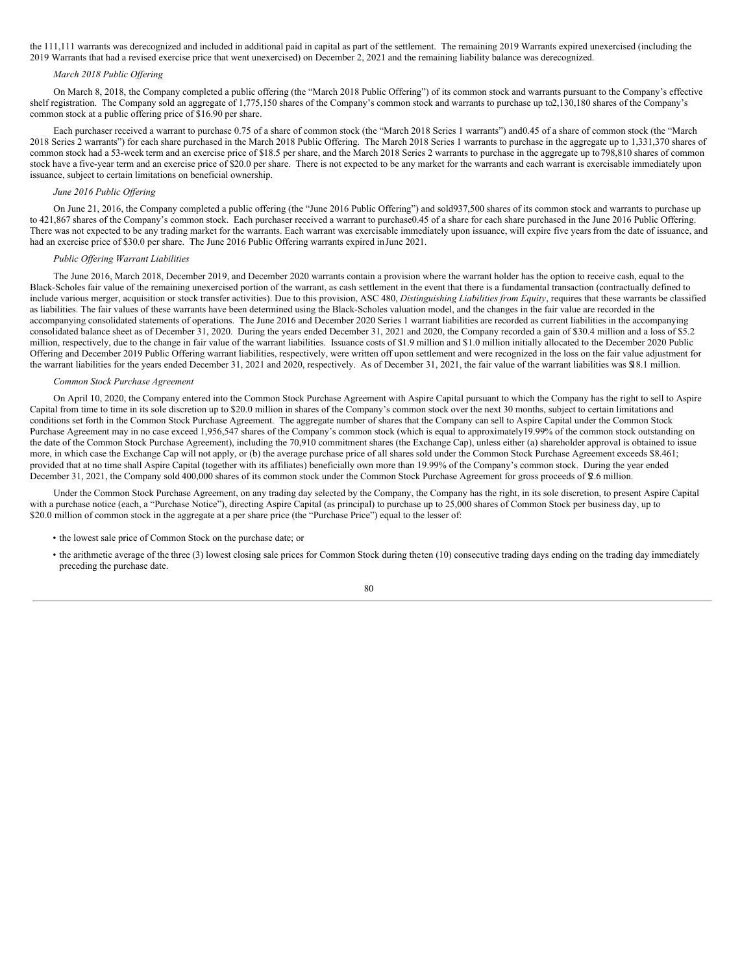the 111,111 warrants was derecognized and included in additional paid in capital as part of the settlement. The remaining 2019 Warrants expired unexercised (including the 2019 Warrants that had a revised exercise price that went unexercised) on December 2, 2021 and the remaining liability balance was derecognized.

# *March 2018 Public Of ering*

On March 8, 2018, the Company completed a public offering (the "March 2018 Public Offering") of its common stock and warrants pursuant to the Company's effective shelf registration. The Company sold an aggregate of 1,775,150 shares of the Company's common stock and warrants to purchase up to2,130,180 shares of the Company's common stock at a public offering price of \$16.90 per share.

Each purchaser received a warrant to purchase 0.75 of a share of common stock (the "March 2018 Series 1 warrants") and0.45 of a share of common stock (the "March 2018 Series 2 warrants") for each share purchased in the March 2018 Public Offering. The March 2018 Series 1 warrants to purchase in the aggregate up to 1,331,370 shares of common stock had a 53-week term and an exercise price of \$18.5 per share, and the March 2018 Series 2 warrants to purchase in the aggregate up to798,810 shares of common stock have a five-year term and an exercise price of \$20.0 per share. There is not expected to be any market for the warrants and each warrant is exercisable immediately upon issuance, subject to certain limitations on beneficial ownership.

## *June 2016 Public Of ering*

On June 21, 2016, the Company completed a public offering (the "June 2016 Public Offering") and sold937,500 shares of its common stock and warrants to purchase up to 421,867 shares of the Company's common stock. Each purchaser received a warrant to purchase0.45 of a share for each share purchased in the June 2016 Public Offering. There was not expected to be any trading market for the warrants. Each warrant was exercisable immediately upon issuance, will expire five years from the date of issuance, and had an exercise price of \$30.0 per share. The June 2016 Public Offering warrants expired inJune 2021.

#### *Public Of ering Warrant Liabilities*

The June 2016, March 2018, December 2019, and December 2020 warrants contain a provision where the warrant holder has the option to receive cash, equal to the Black-Scholes fair value of the remaining unexercised portion of the warrant, as cash settlement in the event that there is a fundamental transaction (contractually defined to include various merger, acquisition or stock transfer activities). Due to this provision, ASC 480, *Distinguishing Liabilities from Equity*, requires that these warrants be classified as liabilities. The fair values of these warrants have been determined using the Black-Scholes valuation model, and the changes in the fair value are recorded in the accompanying consolidated statements of operations. The June 2016 and December 2020 Series 1 warrant liabilities are recorded as current liabilities in the accompanying consolidated balance sheet as of December 31, 2020. During the years ended December 31, 2021 and 2020, the Company recorded a gain of \$30.4 million and a loss of \$5.2 million, respectively, due to the change in fair value of the warrant liabilities. Issuance costs of \$1.9 million and \$1.0 million initially allocated to the December 2020 Public Offering and December 2019 Public Offering warrant liabilities, respectively, were written off upon settlement and were recognized in the loss on the fair value adjustment for the warrant liabilities for the years ended December 31, 2021 and 2020, respectively. As of December 31, 2021, the fair value of the warrant liabilities was \$18.1 million.

#### *Common Stock Purchase Agreement*

On April 10, 2020, the Company entered into the Common Stock Purchase Agreement with Aspire Capital pursuant to which the Company has the right to sell to Aspire Capital from time to time in its sole discretion up to \$20.0 million in shares of the Company's common stock over the next 30 months, subject to certain limitations and conditions set forth in the Common Stock Purchase Agreement. The aggregate number of shares that the Company can sell to Aspire Capital under the Common Stock Purchase Agreement may in no case exceed 1,956,547 shares of the Company's common stock (which is equal to approximately19.99% of the common stock outstanding on the date of the Common Stock Purchase Agreement), including the 70,910 commitment shares (the Exchange Cap), unless either (a) shareholder approval is obtained to issue more, in which case the Exchange Cap will not apply, or (b) the average purchase price of all shares sold under the Common Stock Purchase Agreement exceeds \$8.461; provided that at no time shall Aspire Capital (together with its affiliates) beneficially own more than 19.99% of the Company's common stock. During the year ended December 31, 2021, the Company sold 400,000 shares of its common stock under the Common Stock Purchase Agreement for gross proceeds of \$2.6 million.

Under the Common Stock Purchase Agreement, on any trading day selected by the Company, the Company has the right, in its sole discretion, to present Aspire Capital with a purchase notice (each, a "Purchase Notice"), directing Aspire Capital (as principal) to purchase up to 25,000 shares of Common Stock per business day, up to \$20.0 million of common stock in the aggregate at a per share price (the "Purchase Price") equal to the lesser of:

- the lowest sale price of Common Stock on the purchase date; or
- the arithmetic average of the three (3) lowest closing sale prices for Common Stock during theten (10) consecutive trading days ending on the trading day immediately preceding the purchase date.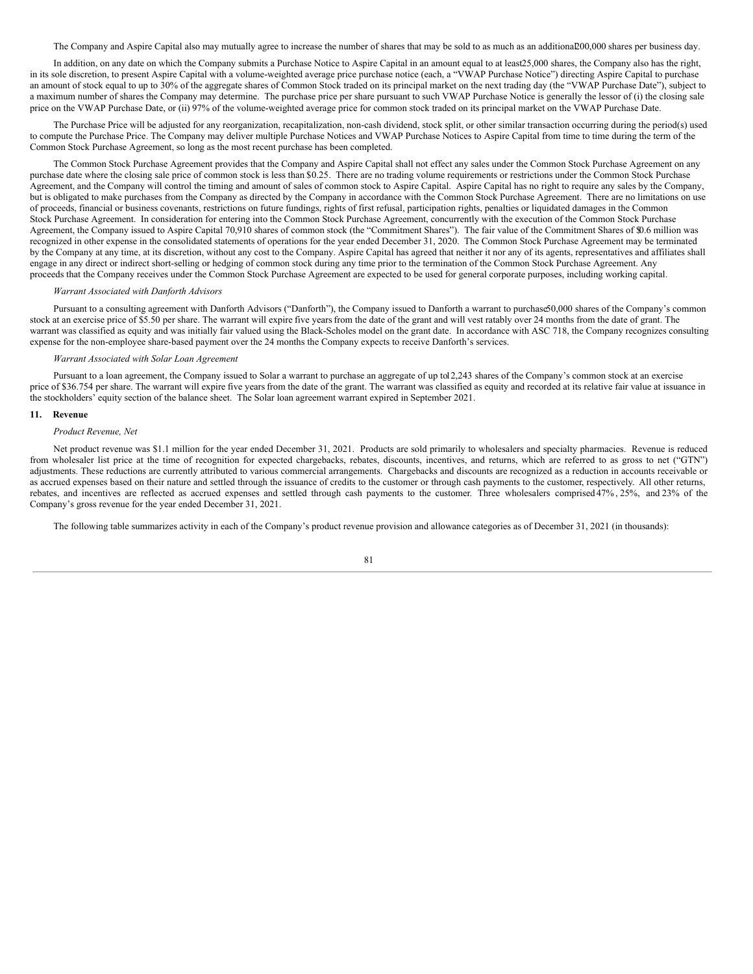The Company and Aspire Capital also may mutually agree to increase the number of shares that may be sold to as much as an additional200,000 shares per business day.

In addition, on any date on which the Company submits a Purchase Notice to Aspire Capital in an amount equal to at least25,000 shares, the Company also has the right, in its sole discretion, to present Aspire Capital with a volume-weighted average price purchase notice (each, a "VWAP Purchase Notice") directing Aspire Capital to purchase an amount of stock equal to up to 30% of the aggregate shares of Common Stock traded on its principal market on the next trading day (the "VWAP Purchase Date"), subject to a maximum number of shares the Company may determine. The purchase price per share pursuant to such VWAP Purchase Notice is generally the lessor of (i) the closing sale price on the VWAP Purchase Date, or (ii) 97% of the volume-weighted average price for common stock traded on its principal market on the VWAP Purchase Date.

The Purchase Price will be adjusted for any reorganization, recapitalization, non-cash dividend, stock split, or other similar transaction occurring during the period(s) used to compute the Purchase Price. The Company may deliver multiple Purchase Notices and VWAP Purchase Notices to Aspire Capital from time to time during the term of the Common Stock Purchase Agreement, so long as the most recent purchase has been completed.

The Common Stock Purchase Agreement provides that the Company and Aspire Capital shall not effect any sales under the Common Stock Purchase Agreement on any purchase date where the closing sale price of common stock is less than \$0.25. There are no trading volume requirements or restrictions under the Common Stock Purchase Agreement, and the Company will control the timing and amount of sales of common stock to Aspire Capital. Aspire Capital has no right to require any sales by the Company, but is obligated to make purchases from the Company as directed by the Company in accordance with the Common Stock Purchase Agreement. There are no limitations on use of proceeds, financial or business covenants, restrictions on future fundings, rights of first refusal, participation rights, penalties or liquidated damages in the Common Stock Purchase Agreement. In consideration for entering into the Common Stock Purchase Agreement, concurrently with the execution of the Common Stock Purchase Agreement, the Company issued to Aspire Capital 70,910 shares of common stock (the "Commitment Shares"). The fair value of the Commitment Shares of \$0.6 million was recognized in other expense in the consolidated statements of operations for the year ended December 31, 2020. The Common Stock Purchase Agreement may be terminated by the Company at any time, at its discretion, without any cost to the Company. Aspire Capital has agreed that neither it nor any of its agents, representatives and affiliates shall engage in any direct or indirect short-selling or hedging of common stock during any time prior to the termination of the Common Stock Purchase Agreement. Any proceeds that the Company receives under the Common Stock Purchase Agreement are expected to be used for general corporate purposes, including working capital.

### *Warrant Associated with Danforth Advisors*

Pursuant to a consulting agreement with Danforth Advisors ("Danforth"), the Company issued to Danforth a warrant to purchase50,000 shares of the Company's common stock at an exercise price of \$5.50 per share. The warrant will expire five years from the date of the grant and will vest ratably over 24 months from the date of grant. The warrant was classified as equity and was initially fair valued using the Black-Scholes model on the grant date. In accordance with ASC 718, the Company recognizes consulting expense for the non-employee share-based payment over the 24 months the Company expects to receive Danforth's services.

#### *Warrant Associated with Solar Loan Agreement*

Pursuant to a loan agreement, the Company issued to Solar a warrant to purchase an aggregate of up to12,243 shares of the Company's common stock at an exercise price of \$36.754 per share. The warrant will expire five years from the date of the grant. The warrant was classified as equity and recorded at its relative fair value at issuance in the stockholders' equity section of the balance sheet. The Solar loan agreement warrant expired in September 2021.

#### **11. Revenue**

## *Product Revenue, Net*

Net product revenue was \$1.1 million for the year ended December 31, 2021. Products are sold primarily to wholesalers and specialty pharmacies. Revenue is reduced from wholesaler list price at the time of recognition for expected chargebacks, rebates, discounts, incentives, and returns, which are referred to as gross to net ("GTN") adjustments. These reductions are currently attributed to various commercial arrangements. Chargebacks and discounts are recognized as a reduction in accounts receivable or as accrued expenses based on their nature and settled through the issuance of credits to the customer or through cash payments to the customer, respectively. All other returns, rebates, and incentives are reflected as accrued expenses and settled through cash payments to the customer. Three wholesalers comprised 47%, 25%, and 23% of the Company's gross revenue for the year ended December 31, 2021.

The following table summarizes activity in each of the Company's product revenue provision and allowance categories as of December 31, 2021 (in thousands):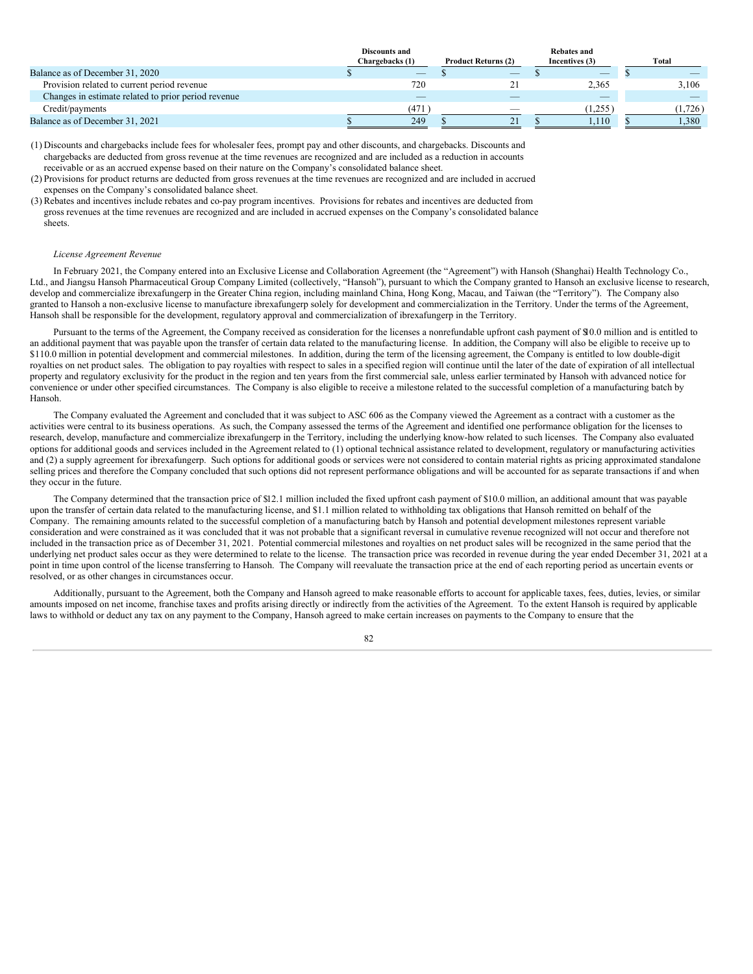|                                                     | Discounts and   |                            | <b>Rebates and</b> |         |
|-----------------------------------------------------|-----------------|----------------------------|--------------------|---------|
|                                                     | Chargebacks (1) | <b>Product Returns (2)</b> | Incentives (3)     | Total   |
| Balance as of December 31, 2020                     |                 | $-$                        |                    |         |
| Provision related to current period revenue         | 720             | 4                          | 2.365              | 3,106   |
| Changes in estimate related to prior period revenue | _               |                            |                    |         |
| Credit/payments                                     | (471            |                            | (1.255)            | (1.726) |
| Balance as of December 31, 2021                     | 249             | ∠⊥                         | .110               | .380    |

(1) Discounts and chargebacks include fees for wholesaler fees, prompt pay and other discounts, and chargebacks. Discounts and chargebacks are deducted from gross revenue at the time revenues are recognized and are included as a reduction in accounts receivable or as an accrued expense based on their nature on the Company's consolidated balance sheet.

(2) Provisions for product returns are deducted from gross revenues at the time revenues are recognized and are included in accrued expenses on the Company's consolidated balance sheet.

(3) Rebates and incentives include rebates and co-pay program incentives. Provisions for rebates and incentives are deducted from gross revenues at the time revenues are recognized and are included in accrued expenses on the Company's consolidated balance sheets.

#### *License Agreement Revenue*

In February 2021, the Company entered into an Exclusive License and Collaboration Agreement (the "Agreement") with Hansoh (Shanghai) Health Technology Co., Ltd., and Jiangsu Hansoh Pharmaceutical Group Company Limited (collectively, "Hansoh"), pursuant to which the Company granted to Hansoh an exclusive license to research, develop and commercialize ibrexafungerp in the Greater China region, including mainland China, Hong Kong, Macau, and Taiwan (the "Territory"). The Company also granted to Hansoh a non-exclusive license to manufacture ibrexafungerp solely for development and commercialization in the Territory. Under the terms of the Agreement, Hansoh shall be responsible for the development, regulatory approval and commercialization of ibrexafungerp in the Territory.

Pursuant to the terms of the Agreement, the Company received as consideration for the licenses a nonrefundable upfront cash payment of \$10.0 million and is entitled to an additional payment that was payable upon the transfer of certain data related to the manufacturing license. In addition, the Company will also be eligible to receive up to \$110.0 million in potential development and commercial milestones. In addition, during the term of the licensing agreement, the Company is entitled to low double-digit royalties on net product sales. The obligation to pay royalties with respect to sales in a specified region will continue until the later of the date of expiration of all intellectual property and regulatory exclusivity for the product in the region and ten years from the first commercial sale, unless earlier terminated by Hansoh with advanced notice for convenience or under other specified circumstances. The Company is also eligible to receive a milestone related to the successful completion of a manufacturing batch by Hansoh.

The Company evaluated the Agreement and concluded that it was subject to ASC 606 as the Company viewed the Agreement as a contract with a customer as the activities were central to its business operations. As such, the Company assessed the terms of the Agreement and identified one performance obligation for the licenses to research, develop, manufacture and commercialize ibrexafungerp in the Territory, including the underlying know-how related to such licenses. The Company also evaluated options for additional goods and services included in the Agreement related to (1) optional technical assistance related to development, regulatory or manufacturing activities and (2) a supply agreement for ibrexafungerp. Such options for additional goods or services were not considered to contain material rights as pricing approximated standalone selling prices and therefore the Company concluded that such options did not represent performance obligations and will be accounted for as separate transactions if and when they occur in the future.

The Company determined that the transaction price of \$12.1 million included the fixed upfront cash payment of \$10.0 million, an additional amount that was payable upon the transfer of certain data related to the manufacturing license, and \$1.1 million related to withholding tax obligations that Hansoh remitted on behalf of the Company. The remaining amounts related to the successful completion of a manufacturing batch by Hansoh and potential development milestones represent variable consideration and were constrained as it was concluded that it was not probable that a significant reversal in cumulative revenue recognized will not occur and therefore not included in the transaction price as of December 31, 2021. Potential commercial milestones and royalties on net product sales will be recognized in the same period that the underlying net product sales occur as they were determined to relate to the license. The transaction price was recorded in revenue during the year ended December 31, 2021 at a point in time upon control of the license transferring to Hansoh. The Company will reevaluate the transaction price at the end of each reporting period as uncertain events or resolved, or as other changes in circumstances occur.

Additionally, pursuant to the Agreement, both the Company and Hansoh agreed to make reasonable efforts to account for applicable taxes, fees, duties, levies, or similar amounts imposed on net income, franchise taxes and profits arising directly or indirectly from the activities of the Agreement. To the extent Hansoh is required by applicable laws to withhold or deduct any tax on any payment to the Company, Hansoh agreed to make certain increases on payments to the Company to ensure that the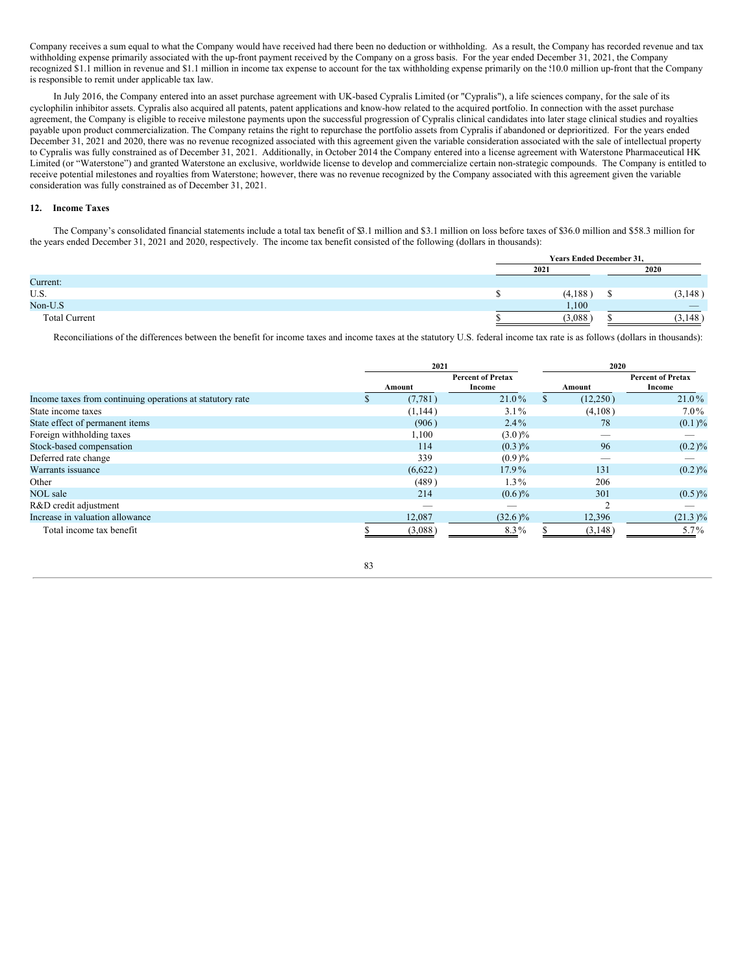Company receives a sum equal to what the Company would have received had there been no deduction or withholding. As a result, the Company has recorded revenue and tax withholding expense primarily associated with the up-front payment received by the Company on a gross basis. For the year ended December 31, 2021, the Company recognized \$1.1 million in revenue and \$1.1 million in income tax expense to account for the tax withholding expense primarily on the \$10.0 million up-front that the Company is responsible to remit under applicable tax law.

In July 2016, the Company entered into an asset purchase agreement with UK-based Cypralis Limited (or "Cypralis"), a life sciences company, for the sale of its cyclophilin inhibitor assets. Cypralis also acquired all patents, patent applications and know-how related to the acquired portfolio. In connection with the asset purchase agreement, the Company is eligible to receive milestone payments upon the successful progression of Cypralis clinical candidates into later stage clinical studies and royalties payable upon product commercialization. The Company retains the right to repurchase the portfolio assets from Cypralis if abandoned or deprioritized. For the years ended December 31, 2021 and 2020, there was no revenue recognized associated with this agreement given the variable consideration associated with the sale of intellectual property to Cypralis was fully constrained as of December 31, 2021. Additionally, in October 2014 the Company entered into a license agreement with Waterstone Pharmaceutical HK Limited (or "Waterstone") and granted Waterstone an exclusive, worldwide license to develop and commercialize certain non-strategic compounds. The Company is entitled to receive potential milestones and royalties from Waterstone; however, there was no revenue recognized by the Company associated with this agreement given the variable consideration was fully constrained as of December 31, 2021.

# **12. Income Taxes**

The Company's consolidated financial statements include a total tax benefit of \$3.1 million and \$3.1 million on loss before taxes of \$36.0 million and \$58.3 million for the years ended December 31, 2021 and 2020, respectively. The income tax benefit consisted of the following (dollars in thousands):

|                      | <b>Years Ended December 31,</b> |  |                          |  |
|----------------------|---------------------------------|--|--------------------------|--|
|                      | 2021                            |  | 2020                     |  |
| Current:             |                                 |  |                          |  |
| U.S.                 | (4,188)                         |  | (3, 148)                 |  |
| Non-U.S              | 1,100                           |  | $\overline{\phantom{a}}$ |  |
| <b>Total Current</b> | (3,088)                         |  | (3,148)                  |  |

Reconciliations of the differences between the benefit for income taxes and income taxes at the statutory U.S. federal income tax rate is as follows (dollars in thousands):

|                                                           | 2021     |                                    | 2020     |                                    |
|-----------------------------------------------------------|----------|------------------------------------|----------|------------------------------------|
|                                                           | Amount   | <b>Percent of Pretax</b><br>Income | Amount   | <b>Percent of Pretax</b><br>Income |
| Income taxes from continuing operations at statutory rate | (7, 781) | $21.0\%$                           | (12,250) | 21.0%                              |
| State income taxes                                        | (1,144)  | $3.1\%$                            | (4,108)  | $7.0\%$                            |
| State effect of permanent items                           | (906)    | $2.4\%$                            | 78       | (0.1)%                             |
| Foreign withholding taxes                                 | 1,100    | $(3.0)\%$                          | _        |                                    |
| Stock-based compensation                                  | 114      | $(0.3)\%$                          | 96       | $(0.2)\%$                          |
| Deferred rate change                                      | 339      | $(0.9)\%$                          |          |                                    |
| Warrants issuance                                         | (6,622)  | $17.9\%$                           | 131      | $(0.2)\%$                          |
| Other                                                     | (489)    | $1.3\%$                            | 206      |                                    |
| <b>NOL</b> sale                                           | 214      | $(0.6)\%$                          | 301      | $(0.5)\%$                          |
| R&D credit adjustment                                     |          |                                    |          |                                    |
| Increase in valuation allowance                           | 12,087   | $(32.6)\%$                         | 12,396   | $(21.3)\%$                         |
| Total income tax benefit                                  | (3,088)  | $8.3\%$                            | (3,148)  | 5.7%                               |

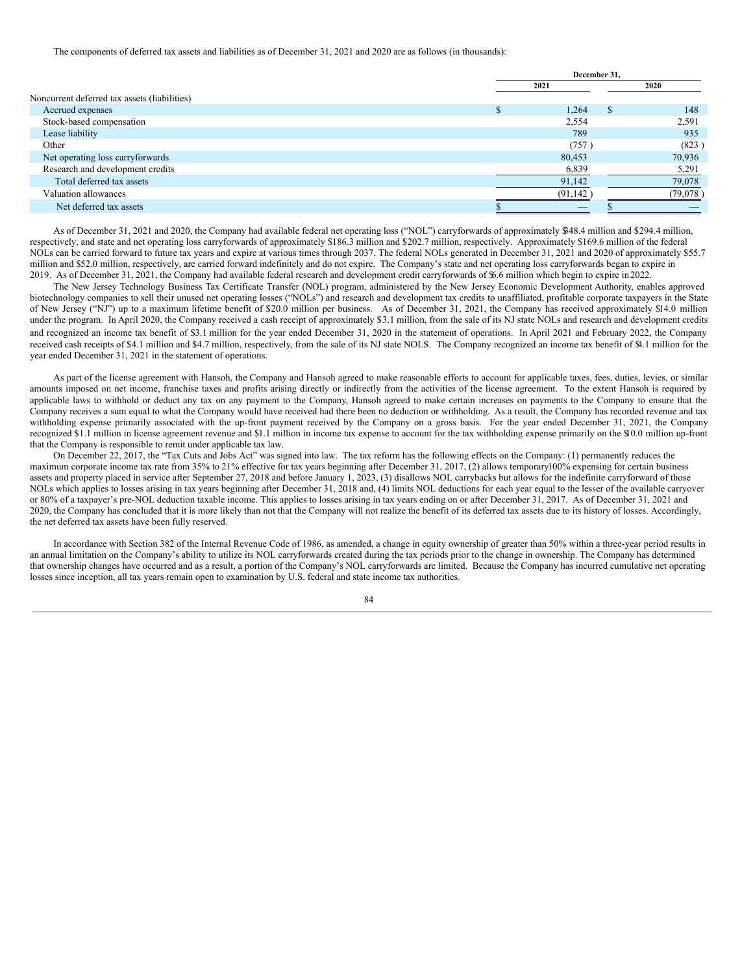The components of deferred tax assets and liabilities as of December 31, 2021 and 2020 are as follows (in thousands):

|                                              |  | 2021      |     | 2020     |
|----------------------------------------------|--|-----------|-----|----------|
| Noncurrent deferred tax assets (liabilities) |  |           |     |          |
| Accrued expenses                             |  | 1.264     | \$. | 148      |
| Stock-based compensation                     |  | 2,554     |     | 2,591    |
| Lease liability                              |  | 789       |     | 935      |
| Other                                        |  | (757)     |     | (823)    |
| Net operating loss carryforwards             |  | 80,453    |     | 70,936   |
| Research and development credits             |  | 6,839     |     | 5,291    |
| Total deferred tax assets                    |  | 91,142    |     | 79,078   |
| Valuation allowances                         |  | (91, 142) |     | (79,078) |
| Net deferred tax assets                      |  |           |     |          |

As of December 31, 2021 and 2020, the Company had available federal net operating loss ("NOL") carryforwards of approximately \$348.4 million and \$294.4 million, respectively, and state and net operating loss carryforwards of approximately \$186.3 million and \$202.7 million, respectively. Approximately \$169.6 million of the federal NOLs can be carried forward to future tax years and expire at various times through 2037. The federal NOLs generated in December 31, 2021 and 2020 of approximately \$55.7 million and \$52.0 million, respectively, are carried forward indefinitely and do not expire. The Company's state and net operating loss carryforwards began to expire in 2019. As of December 31, 2021, the Company had available federal research and development credit carryforwards of \$6.6 million which begin to expire in 2022.

The New Jersey Technology Business Tax Certificate Transfer (NOL) program, administered by the New Jersey Economic Development Authority, enables approved biotechnology companies to sell their unused net operating losses ("NOLs") and research and development tax credits to unaffiliated, profitable corporate taxpayers in the State of New Jersey ("NJ") up to a maximum lifetime benefit of \$20.0 million per business. As of December 31, 2021, the Company has received approximately \$14.0 million under the program. In April 2020, the Company received a cash receipt of approximately \$3.1 million, from the sale of its NJ state NOLs and research and development credits and recognized an income tax benefit of \$3.1 million for the year ended December 31, 2020 in the statement of operations. In April 2021 and February 2022, the Company received cash receipts of \$4.1 million and \$4.7 million, respectively, from the sale of its NJ state NOLS. The Company recognized an income tax benefit of \$4.1 million for the year ended December 31, 2021 in the statement of operations.

As part of the license agreement with Hansoh, the Company and Hansoh agreed to make reasonable efforts to account for applicable taxes, fees, duties, levies, or similar amounts imposed on net income, franchise taxes and profits arising directly or indirectly from the activities of the license agreement. To the extent Hansoh is required by applicable laws to withhold or deduct any tax on any payment to the Company, Hansoh agreed to make certain increases on payments to the Company to ensure that the Company receives a sum equal to what the Company would have received had there been no deduction or withholding. As a result, the Company has recorded revenue and tax withholding expense primarily associated with the up-front payment received by the Company on a gross basis. For the year ended December 31, 2021, the Company recognized \$1.1 million in license agreement revenue and \$1.1 million in income tax expense to account for the tax withholding expense primarily on the \$10.0 million up-front that the Company is responsible to remit under applicable tax law.

On December 22, 2017, the "Tax Cuts and Jobs Act" was signed into law. The tax reform has the following effects on the Company: (1) permanently reduces the maximum corporate income tax rate from 35% to 21% effective for tax years beginning after December 31, 2017, (2) allows temporary100% expensing for certain business assets and property placed in service after September 27, 2018 and before January 1, 2023, (3) disallows NOL carrybacks but allows for the indefinite carryforward of those NOLs which applies to losses arising in tax years beginning after December 31, 2018 and, (4) limits NOL deductions for each year equal to the lesser of the available carryover or 80% of a taxpayer's pre-NOL deduction taxable income. This applies to losses arising in tax years ending on or after December 31, 2017. As of December 31, 2021 and 2020, the Company has concluded that it is more likely than not that the Company will not realize the benefit of its deferred tax assets due to its history of losses. Accordingly, the net deferred tax assets have been fully reserved.

In accordance with Section 382 of the Internal Revenue Code of 1986, as amended, a change in equity ownership of greater than 50% within a three-year period results in an annual limitation on the Company's ability to utilize its NOL carryforwards created during the tax periods prior to the change in ownership. The Company has determined that ownership changes have occurred and as a result, a portion of the Company's NOL carryforwards are limited. Because the Company has incurred cumulative net operating losses since inception, all tax years remain open to examination by U.S. federal and state income tax authorities.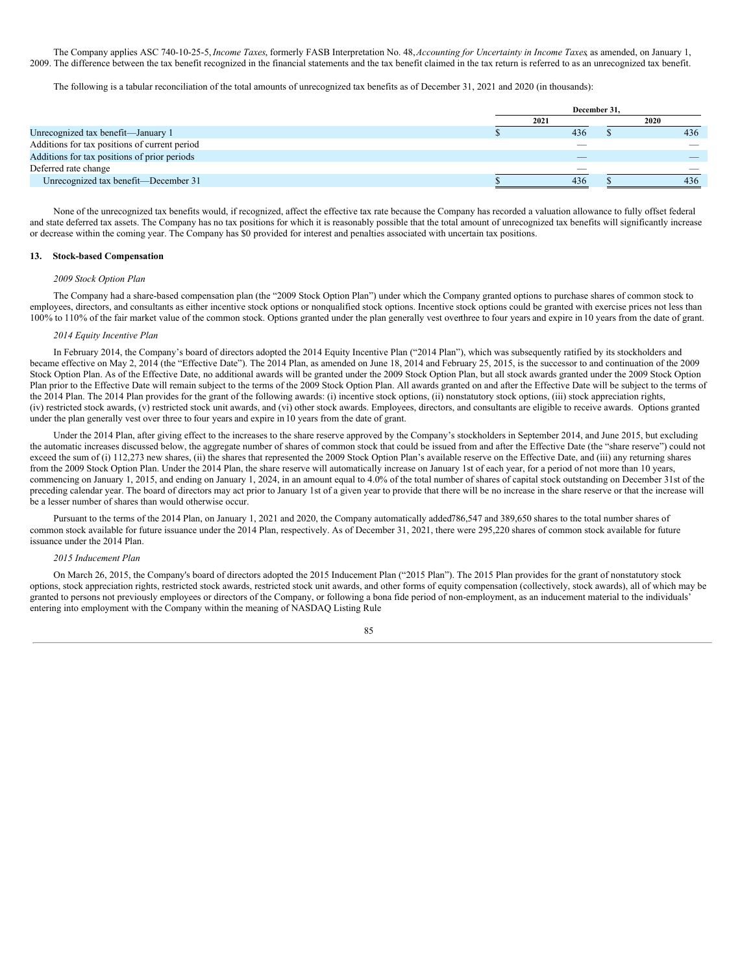The Company applies ASC 740-10-25-5,*Income Taxes*, formerly FASB Interpretation No. 48,*Accounting for Uncertainty in Income Taxes*, as amended, on January 1, 2009. The difference between the tax benefit recognized in the financial statements and the tax benefit claimed in the tax return is referred to as an unrecognized tax benefit.

The following is a tabular reconciliation of the total amounts of unrecognized tax benefits as of December 31, 2021 and 2020 (in thousands):

|                                               | December 31. |                          |  |      |
|-----------------------------------------------|--------------|--------------------------|--|------|
|                                               |              | 2021                     |  | 2020 |
| Unrecognized tax benefit—January 1            |              | 436                      |  | 436  |
| Additions for tax positions of current period |              |                          |  |      |
| Additions for tax positions of prior periods  |              | $\overline{\phantom{a}}$ |  |      |
| Deferred rate change                          |              |                          |  |      |
| Unrecognized tax benefit—December 31          |              | 436                      |  | 436  |

None of the unrecognized tax benefits would, if recognized, affect the effective tax rate because the Company has recorded a valuation allowance to fully offset federal and state deferred tax assets. The Company has no tax positions for which it is reasonably possible that the total amount of unrecognized tax benefits will significantly increase or decrease within the coming year. The Company has \$0 provided for interest and penalties associated with uncertain tax positions.

## **13. Stock-based Compensation**

## *2009 Stock Option Plan*

The Company had a share-based compensation plan (the "2009 Stock Option Plan") under which the Company granted options to purchase shares of common stock to employees, directors, and consultants as either incentive stock options or nonqualified stock options. Incentive stock options could be granted with exercise prices not less than 100% to 110% of the fair market value of the common stock. Options granted under the plan generally vest overthree to four years and expire in 10 years from the date of grant.

#### *2014 Equity Incentive Plan*

In February 2014, the Company's board of directors adopted the 2014 Equity Incentive Plan ("2014 Plan"), which was subsequently ratified by its stockholders and became effective on May 2, 2014 (the "Effective Date"). The 2014 Plan, as amended on June 18, 2014 and February 25, 2015, is the successor to and continuation of the 2009 Stock Option Plan. As of the Effective Date, no additional awards will be granted under the 2009 Stock Option Plan, but all stock awards granted under the 2009 Stock Option Plan prior to the Effective Date will remain subject to the terms of the 2009 Stock Option Plan. All awards granted on and after the Effective Date will be subject to the terms of the 2014 Plan. The 2014 Plan provides for the grant of the following awards: (i) incentive stock options, (ii) nonstatutory stock options, (iii) stock appreciation rights, (iv) restricted stock awards, (v) restricted stock unit awards, and (vi) other stock awards. Employees, directors, and consultants are eligible to receive awards. Options granted under the plan generally vest over three to four years and expire in 10 years from the date of grant.

Under the 2014 Plan, after giving effect to the increases to the share reserve approved by the Company's stockholders in September 2014, and June 2015, but excluding the automatic increases discussed below, the aggregate number of shares of common stock that could be issued from and after the Effective Date (the "share reserve") could not exceed the sum of (i) 112,273 new shares, (ii) the shares that represented the 2009 Stock Option Plan's available reserve on the Effective Date, and (iii) any returning shares from the 2009 Stock Option Plan. Under the 2014 Plan, the share reserve will automatically increase on January 1st of each year, for a period of not more than 10 years, commencing on January 1, 2015, and ending on January 1, 2024, in an amount equal to 4.0% of the total number of shares of capital stock outstanding on December 31st of the preceding calendar year. The board of directors may act prior to January 1st of a given year to provide that there will be no increase in the share reserve or that the increase will be a lesser number of shares than would otherwise occur.

Pursuant to the terms of the 2014 Plan, on January 1, 2021 and 2020, the Company automatically added786,547 and 389,650 shares to the total number shares of common stock available for future issuance under the 2014 Plan, respectively. As of December 31, 2021, there were 295,220 shares of common stock available for future issuance under the 2014 Plan.

#### *2015 Inducement Plan*

On March 26, 2015, the Company's board of directors adopted the 2015 Inducement Plan ("2015 Plan"). The 2015 Plan provides for the grant of nonstatutory stock options, stock appreciation rights, restricted stock awards, restricted stock unit awards, and other forms of equity compensation (collectively, stock awards), all of which may be granted to persons not previously employees or directors of the Company, or following a bona fide period of non-employment, as an inducement material to the individuals' entering into employment with the Company within the meaning of NASDAQ Listing Rule

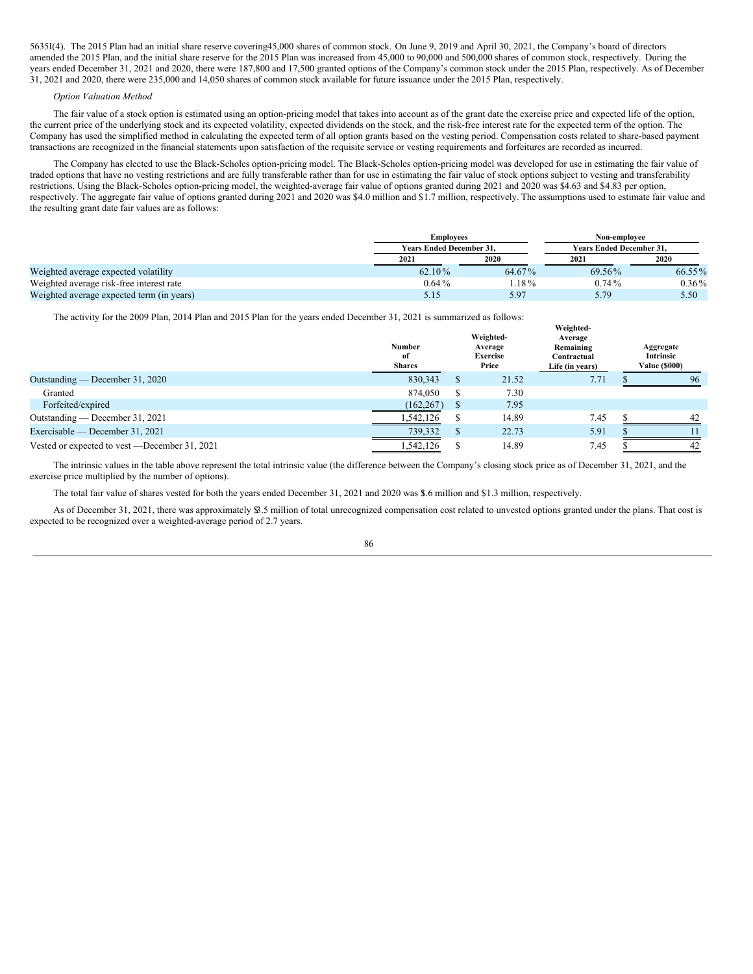5635I(4). The 2015 Plan had an initial share reserve covering45,000 shares of common stock. On June 9, 2019 and April 30, 2021, the Company's board of directors amended the 2015 Plan, and the initial share reserve for the 2015 Plan was increased from 45,000 to 90,000 and 500,000 shares of common stock, respectively. During the years ended December 31, 2021 and 2020, there were 187,800 and 17,500 granted options of the Company's common stock under the 2015 Plan, respectively. As of December 31, 2021 and 2020, there were 235,000 and 14,050 shares of common stock available for future issuance under the 2015 Plan, respectively.

#### *Option Valuation Method*

The fair value of a stock option is estimated using an option-pricing model that takes into account as of the grant date the exercise price and expected life of the option, the current price of the underlying stock and its expected volatility, expected dividends on the stock, and the risk-free interest rate for the expected term of the option. The Company has used the simplified method in calculating the expected term of all option grants based on the vesting period. Compensation costs related to share-based payment transactions are recognized in the financial statements upon satisfaction of the requisite service or vesting requirements and forfeitures are recorded as incurred.

The Company has elected to use the Black-Scholes option-pricing model. The Black-Scholes option-pricing model was developed for use in estimating the fair value of traded options that have no vesting restrictions and are fully transferable rather than for use in estimating the fair value of stock options subject to vesting and transferability restrictions. Using the Black-Scholes option-pricing model, the weighted-average fair value of options granted during 2021 and 2020 was \$4.63 and \$4.83 per option, respectively. The aggregate fair value of options granted during 2021 and 2020 was \$4.0 million and \$1.7 million, respectively. The assumptions used to estimate fair value and the resulting grant date fair values are as follows:

|                                           | Emplovees                       |          | Non-employee                    |          |
|-------------------------------------------|---------------------------------|----------|---------------------------------|----------|
|                                           | <b>Years Ended December 31.</b> |          | <b>Years Ended December 31.</b> |          |
|                                           | 2021                            | 2020     | 2021                            | 2020     |
| Weighted average expected volatility      | 62.10%                          | 64.67%   | 69.56%                          | 66.55%   |
| Weighted average risk-free interest rate  | $0.64\%$                        | $1.18\%$ | $0.74\%$                        | $0.36\%$ |
| Weighted average expected term (in years) | 5.15                            | 5.97     | 5.79                            | 5.50     |

**Weighted-**

The activity for the 2009 Plan, 2014 Plan and 2015 Plan for the years ended December 31, 2021 is summarized as follows:

|                                               | <b>Number</b><br>of<br><b>Shares</b> |   | Weighted-<br>Average<br>Exercise<br>Price | wegneer-<br>Average<br>Remaining<br>Contractual<br>Life (in years) | Aggregate<br>Intrinsic<br><b>Value (\$000)</b> |
|-----------------------------------------------|--------------------------------------|---|-------------------------------------------|--------------------------------------------------------------------|------------------------------------------------|
| Outstanding — December 31, 2020               | 830,343                              | S | 21.52                                     | 7.71                                                               | 96                                             |
| Granted                                       | 874,050                              | S | 7.30                                      |                                                                    |                                                |
| Forfeited/expired                             | (162, 267)                           | S | 7.95                                      |                                                                    |                                                |
| Outstanding — December 31, 2021               | 1,542,126                            | S | 14.89                                     | 7.45                                                               | 42                                             |
| Exercisable — December 31, 2021               | 739,332                              | S | 22.73                                     | 5.91                                                               |                                                |
| Vested or expected to vest —December 31, 2021 | 1,542,126                            |   | 14.89                                     | 7.45                                                               | 42                                             |

The intrinsic values in the table above represent the total intrinsic value (the difference between the Company's closing stock price as of December 31, 2021, and the exercise price multiplied by the number of options).

The total fair value of shares vested for both the years ended December 31, 2021 and 2020 was \$1.6 million and \$1.3 million, respectively.

As of December 31, 2021, there was approximately \$3.5 million of total unrecognized compensation cost related to unvested options granted under the plans. That cost is expected to be recognized over a weighted-average period of 2.7 years.

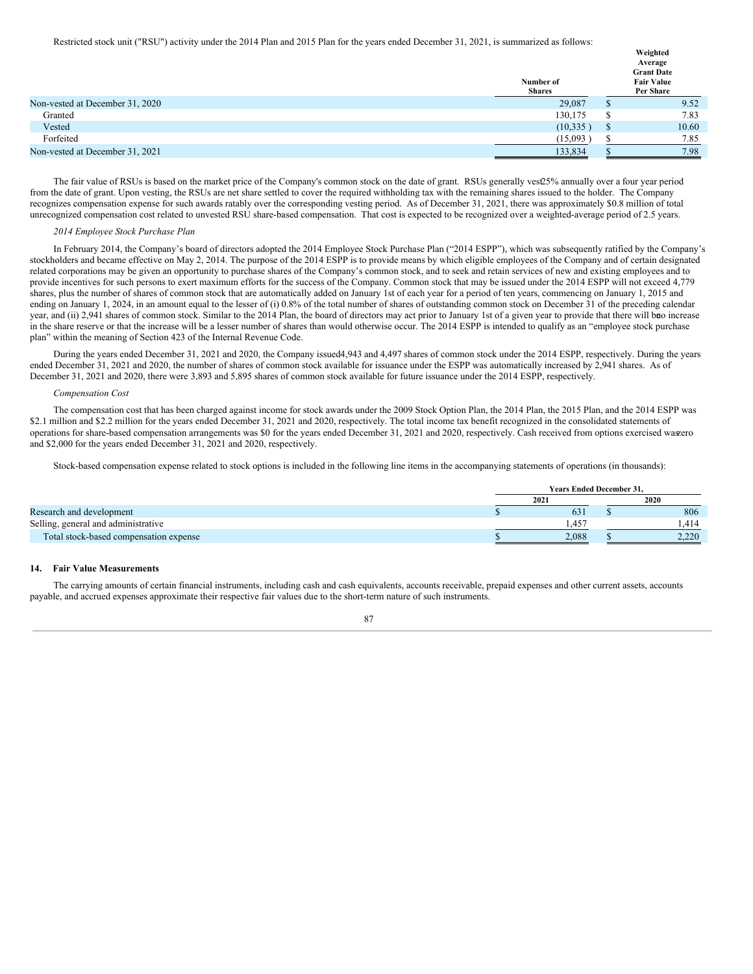Restricted stock unit ("RSU") activity under the 2014 Plan and 2015 Plan for the years ended December 31, 2021, is summarized as follows:

|                                 | Number of<br><b>Shares</b> | Average<br><b>Grant Date</b><br><b>Fair Value</b><br>Per Share |
|---------------------------------|----------------------------|----------------------------------------------------------------|
| Non-vested at December 31, 2020 | 29,087                     | 9.52                                                           |
| Granted                         | 130,175                    | 7.83                                                           |
| Vested                          | (10, 335)                  | 10.60                                                          |
| Forfeited                       | (15,093)                   | 7.85                                                           |
| Non-vested at December 31, 2021 | 133,834                    | 7.98                                                           |

**Weighted**

The fair value of RSUs is based on the market price of the Company's common stock on the date of grant. RSUs generally vestes the annually over a four year period from the date of grant. Upon vesting, the RSUs are net share settled to cover the required withholding tax with the remaining shares issued to the holder. The Company recognizes compensation expense for such awards ratably over the corresponding vesting period. As of December 31, 2021, there was approximately \$0.8 million of total unrecognized compensation cost related to unvested RSU share-based compensation. That cost is expected to be recognized over a weighted-average period of 2.5 years.

#### *2014 Employee Stock Purchase Plan*

In February 2014, the Company's board of directors adopted the 2014 Employee Stock Purchase Plan ("2014 ESPP"), which was subsequently ratified by the Company's stockholders and became effective on May 2, 2014. The purpose of the 2014 ESPP is to provide means by which eligible employees of the Company and of certain designated related corporations may be given an opportunity to purchase shares of the Company's common stock, and to seek and retain services of new and existing employees and to provide incentives for such persons to exert maximum efforts for the success of the Company. Common stock that may be issued under the 2014 ESPP will not exceed 4,779 shares, plus the number of shares of common stock that are automatically added on January 1st of each year for a period of ten years, commencing on January 1, 2015 and ending on January 1, 2024, in an amount equal to the lesser of (i) 0.8% of the total number of shares of outstanding common stock on December 31 of the preceding calendar year, and (ii) 2,941 shares of common stock. Similar to the 2014 Plan, the board of directors may act prior to January 1st of a given year to provide that there will bno increase in the share reserve or that the increase will be a lesser number of shares than would otherwise occur. The 2014 ESPP is intended to qualify as an "employee stock purchase plan" within the meaning of Section 423 of the Internal Revenue Code.

During the years ended December 31, 2021 and 2020, the Company issued4,943 and 4,497 shares of common stock under the 2014 ESPP, respectively. During the years ended December 31, 2021 and 2020, the number of shares of common stock available for issuance under the ESPP was automatically increased by 2,941 shares. As of December 31, 2021 and 2020, there were 3,893 and 5,895 shares of common stock available for future issuance under the 2014 ESPP, respectively.

#### *Compensation Cost*

The compensation cost that has been charged against income for stock awards under the 2009 Stock Option Plan, the 2014 Plan, the 2015 Plan, and the 2014 ESPP was \$2.1 million and \$2.2 million for the years ended December 31, 2021 and 2020, respectively. The total income tax benefit recognized in the consolidated statements of operations for share-based compensation arrangements was \$0 for the years ended December 31, 2021 and 2020, respectively. Cash received from options exercised waszero and \$2,000 for the years ended December 31, 2021 and 2020, respectively.

Stock-based compensation expense related to stock options is included in the following line items in the accompanying statements of operations (in thousands):

|                                        | <b>Years Ended December 31.</b> |  |       |
|----------------------------------------|---------------------------------|--|-------|
|                                        | 2021                            |  | 2020  |
| Research and development               | 63                              |  | 806   |
| Selling, general and administrative    | . 457                           |  | .414  |
| Total stock-based compensation expense | 2.088                           |  | 2.220 |

#### **14. Fair Value Measurements**

The carrying amounts of certain financial instruments, including cash and cash equivalents, accounts receivable, prepaid expenses and other current assets, accounts payable, and accrued expenses approximate their respective fair values due to the short-term nature of such instruments.

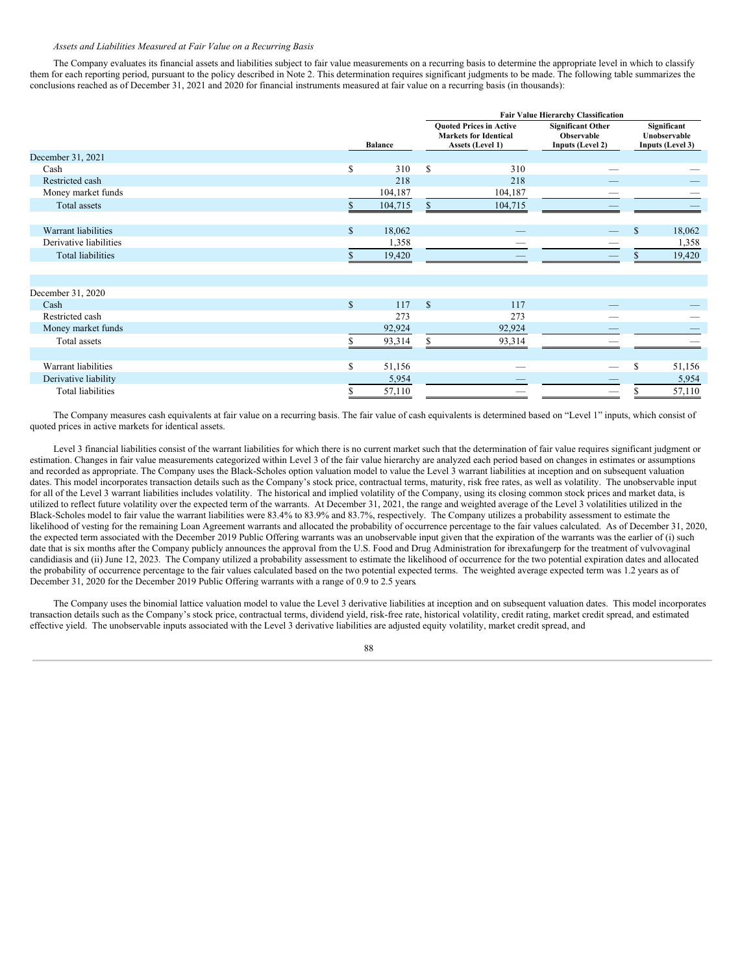## *Assets and Liabilities Measured at Fair Value on a Recurring Basis*

The Company evaluates its financial assets and liabilities subject to fair value measurements on a recurring basis to determine the appropriate level in which to classify them for each reporting period, pursuant to the policy described in Note 2. This determination requires significant judgments to be made. The following table summarizes the conclusions reached as of December 31, 2021 and 2020 for financial instruments measured at fair value on a recurring basis (in thousands):

|                          |              |                | <b>Fair Value Hierarchy Classification</b>                                         |         |                                                                   |                                                 |        |
|--------------------------|--------------|----------------|------------------------------------------------------------------------------------|---------|-------------------------------------------------------------------|-------------------------------------------------|--------|
|                          |              | <b>Balance</b> | <b>Quoted Prices in Active</b><br><b>Markets for Identical</b><br>Assets (Level 1) |         | <b>Significant Other</b><br>Observable<br><b>Inputs (Level 2)</b> | Significant<br>Unobservable<br>Inputs (Level 3) |        |
| December 31, 2021        |              |                |                                                                                    |         |                                                                   |                                                 |        |
| Cash                     | S            | 310            | S                                                                                  | 310     |                                                                   |                                                 |        |
| Restricted cash          |              | 218            |                                                                                    | 218     |                                                                   |                                                 |        |
| Money market funds       |              | 104,187        |                                                                                    | 104,187 |                                                                   |                                                 |        |
| Total assets             |              | 104,715        | S                                                                                  | 104,715 |                                                                   |                                                 |        |
| Warrant liabilities      | S            | 18,062         |                                                                                    |         |                                                                   | $\mathbb{S}$                                    | 18,062 |
| Derivative liabilities   |              | 1,358          |                                                                                    |         |                                                                   |                                                 | 1,358  |
| <b>Total liabilities</b> |              | 19,420         |                                                                                    |         |                                                                   |                                                 | 19,420 |
|                          |              |                |                                                                                    |         |                                                                   |                                                 |        |
| December 31, 2020        |              |                |                                                                                    |         |                                                                   |                                                 |        |
| Cash                     | $\mathbb{S}$ | 117            | $\mathbf{s}$                                                                       | 117     |                                                                   |                                                 |        |
| Restricted cash          |              | 273            |                                                                                    | 273     |                                                                   |                                                 |        |
| Money market funds       |              | 92,924         |                                                                                    | 92,924  | $\overline{\phantom{a}}$                                          |                                                 |        |
| Total assets             |              | 93,314         | S                                                                                  | 93,314  |                                                                   |                                                 |        |
| Warrant liabilities      | \$           | 51,156         |                                                                                    |         |                                                                   | \$                                              | 51,156 |
| Derivative liability     |              | 5,954          |                                                                                    |         |                                                                   |                                                 | 5,954  |
| <b>Total liabilities</b> |              | 57,110         |                                                                                    |         |                                                                   |                                                 | 57,110 |

The Company measures cash equivalents at fair value on a recurring basis. The fair value of cash equivalents is determined based on "Level 1" inputs, which consist of quoted prices in active markets for identical assets.

Level 3 financial liabilities consist of the warrant liabilities for which there is no current market such that the determination of fair value requires significant judgment or estimation. Changes in fair value measurements categorized within Level 3 of the fair value hierarchy are analyzed each period based on changes in estimates or assumptions and recorded as appropriate. The Company uses the Black-Scholes option valuation model to value the Level 3 warrant liabilities at inception and on subsequent valuation dates. This model incorporates transaction details such as the Company's stock price, contractual terms, maturity, risk free rates, as well as volatility. The unobservable input for all of the Level 3 warrant liabilities includes volatility. The historical and implied volatility of the Company, using its closing common stock prices and market data, is utilized to reflect future volatility over the expected term of the warrants. At December 31, 2021, the range and weighted average of the Level 3 volatilities utilized in the Black-Scholes model to fair value the warrant liabilities were 83.4% to 83.9% and 83.7%, respectively. The Company utilizes a probability assessment to estimate the likelihood of vesting for the remaining Loan Agreement warrants and allocated the probability of occurrence percentage to the fair values calculated. As of December 31, 2020, the expected term associated with the December 2019 Public Offering warrants was an unobservable input given that the expiration of the warrants was the earlier of (i) such date that is six months after the Company publicly announces the approval from the U.S. Food and Drug Administration for ibrexafungerp for the treatment of vulvovaginal candidiasis and (ii) June 12, 2023. The Company utilized a probability assessment to estimate the likelihood of occurrence for the two potential expiration dates and allocated the probability of occurrence percentage to the fair values calculated based on the two potential expected terms. The weighted average expected term was 1.2 years as of December 31, 2020 for the December 2019 Public Offering warrants with a range of 0.9 to 2.5 years.

The Company uses the binomial lattice valuation model to value the Level 3 derivative liabilities at inception and on subsequent valuation dates. This model incorporates transaction details such as the Company's stock price, contractual terms, dividend yield, risk-free rate, historical volatility, credit rating, market credit spread, and estimated effective yield. The unobservable inputs associated with the Level 3 derivative liabilities are adjusted equity volatility, market credit spread, and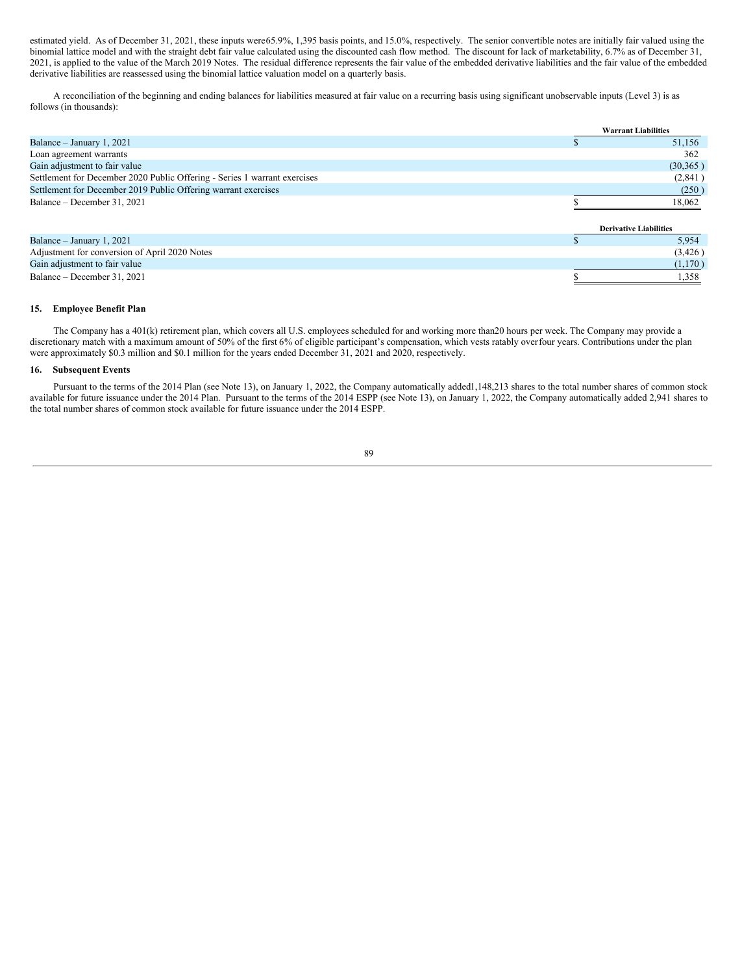estimated yield. As of December 31, 2021, these inputs were65.9%, 1,395 basis points, and 15.0%, respectively. The senior convertible notes are initially fair valued using the binomial lattice model and with the straight debt fair value calculated using the discounted cash flow method. The discount for lack of marketability, 6.7% as of December 31, 2021, is applied to the value of the March 2019 Notes. The residual difference represents the fair value of the embedded derivative liabilities and the fair value of the embedded derivative liabilities are reassessed using the binomial lattice valuation model on a quarterly basis.

A reconciliation of the beginning and ending balances for liabilities measured at fair value on a recurring basis using significant unobservable inputs (Level 3) is as follows (in thousands):

|                                                                           | <b>Warrant Liabilities</b>    |
|---------------------------------------------------------------------------|-------------------------------|
| Balance – January 1, 2021                                                 | 51,156                        |
| Loan agreement warrants                                                   | 362                           |
| Gain adjustment to fair value                                             | (30, 365)                     |
| Settlement for December 2020 Public Offering - Series 1 warrant exercises | (2,841)                       |
| Settlement for December 2019 Public Offering warrant exercises            | (250)                         |
| Balance – December 31, 2021                                               | 18,062                        |
|                                                                           | <b>Derivative Liabilities</b> |
| Balance – January 1, 2021                                                 | 5,954                         |
| Adjustment for conversion of April 2020 Notes                             | (3, 426)                      |
| Gain adjustment to fair value                                             | (1,170)                       |
| Balance – December 31, 2021                                               | 1,358                         |

### **15. Employee Benefit Plan**

The Company has a 401(k) retirement plan, which covers all U.S. employees scheduled for and working more than20 hours per week. The Company may provide a discretionary match with a maximum amount of 50% of the first 6% of eligible participant's compensation, which vests ratably over four years. Contributions under the plan were approximately \$0.3 million and \$0.1 million for the years ended December 31, 2021 and 2020, respectively.

#### **16. Subsequent Events**

Pursuant to the terms of the 2014 Plan (see Note 13), on January 1, 2022, the Company automatically added1, 148,213 shares to the total number shares of common stock available for future issuance under the 2014 Plan. Pursuant to the terms of the 2014 ESPP (see Note 13), on January 1, 2022, the Company automatically added 2,941 shares to the total number shares of common stock available for future issuance under the 2014 ESPP.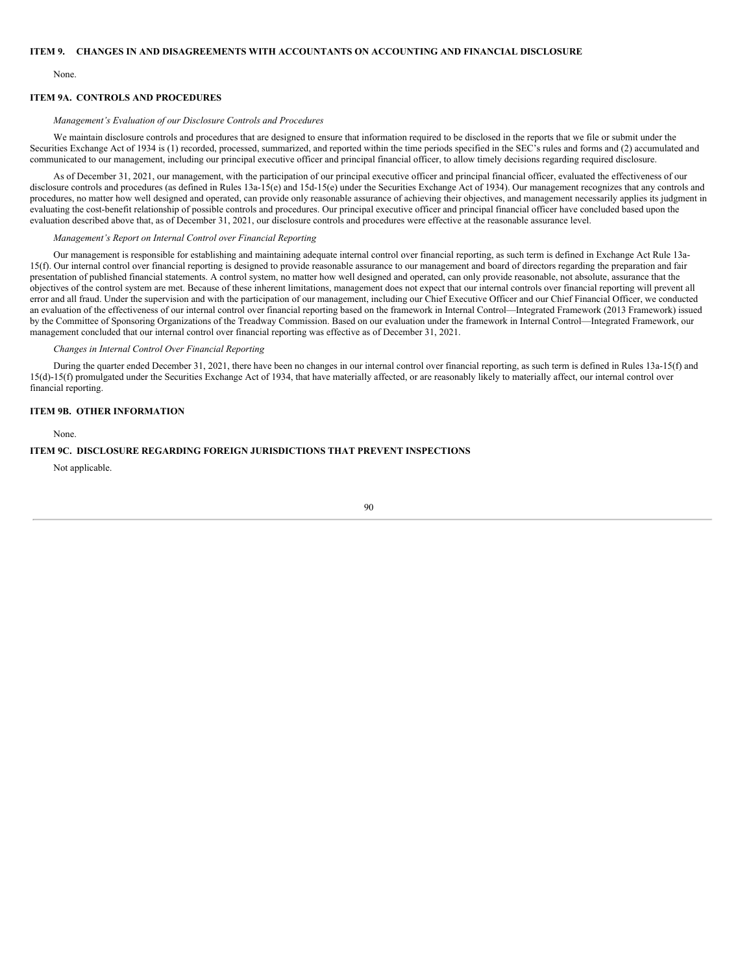## **ITEM 9. CHANGES IN AND DISAGREEMENTS WITH ACCOUNTANTS ON ACCOUNTING AND FINANCIAL DISCLOSURE**

None.

#### **ITEM 9A. CONTROLS AND PROCEDURES**

### *Management's Evaluation of our Disclosure Controls and Procedures*

We maintain disclosure controls and procedures that are designed to ensure that information required to be disclosed in the reports that we file or submit under the Securities Exchange Act of 1934 is (1) recorded, processed, summarized, and reported within the time periods specified in the SEC's rules and forms and (2) accumulated and communicated to our management, including our principal executive officer and principal financial officer, to allow timely decisions regarding required disclosure.

As of December 31, 2021, our management, with the participation of our principal executive officer and principal financial officer, evaluated the effectiveness of our disclosure controls and procedures (as defined in Rules 13a-15(e) and 15d-15(e) under the Securities Exchange Act of 1934). Our management recognizes that any controls and procedures, no matter how well designed and operated, can provide only reasonable assurance of achieving their objectives, and management necessarily applies its judgment in evaluating the cost-benefit relationship of possible controls and procedures. Our principal executive officer and principal financial officer have concluded based upon the evaluation described above that, as of December 31, 2021, our disclosure controls and procedures were effective at the reasonable assurance level.

## *Management's Report on Internal Control over Financial Reporting*

Our management is responsible for establishing and maintaining adequate internal control over financial reporting, as such term is defined in Exchange Act Rule 13a-15(f). Our internal control over financial reporting is designed to provide reasonable assurance to our management and board of directors regarding the preparation and fair presentation of published financial statements. A control system, no matter how well designed and operated, can only provide reasonable, not absolute, assurance that the objectives of the control system are met. Because of these inherent limitations, management does not expect that our internal controls over financial reporting will prevent all error and all fraud. Under the supervision and with the participation of our management, including our Chief Executive Officer and our Chief Financial Officer, we conducted an evaluation of the effectiveness of our internal control over financial reporting based on the framework in Internal Control—Integrated Framework (2013 Framework) issued by the Committee of Sponsoring Organizations of the Treadway Commission. Based on our evaluation under the framework in Internal Control—Integrated Framework, our management concluded that our internal control over financial reporting was effective as of December 31, 2021.

## *Changes in Internal Control Over Financial Reporting*

During the quarter ended December 31, 2021, there have been no changes in our internal control over financial reporting, as such term is defined in Rules 13a-15(f) and 15(d)-15(f) promulgated under the Securities Exchange Act of 1934, that have materially affected, or are reasonably likely to materially affect, our internal control over financial reporting.

# **ITEM 9B. OTHER INFORMATION**

None.

# **ITEM 9C. DISCLOSURE REGARDING FOREIGN JURISDICTIONS THAT PREVENT INSPECTIONS**

Not applicable.

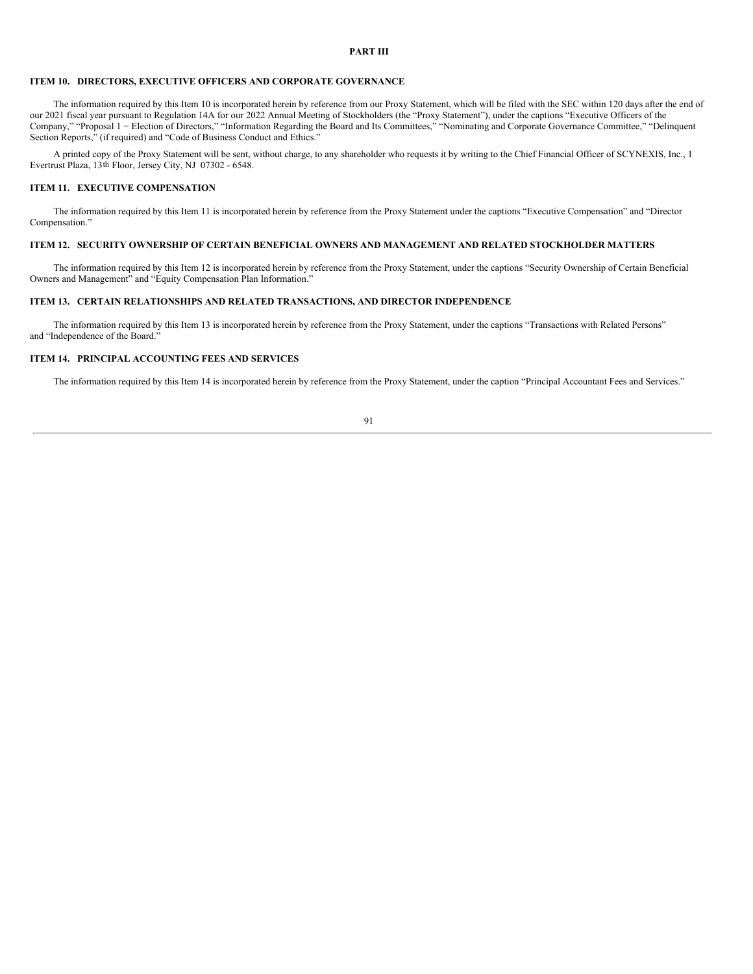### **PART III**

# **ITEM 10. DIRECTORS, EXECUTIVE OFFICERS AND CORPORATE GOVERNANCE**

The information required by this Item 10 is incorporated herein by reference from our Proxy Statement, which will be filed with the SEC within 120 days after the end of our 2021 fiscal year pursuant to Regulation 14A for our 2022 Annual Meeting of Stockholders (the "Proxy Statement"), under the captions "Executive Officers of the Company," "Proposal 1 − Election of Directors," "Information Regarding the Board and Its Committees," "Nominating and Corporate Governance Committee," "Delinquent Section Reports," (if required) and "Code of Business Conduct and Ethics."

A printed copy of the Proxy Statement will be sent, without charge, to any shareholder who requests it by writing to the Chief Financial Officer of SCYNEXIS, Inc., 1 Evertrust Plaza, 13th Floor, Jersey City, NJ 07302 - 6548.

## **ITEM 11. EXECUTIVE COMPENSATION**

The information required by this Item 11 is incorporated herein by reference from the Proxy Statement under the captions "Executive Compensation" and "Director Compensation."

# **ITEM 12. SECURITY OWNERSHIP OF CERTAIN BENEFICIAL OWNERS AND MANAGEMENT AND RELATED STOCKHOLDER MATTERS**

The information required by this Item 12 is incorporated herein by reference from the Proxy Statement, under the captions "Security Ownership of Certain Beneficial Owners and Management" and "Equity Compensation Plan Information."

## **ITEM 13. CERTAIN RELATIONSHIPS AND RELATED TRANSACTIONS, AND DIRECTOR INDEPENDENCE**

The information required by this Item 13 is incorporated herein by reference from the Proxy Statement, under the captions "Transactions with Related Persons" and "Independence of the Board."

## **ITEM 14. PRINCIPAL ACCOUNTING FEES AND SERVICES**

The information required by this Item 14 is incorporated herein by reference from the Proxy Statement, under the caption "Principal Accountant Fees and Services."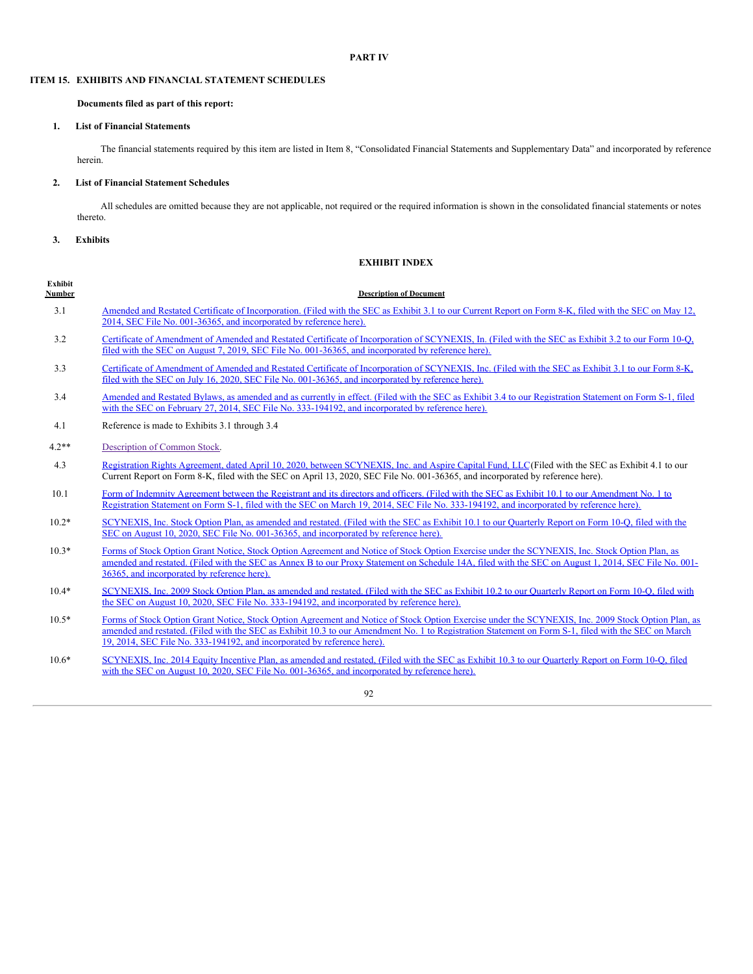# **ITEM 15. EXHIBITS AND FINANCIAL STATEMENT SCHEDULES**

## **Documents filed as part of this report:**

## **1. List of Financial Statements**

The financial statements required by this item are listed in Item 8, "Consolidated Financial Statements and Supplementary Data" and incorporated by reference herein.

# **2. List of Financial Statement Schedules**

All schedules are omitted because they are not applicable, not required or the required information is shown in the consolidated financial statements or notes thereto.

## **3. Exhibits**

**Exhibit**

# **EXHIBIT INDEX**

| Number  | <b>Description of Document</b>                                                                                                                                                                                                                                                                                                                                                       |
|---------|--------------------------------------------------------------------------------------------------------------------------------------------------------------------------------------------------------------------------------------------------------------------------------------------------------------------------------------------------------------------------------------|
| 3.1     | Amended and Restated Certificate of Incorporation. (Filed with the SEC as Exhibit 3.1 to our Current Report on Form 8-K, filed with the SEC on May 12,<br>2014. SEC File No. 001-36365, and incorporated by reference here).                                                                                                                                                         |
| 3.2     | Certificate of Amendment of Amended and Restated Certificate of Incorporation of SCYNEXIS, In. (Filed with the SEC as Exhibit 3.2 to our Form 10-O,<br>filed with the SEC on August 7, 2019, SEC File No. 001-36365, and incorporated by reference here).                                                                                                                            |
| 3.3     | Certificate of Amendment of Amended and Restated Certificate of Incorporation of SCYNEXIS, Inc. (Filed with the SEC as Exhibit 3.1 to our Form 8-K,<br>filed with the SEC on July 16, 2020, SEC File No. 001-36365, and incorporated by reference here).                                                                                                                             |
| 3.4     | Amended and Restated Bylaws, as amended and as currently in effect. (Filed with the SEC as Exhibit 3.4 to our Registration Statement on Form S-1, filed<br>with the SEC on February 27, 2014, SEC File No. 333-194192, and incorporated by reference here).                                                                                                                          |
| 4.1     | Reference is made to Exhibits 3.1 through 3.4                                                                                                                                                                                                                                                                                                                                        |
| $4.2**$ | Description of Common Stock.                                                                                                                                                                                                                                                                                                                                                         |
| 4.3     | Registration Rights Agreement, dated April 10, 2020, between SCYNEXIS, Inc. and Aspire Capital Fund, LLC(Filed with the SEC as Exhibit 4.1 to our<br>Current Report on Form 8-K, filed with the SEC on April 13, 2020, SEC File No. 001-36365, and incorporated by reference here).                                                                                                  |
| 10.1    | Form of Indemnity Agreement between the Registrant and its directors and officers. (Filed with the SEC as Exhibit 10.1 to our Amendment No. 1 to<br>Registration Statement on Form S-1, filed with the SEC on March 19, 2014, SEC File No. 333-194192, and incorporated by reference here).                                                                                          |
| $10.2*$ | SCYNEXIS, Inc. Stock Option Plan, as amended and restated. (Filed with the SEC as Exhibit 10.1 to our Quarterly Report on Form 10-Q, filed with the<br>SEC on August 10, 2020, SEC File No. 001-36365, and incorporated by reference here).                                                                                                                                          |
| $10.3*$ | Forms of Stock Option Grant Notice, Stock Option Agreement and Notice of Stock Option Exercise under the SCYNEXIS, Inc. Stock Option Plan, as<br>amended and restated. (Filed with the SEC as Annex B to our Proxy Statement on Schedule 14A, filed with the SEC on August 1, 2014, SEC File No. 001-<br>36365, and incorporated by reference here).                                 |
| $10.4*$ | SCYNEXIS, Inc. 2009 Stock Option Plan, as amended and restated. (Filed with the SEC as Exhibit 10.2 to our Ouarterly Report on Form 10-O, filed with<br>the SEC on August 10, 2020, SEC File No. 333-194192, and incorporated by reference here).                                                                                                                                    |
| $10.5*$ | Forms of Stock Option Grant Notice, Stock Option Agreement and Notice of Stock Option Exercise under the SCYNEXIS, Inc. 2009 Stock Option Plan, as<br>amended and restated. (Filed with the SEC as Exhibit 10.3 to our Amendment No. 1 to Registration Statement on Form S-1, filed with the SEC on March<br>19, 2014, SEC File No. 333-194192, and incorporated by reference here). |

10.6\* [SCYNEXIS,](http://www.sec.gov/Archives/edgar/data/1178253/000156459020038629/scyx-ex103_238.htm) Inc. 2014 Equity Incentive Plan, as amended and restated, (Filed with the SEC as Exhibit 10.3 to our Quarterly Report on Form 10-Q, filed with the SEC on August 10, 2020, SEC File No. 001-36365, and incorporated by reference here).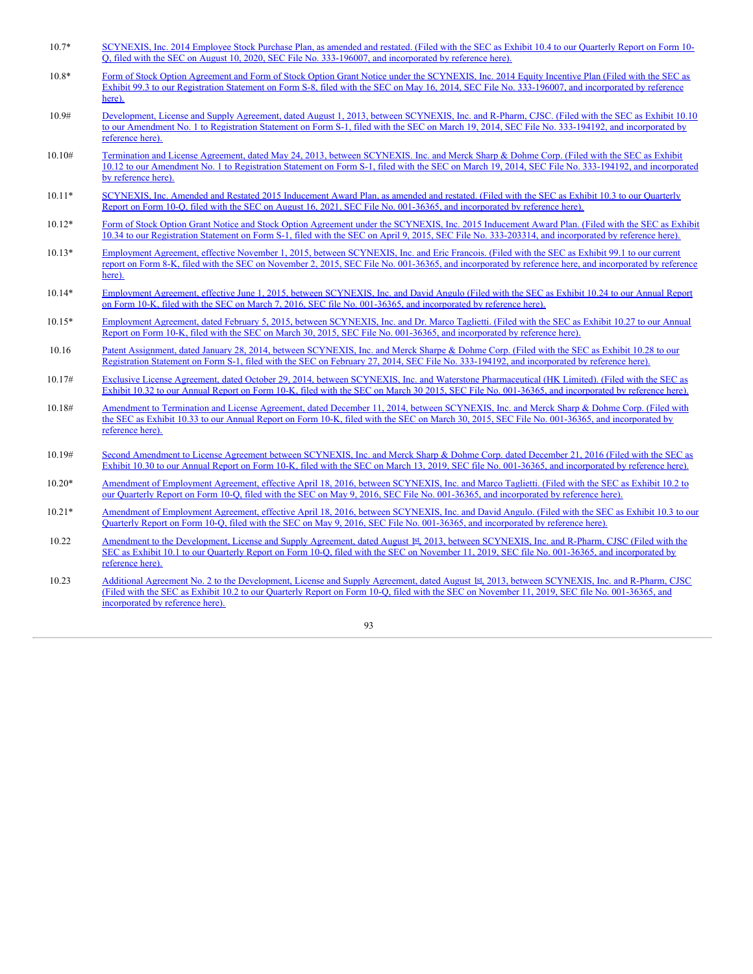- 10.7\* [SCYNEXIS,](http://www.sec.gov/Archives/edgar/data/1178253/000156459020038629/scyx-ex104_236.htm) Inc. 2014 Employee Stock Purchase Plan, as amended and restated. (Filed with the SEC as Exhibit 10.4 to our Quarterly Report on Form 10- Q, filed with the SEC on August 10, 2020, SEC File No. 333-196007, and incorporated by reference here).
- 10.8\* Form of Stock Option Agreement and Form of Stock Option Grant Notice under the [SCYNEXIS,](http://www.sec.gov/Archives/edgar/data/1178253/000119312514202532/d728193dex993.htm) Inc. 2014 Equity Incentive Plan (Filed with the SEC as Exhibit 99.3 to our Registration Statement on Form S-8, filed with the SEC on May 16, 2014, SEC File No. 333-196007, and incorporated by reference here).
- 10.9# [Development,](http://www.sec.gov/Archives/edgar/data/1178253/000119312514104715/d641160dex1010.htm) License and Supply Agreement, dated August 1, 2013, between SCYNEXIS, Inc. and R-Pharm, CJSC. (Filed with the SEC as Exhibit 10.10 to our Amendment No. 1 to Registration Statement on Form S-1, filed with the SEC on March 19, 2014, SEC File No. 333-194192, and incorporated by reference here).
- 10.10# Termination and License Agreement, dated May 24, 2013, between [SCYNEXIS.](http://www.sec.gov/Archives/edgar/data/1178253/000119312514104715/d641160dex1012.htm) Inc. and Merck Sharp & Dohme Corp. (Filed with the SEC as Exhibit 10.12 to our Amendment No. 1 to Registration Statement on Form S-1, filed with the SEC on March 19, 2014, SEC File No. 333-194192, and incorporated by reference here).
- 10.11\* [SCYNEXIS,](http://www.sec.gov/Archives/edgar/data/0001178253/000156459020038629/scyx-ex105_237.htm) Inc. Amended and Restated 2015 Inducement Award Plan, as amended and restated. (Filed with the SEC as Exhibit 10.3 to our Quarterly Report on Form 10-Q, filed with the SEC on August 16, 2021, SEC File No. 001-36365, and incorporated by reference here).
- 10.12\* Form of Stock Option Grant Notice and Stock Option Agreement under the [SCYNEXIS,](http://www.sec.gov/Archives/edgar/data/1178253/000119312515124365/d905519dex1034.htm) Inc. 2015 Inducement Award Plan. (Filed with the SEC as Exhibit 10.34 to our Registration Statement on Form S-1, filed with the SEC on April 9, 2015, SEC File No. 333-203314, and incorporated by reference here).
- 10.13\* [Employment](http://www.sec.gov/Archives/edgar/data/1178253/000117825315000120/exhibit991.htm) Agreement, effective November 1, 2015, between SCYNEXIS, Inc. and Eric Francois. (Filed with the SEC as Exhibit 99.1 to our current report on Form 8-K, filed with the SEC on November 2, 2015, SEC File No. 001-36365, and incorporated by reference here, and incorporated by reference here).
- 10.14\* [Employment](http://www.sec.gov/Archives/edgar/data/1178253/000117825316000144/a1024employmentagreement.htm) Agreement, effective June 1, 2015, between SCYNEXIS, Inc. and David Angulo (Filed with the SEC as Exhibit 10.24 to our Annual Report on Form 10-K, filed with the SEC on March 7, 2016, SEC file No. 001-36365, and incorporated by reference here).
- 10.15\* [Employment](http://www.sec.gov/Archives/edgar/data/1178253/000117825315000034/exhibit1027employmentagree.htm) Agreement, dated February 5, 2015, between SCYNEXIS, Inc. and Dr. Marco Taglietti. (Filed with the SEC as Exhibit 10.27 to our Annual Report on Form 10-K, filed with the SEC on March 30, 2015, SEC File No. 001-36365, and incorporated by reference here).
- 10.16 Patent Assignment, dated January 28, 2014, between [SCYNEXIS,](http://www.sec.gov/Archives/edgar/data/1178253/000119312514073292/d641160dex1028.htm) Inc. and Merck Sharpe & Dohme Corp. (Filed with the SEC as Exhibit 10.28 to our Registration Statement on Form S-1, filed with the SEC on February 27, 2014, SEC File No. 333-194192, and incorporated by reference here).
- 10.17# Exclusive License Agreement, dated October 29, 2014, between SCYNEXIS, Inc. and Waterstone [Pharmaceutical](http://www.sec.gov/Archives/edgar/data/1178253/000117825315000034/exhibit1032-waterstone.htm) (HK Limited). (Filed with the SEC as Exhibit 10.32 to our Annual Report on Form 10-K, filed with the SEC on March 30 2015, SEC File No. 001-36365, and incorporated by reference here).
- 10.18# Amendment to Termination and License Agreement, dated December 11, 2014, between [SCYNEXIS,](http://www.sec.gov/Archives/edgar/data/1178253/000117825315000034/exhibit1033-merckletter.htm) Inc. and Merck Sharp & Dohme Corp. (Filed with the SEC as Exhibit 10.33 to our Annual Report on Form 10-K, filed with the SEC on March 30, 2015, SEC File No. 001-36365, and incorporated by reference here).
- 10.19# Second Amendment to License Agreement between [SCYNEXIS,](http://www.sec.gov/Archives/edgar/data/1178253/000117825317000001/exhibit1030.htm) Inc. and Merck Sharp & Dohme Corp. dated December 21, 2016 (Filed with the SEC as Exhibit 10.30 to our Annual Report on Form 10-K, filed with the SEC on March 13, 2019, SEC file No. 001-36365, and incorporated by reference here).
- 10.20\* Amendment of [Employment](http://www.sec.gov/Archives/edgar/data/1178253/000162828016015866/q12016exhibit102.htm) Agreement, effective April 18, 2016, between SCYNEXIS, Inc. and Marco Taglietti. (Filed with the SEC as Exhibit 10.2 to our Quarterly Report on Form 10-Q, filed with the SEC on May 9, 2016, SEC File No. 001-36365, and incorporated by reference here).
- 10.21\* Amendment of [Employment](http://www.sec.gov/Archives/edgar/data/1178253/000162828016015866/q12016exhbiti103.htm) Agreement, effective April 18, 2016, between SCYNEXIS, Inc. and David Angulo. (Filed with the SEC as Exhibit 10.3 to our Quarterly Report on Form 10-Q, filed with the SEC on May 9, 2016, SEC File No. 001-36365, and incorporated by reference here).
- 10.22 Amendment to the [Development,](http://www.sec.gov/Archives/edgar/data/1178253/000156459017022215/scyx-ex101_148.htm) License and Supply Agreement, dated August 1st, 2013, between SCYNEXIS, Inc. and R-Pharm, CJSC (Filed with the SEC as Exhibit 10.1 to our Quarterly Report on Form 10-Q, filed with the SEC on November 11, 2019, SEC file No. 001-36365, and incorporated by reference here).
- 10.23 Additional Agreement No. 2 to the [Development,](http://www.sec.gov/Archives/edgar/data/1178253/000156459017022215/scyx-ex102_147.htm) License and Supply Agreement, dated August 1st, 2013, between SCYNEXIS, Inc. and R-Pharm, CJSC (Filed with the SEC as Exhibit 10.2 to our Quarterly Report on Form 10-Q, filed with the SEC on November 11, 2019, SEC file No. 001-36365, and incorporated by reference here).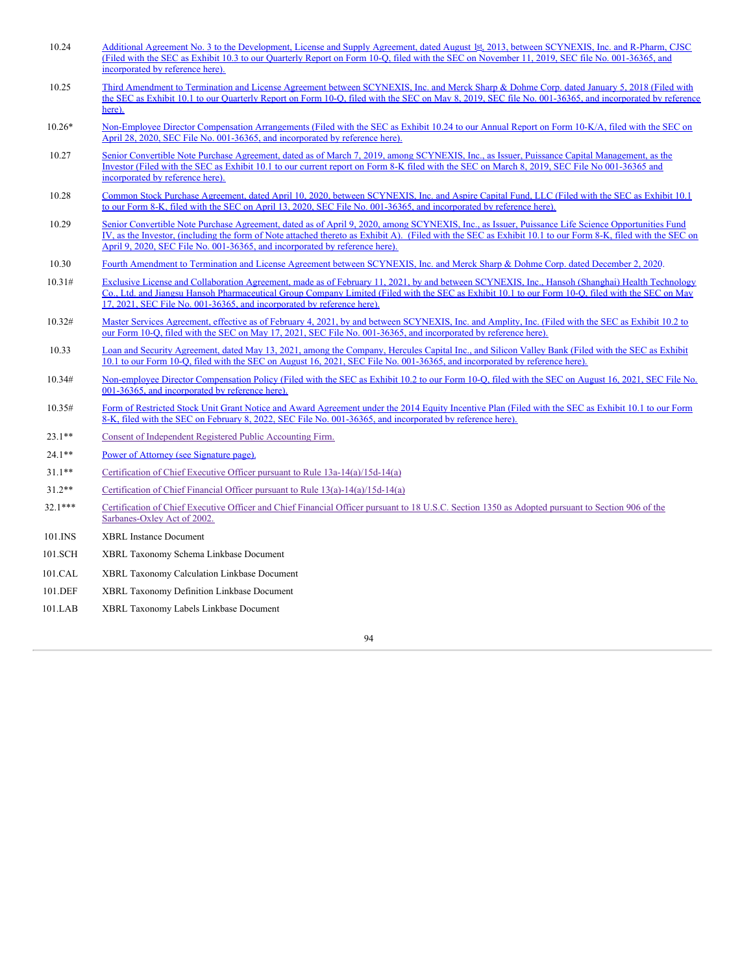| 10.24 | Additional Agreement No. 3 to the Development, License and Supply Agreement, dated August 1st, 2013, between SCYNEXIS, Inc. and R-Pharm, CJSC  |
|-------|------------------------------------------------------------------------------------------------------------------------------------------------|
|       | (Filed with the SEC as Exhibit 10.3 to our Ouarterly Report on Form 10-O, filed with the SEC on November 11, 2019, SEC file No. 001-36365, and |
|       | incorporated by reference here).                                                                                                               |

- 10.25 Third Amendment to Termination and License Agreement between [SCYNEXIS,](http://www.sec.gov/Archives/edgar/data/1178253/000156459018011781/scyx-ex101_169.htm) Inc. and Merck Sharp & Dohme Corp. dated January 5, 2018 (Filed with the SEC as Exhibit 10.1 to our Quarterly Report on Form 10-Q, filed with the SEC on May 8, 2019, SEC file No. 001-36365, and incorporated by reference here).
- 10.26\* [Non-Employee](http://www.sec.gov/Archives/edgar/data/0001178253/000156459020019188/scyx-ex1024_104.htm) Director Compensation Arrangements (Filed with the SEC as Exhibit 10.24 to our Annual Report on Form 10-K/A, filed with the SEC on April 28, 2020, SEC File No. 001-36365, and incorporated by reference here).
- 10.27 Senior Convertible Note Purchase Agreement, dated as of March 7, 2019, among SCYNEXIS, Inc., as Issuer, Puissance Capital [Management,](http://www.sec.gov/Archives/edgar/data/1178253/000156459019006994/scyx-ex101_25.htm) as the Investor (Filed with the SEC as Exhibit 10.1 to our current report on Form 8-K filed with the SEC on March 8, 2019, SEC File No 001-36365 and incorporated by reference here).
- 10.28 Common Stock Purchase Agreement, dated April 10, 2020, between [SCYNEXIS,](http://www.sec.gov/Archives/edgar/data/1178253/000156459020016331/scyx-ex101_7.htm) Inc. and Aspire Capital Fund, LLC (Filed with the SEC as Exhibit 10.1 to our Form 8-K, filed with the SEC on April 13, 2020, SEC File No. 001-36365, and incorporated by reference here).
- 10.29 Senior Convertible Note Purchase Agreement, dated as of April 9, 2020, among SCYNEXIS, Inc., as Issuer, Puissance Life Science [Opportunities](http://www.sec.gov/Archives/edgar/data/1178253/000156459020016151/scyx-ex101_14.htm) Fund IV, as the Investor, (including the form of Note attached thereto as Exhibit A). (Filed with the SEC as Exhibit 10.1 to our Form 8-K, filed with the SEC on April 9, 2020, SEC File No. 001-36365, and incorporated by reference here).
- 10.30 Fourth Amendment to Termination and License Agreement between [SCYNEXIS,](http://www.sec.gov/Archives/edgar/data/1178253/000156459021015962/scyx-ex1030_12.htm) Inc. and Merck Sharp & Dohme Corp. dated December 2, 2020.
- 10.31# Exclusive License and Collaboration Agreement, made as of February 11, 2021, by and between SCYNEXIS, Inc., Hansoh (Shanghai) Health Technology Co., Ltd. and Jiangsu Hansoh [Pharmaceutical](http://www.sec.gov/Archives/edgar/data/1178253/000156459021028188/scyx-ex101_86.htm) Group Company Limited (Filed with the SEC as Exhibit 10.1 to our Form 10-Q, filed with the SEC on May 17, 2021, SEC File No. 001-36365, and incorporated by reference here).
- 10.32# Master Services Agreement, effective as of February 4, 2021, by and between [SCYNEXIS,](http://www.sec.gov/Archives/edgar/data/1178253/000156459021028188/scyx-ex102_87.htm) Inc. and Amplity, Inc. (Filed with the SEC as Exhibit 10.2 to our Form 10-Q, filed with the SEC on May 17, 2021, SEC File No. 001-36365, and incorporated by reference here).
- 10.33 Loan and Security Agreement, dated May 13, 2021, among the Company, Hercules Capital Inc., and Silicon Valley Bank (Filed with the SEC as Exhibit 10.1 to our Form 10-Q, filed with the SEC on August 16, 2021, SEC File No. 001-36365, and [incorporated](http://www.sec.gov/Archives/edgar/data/1178253/000156459021044448/scyx-ex101_47.htm) by reference here).
- 10.34# [Non-employee](http://www.sec.gov/Archives/edgar/data/1178253/000156459021044448/scyx-ex102_65.htm) Director Compensation Policy (Filed with the SEC as Exhibit 10.2 to our Form 10-Q, filed with the SEC on August 16, 2021, SEC File No. 001-36365, and incorporated by reference here).
- 10.35# Form of Restricted Stock Unit Grant Notice and Award Agreement under the 2014 Equity Incentive Plan (Filed with the SEC as Exhibit 10.1 to our Form 8-K, filed with the SEC on February 8, 2022, SEC File No. 001-36365, and [incorporated](http://www.sec.gov/Archives/edgar/data/1178253/000156459022004229/scyx-ex101_7.htm) by reference here).
- 23.1\*\* Consent of [Independent](#page-98-0) Registered Public Accounting Firm.
- 24.1\*\* Power of Attorney (see [Signature](#page-95-0) page).
- 31.1\*\* Certification of Chief Executive Officer pursuant to Rule [13a-14\(a\)/15d-14\(a\)](#page-99-0)
- 31.2\*\* Certification of Chief Financial Officer pursuant to Rule [13\(a\)-14\(a\)/15d-14\(a\)](#page-101-0)
- 32.1\*\*\* Certification of Chief Executive Officer and Chief Financial Officer pursuant to 18 U.S.C. Section 1350 as Adopted pursuant to Section 906 of the [Sarbanes-Oxley](#page-103-0) Act of 2002.
- 101.INS XBRL Instance Document
- 101.SCH XBRL Taxonomy Schema Linkbase Document
- 101.CAL XBRL Taxonomy Calculation Linkbase Document
- 101.DEF XBRL Taxonomy Definition Linkbase Document
- 101.LAB XBRL Taxonomy Labels Linkbase Document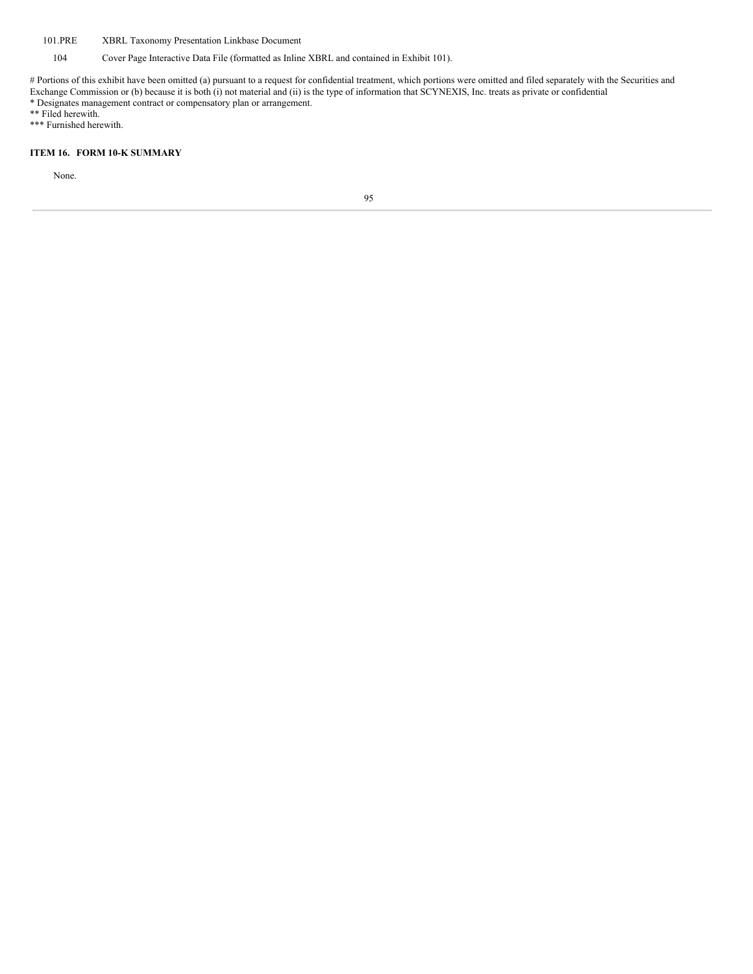101.PRE XBRL Taxonomy Presentation Linkbase Document

104 Cover Page Interactive Data File (formatted as Inline XBRL and contained in Exhibit 101).

# Portions of this exhibit have been omitted (a) pursuant to a request for confidential treatment, which portions were omitted and filed separately with the Securities and Exchange Commission or (b) because it is both (i) not material and (ii) is the type of information that SCYNEXIS, Inc. treats as private or confidential \* Designates management contract or compensatory plan or arrangement.

\*\* Filed herewith.

\*\*\* Furnished herewith.

# **ITEM 16. FORM 10-K SUMMARY**

None.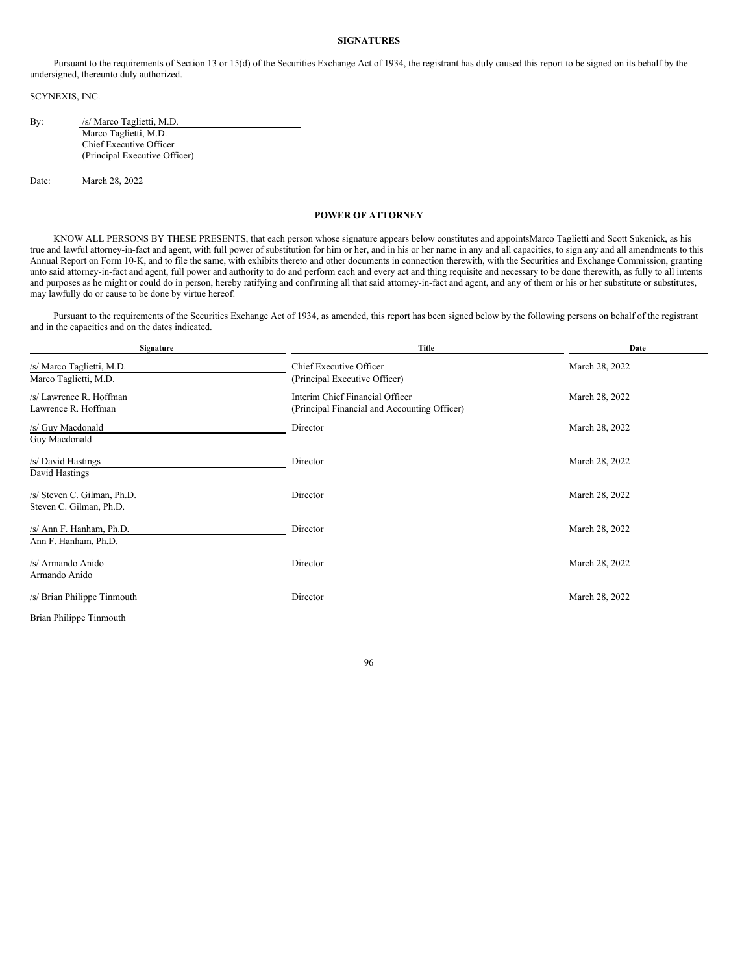# **SIGNATURES**

Pursuant to the requirements of Section 13 or 15(d) of the Securities Exchange Act of 1934, the registrant has duly caused this report to be signed on its behalf by the undersigned, thereunto duly authorized.

SCYNEXIS, INC.

| By: | /s/ Marco Taglietti, M.D.     |  |
|-----|-------------------------------|--|
|     | Marco Taglietti, M.D.         |  |
|     | Chief Executive Officer       |  |
|     | (Principal Executive Officer) |  |

Date: March 28, 2022

## **POWER OF ATTORNEY**

<span id="page-95-0"></span>KNOW ALL PERSONS BY THESE PRESENTS, that each person whose signature appears below constitutes and appointsMarco Taglietti and Scott Sukenick, as his true and lawful attorney-in-fact and agent, with full power of substitution for him or her, and in his or her name in any and all capacities, to sign any and all amendments to this Annual Report on Form 10-K, and to file the same, with exhibits thereto and other documents in connection therewith, with the Securities and Exchange Commission, granting unto said attorney-in-fact and agent, full power and authority to do and perform each and every act and thing requisite and necessary to be done therewith, as fully to all intents and purposes as he might or could do in person, hereby ratifying and confirming all that said attorney-in-fact and agent, and any of them or his or her substitute or substitutes, may lawfully do or cause to be done by virtue hereof.

Pursuant to the requirements of the Securities Exchange Act of 1934, as amended, this report has been signed below by the following persons on behalf of the registrant and in the capacities and on the dates indicated.

| Signature                                              | Title                                                                           | Date           |
|--------------------------------------------------------|---------------------------------------------------------------------------------|----------------|
| /s/ Marco Taglietti, M.D.<br>Marco Taglietti, M.D.     | Chief Executive Officer<br>(Principal Executive Officer)                        | March 28, 2022 |
| /s/ Lawrence R. Hoffman<br>Lawrence R. Hoffman         | Interim Chief Financial Officer<br>(Principal Financial and Accounting Officer) | March 28, 2022 |
| /s/ Guy Macdonald<br>Guy Macdonald                     | Director                                                                        | March 28, 2022 |
| /s/ David Hastings<br>David Hastings                   | Director                                                                        | March 28, 2022 |
| /s/ Steven C. Gilman, Ph.D.<br>Steven C. Gilman, Ph.D. | Director                                                                        | March 28, 2022 |
| /s/ Ann F. Hanham, Ph.D.<br>Ann F. Hanham, Ph.D.       | Director                                                                        | March 28, 2022 |
| /s/ Armando Anido<br>Armando Anido                     | Director                                                                        | March 28, 2022 |
| /s/ Brian Philippe Tinmouth                            | Director                                                                        | March 28, 2022 |

Brian Philippe Tinmouth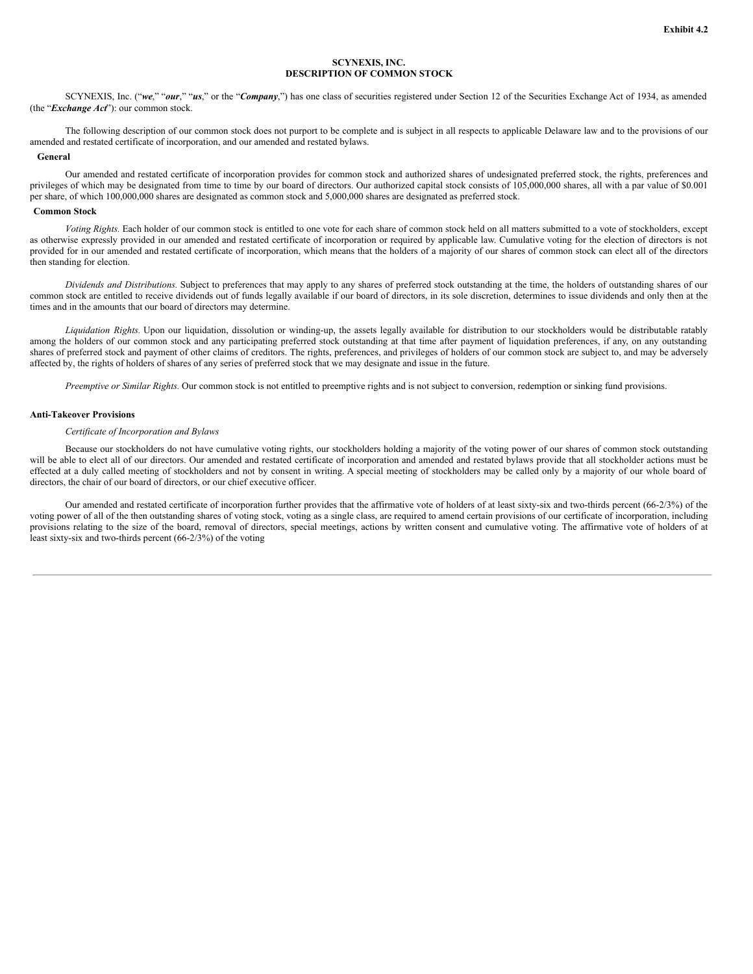# **SCYNEXIS, INC. DESCRIPTION OF COMMON STOCK**

<span id="page-96-0"></span>SCYNEXIS, Inc. ("*we*," "*our*," "*us*," or the "*Company*,") has one class of securities registered under Section 12 of the Securities Exchange Act of 1934, as amended (the "*Exchange Act*"): our common stock.

The following description of our common stock does not purport to be complete and is subject in all respects to applicable Delaware law and to the provisions of our amended and restated certificate of incorporation, and our amended and restated bylaws.

## **General**

Our amended and restated certificate of incorporation provides for common stock and authorized shares of undesignated preferred stock, the rights, preferences and privileges of which may be designated from time to time by our board of directors. Our authorized capital stock consists of 105,000,000 shares, all with a par value of \$0.001 per share, of which 100,000,000 shares are designated as common stock and 5,000,000 shares are designated as preferred stock.

## **Common Stock**

*Voting Rights.* Each holder of our common stock is entitled to one vote for each share of common stock held on all matters submitted to a vote of stockholders, except as otherwise expressly provided in our amended and restated certificate of incorporation or required by applicable law. Cumulative voting for the election of directors is not provided for in our amended and restated certificate of incorporation, which means that the holders of a majority of our shares of common stock can elect all of the directors then standing for election.

*Dividends and Distributions.* Subject to preferences that may apply to any shares of preferred stock outstanding at the time, the holders of outstanding shares of our common stock are entitled to receive dividends out of funds legally available if our board of directors, in its sole discretion, determines to issue dividends and only then at the times and in the amounts that our board of directors may determine.

*Liquidation Rights.* Upon our liquidation, dissolution or winding-up, the assets legally available for distribution to our stockholders would be distributable ratably among the holders of our common stock and any participating preferred stock outstanding at that time after payment of liquidation preferences, if any, on any outstanding shares of preferred stock and payment of other claims of creditors. The rights, preferences, and privileges of holders of our common stock are subject to, and may be adversely affected by, the rights of holders of shares of any series of preferred stock that we may designate and issue in the future.

*Preemptive or Similar Rights.* Our common stock is not entitled to preemptive rights and is not subject to conversion, redemption or sinking fund provisions.

#### **Anti-Takeover Provisions**

#### *Certificate of Incorporation and Bylaws*

Because our stockholders do not have cumulative voting rights, our stockholders holding a majority of the voting power of our shares of common stock outstanding will be able to elect all of our directors. Our amended and restated certificate of incorporation and amended and restated bylaws provide that all stockholder actions must be effected at a duly called meeting of stockholders and not by consent in writing. A special meeting of stockholders may be called only by a majority of our whole board of directors, the chair of our board of directors, or our chief executive officer.

Our amended and restated certificate of incorporation further provides that the affirmative vote of holders of at least sixty-six and two-thirds percent (66-2/3%) of the voting power of all of the then outstanding shares of voting stock, voting as a single class, are required to amend certain provisions of our certificate of incorporation, including provisions relating to the size of the board, removal of directors, special meetings, actions by written consent and cumulative voting. The affirmative vote of holders of at least sixty-six and two-thirds percent (66-2/3%) of the voting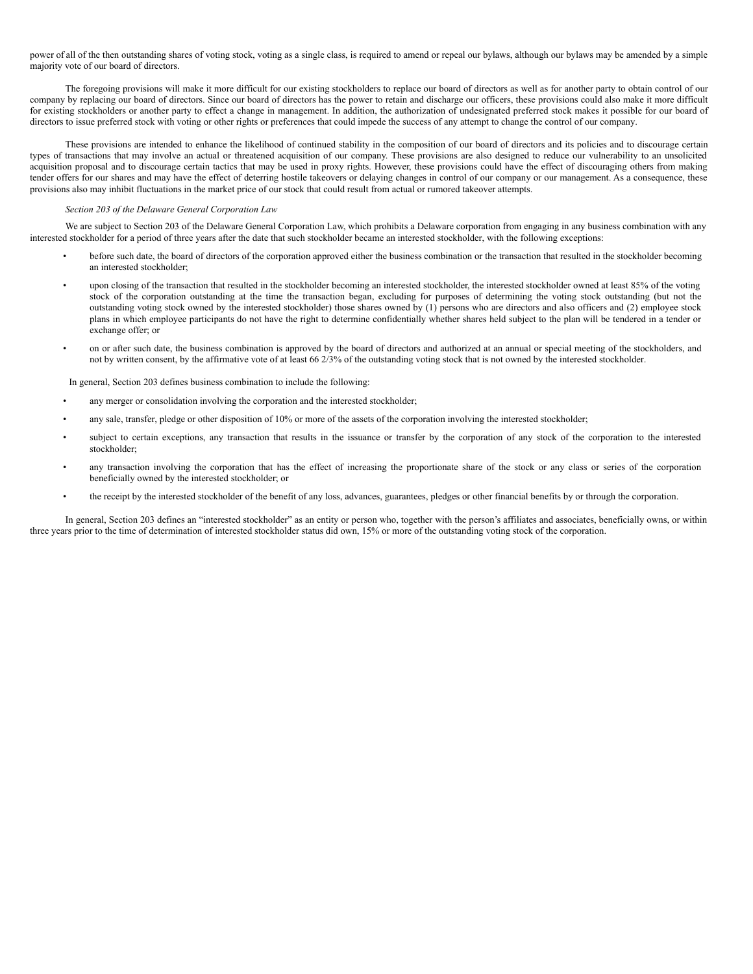power of all of the then outstanding shares of voting stock, voting as a single class, is required to amend or repeal our bylaws, although our bylaws may be amended by a simple majority vote of our board of directors.

The foregoing provisions will make it more difficult for our existing stockholders to replace our board of directors as well as for another party to obtain control of our company by replacing our board of directors. Since our board of directors has the power to retain and discharge our officers, these provisions could also make it more difficult for existing stockholders or another party to effect a change in management. In addition, the authorization of undesignated preferred stock makes it possible for our board of directors to issue preferred stock with voting or other rights or preferences that could impede the success of any attempt to change the control of our company.

These provisions are intended to enhance the likelihood of continued stability in the composition of our board of directors and its policies and to discourage certain types of transactions that may involve an actual or threatened acquisition of our company. These provisions are also designed to reduce our vulnerability to an unsolicited acquisition proposal and to discourage certain tactics that may be used in proxy rights. However, these provisions could have the effect of discouraging others from making tender offers for our shares and may have the effect of deterring hostile takeovers or delaying changes in control of our company or our management. As a consequence, these provisions also may inhibit fluctuations in the market price of our stock that could result from actual or rumored takeover attempts.

#### *Section 203 of the Delaware General Corporation Law*

We are subject to Section 203 of the Delaware General Corporation Law, which prohibits a Delaware corporation from engaging in any business combination with any interested stockholder for a period of three years after the date that such stockholder became an interested stockholder, with the following exceptions:

- before such date, the board of directors of the corporation approved either the business combination or the transaction that resulted in the stockholder becoming an interested stockholder;
- upon closing of the transaction that resulted in the stockholder becoming an interested stockholder, the interested stockholder owned at least 85% of the voting stock of the corporation outstanding at the time the transaction began, excluding for purposes of determining the voting stock outstanding (but not the outstanding voting stock owned by the interested stockholder) those shares owned by (1) persons who are directors and also officers and (2) employee stock plans in which employee participants do not have the right to determine confidentially whether shares held subject to the plan will be tendered in a tender or exchange offer; or
- on or after such date, the business combination is approved by the board of directors and authorized at an annual or special meeting of the stockholders, and not by written consent, by the affirmative vote of at least 66 2/3% of the outstanding voting stock that is not owned by the interested stockholder.

In general, Section 203 defines business combination to include the following:

- any merger or consolidation involving the corporation and the interested stockholder;
- any sale, transfer, pledge or other disposition of 10% or more of the assets of the corporation involving the interested stockholder;
- subject to certain exceptions, any transaction that results in the issuance or transfer by the corporation of any stock of the corporation to the interested stockholder;
- any transaction involving the corporation that has the effect of increasing the proportionate share of the stock or any class or series of the corporation beneficially owned by the interested stockholder; or
- the receipt by the interested stockholder of the benefit of any loss, advances, guarantees, pledges or other financial benefits by or through the corporation.

In general, Section 203 defines an "interested stockholder" as an entity or person who, together with the person's affiliates and associates, beneficially owns, or within three years prior to the time of determination of interested stockholder status did own, 15% or more of the outstanding voting stock of the corporation.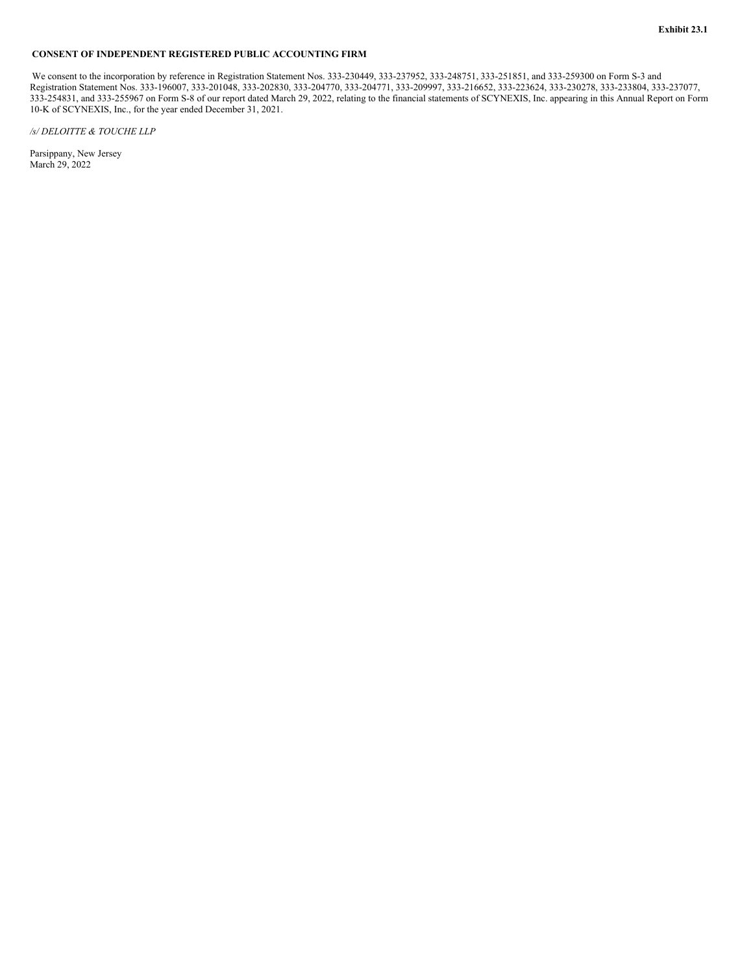# <span id="page-98-0"></span>**CONSENT OF INDEPENDENT REGISTERED PUBLIC ACCOUNTING FIRM**

We consent to the incorporation by reference in Registration Statement Nos. 333-230449, 333-237952, 333-248751, 333-251851, and 333-259300 on Form S-3 and Registration Statement Nos. 333-196007, 333-201048, 333-202830, 333-204770, 333-204771, 333-209997, 333-216652, 333-223624, 333-230278, 333-233804, 333-237077, 333-254831, and 333-255967 on Form S-8 of our report dated March 29, 2022, relating to the financial statements of SCYNEXIS, Inc. appearing in this Annual Report on Form 10-K of SCYNEXIS, Inc., for the year ended December 31, 2021.

*/s/ DELOITTE & TOUCHE LLP*

Parsippany, New Jersey March 29, 2022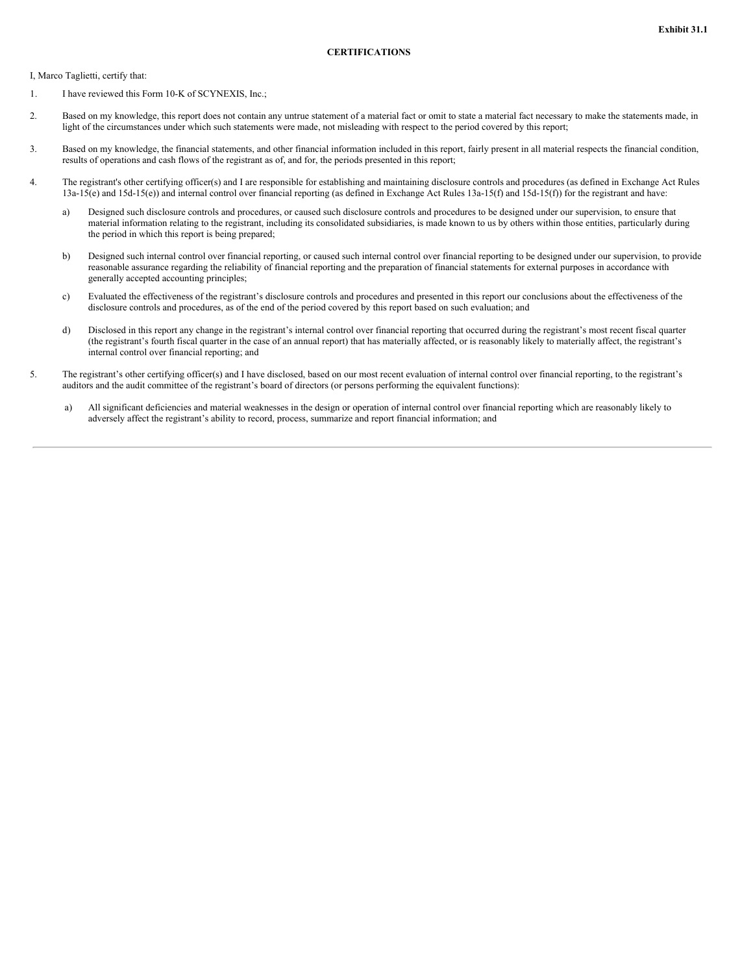<span id="page-99-0"></span>I, Marco Taglietti, certify that:

- 1. I have reviewed this Form 10-K of SCYNEXIS, Inc.;
- 2. Based on my knowledge, this report does not contain any untrue statement of a material fact or omit to state a material fact necessary to make the statements made, in light of the circumstances under which such statements were made, not misleading with respect to the period covered by this report;
- 3. Based on my knowledge, the financial statements, and other financial information included in this report, fairly present in all material respects the financial condition, results of operations and cash flows of the registrant as of, and for, the periods presented in this report;
- 4. The registrant's other certifying officer(s) and I are responsible for establishing and maintaining disclosure controls and procedures (as defined in Exchange Act Rules 13a-15(e) and 15d-15(e)) and internal control over financial reporting (as defined in Exchange Act Rules 13a-15(f) and 15d-15(f)) for the registrant and have:
	- a) Designed such disclosure controls and procedures, or caused such disclosure controls and procedures to be designed under our supervision, to ensure that material information relating to the registrant, including its consolidated subsidiaries, is made known to us by others within those entities, particularly during the period in which this report is being prepared;
	- b) Designed such internal control over financial reporting, or caused such internal control over financial reporting to be designed under our supervision, to provide reasonable assurance regarding the reliability of financial reporting and the preparation of financial statements for external purposes in accordance with generally accepted accounting principles;
	- c) Evaluated the effectiveness of the registrant's disclosure controls and procedures and presented in this report our conclusions about the effectiveness of the disclosure controls and procedures, as of the end of the period covered by this report based on such evaluation; and
	- d) Disclosed in this report any change in the registrant's internal control over financial reporting that occurred during the registrant's most recent fiscal quarter (the registrant's fourth fiscal quarter in the case of an annual report) that has materially affected, or is reasonably likely to materially affect, the registrant's internal control over financial reporting; and
- 5. The registrant's other certifying officer(s) and I have disclosed, based on our most recent evaluation of internal control over financial reporting, to the registrant's auditors and the audit committee of the registrant's board of directors (or persons performing the equivalent functions):
	- a) All significant deficiencies and material weaknesses in the design or operation of internal control over financial reporting which are reasonably likely to adversely affect the registrant's ability to record, process, summarize and report financial information; and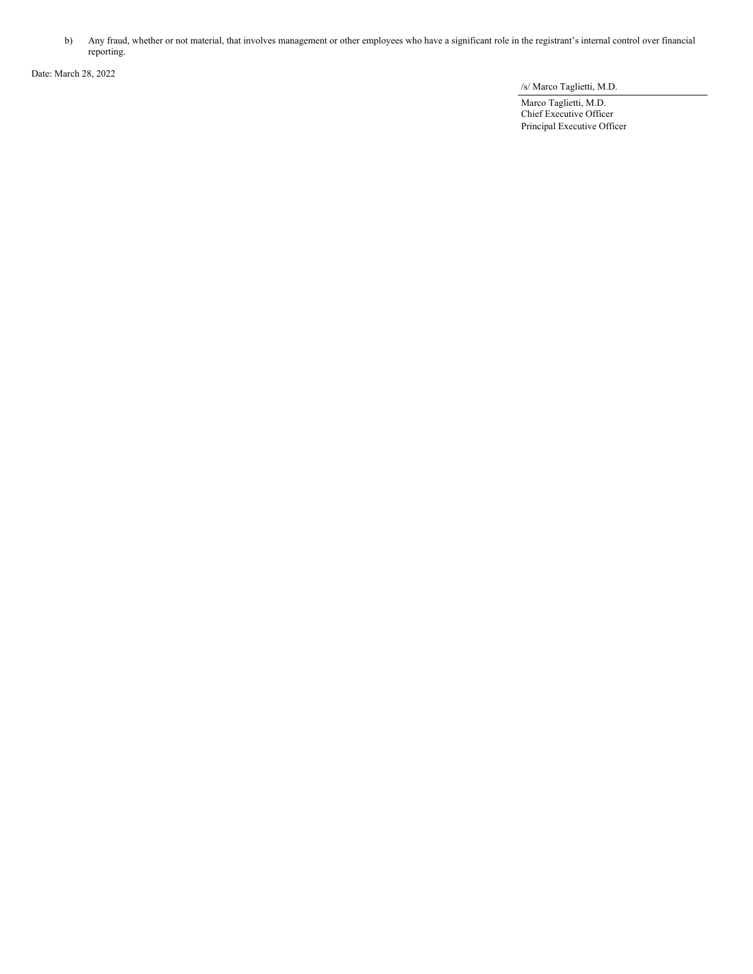b) Any fraud, whether or not material, that involves management or other employees who have a significant role in the registrant's internal control over financial reporting.

Date: March 28, 2022

/s/ Marco Taglietti, M.D.

Marco Taglietti, M.D. Chief Executive Officer Principal Executive Officer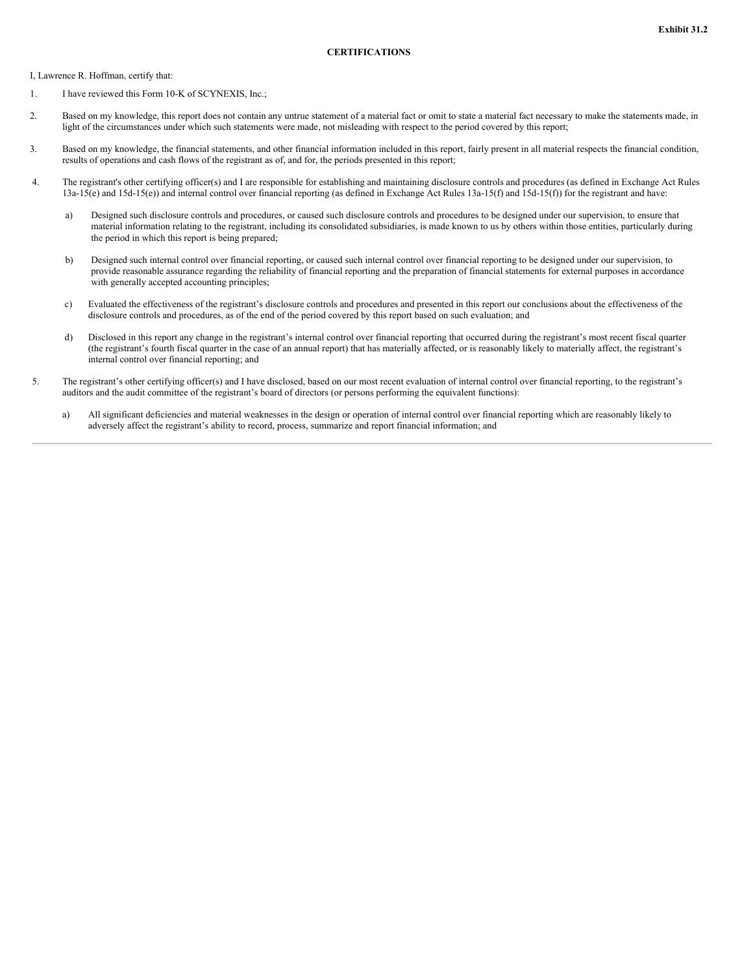<span id="page-101-0"></span>I, Lawrence R. Hoffman, certify that:

- 1. I have reviewed this Form 10-K of SCYNEXIS, Inc.;
- 2. Based on my knowledge, this report does not contain any untrue statement of a material fact or omit to state a material fact necessary to make the statements made, in light of the circumstances under which such statements were made, not misleading with respect to the period covered by this report;
- 3. Based on my knowledge, the financial statements, and other financial information included in this report, fairly present in all material respects the financial condition, results of operations and cash flows of the registrant as of, and for, the periods presented in this report;
- 4. The registrant's other certifying officer(s) and I are responsible for establishing and maintaining disclosure controls and procedures (as defined in Exchange Act Rules 13a-15(e) and 15d-15(e)) and internal control over financial reporting (as defined in Exchange Act Rules 13a-15(f) and 15d-15(f)) for the registrant and have:
	- a) Designed such disclosure controls and procedures, or caused such disclosure controls and procedures to be designed under our supervision, to ensure that material information relating to the registrant, including its consolidated subsidiaries, is made known to us by others within those entities, particularly during the period in which this report is being prepared;
	- b) Designed such internal control over financial reporting, or caused such internal control over financial reporting to be designed under our supervision, to provide reasonable assurance regarding the reliability of financial reporting and the preparation of financial statements for external purposes in accordance with generally accepted accounting principles;
	- c) Evaluated the effectiveness of the registrant's disclosure controls and procedures and presented in this report our conclusions about the effectiveness of the disclosure controls and procedures, as of the end of the period covered by this report based on such evaluation; and
	- d) Disclosed in this report any change in the registrant's internal control over financial reporting that occurred during the registrant's most recent fiscal quarter (the registrant's fourth fiscal quarter in the case of an annual report) that has materially affected, or is reasonably likely to materially affect, the registrant's internal control over financial reporting; and
- 5. The registrant's other certifying officer(s) and I have disclosed, based on our most recent evaluation of internal control over financial reporting, to the registrant's auditors and the audit committee of the registrant's board of directors (or persons performing the equivalent functions):
	- a) All significant deficiencies and material weaknesses in the design or operation of internal control over financial reporting which are reasonably likely to adversely affect the registrant's ability to record, process, summarize and report financial information; and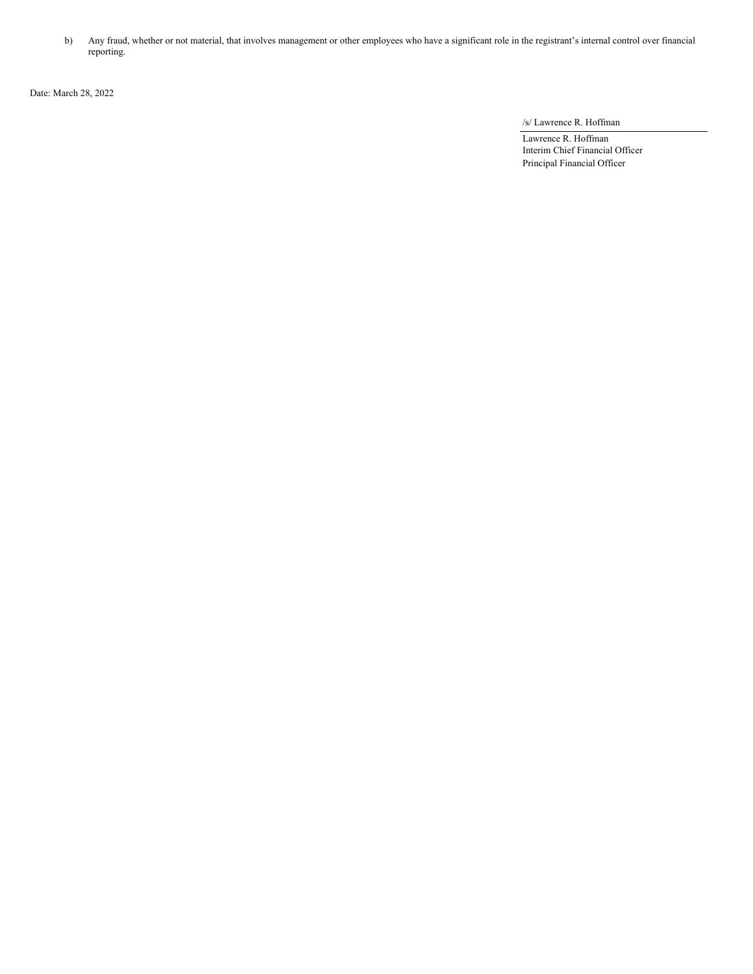b) Any fraud, whether or not material, that involves management or other employees who have a significant role in the registrant's internal control over financial reporting.

Date: March 28, 2022

/s/ Lawrence R. Hoffman

Lawrence R. Hoffman Interim Chief Financial Officer Principal Financial Officer